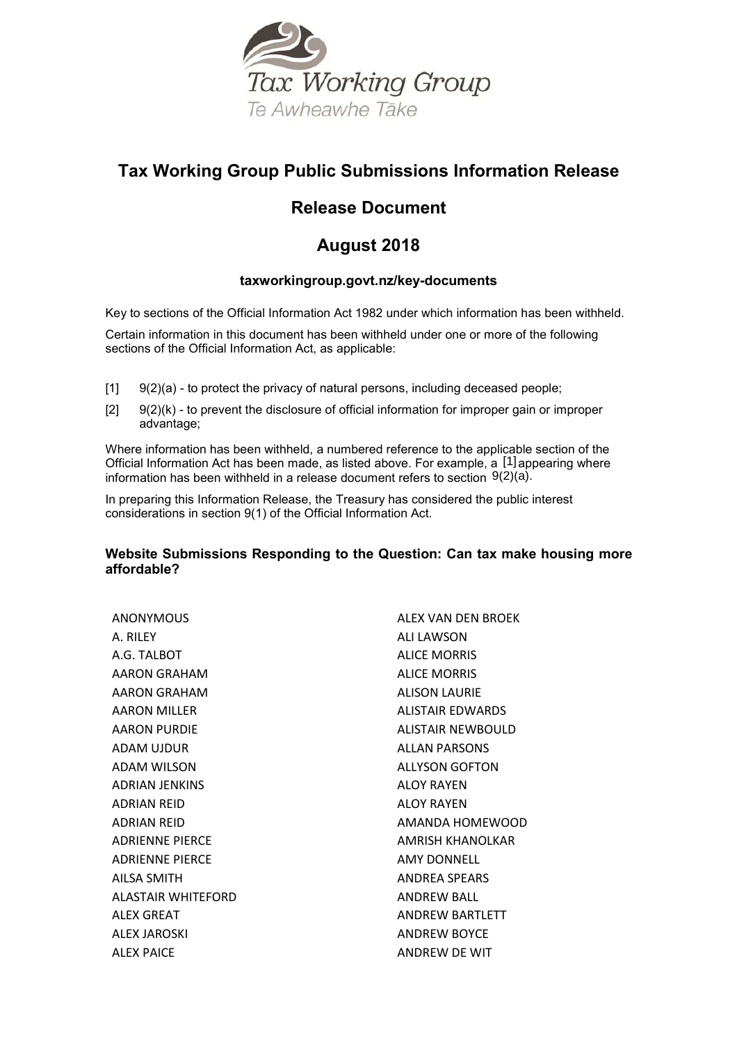

# **Tax Working Group Public Submissions Information Release**

# **Release Document**

# **August 2018**

# **taxworkingroup.govt.nz/key-documents**

Key to sections of the Official Information Act 1982 under which information has been withheld.

Certain information in this document has been withheld under one or more of the following sections of the Official Information Act, as applicable:

- $[1]$   $[9(2)(a)$  to protect the privacy of natural persons, including deceased people;
- $[2]$  9(2)(k) to prevent the disclosure of official information for improper gain or improper advantage;

Where information has been withheld, a numbered reference to the applicable section of the Official Information Act has been made, as listed above. For example, a [1] appearing where information has been withheld in a release document refers to section 9(2)(a).

In preparing this Information Release, the Treasury has considered the public interest considerations in section 9(1) of the Official Information Act.

# **Website Submissions Responding to the Question: Can tax make housing more affordable?**

ANONYMOUS A. RILEY A.G. TALBOT AARON GRAHAM AARON GRAHAM AARON MILLER AARON PURDIE ADAM UJDUR ADAM WILSON ADRIAN JENKINS ADRIAN REID ADRIAN REID ADRIENNE PIERCE ADRIENNE PIERCE AILSA SMITH ALASTAIR WHITEFORD ALEX GREAT ALEX JAROSKI ALEX PAICE

ALEX VAN DEN BROEK ALI LAWSON ALICE MORRIS ALICE MORRIS ALISON LAURIE ALISTAIR EDWARDS ALISTAIR NEWBOULD ALLAN PARSONS ALLYSON GOFTON ALOY RAYEN ALOY RAYEN AMANDA HOMEWOOD AMRISH KHANOLKAR AMY DONNELL ANDREA SPEARS ANDREW BALL ANDREW BARTLETT ANDREW BOYCE ANDREW DE WIT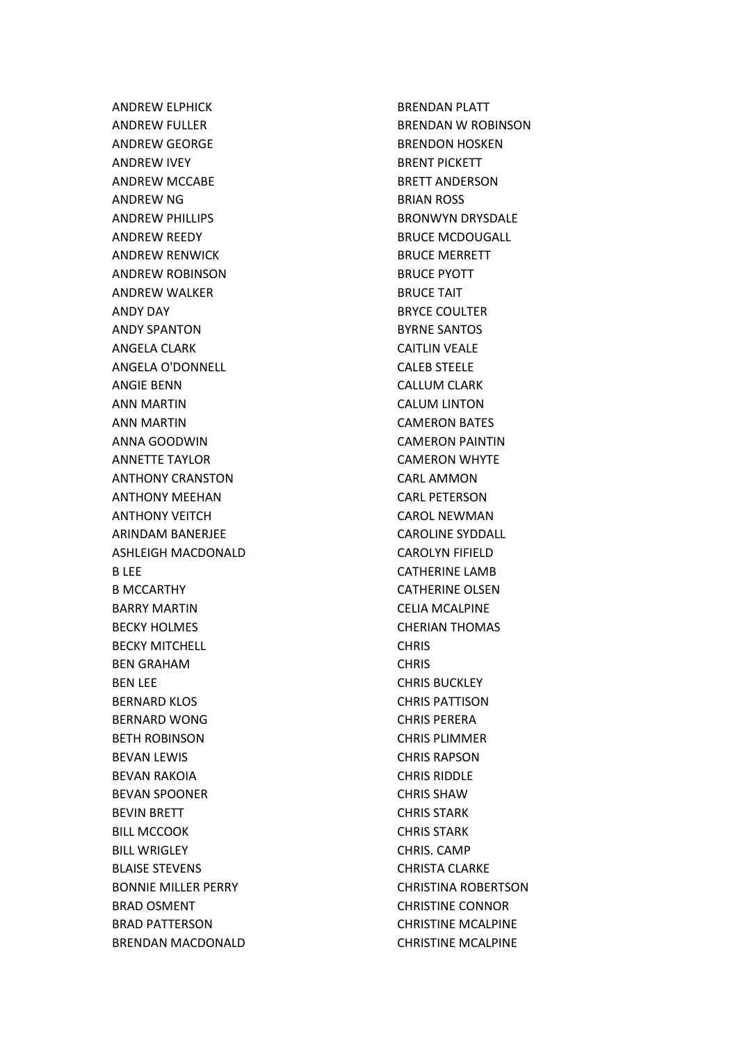ANDREW ELPHICK ANDREW FULLER ANDREW GEORGE ANDREW IVEY ANDREW MCCABE ANDREW NG ANDREW PHILLIPS ANDREW REEDY ANDREW RENWICK ANDREW ROBINSON ANDREW WALKER ANDY DAY ANDY SPANTON ANGELA CLARK ANGELA O'DONNELL ANGIE BENN ANN MARTIN ANN MARTIN ANNA GOODWIN ANNETTE TAYLOR ANTHONY CRANSTON ANTHONY MEEHAN ANTHONY VEITCH ARINDAM BANERJEE ASHLEIGH MACDONALD B LEE B MCCARTHY BARRY MARTIN BECKY HOLMES BECKY MITCHELL BEN GRAHAM BEN LEE BERNARD KLOS BERNARD WONG BETH ROBINSON BEVAN LEWIS BEVAN RAKOIA BEVAN SPOONER BEVIN BRETT BILL MCCOOK BILL WRIGLEY BLAISE STEVENS BONNIE MILLER PERRY BRAD OSMENT BRAD PATTERSON BRENDAN MACDONALD BRENDAN PLATT BRENDAN W ROBINSON BRENDON HOSKEN BRENT PICKETT BRETT ANDERSON BRIAN ROSS BRONWYN DRYSDALE BRUCE MCDOUGALL BRUCE MERRETT BRUCE PYOTT BRUCE TAIT BRYCE COULTER BYRNE SANTOS CAITLIN VEALE CALEB STEELE CALLUM CLARK CALUM LINTON CAMERON BATES CAMERON PAINTIN CAMERON WHYTE CARL AMMON CARL PETERSON CAROL NEWMAN CAROLINE SYDDALL CAROLYN FIFIELD CATHERINE LAMB CATHERINE OLSEN CELIA MCALPINE CHERIAN THOMAS CHRIS **CHRIS** CHRIS BUCKLEY CHRIS PATTISON CHRIS PERERA CHRIS PLIMMER CHRIS RAPSON CHRIS RIDDLE CHRIS SHAW CHRIS STARK CHRIS STARK CHRIS. CAMP CHRISTA CLARKE CHRISTINA ROBERTSON CHRISTINE CONNOR CHRISTINE MCALPINE CHRISTINE MCALPINE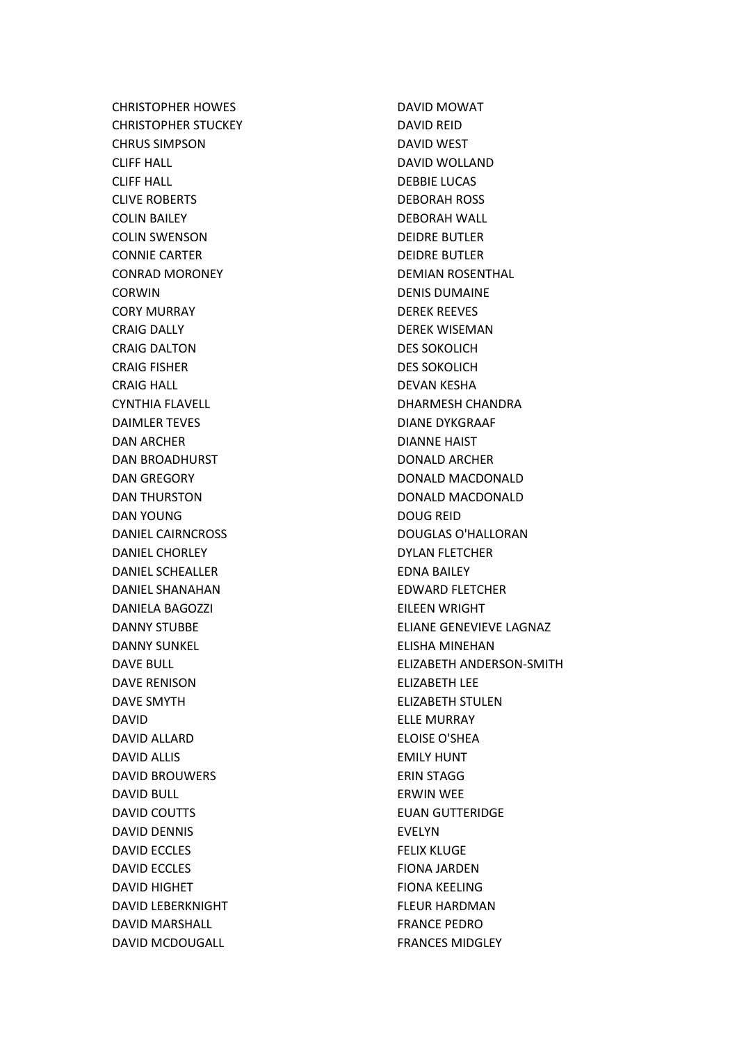CHRISTOPHER HOWES CHRISTOPHER STUCKEY CHRUS SIMPSON CLIFF HALL CLIFF HALL CLIVE ROBERTS COLIN BAILEY COLIN SWENSON CONNIE CARTER CONRAD MORONEY CORWIN CORY MURRAY CRAIG DALLY CRAIG DALTON CRAIG FISHER CRAIG HALL CYNTHIA FLAVELL DAIMLER TEVES DAN ARCHER DAN BROADHURST DAN GREGORY DAN THURSTON DAN YOUNG DANIEL CAIRNCROSS DANIEL CHORLEY DANIEL SCHEALLER DANIEL SHANAHAN DANIELA BAGOZZI DANNY STUBBE DANNY SUNKEL DAVE BULL DAVE RENISON DAVE SMYTH DAVID DAVID ALLARD DAVID ALLIS DAVID BROUWERS DAVID BULL DAVID COUTTS DAVID DENNIS DAVID ECCLES DAVID ECCLES DAVID HIGHET DAVID LEBERKNIGHT DAVID MARSHALL DAVID MCDOUGALL

DAVID MOWAT DAVID REID DAVID WEST DAVID WOLLAND DEBBIE LUCAS DEBORAH ROSS DEBORAH WALL DEIDRE BUTLER DEIDRE BUTLER DEMIAN ROSENTHAL DENIS DUMAINE DEREK REEVES DEREK WISEMAN DES SOKOLICH DES SOKOLICH DEVAN KESHA DHARMESH CHANDRA DIANE DYKGRAAF DIANNE HAIST DONALD ARCHER DONALD MACDONALD DONALD MACDONALD DOUG REID DOUGLAS O'HALLORAN DYLAN FLETCHER EDNA BAILEY EDWARD FLETCHER EILEEN WRIGHT ELIANE GENEVIEVE LAGNAZ ELISHA MINEHAN ELIZABETH ANDERSON-SMITH ELIZABETH LEE ELIZABETH STULEN ELLE MURRAY ELOISE O'SHEA EMILY HUNT ERIN STAGG ERWIN WEE EUAN GUTTERIDGE EVELYN FELIX KLUGE FIONA JARDEN FIONA KEELING FLEUR HARDMAN FRANCE PEDRO FRANCES MIDGLEY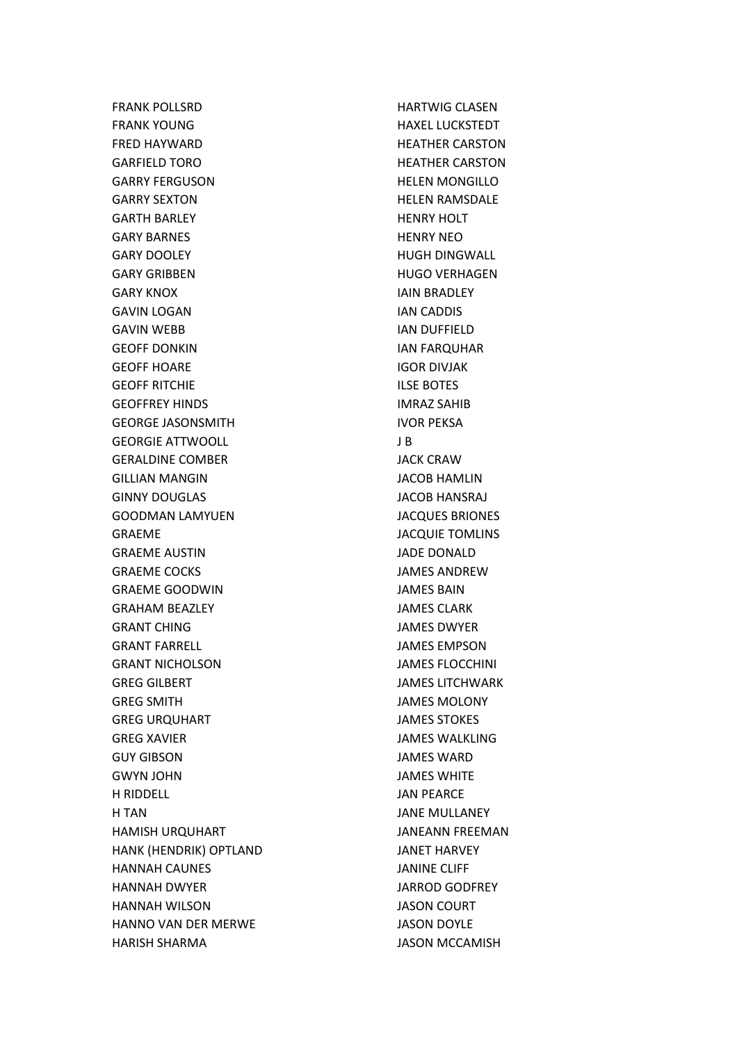FRANK POLLSRD FRANK YOUNG FRED HAYWARD GARFIELD TORO GARRY FERGUSON GARRY SEXTON GARTH BARLEY GARY BARNES GARY DOOLEY GARY GRIBBEN GARY KNOX GAVIN LOGAN GAVIN WEBB GEOFF DONKIN GEOFF HOARE GEOFF RITCHIE GEOFFREY HINDS GEORGE JASONSMITH GEORGIE ATTWOOLL GERALDINE COMBER GILLIAN MANGIN GINNY DOUGLAS GOODMAN LAMYUEN GRAEME GRAEME AUSTIN GRAEME COCKS GRAEME GOODWIN GRAHAM BEAZLEY GRANT CHING GRANT FARRELL GRANT NICHOLSON GREG GILBERT GREG SMITH GREG URQUHART GREG XAVIER GUY GIBSON GWYN JOHN H RIDDELL H TAN HAMISH URQUHART HANK (HENDRIK) OPTLAND HANNAH CAUNES HANNAH DWYER HANNAH WILSON HANNO VAN DER MERWE HARISH SHARMA

HARTWIG CLASEN HAXEL LUCKSTEDT HEATHER CARSTON HEATHER CARSTON HELEN MONGILLO HELEN RAMSDALE HENRY HOLT HENRY NEO HUGH DINGWALL HUGO VERHAGEN IAIN BRADLEY IAN CADDIS IAN DUFFIELD IAN FARQUHAR IGOR DIVJAK ILSE BOTES IMRAZ SAHIB IVOR PEKSA J B JACK CRAW JACOB HAMLIN JACOB HANSRAJ JACQUES BRIONES JACQUIE TOMLINS JADE DONALD JAMES ANDREW JAMES BAIN JAMES CLARK JAMES DWYER JAMES EMPSON JAMES FLOCCHINI JAMES LITCHWARK JAMES MOLONY JAMES STOKES JAMES WALKLING JAMES WARD JAMES WHITE JAN PEARCE JANE MULLANEY JANEANN FREEMAN JANET HARVEY JANINE CLIFF JARROD GODFREY JASON COURT JASON DOYLE JASON MCCAMISH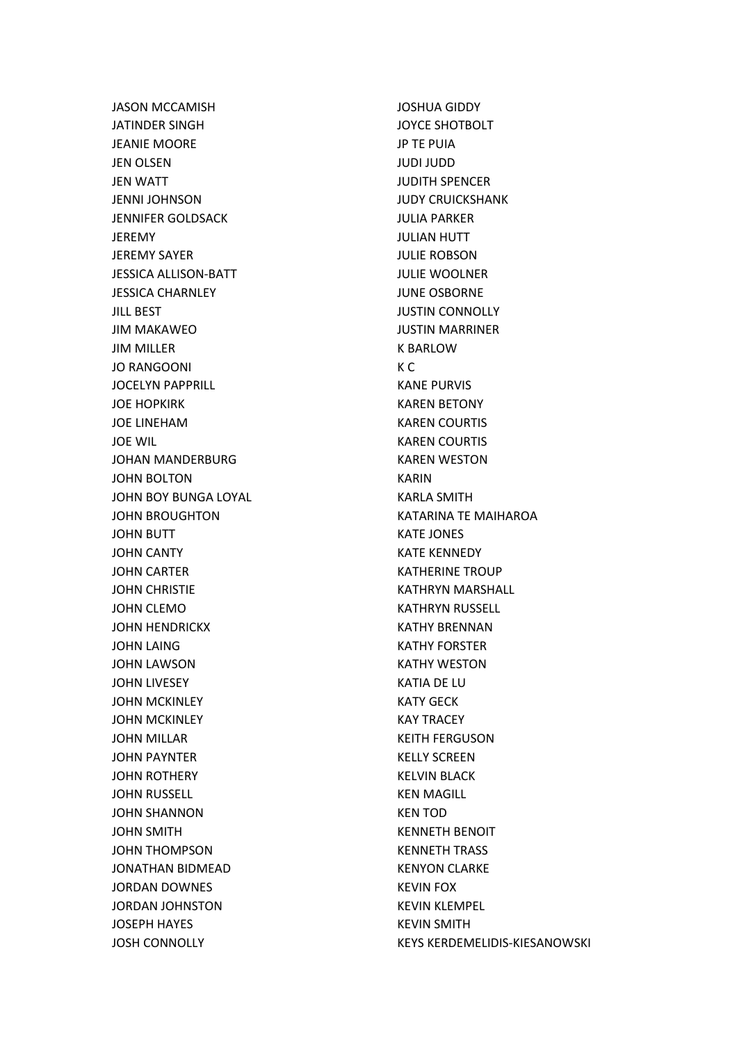JASON MCCAMISH JATINDER SINGH JEANIE MOORE JEN OLSEN JEN WATT JENNI JOHNSON JENNIFER GOLDSACK JEREMY JEREMY SAYER JESSICA ALLISON-BATT JESSICA CHARNLEY JILL BEST JIM MAKAWEO JIM MILLER JO RANGOONI JOCELYN PAPPRILL JOE HOPKIRK JOE LINEHAM JOE WIL JOHAN MANDERBURG JOHN BOLTON JOHN BOY BUNGA LOYAL JOHN BROUGHTON JOHN BUTT JOHN CANTY JOHN CARTER JOHN CHRISTIE JOHN CLEMO JOHN HENDRICKX JOHN LAING JOHN LAWSON JOHN LIVESEY JOHN MCKINLEY JOHN MCKINLEY JOHN MILLAR JOHN PAYNTER JOHN ROTHERY JOHN RUSSELL JOHN SHANNON JOHN SMITH JOHN THOMPSON JONATHAN BIDMEAD JORDAN DOWNES JORDAN JOHNSTON JOSEPH HAYES JOSH CONNOLLY

JOSHUA GIDDY JOYCE SHOTBOLT JP TE PUIA JUDI JUDD JUDITH SPENCER JUDY CRUICKSHANK JULIA PARKER JULIAN HUTT JULIE ROBSON JULIE WOOLNER JUNE OSBORNE JUSTIN CONNOLLY JUSTIN MARRINER K BARLOW K C KANE PURVIS KAREN BETONY KAREN COURTIS KAREN COURTIS KAREN WESTON KARIN KARLA SMITH KATARINA TE MAIHAROA KATE JONES KATE KENNEDY KATHERINE TROUP KATHRYN MARSHALL KATHRYN RUSSELL KATHY BRENNAN KATHY FORSTER KATHY WESTON KATIA DE LU KATY GECK KAY TRACEY KEITH FERGUSON KELLY SCREEN KELVIN BLACK KEN MAGILL KEN TOD KENNETH BENOIT KENNETH TRASS KENYON CLARKE KEVIN FOX KEVIN KLEMPEL KEVIN SMITH KEYS KERDEMELIDIS-KIESANOWSKI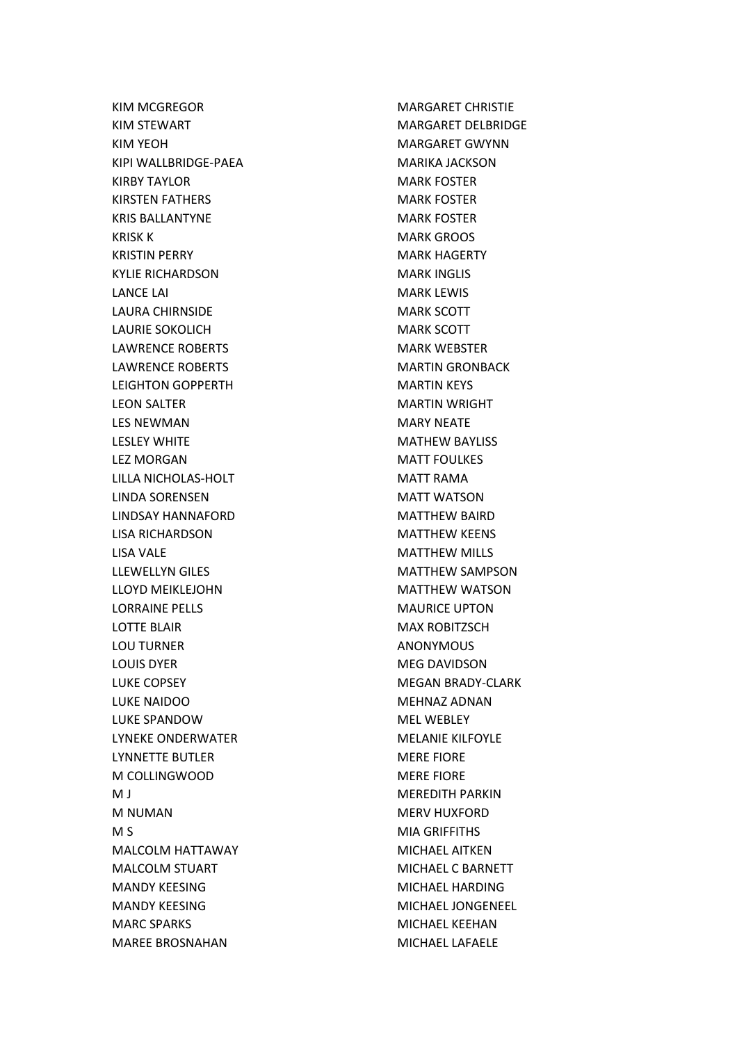KIM MCGREGOR KIM STEWART KIM YEOH KIPI WALLBRIDGE-PAEA KIRBY TAYLOR KIRSTEN FATHERS KRIS BALLANTYNE KRISK K KRISTIN PERRY KYLIE RICHARDSON LANCE LAI LAURA CHIRNSIDE LAURIE SOKOLICH LAWRENCE ROBERTS LAWRENCE ROBERTS LEIGHTON GOPPERTH LEON SALTER LES NEWMAN LESLEY WHITE LEZ MORGAN LILLA NICHOLAS-HOLT LINDA SORENSEN LINDSAY HANNAFORD LISA RICHARDSON LISA VALE LLEWELLYN GILES LLOYD MEIKLEJOHN LORRAINE PELLS LOTTE BLAIR LOU TURNER LOUIS DYER LUKE COPSEY LUKE NAIDOO LUKE SPANDOW LYNEKE ONDERWATER LYNNETTE BUTLER M COLLINGWOOD M J M NUMAN M S MALCOLM HATTAWAY MALCOLM STUART MANDY KEESING MANDY KEESING MARC SPARKS MAREE BROSNAHAN

MARGARET CHRISTIE MARGARET DELBRIDGE MARGARET GWYNN MARIKA JACKSON MARK FOSTER MARK FOSTER MARK FOSTER MARK GROOS MARK HAGERTY MARK INGLIS MARK LEWIS MARK SCOTT MARK SCOTT MARK WEBSTER MARTIN GRONBACK MARTIN KEYS MARTIN WRIGHT MARY NEATE MATHEW BAYLISS MATT FOULKES MATT RAMA MATT WATSON MATTHEW BAIRD MATTHEW KEENS MATTHEW MILLS MATTHEW SAMPSON MATTHEW WATSON MAURICE UPTON MAX ROBITZSCH ANONYMOUS MEG DAVIDSON MEGAN BRADY-CLARK MEHNAZ ADNAN MEL WEBLEY MELANIE KILFOYLE MERE FIORE MERE FIORE MEREDITH PARKIN MERV HUXFORD MIA GRIFFITHS MICHAEL AITKEN MICHAEL C BARNETT MICHAEL HARDING MICHAEL JONGENEEL MICHAEL KEEHAN MICHAEL LAFAELE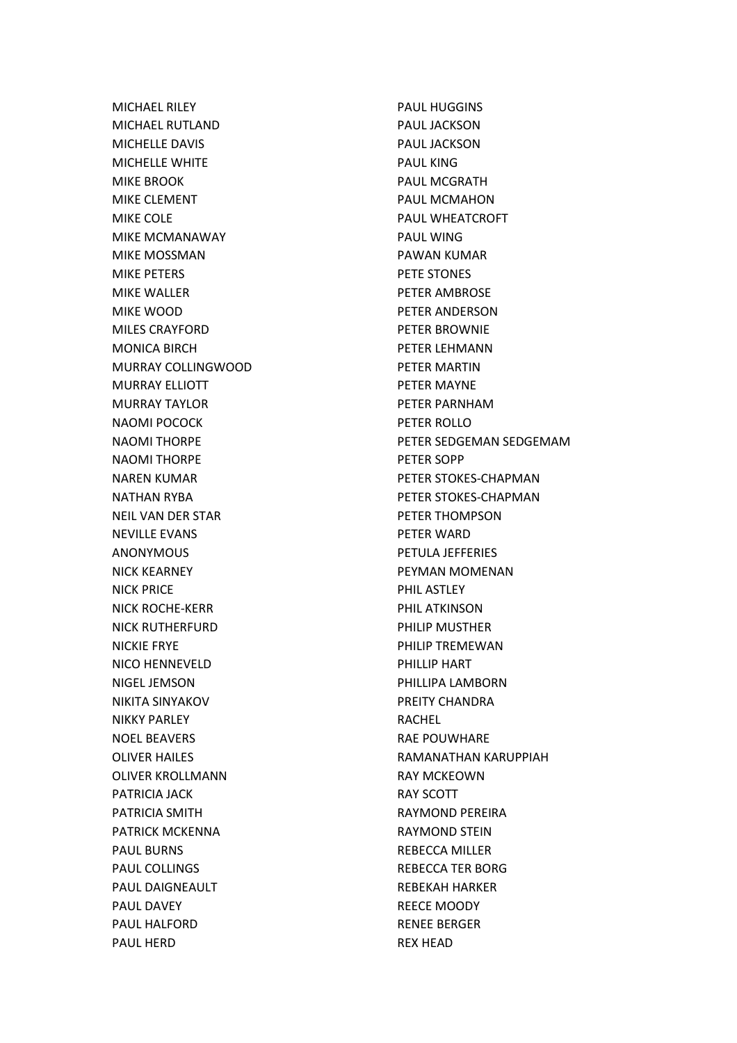MICHAEL RILEY MICHAEL RUTLAND MICHELLE DAVIS MICHELLE WHITE MIKE BROOK MIKE CLEMENT MIKE COLE MIKE MCMANAWAY MIKE MOSSMAN MIKE PETERS MIKE WALLER MIKE WOOD MILES CRAYFORD MONICA BIRCH MURRAY COLLINGWOOD MURRAY ELLIOTT MURRAY TAYLOR NAOMI POCOCK NAOMI THORPE NAOMI THORPE NAREN KUMAR NATHAN RYBA NEIL VAN DER STAR NEVILLE EVANS ANONYMOUS NICK KEARNEY NICK PRICE NICK ROCHE-KERR NICK RUTHERFURD NICKIE FRYE NICO HENNEVELD NIGEL JEMSON NIKITA SINYAKOV NIKKY PARLEY NOEL BEAVERS OLIVER HAILES OLIVER KROLLMANN PATRICIA JACK PATRICIA SMITH PATRICK MCKENNA PAUL BURNS PAUL COLLINGS PAUL DAIGNEAULT PAUL DAVEY PAUL HALFORD PAUL HERD

PAUL HUGGINS PAUL JACKSON PAUL JACKSON PAUL KING PAUL MCGRATH PAUL MCMAHON PAUL WHEATCROFT PAUL WING PAWAN KUMAR PETE STONES PETER AMBROSE PETER ANDERSON PETER BROWNIE PETER LEHMANN PETER MARTIN PETER MAYNE PETER PARNHAM PETER ROLLO PETER SEDGEMAN SEDGEMAM PETER SOPP PETER STOKES-CHAPMAN PETER STOKES-CHAPMAN PETER THOMPSON PETER WARD PETULA JEFFERIES PEYMAN MOMENAN PHIL ASTLEY PHIL ATKINSON PHILIP MUSTHER PHILIP TREMEWAN PHILLIP HART PHILLIPA LAMBORN PREITY CHANDRA RACHEL RAE POUWHARE RAMANATHAN KARUPPIAH RAY MCKEOWN RAY SCOTT RAYMOND PEREIRA RAYMOND STEIN REBECCA MILLER REBECCA TER BORG REBEKAH HARKER REECE MOODY RENEE BERGER REX HEAD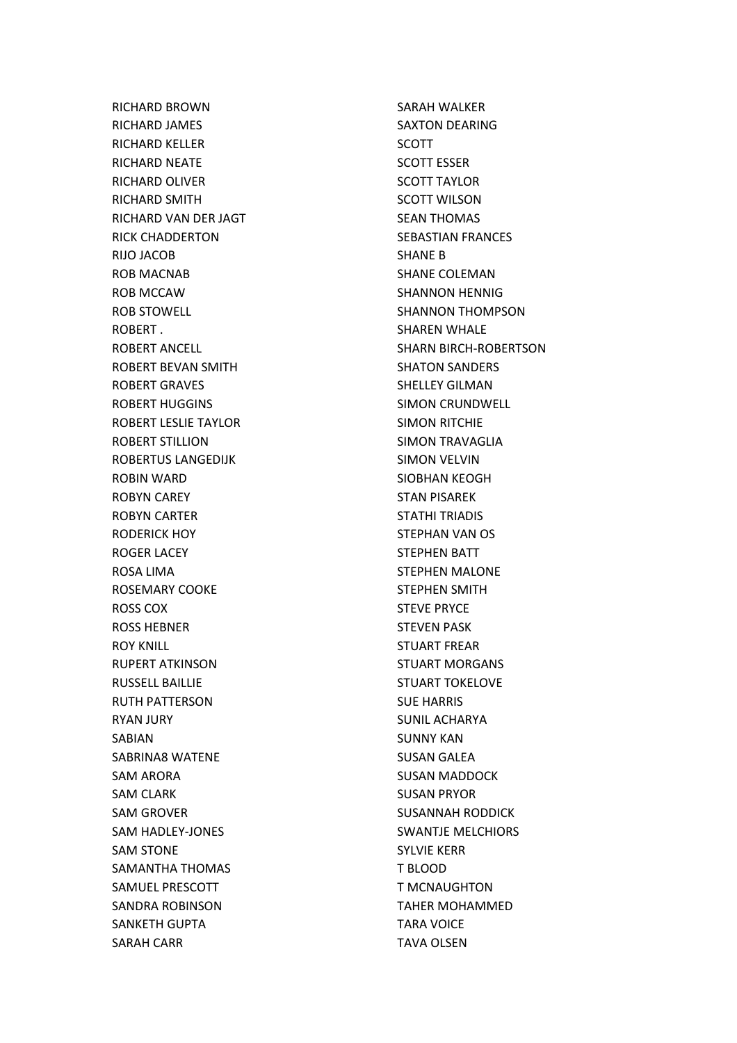RICHARD BROWN RICHARD JAMES RICHARD KELLER RICHARD NEATE RICHARD OLIVER RICHARD SMITH RICHARD VAN DER JAGT RICK CHADDERTON RIJO JACOB ROB MACNAB ROB MCCAW ROB STOWELL ROBERT . ROBERT ANCELL ROBERT BEVAN SMITH ROBERT GRAVES ROBERT HUGGINS ROBERT LESLIE TAYLOR ROBERT STILLION ROBERTUS LANGEDIJK ROBIN WARD ROBYN CAREY ROBYN CARTER RODERICK HOY ROGER LACEY ROSA LIMA ROSEMARY COOKE ROSS COX ROSS HEBNER ROY KNILL RUPERT ATKINSON RUSSELL BAILLIE RUTH PATTERSON RYAN JURY SABIAN SABRINA8 WATENE SAM ARORA SAM CLARK SAM GROVER SAM HADLEY-JONES SAM STONE SAMANTHA THOMAS SAMUEL PRESCOTT SANDRA ROBINSON SANKETH GUPTA SARAH CARR

SARAH WALKER SAXTON DEARING SCOTT SCOTT ESSER SCOTT TAYLOR SCOTT WILSON SEAN THOMAS SEBASTIAN FRANCES SHANE B SHANE COLEMAN SHANNON HENNIG SHANNON THOMPSON SHAREN WHALE SHARN BIRCH-ROBERTSON SHATON SANDERS SHELLEY GILMAN SIMON CRUNDWELL SIMON RITCHIE SIMON TRAVAGLIA SIMON VELVIN SIOBHAN KEOGH STAN PISAREK STATHI TRIADIS STEPHAN VAN OS STEPHEN BATT STEPHEN MALONE STEPHEN SMITH STEVE PRYCE STEVEN PASK STUART FREAR STUART MORGANS STUART TOKELOVE SUE HARRIS SUNIL ACHARYA SUNNY KAN SUSAN GALEA SUSAN MADDOCK SUSAN PRYOR SUSANNAH RODDICK SWANTJE MELCHIORS SYLVIE KERR T BLOOD T MCNAUGHTON TAHER MOHAMMED TARA VOICE TAVA OLSEN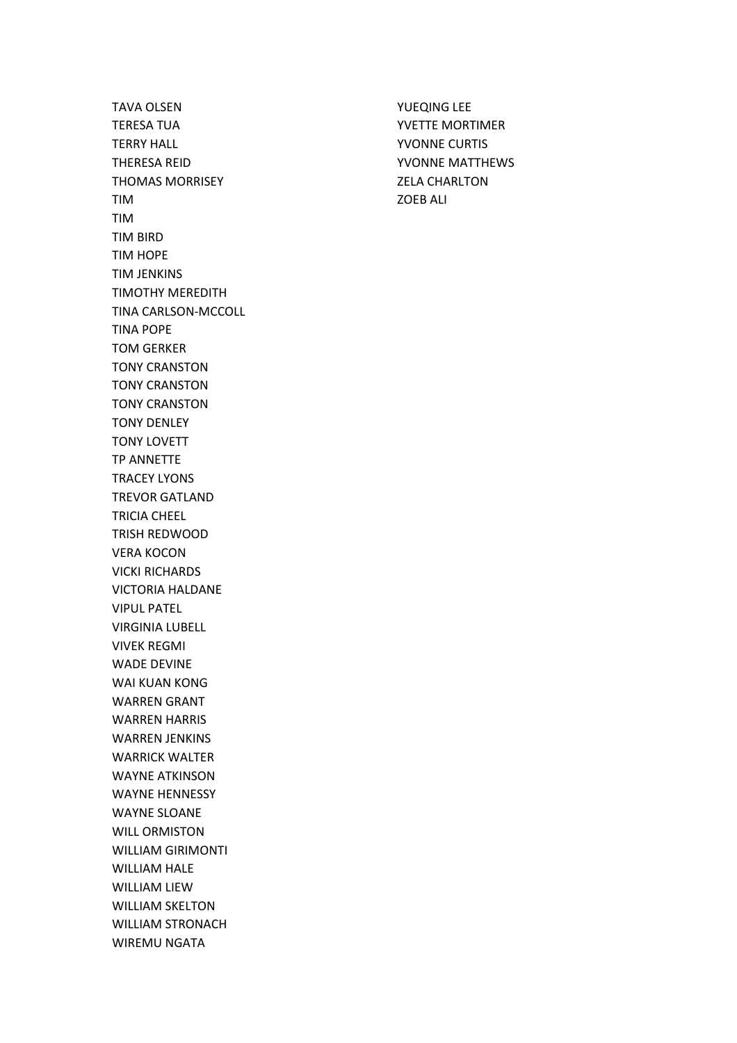TAVA OLSEN TERESA TUA TERRY HALL THERESA REID THOMAS MORRISEY TIM TIM TIM BIRD TIM HOPE TIM JENKINS TIMOTHY MEREDITH TINA CARLSON-MCCOLL TINA POPE TOM GERKER TONY CRANSTON TONY CRANSTON TONY CRANSTON TONY DENLEY TONY LOVETT TP ANNETTE TRACEY LYONS TREVOR GATLAND TRICIA CHEEL TRISH REDWOOD VERA KOCON VICKI RICHARDS VICTORIA HALDANE VIPUL PATEL VIRGINIA LUBELL VIVEK REGMI WADE DEVINE WAI KUAN KONG WARREN GRANT WARREN HARRIS WARREN JENKINS WARRICK WALTER WAYNE ATKINSON WAYNE HENNESSY WAYNE SLOANE WILL ORMISTON WILLIAM GIRIMONTI WILLIAM HALE WILLIAM LIEW WILLIAM SKELTON WILLIAM STRONACH WIREMU NGATA

YUEQING LEE YVETTE MORTIMER YVONNE CURTIS YVONNE MATTHEWS ZELA CHARLTON ZOEB ALI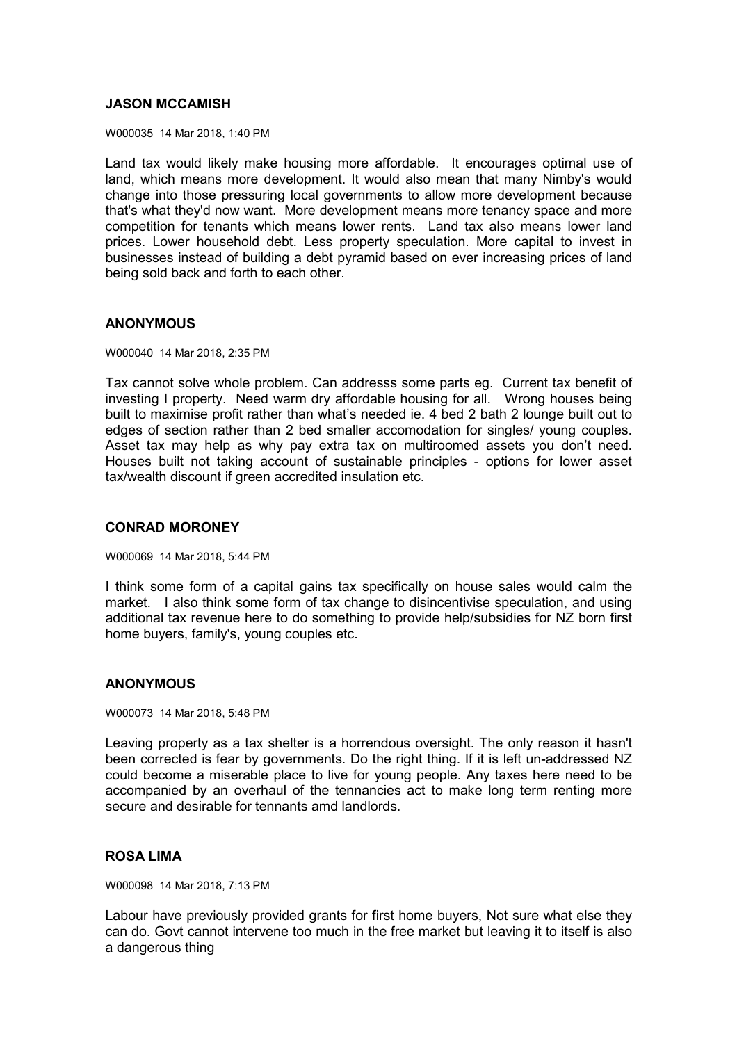## **JASON MCCAMISH**

W000035 14 Mar 2018, 1:40 PM

Land tax would likely make housing more affordable. It encourages optimal use of land, which means more development. It would also mean that many Nimby's would change into those pressuring local governments to allow more development because that's what they'd now want. More development means more tenancy space and more competition for tenants which means lower rents. Land tax also means lower land prices. Lower household debt. Less property speculation. More capital to invest in businesses instead of building a debt pyramid based on ever increasing prices of land being sold back and forth to each other.

## **ANONYMOUS**

W000040 14 Mar 2018, 2:35 PM

Tax cannot solve whole problem. Can addresss some parts eg. Current tax benefit of investing I property. Need warm dry affordable housing for all. Wrong houses being built to maximise profit rather than what's needed ie. 4 bed 2 bath 2 lounge built out to edges of section rather than 2 bed smaller accomodation for singles/ young couples. Asset tax may help as why pay extra tax on multiroomed assets you don't need. Houses built not taking account of sustainable principles - options for lower asset tax/wealth discount if green accredited insulation etc.

#### **CONRAD MORONEY**

W000069 14 Mar 2018, 5:44 PM

I think some form of a capital gains tax specifically on house sales would calm the market. I also think some form of tax change to disincentivise speculation, and using additional tax revenue here to do something to provide help/subsidies for NZ born first home buyers, family's, young couples etc.

#### **ANONYMOUS**

W000073 14 Mar 2018, 5:48 PM

Leaving property as a tax shelter is a horrendous oversight. The only reason it hasn't been corrected is fear by governments. Do the right thing. If it is left un-addressed NZ could become a miserable place to live for young people. Any taxes here need to be accompanied by an overhaul of the tennancies act to make long term renting more secure and desirable for tennants amd landlords.

#### **ROSA LIMA**

W000098 14 Mar 2018, 7:13 PM

Labour have previously provided grants for first home buyers, Not sure what else they can do. Govt cannot intervene too much in the free market but leaving it to itself is also a dangerous thing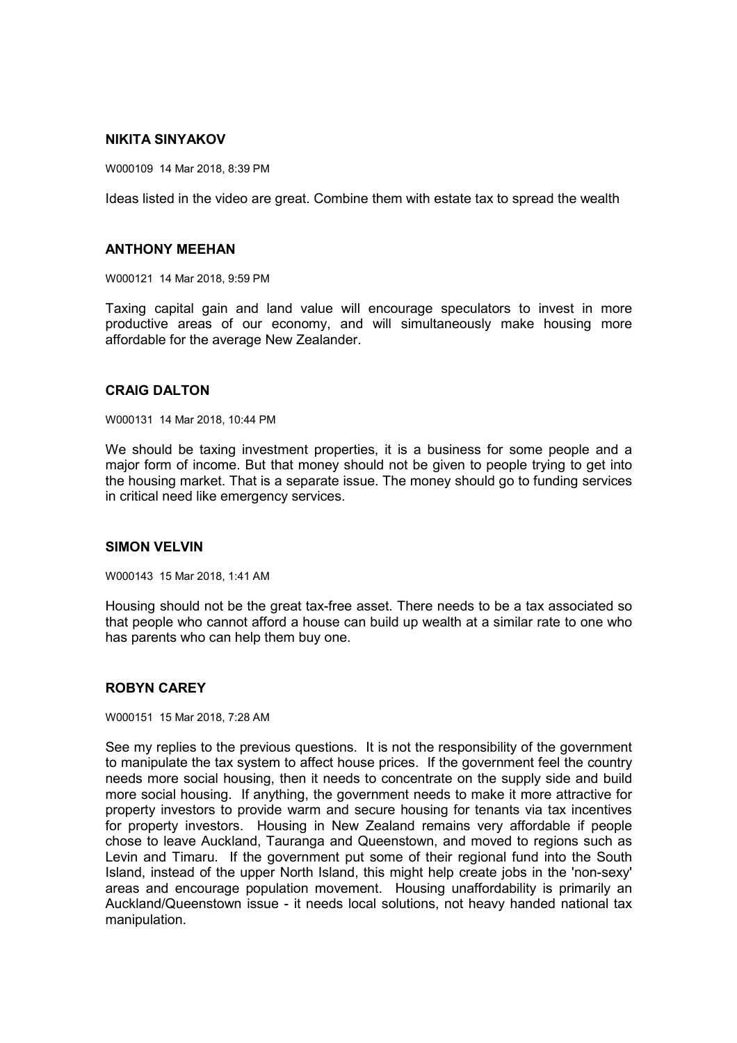## **NIKITA SINYAKOV**

W000109 14 Mar 2018, 8:39 PM

Ideas listed in the video are great. Combine them with estate tax to spread the wealth

#### **ANTHONY MEEHAN**

W000121 14 Mar 2018, 9:59 PM

Taxing capital gain and land value will encourage speculators to invest in more productive areas of our economy, and will simultaneously make housing more affordable for the average New Zealander.

#### **CRAIG DALTON**

W000131 14 Mar 2018, 10:44 PM

We should be taxing investment properties, it is a business for some people and a major form of income. But that money should not be given to people trying to get into the housing market. That is a separate issue. The money should go to funding services in critical need like emergency services.

#### **SIMON VELVIN**

W000143 15 Mar 2018, 1:41 AM

Housing should not be the great tax-free asset. There needs to be a tax associated so that people who cannot afford a house can build up wealth at a similar rate to one who has parents who can help them buy one.

# **ROBYN CAREY**

W000151 15 Mar 2018, 7:28 AM

See my replies to the previous questions. It is not the responsibility of the government to manipulate the tax system to affect house prices. If the government feel the country needs more social housing, then it needs to concentrate on the supply side and build more social housing. If anything, the government needs to make it more attractive for property investors to provide warm and secure housing for tenants via tax incentives for property investors. Housing in New Zealand remains very affordable if people chose to leave Auckland, Tauranga and Queenstown, and moved to regions such as Levin and Timaru. If the government put some of their regional fund into the South Island, instead of the upper North Island, this might help create jobs in the 'non-sexy' areas and encourage population movement. Housing unaffordability is primarily an Auckland/Queenstown issue - it needs local solutions, not heavy handed national tax manipulation.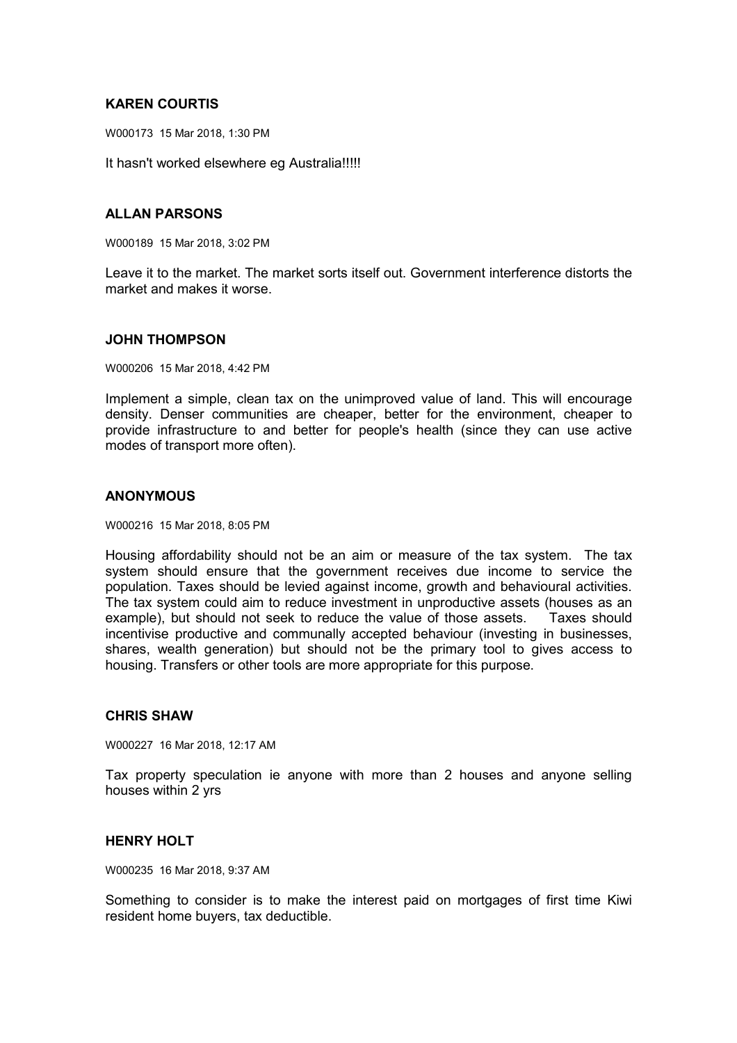# **KAREN COURTIS**

W000173 15 Mar 2018, 1:30 PM

It hasn't worked elsewhere eg Australia!!!!!

## **ALLAN PARSONS**

W000189 15 Mar 2018, 3:02 PM

Leave it to the market. The market sorts itself out. Government interference distorts the market and makes it worse.

#### **JOHN THOMPSON**

W000206 15 Mar 2018, 4:42 PM

Implement a simple, clean tax on the unimproved value of land. This will encourage density. Denser communities are cheaper, better for the environment, cheaper to provide infrastructure to and better for people's health (since they can use active modes of transport more often).

## **ANONYMOUS**

W000216 15 Mar 2018, 8:05 PM

Housing affordability should not be an aim or measure of the tax system. The tax system should ensure that the government receives due income to service the population. Taxes should be levied against income, growth and behavioural activities. The tax system could aim to reduce investment in unproductive assets (houses as an example), but should not seek to reduce the value of those assets. Taxes should incentivise productive and communally accepted behaviour (investing in businesses, shares, wealth generation) but should not be the primary tool to gives access to housing. Transfers or other tools are more appropriate for this purpose.

## **CHRIS SHAW**

W000227 16 Mar 2018, 12:17 AM

Tax property speculation ie anyone with more than 2 houses and anyone selling houses within 2 yrs

## **HENRY HOLT**

W000235 16 Mar 2018, 9:37 AM

Something to consider is to make the interest paid on mortgages of first time Kiwi resident home buyers, tax deductible.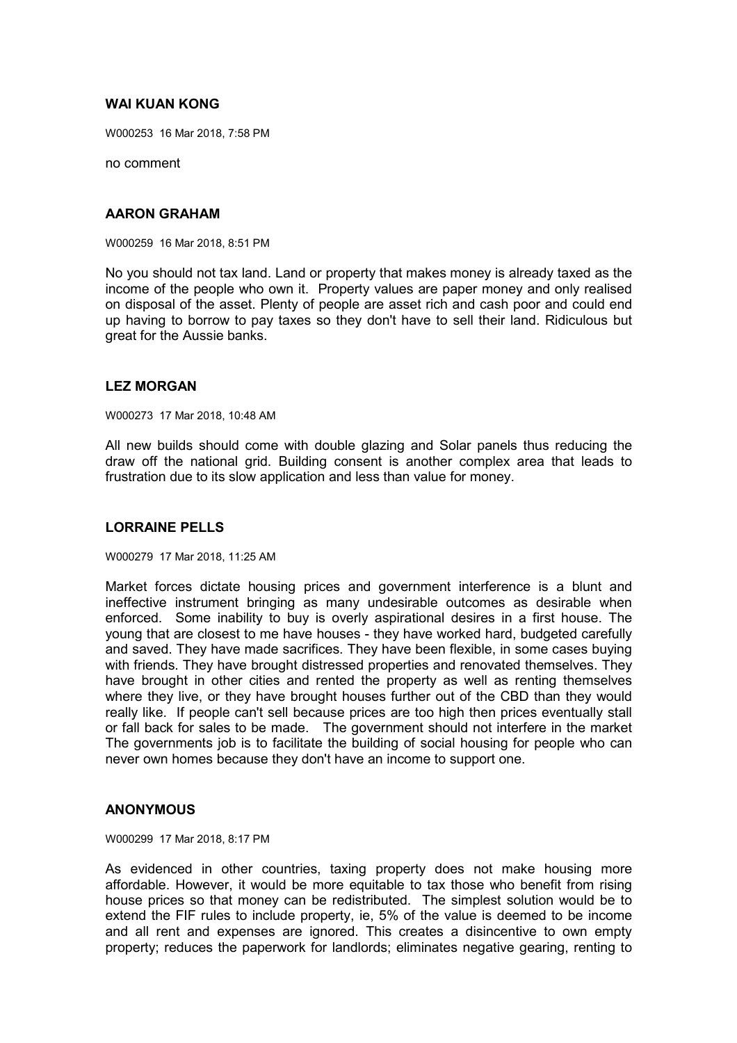# **WAI KUAN KONG**

W000253 16 Mar 2018, 7:58 PM

no comment

## **AARON GRAHAM**

W000259 16 Mar 2018, 8:51 PM

No you should not tax land. Land or property that makes money is already taxed as the income of the people who own it. Property values are paper money and only realised on disposal of the asset. Plenty of people are asset rich and cash poor and could end up having to borrow to pay taxes so they don't have to sell their land. Ridiculous but great for the Aussie banks.

#### **LEZ MORGAN**

W000273 17 Mar 2018, 10:48 AM

All new builds should come with double glazing and Solar panels thus reducing the draw off the national grid. Building consent is another complex area that leads to frustration due to its slow application and less than value for money.

## **LORRAINE PELLS**

#### W000279 17 Mar 2018, 11:25 AM

Market forces dictate housing prices and government interference is a blunt and ineffective instrument bringing as many undesirable outcomes as desirable when enforced. Some inability to buy is overly aspirational desires in a first house. The young that are closest to me have houses - they have worked hard, budgeted carefully and saved. They have made sacrifices. They have been flexible, in some cases buying with friends. They have brought distressed properties and renovated themselves. They have brought in other cities and rented the property as well as renting themselves where they live, or they have brought houses further out of the CBD than they would really like. If people can't sell because prices are too high then prices eventually stall or fall back for sales to be made. The government should not interfere in the market The governments job is to facilitate the building of social housing for people who can never own homes because they don't have an income to support one.

## **ANONYMOUS**

W000299 17 Mar 2018, 8:17 PM

As evidenced in other countries, taxing property does not make housing more affordable. However, it would be more equitable to tax those who benefit from rising house prices so that money can be redistributed. The simplest solution would be to extend the FIF rules to include property, ie, 5% of the value is deemed to be income and all rent and expenses are ignored. This creates a disincentive to own empty property; reduces the paperwork for landlords; eliminates negative gearing, renting to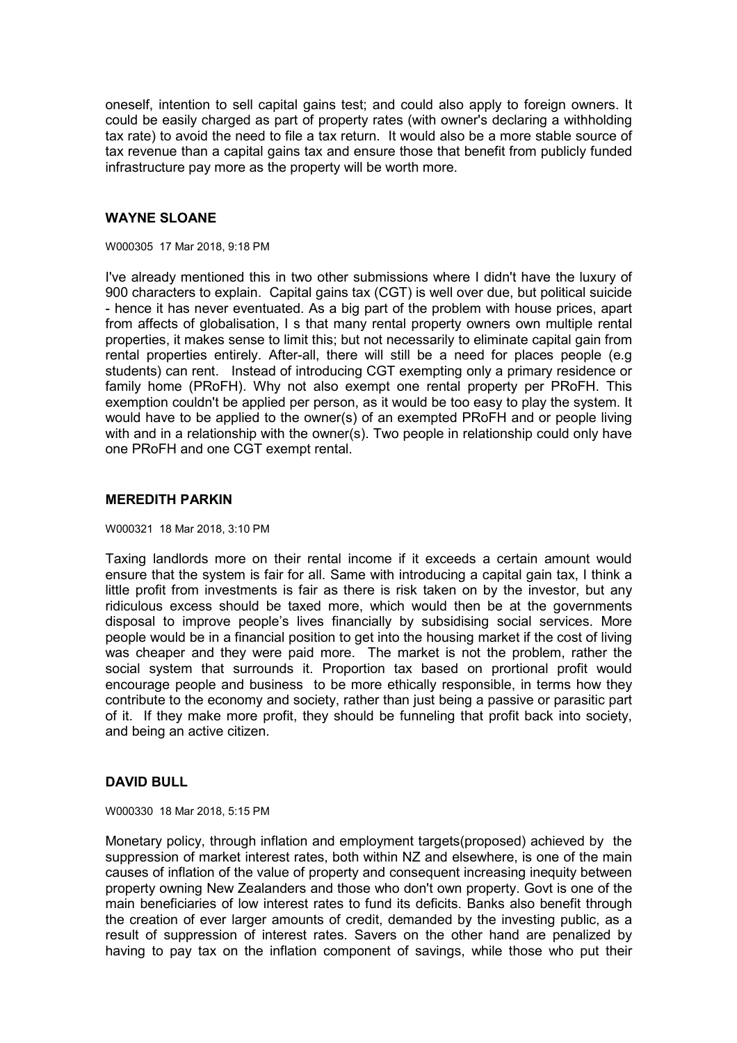oneself, intention to sell capital gains test; and could also apply to foreign owners. It could be easily charged as part of property rates (with owner's declaring a withholding tax rate) to avoid the need to file a tax return. It would also be a more stable source of tax revenue than a capital gains tax and ensure those that benefit from publicly funded infrastructure pay more as the property will be worth more.

## **WAYNE SLOANE**

W000305 17 Mar 2018, 9:18 PM

I've already mentioned this in two other submissions where I didn't have the luxury of 900 characters to explain. Capital gains tax (CGT) is well over due, but political suicide - hence it has never eventuated. As a big part of the problem with house prices, apart from affects of globalisation, I s that many rental property owners own multiple rental properties, it makes sense to limit this; but not necessarily to eliminate capital gain from rental properties entirely. After-all, there will still be a need for places people (e.g students) can rent. Instead of introducing CGT exempting only a primary residence or family home (PRoFH). Why not also exempt one rental property per PRoFH. This exemption couldn't be applied per person, as it would be too easy to play the system. It would have to be applied to the owner(s) of an exempted PRoFH and or people living with and in a relationship with the owner(s). Two people in relationship could only have one PRoFH and one CGT exempt rental.

## **MEREDITH PARKIN**

W000321 18 Mar 2018, 3:10 PM

Taxing landlords more on their rental income if it exceeds a certain amount would ensure that the system is fair for all. Same with introducing a capital gain tax, I think a little profit from investments is fair as there is risk taken on by the investor, but any ridiculous excess should be taxed more, which would then be at the governments disposal to improve people's lives financially by subsidising social services. More people would be in a financial position to get into the housing market if the cost of living was cheaper and they were paid more. The market is not the problem, rather the social system that surrounds it. Proportion tax based on prortional profit would encourage people and business to be more ethically responsible, in terms how they contribute to the economy and society, rather than just being a passive or parasitic part of it. If they make more profit, they should be funneling that profit back into society, and being an active citizen.

## **DAVID BULL**

W000330 18 Mar 2018, 5:15 PM

Monetary policy, through inflation and employment targets(proposed) achieved by the suppression of market interest rates, both within NZ and elsewhere, is one of the main causes of inflation of the value of property and consequent increasing inequity between property owning New Zealanders and those who don't own property. Govt is one of the main beneficiaries of low interest rates to fund its deficits. Banks also benefit through the creation of ever larger amounts of credit, demanded by the investing public, as a result of suppression of interest rates. Savers on the other hand are penalized by having to pay tax on the inflation component of savings, while those who put their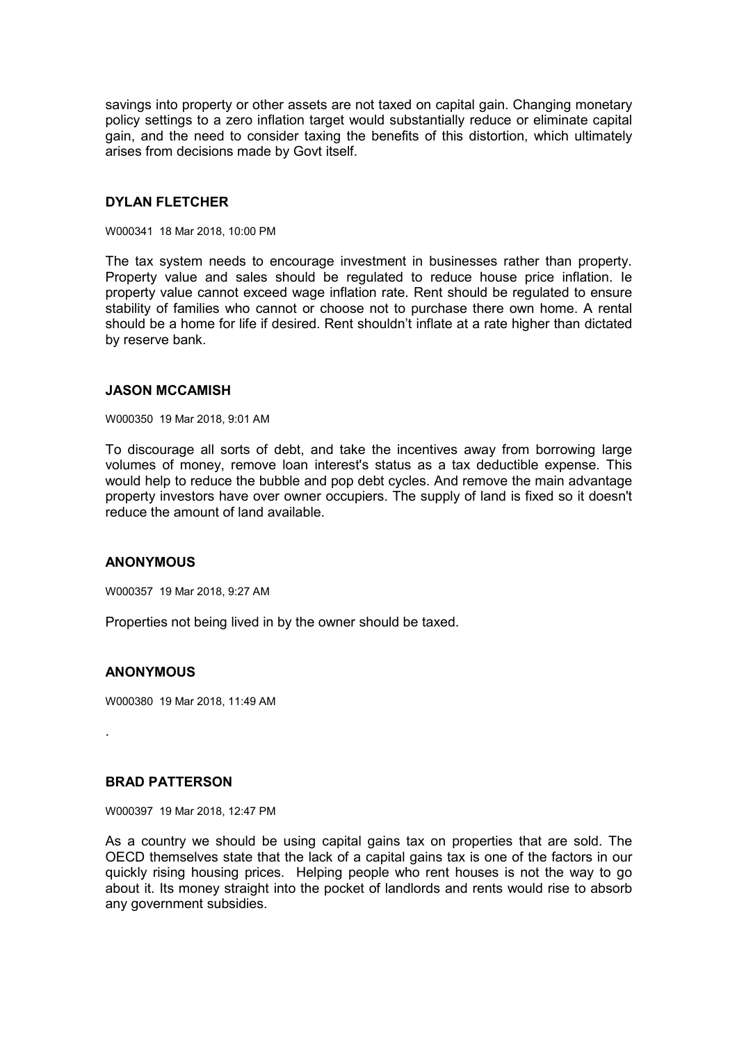savings into property or other assets are not taxed on capital gain. Changing monetary policy settings to a zero inflation target would substantially reduce or eliminate capital gain, and the need to consider taxing the benefits of this distortion, which ultimately arises from decisions made by Govt itself.

#### **DYLAN FLETCHER**

W000341 18 Mar 2018, 10:00 PM

The tax system needs to encourage investment in businesses rather than property. Property value and sales should be regulated to reduce house price inflation. Ie property value cannot exceed wage inflation rate. Rent should be regulated to ensure stability of families who cannot or choose not to purchase there own home. A rental should be a home for life if desired. Rent shouldn't inflate at a rate higher than dictated by reserve bank.

#### **JASON MCCAMISH**

W000350 19 Mar 2018, 9:01 AM

To discourage all sorts of debt, and take the incentives away from borrowing large volumes of money, remove loan interest's status as a tax deductible expense. This would help to reduce the bubble and pop debt cycles. And remove the main advantage property investors have over owner occupiers. The supply of land is fixed so it doesn't reduce the amount of land available.

#### **ANONYMOUS**

W000357 19 Mar 2018, 9:27 AM

Properties not being lived in by the owner should be taxed.

## **ANONYMOUS**

W000380 19 Mar 2018, 11:49 AM

.

#### **BRAD PATTERSON**

W000397 19 Mar 2018, 12:47 PM

As a country we should be using capital gains tax on properties that are sold. The OECD themselves state that the lack of a capital gains tax is one of the factors in our quickly rising housing prices. Helping people who rent houses is not the way to go about it. Its money straight into the pocket of landlords and rents would rise to absorb any government subsidies.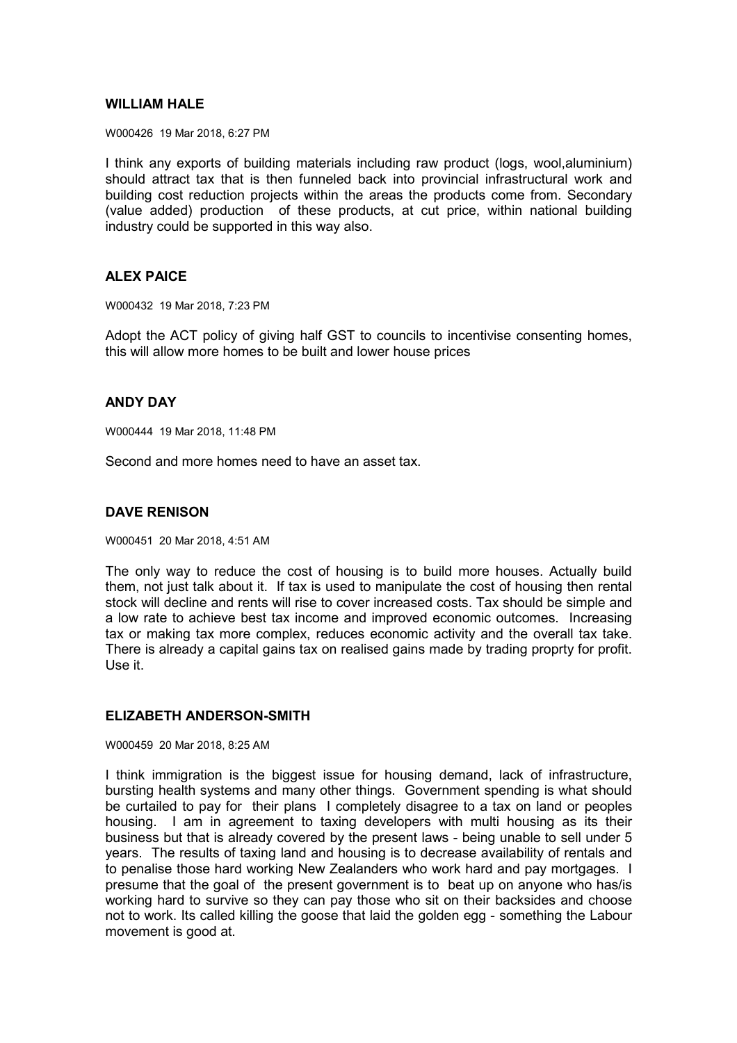## **WILLIAM HALE**

W000426 19 Mar 2018, 6:27 PM

I think any exports of building materials including raw product (logs, wool,aluminium) should attract tax that is then funneled back into provincial infrastructural work and building cost reduction projects within the areas the products come from. Secondary (value added) production of these products, at cut price, within national building industry could be supported in this way also.

## **ALEX PAICE**

W000432 19 Mar 2018, 7:23 PM

Adopt the ACT policy of giving half GST to councils to incentivise consenting homes, this will allow more homes to be built and lower house prices

# **ANDY DAY**

W000444 19 Mar 2018, 11:48 PM

Second and more homes need to have an asset tax.

#### **DAVE RENISON**

W000451 20 Mar 2018, 4:51 AM

The only way to reduce the cost of housing is to build more houses. Actually build them, not just talk about it. If tax is used to manipulate the cost of housing then rental stock will decline and rents will rise to cover increased costs. Tax should be simple and a low rate to achieve best tax income and improved economic outcomes. Increasing tax or making tax more complex, reduces economic activity and the overall tax take. There is already a capital gains tax on realised gains made by trading proprty for profit. Use it.

## **ELIZABETH ANDERSON-SMITH**

W000459 20 Mar 2018, 8:25 AM

I think immigration is the biggest issue for housing demand, lack of infrastructure, bursting health systems and many other things. Government spending is what should be curtailed to pay for their plans I completely disagree to a tax on land or peoples housing. I am in agreement to taxing developers with multi housing as its their business but that is already covered by the present laws - being unable to sell under 5 years. The results of taxing land and housing is to decrease availability of rentals and to penalise those hard working New Zealanders who work hard and pay mortgages. I presume that the goal of the present government is to beat up on anyone who has/is working hard to survive so they can pay those who sit on their backsides and choose not to work. Its called killing the goose that laid the golden egg - something the Labour movement is good at.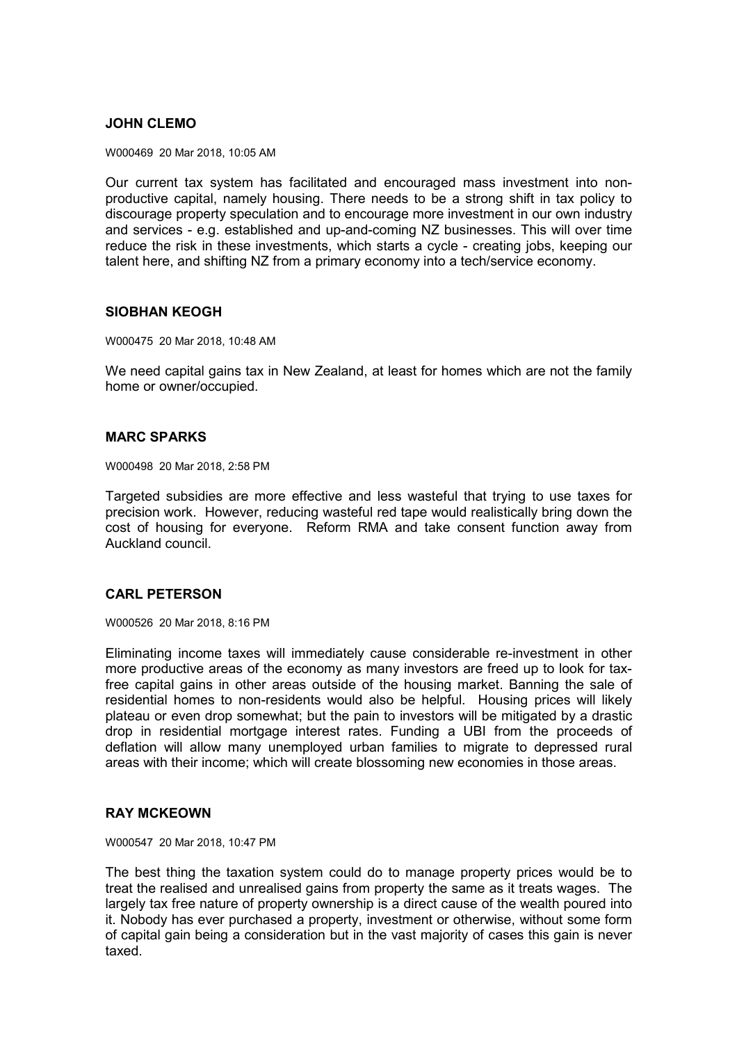## **JOHN CLEMO**

W000469 20 Mar 2018, 10:05 AM

Our current tax system has facilitated and encouraged mass investment into nonproductive capital, namely housing. There needs to be a strong shift in tax policy to discourage property speculation and to encourage more investment in our own industry and services - e.g. established and up-and-coming NZ businesses. This will over time reduce the risk in these investments, which starts a cycle - creating jobs, keeping our talent here, and shifting NZ from a primary economy into a tech/service economy.

#### **SIOBHAN KEOGH**

W000475 20 Mar 2018, 10:48 AM

We need capital gains tax in New Zealand, at least for homes which are not the family home or owner/occupied.

## **MARC SPARKS**

W000498 20 Mar 2018, 2:58 PM

Targeted subsidies are more effective and less wasteful that trying to use taxes for precision work. However, reducing wasteful red tape would realistically bring down the cost of housing for everyone. Reform RMA and take consent function away from Auckland council.

## **CARL PETERSON**

W000526 20 Mar 2018, 8:16 PM

Eliminating income taxes will immediately cause considerable re-investment in other more productive areas of the economy as many investors are freed up to look for taxfree capital gains in other areas outside of the housing market. Banning the sale of residential homes to non-residents would also be helpful. Housing prices will likely plateau or even drop somewhat; but the pain to investors will be mitigated by a drastic drop in residential mortgage interest rates. Funding a UBI from the proceeds of deflation will allow many unemployed urban families to migrate to depressed rural areas with their income; which will create blossoming new economies in those areas.

## **RAY MCKEOWN**

W000547 20 Mar 2018, 10:47 PM

The best thing the taxation system could do to manage property prices would be to treat the realised and unrealised gains from property the same as it treats wages. The largely tax free nature of property ownership is a direct cause of the wealth poured into it. Nobody has ever purchased a property, investment or otherwise, without some form of capital gain being a consideration but in the vast majority of cases this gain is never taxed.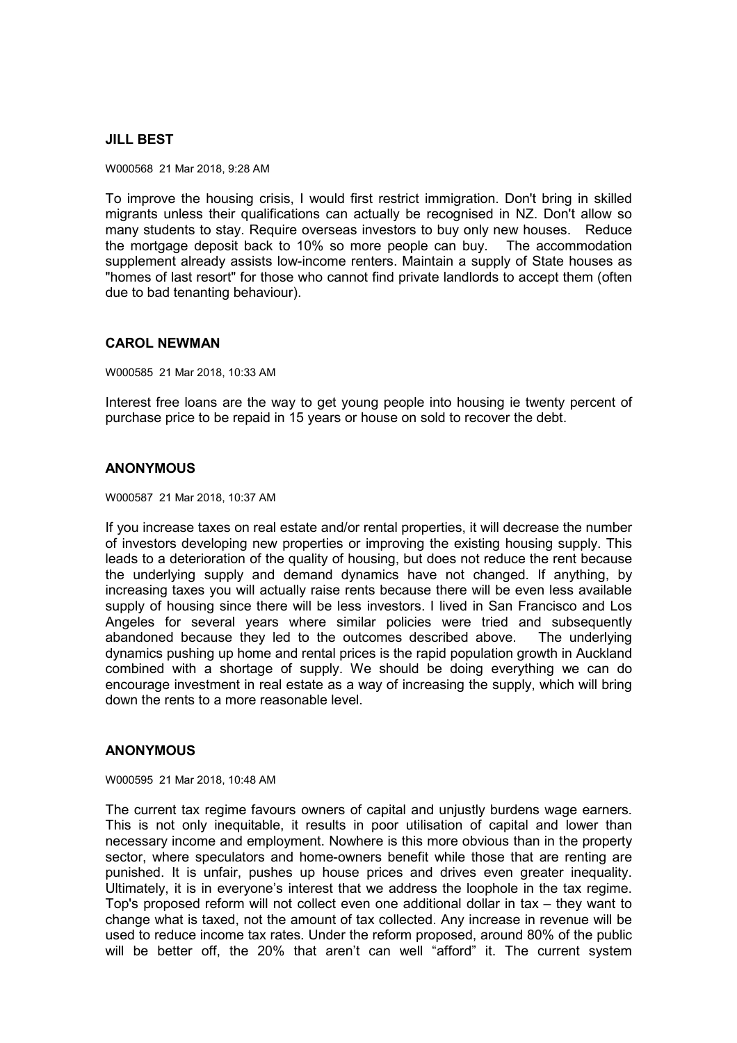## **JILL BEST**

W000568 21 Mar 2018, 9:28 AM

To improve the housing crisis, I would first restrict immigration. Don't bring in skilled migrants unless their qualifications can actually be recognised in NZ. Don't allow so many students to stay. Require overseas investors to buy only new houses. Reduce the mortgage deposit back to 10% so more people can buy. The accommodation supplement already assists low-income renters. Maintain a supply of State houses as "homes of last resort" for those who cannot find private landlords to accept them (often due to bad tenanting behaviour).

#### **CAROL NEWMAN**

W000585 21 Mar 2018, 10:33 AM

Interest free loans are the way to get young people into housing ie twenty percent of purchase price to be repaid in 15 years or house on sold to recover the debt.

## **ANONYMOUS**

W000587 21 Mar 2018, 10:37 AM

If you increase taxes on real estate and/or rental properties, it will decrease the number of investors developing new properties or improving the existing housing supply. This leads to a deterioration of the quality of housing, but does not reduce the rent because the underlying supply and demand dynamics have not changed. If anything, by increasing taxes you will actually raise rents because there will be even less available supply of housing since there will be less investors. I lived in San Francisco and Los Angeles for several years where similar policies were tried and subsequently abandoned because they led to the outcomes described above. The underlying dynamics pushing up home and rental prices is the rapid population growth in Auckland combined with a shortage of supply. We should be doing everything we can do encourage investment in real estate as a way of increasing the supply, which will bring down the rents to a more reasonable level.

#### **ANONYMOUS**

W000595 21 Mar 2018, 10:48 AM

The current tax regime favours owners of capital and unjustly burdens wage earners. This is not only inequitable, it results in poor utilisation of capital and lower than necessary income and employment. Nowhere is this more obvious than in the property sector, where speculators and home-owners benefit while those that are renting are punished. It is unfair, pushes up house prices and drives even greater inequality. Ultimately, it is in everyone's interest that we address the loophole in the tax regime. Top's proposed reform will not collect even one additional dollar in tax – they want to change what is taxed, not the amount of tax collected. Any increase in revenue will be used to reduce income tax rates. Under the reform proposed, around 80% of the public will be better off, the 20% that aren't can well "afford" it. The current system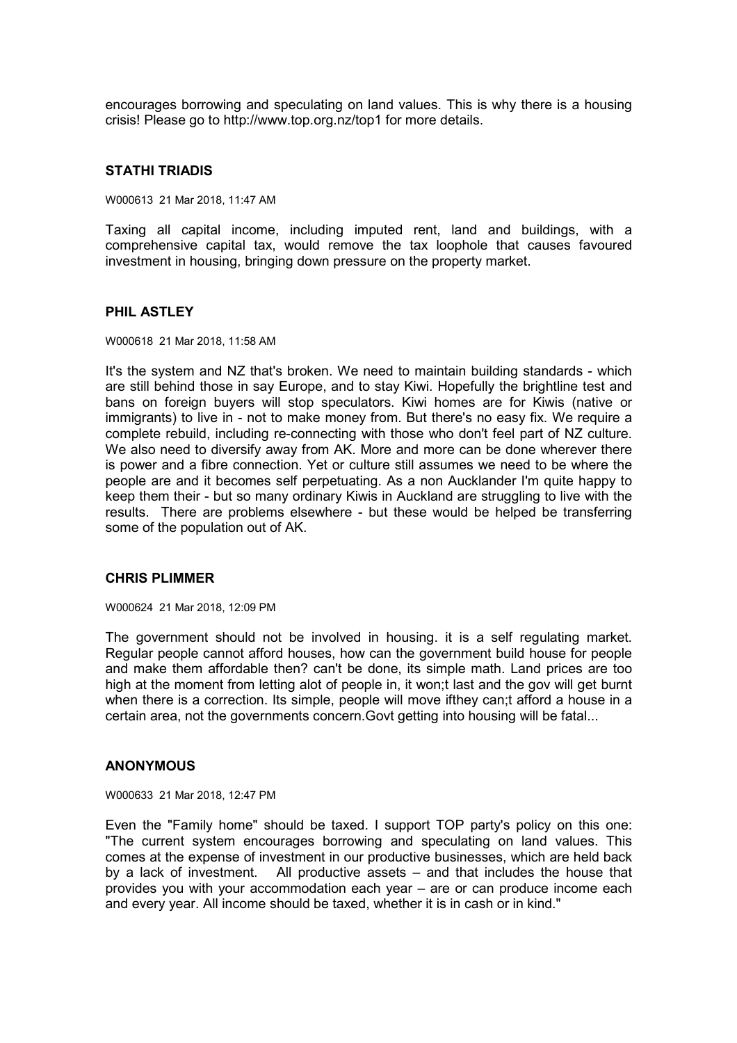encourages borrowing and speculating on land values. This is why there is a housing crisis! Please go to http://www.top.org.nz/top1 for more details.

#### **STATHI TRIADIS**

W000613 21 Mar 2018, 11:47 AM

Taxing all capital income, including imputed rent, land and buildings, with a comprehensive capital tax, would remove the tax loophole that causes favoured investment in housing, bringing down pressure on the property market.

#### **PHIL ASTLEY**

W000618 21 Mar 2018, 11:58 AM

It's the system and NZ that's broken. We need to maintain building standards - which are still behind those in say Europe, and to stay Kiwi. Hopefully the brightline test and bans on foreign buyers will stop speculators. Kiwi homes are for Kiwis (native or immigrants) to live in - not to make money from. But there's no easy fix. We require a complete rebuild, including re-connecting with those who don't feel part of NZ culture. We also need to diversify away from AK. More and more can be done wherever there is power and a fibre connection. Yet or culture still assumes we need to be where the people are and it becomes self perpetuating. As a non Aucklander I'm quite happy to keep them their - but so many ordinary Kiwis in Auckland are struggling to live with the results. There are problems elsewhere - but these would be helped be transferring some of the population out of AK.

#### **CHRIS PLIMMER**

W000624 21 Mar 2018, 12:09 PM

The government should not be involved in housing. it is a self regulating market. Regular people cannot afford houses, how can the government build house for people and make them affordable then? can't be done, its simple math. Land prices are too high at the moment from letting alot of people in, it won;t last and the gov will get burnt when there is a correction. Its simple, people will move ifthey can;t afford a house in a certain area, not the governments concern.Govt getting into housing will be fatal...

#### **ANONYMOUS**

W000633 21 Mar 2018, 12:47 PM

Even the "Family home" should be taxed. I support TOP party's policy on this one: "The current system encourages borrowing and speculating on land values. This comes at the expense of investment in our productive businesses, which are held back by a lack of investment. All productive assets – and that includes the house that provides you with your accommodation each year – are or can produce income each and every year. All income should be taxed, whether it is in cash or in kind."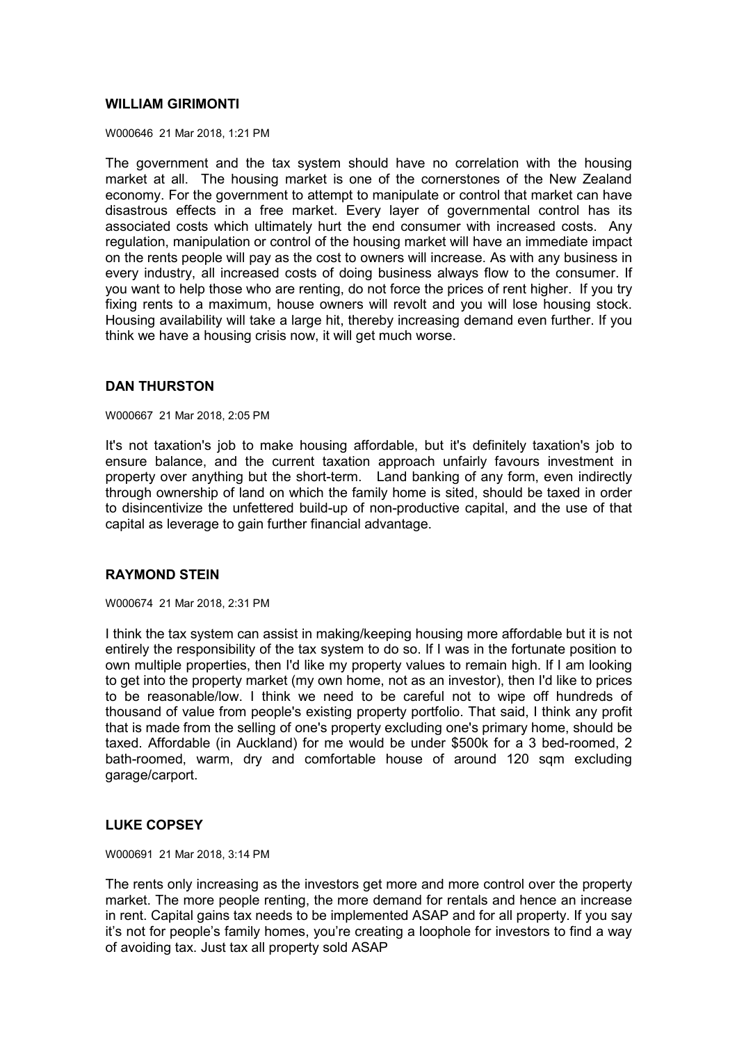## **WILLIAM GIRIMONTI**

W000646 21 Mar 2018, 1:21 PM

The government and the tax system should have no correlation with the housing market at all. The housing market is one of the cornerstones of the New Zealand economy. For the government to attempt to manipulate or control that market can have disastrous effects in a free market. Every layer of governmental control has its associated costs which ultimately hurt the end consumer with increased costs. Any regulation, manipulation or control of the housing market will have an immediate impact on the rents people will pay as the cost to owners will increase. As with any business in every industry, all increased costs of doing business always flow to the consumer. If you want to help those who are renting, do not force the prices of rent higher. If you try fixing rents to a maximum, house owners will revolt and you will lose housing stock. Housing availability will take a large hit, thereby increasing demand even further. If you think we have a housing crisis now, it will get much worse.

# **DAN THURSTON**

W000667 21 Mar 2018, 2:05 PM

It's not taxation's job to make housing affordable, but it's definitely taxation's job to ensure balance, and the current taxation approach unfairly favours investment in property over anything but the short-term. Land banking of any form, even indirectly through ownership of land on which the family home is sited, should be taxed in order to disincentivize the unfettered build-up of non-productive capital, and the use of that capital as leverage to gain further financial advantage.

## **RAYMOND STEIN**

W000674 21 Mar 2018, 2:31 PM

I think the tax system can assist in making/keeping housing more affordable but it is not entirely the responsibility of the tax system to do so. If I was in the fortunate position to own multiple properties, then I'd like my property values to remain high. If I am looking to get into the property market (my own home, not as an investor), then I'd like to prices to be reasonable/low. I think we need to be careful not to wipe off hundreds of thousand of value from people's existing property portfolio. That said, I think any profit that is made from the selling of one's property excluding one's primary home, should be taxed. Affordable (in Auckland) for me would be under \$500k for a 3 bed-roomed, 2 bath-roomed, warm, dry and comfortable house of around 120 sqm excluding garage/carport.

## **LUKE COPSEY**

W000691 21 Mar 2018, 3:14 PM

The rents only increasing as the investors get more and more control over the property market. The more people renting, the more demand for rentals and hence an increase in rent. Capital gains tax needs to be implemented ASAP and for all property. If you say it's not for people's family homes, you're creating a loophole for investors to find a way of avoiding tax. Just tax all property sold ASAP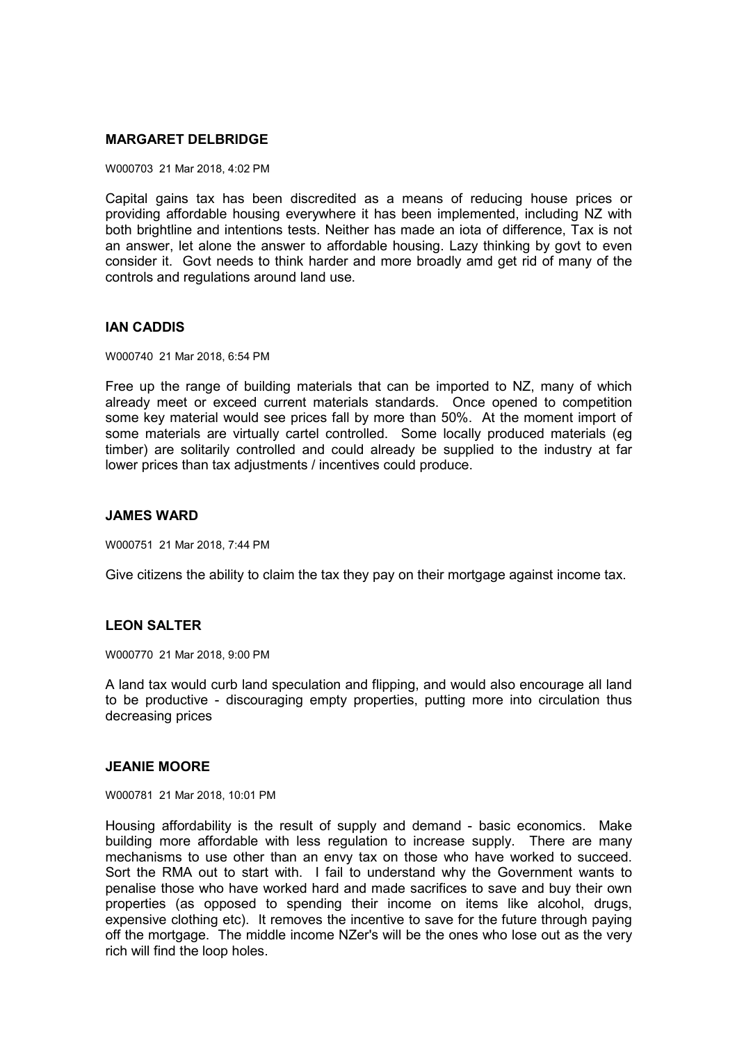## **MARGARET DELBRIDGE**

W000703 21 Mar 2018, 4:02 PM

Capital gains tax has been discredited as a means of reducing house prices or providing affordable housing everywhere it has been implemented, including NZ with both brightline and intentions tests. Neither has made an iota of difference, Tax is not an answer, let alone the answer to affordable housing. Lazy thinking by govt to even consider it. Govt needs to think harder and more broadly amd get rid of many of the controls and regulations around land use.

## **IAN CADDIS**

W000740 21 Mar 2018, 6:54 PM

Free up the range of building materials that can be imported to NZ, many of which already meet or exceed current materials standards. Once opened to competition some key material would see prices fall by more than 50%. At the moment import of some materials are virtually cartel controlled. Some locally produced materials (eg timber) are solitarily controlled and could already be supplied to the industry at far lower prices than tax adjustments / incentives could produce.

## **JAMES WARD**

W000751 21 Mar 2018, 7:44 PM

Give citizens the ability to claim the tax they pay on their mortgage against income tax.

## **LEON SALTER**

W000770 21 Mar 2018, 9:00 PM

A land tax would curb land speculation and flipping, and would also encourage all land to be productive - discouraging empty properties, putting more into circulation thus decreasing prices

#### **JEANIE MOORE**

W000781 21 Mar 2018, 10:01 PM

Housing affordability is the result of supply and demand - basic economics. Make building more affordable with less regulation to increase supply. There are many mechanisms to use other than an envy tax on those who have worked to succeed. Sort the RMA out to start with. I fail to understand why the Government wants to penalise those who have worked hard and made sacrifices to save and buy their own properties (as opposed to spending their income on items like alcohol, drugs, expensive clothing etc). It removes the incentive to save for the future through paying off the mortgage. The middle income NZer's will be the ones who lose out as the very rich will find the loop holes.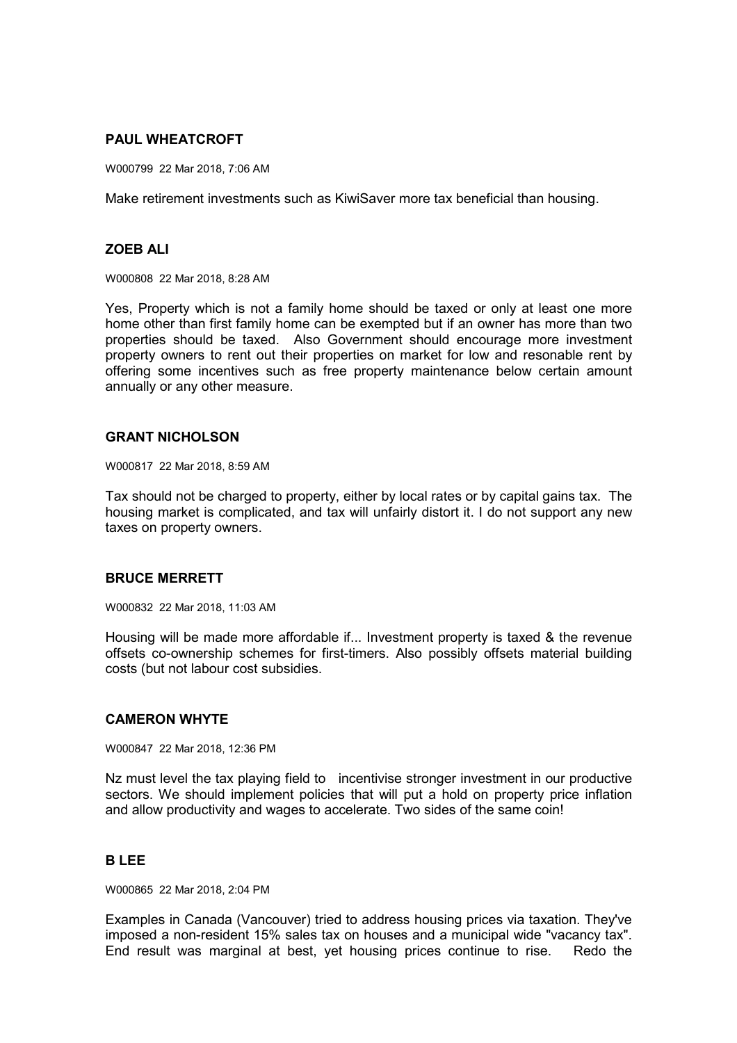# **PAUL WHEATCROFT**

W000799 22 Mar 2018, 7:06 AM

Make retirement investments such as KiwiSaver more tax beneficial than housing.

## **ZOEB ALI**

W000808 22 Mar 2018, 8:28 AM

Yes, Property which is not a family home should be taxed or only at least one more home other than first family home can be exempted but if an owner has more than two properties should be taxed. Also Government should encourage more investment property owners to rent out their properties on market for low and resonable rent by offering some incentives such as free property maintenance below certain amount annually or any other measure.

#### **GRANT NICHOLSON**

W000817 22 Mar 2018, 8:59 AM

Tax should not be charged to property, either by local rates or by capital gains tax. The housing market is complicated, and tax will unfairly distort it. I do not support any new taxes on property owners.

## **BRUCE MERRETT**

W000832 22 Mar 2018, 11:03 AM

Housing will be made more affordable if... Investment property is taxed & the revenue offsets co-ownership schemes for first-timers. Also possibly offsets material building costs (but not labour cost subsidies.

#### **CAMERON WHYTE**

W000847 22 Mar 2018, 12:36 PM

Nz must level the tax playing field to incentivise stronger investment in our productive sectors. We should implement policies that will put a hold on property price inflation and allow productivity and wages to accelerate. Two sides of the same coin!

#### **B LEE**

W000865 22 Mar 2018, 2:04 PM

Examples in Canada (Vancouver) tried to address housing prices via taxation. They've imposed a non-resident 15% sales tax on houses and a municipal wide "vacancy tax". End result was marginal at best, yet housing prices continue to rise. Redo the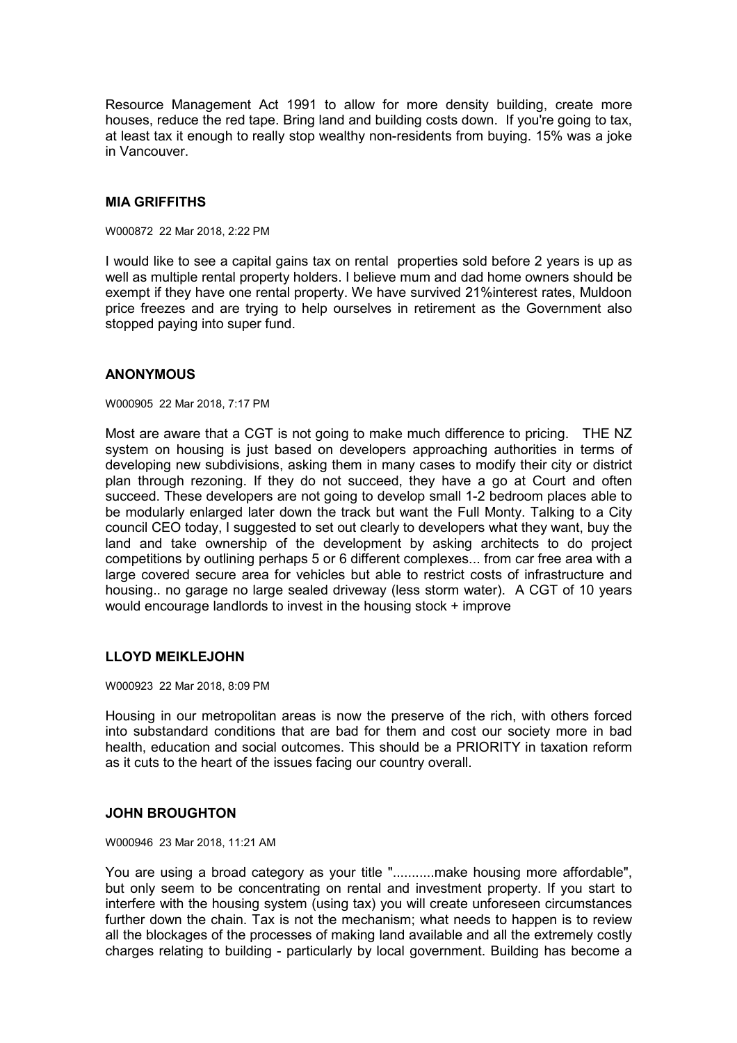Resource Management Act 1991 to allow for more density building, create more houses, reduce the red tape. Bring land and building costs down. If you're going to tax, at least tax it enough to really stop wealthy non-residents from buying. 15% was a joke in Vancouver.

#### **MIA GRIFFITHS**

W000872 22 Mar 2018, 2:22 PM

I would like to see a capital gains tax on rental properties sold before 2 years is up as well as multiple rental property holders. I believe mum and dad home owners should be exempt if they have one rental property. We have survived 21%interest rates, Muldoon price freezes and are trying to help ourselves in retirement as the Government also stopped paying into super fund.

#### **ANONYMOUS**

W000905 22 Mar 2018, 7:17 PM

Most are aware that a CGT is not going to make much difference to pricing. THE NZ system on housing is just based on developers approaching authorities in terms of developing new subdivisions, asking them in many cases to modify their city or district plan through rezoning. If they do not succeed, they have a go at Court and often succeed. These developers are not going to develop small 1-2 bedroom places able to be modularly enlarged later down the track but want the Full Monty. Talking to a City council CEO today, I suggested to set out clearly to developers what they want, buy the land and take ownership of the development by asking architects to do project competitions by outlining perhaps 5 or 6 different complexes... from car free area with a large covered secure area for vehicles but able to restrict costs of infrastructure and housing.. no garage no large sealed driveway (less storm water). A CGT of 10 years would encourage landlords to invest in the housing stock + improve

#### **LLOYD MEIKLEJOHN**

W000923 22 Mar 2018, 8:09 PM

Housing in our metropolitan areas is now the preserve of the rich, with others forced into substandard conditions that are bad for them and cost our society more in bad health, education and social outcomes. This should be a PRIORITY in taxation reform as it cuts to the heart of the issues facing our country overall.

## **JOHN BROUGHTON**

W000946 23 Mar 2018, 11:21 AM

You are using a broad category as your title "...........make housing more affordable", but only seem to be concentrating on rental and investment property. If you start to interfere with the housing system (using tax) you will create unforeseen circumstances further down the chain. Tax is not the mechanism; what needs to happen is to review all the blockages of the processes of making land available and all the extremely costly charges relating to building - particularly by local government. Building has become a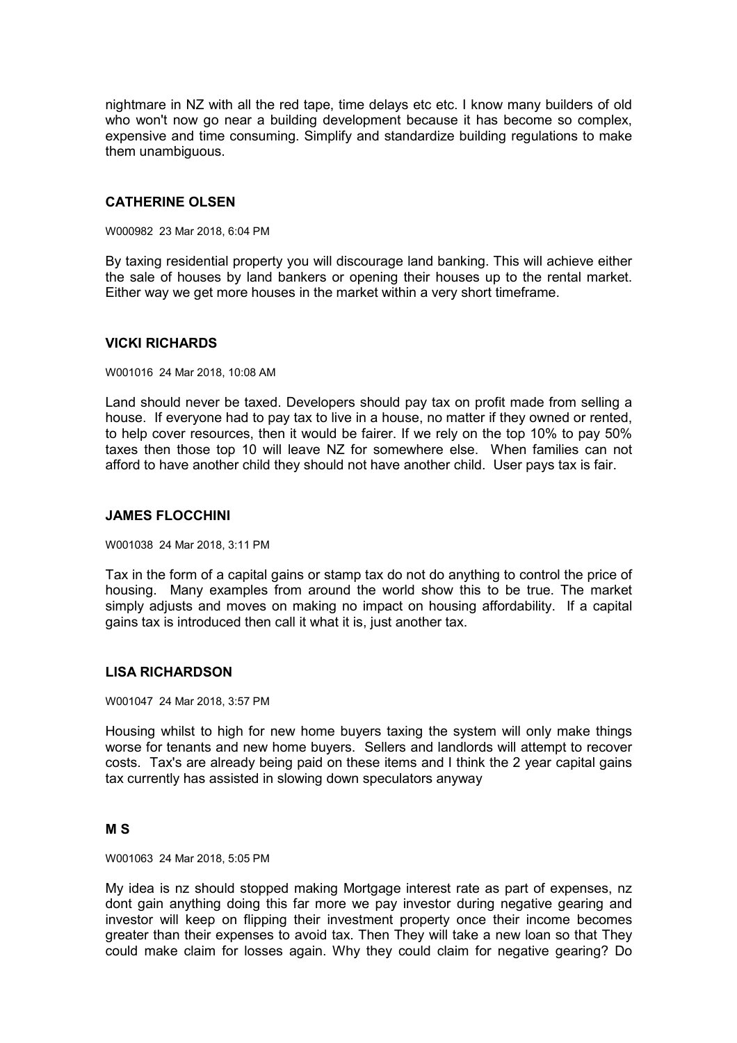nightmare in NZ with all the red tape, time delays etc etc. I know many builders of old who won't now go near a building development because it has become so complex, expensive and time consuming. Simplify and standardize building regulations to make them unambiguous.

## **CATHERINE OLSEN**

W000982 23 Mar 2018, 6:04 PM

By taxing residential property you will discourage land banking. This will achieve either the sale of houses by land bankers or opening their houses up to the rental market. Either way we get more houses in the market within a very short timeframe.

#### **VICKI RICHARDS**

W001016 24 Mar 2018, 10:08 AM

Land should never be taxed. Developers should pay tax on profit made from selling a house. If everyone had to pay tax to live in a house, no matter if they owned or rented, to help cover resources, then it would be fairer. If we rely on the top 10% to pay 50% taxes then those top 10 will leave NZ for somewhere else. When families can not afford to have another child they should not have another child. User pays tax is fair.

#### **JAMES FLOCCHINI**

W001038 24 Mar 2018, 3:11 PM

Tax in the form of a capital gains or stamp tax do not do anything to control the price of housing. Many examples from around the world show this to be true. The market simply adjusts and moves on making no impact on housing affordability. If a capital gains tax is introduced then call it what it is, just another tax.

## **LISA RICHARDSON**

W001047 24 Mar 2018, 3:57 PM

Housing whilst to high for new home buyers taxing the system will only make things worse for tenants and new home buyers. Sellers and landlords will attempt to recover costs. Tax's are already being paid on these items and I think the 2 year capital gains tax currently has assisted in slowing down speculators anyway

#### **M S**

W001063 24 Mar 2018, 5:05 PM

My idea is nz should stopped making Mortgage interest rate as part of expenses, nz dont gain anything doing this far more we pay investor during negative gearing and investor will keep on flipping their investment property once their income becomes greater than their expenses to avoid tax. Then They will take a new loan so that They could make claim for losses again. Why they could claim for negative gearing? Do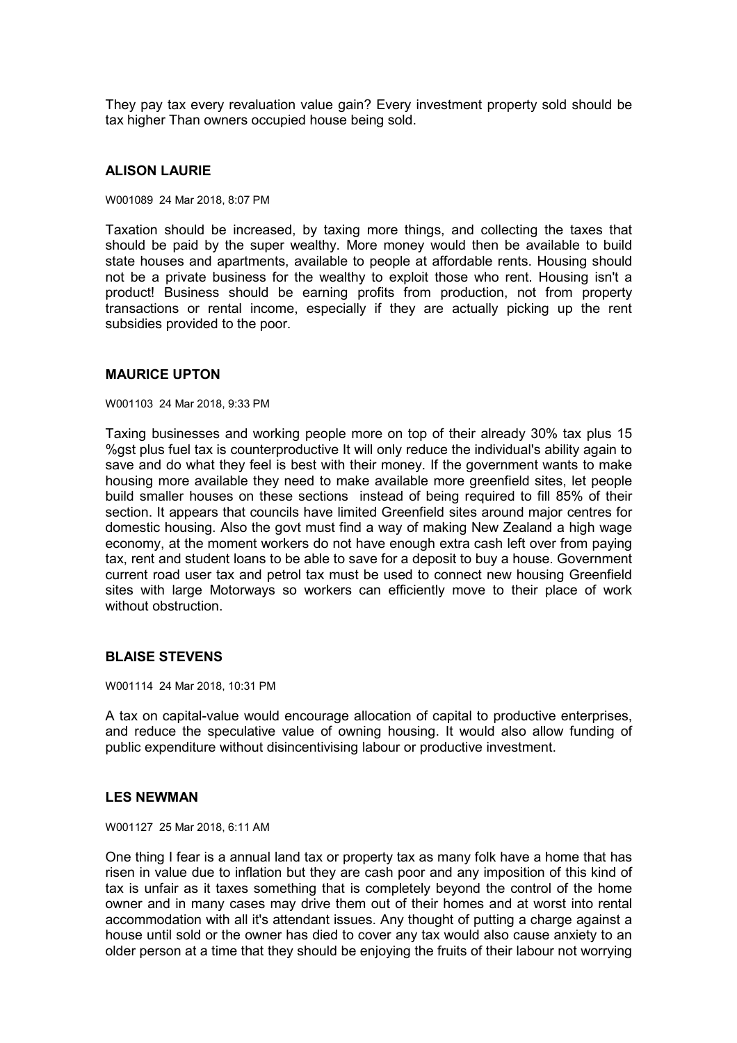They pay tax every revaluation value gain? Every investment property sold should be tax higher Than owners occupied house being sold.

#### **ALISON LAURIE**

W001089 24 Mar 2018, 8:07 PM

Taxation should be increased, by taxing more things, and collecting the taxes that should be paid by the super wealthy. More money would then be available to build state houses and apartments, available to people at affordable rents. Housing should not be a private business for the wealthy to exploit those who rent. Housing isn't a product! Business should be earning profits from production, not from property transactions or rental income, especially if they are actually picking up the rent subsidies provided to the poor.

#### **MAURICE UPTON**

W001103 24 Mar 2018, 9:33 PM

Taxing businesses and working people more on top of their already 30% tax plus 15 %gst plus fuel tax is counterproductive It will only reduce the individual's ability again to save and do what they feel is best with their money. If the government wants to make housing more available they need to make available more greenfield sites, let people build smaller houses on these sections instead of being required to fill 85% of their section. It appears that councils have limited Greenfield sites around major centres for domestic housing. Also the govt must find a way of making New Zealand a high wage economy, at the moment workers do not have enough extra cash left over from paying tax, rent and student loans to be able to save for a deposit to buy a house. Government current road user tax and petrol tax must be used to connect new housing Greenfield sites with large Motorways so workers can efficiently move to their place of work without obstruction

#### **BLAISE STEVENS**

W001114 24 Mar 2018, 10:31 PM

A tax on capital-value would encourage allocation of capital to productive enterprises, and reduce the speculative value of owning housing. It would also allow funding of public expenditure without disincentivising labour or productive investment.

#### **LES NEWMAN**

W001127 25 Mar 2018, 6:11 AM

One thing I fear is a annual land tax or property tax as many folk have a home that has risen in value due to inflation but they are cash poor and any imposition of this kind of tax is unfair as it taxes something that is completely beyond the control of the home owner and in many cases may drive them out of their homes and at worst into rental accommodation with all it's attendant issues. Any thought of putting a charge against a house until sold or the owner has died to cover any tax would also cause anxiety to an older person at a time that they should be enjoying the fruits of their labour not worrying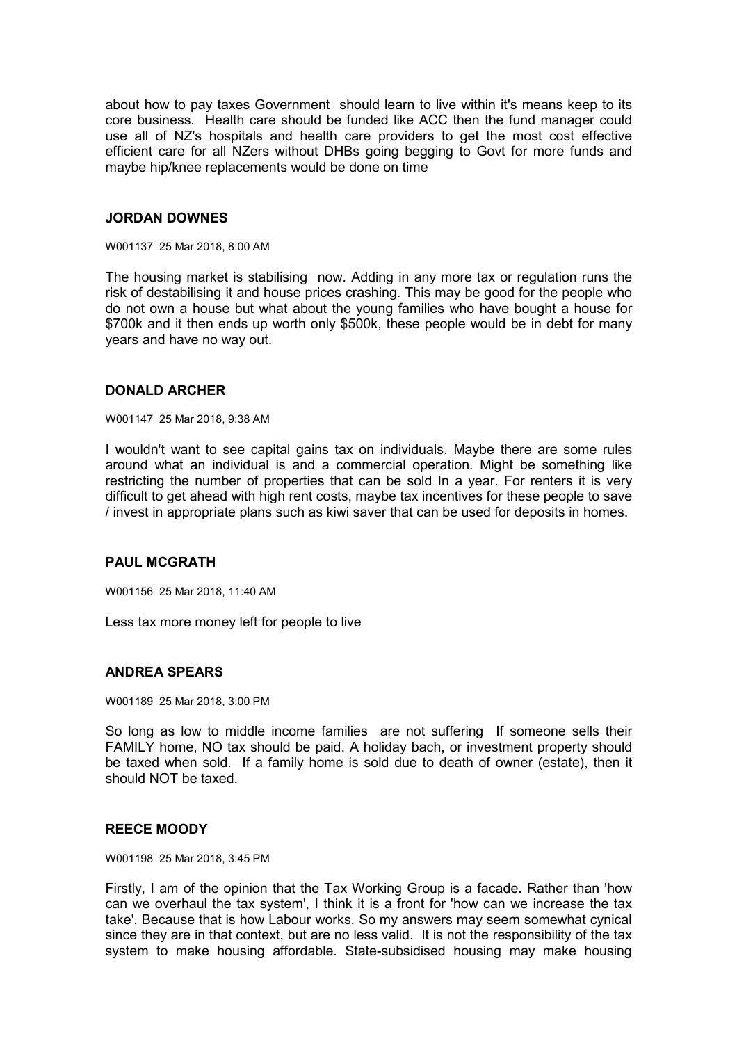about how to pay taxes Government should learn to live within it's means keep to its core business. Health care should be funded like ACC then the fund manager could use all of NZ's hospitals and health care providers to get the most cost effective efficient care for all NZers without DHBs going begging to Govt for more funds and maybe hip/knee replacements would be done on time

#### **JORDAN DOWNES**

W001137 25 Mar 2018, 8:00 AM

The housing market is stabilising now. Adding in any more tax or regulation runs the risk of destabilising it and house prices crashing. This may be good for the people who do not own a house but what about the young families who have bought a house for \$700k and it then ends up worth only \$500k, these people would be in debt for many years and have no way out.

## **DONALD ARCHER**

W001147 25 Mar 2018, 9:38 AM

I wouldn't want to see capital gains tax on individuals. Maybe there are some rules around what an individual is and a commercial operation. Might be something like restricting the number of properties that can be sold In a year. For renters it is very difficult to get ahead with high rent costs, maybe tax incentives for these people to save / invest in appropriate plans such as kiwi saver that can be used for deposits in homes.

#### **PAUL MCGRATH**

W001156 25 Mar 2018, 11:40 AM

Less tax more money left for people to live

# **ANDREA SPEARS**

W001189 25 Mar 2018, 3:00 PM

So long as low to middle income families are not suffering If someone sells their FAMILY home, NO tax should be paid. A holiday bach, or investment property should be taxed when sold. If a family home is sold due to death of owner (estate), then it should NOT be taxed.

#### **REECE MOODY**

W001198 25 Mar 2018, 3:45 PM

Firstly, I am of the opinion that the Tax Working Group is a facade. Rather than 'how can we overhaul the tax system', I think it is a front for 'how can we increase the tax take'. Because that is how Labour works. So my answers may seem somewhat cynical since they are in that context, but are no less valid. It is not the responsibility of the tax system to make housing affordable. State-subsidised housing may make housing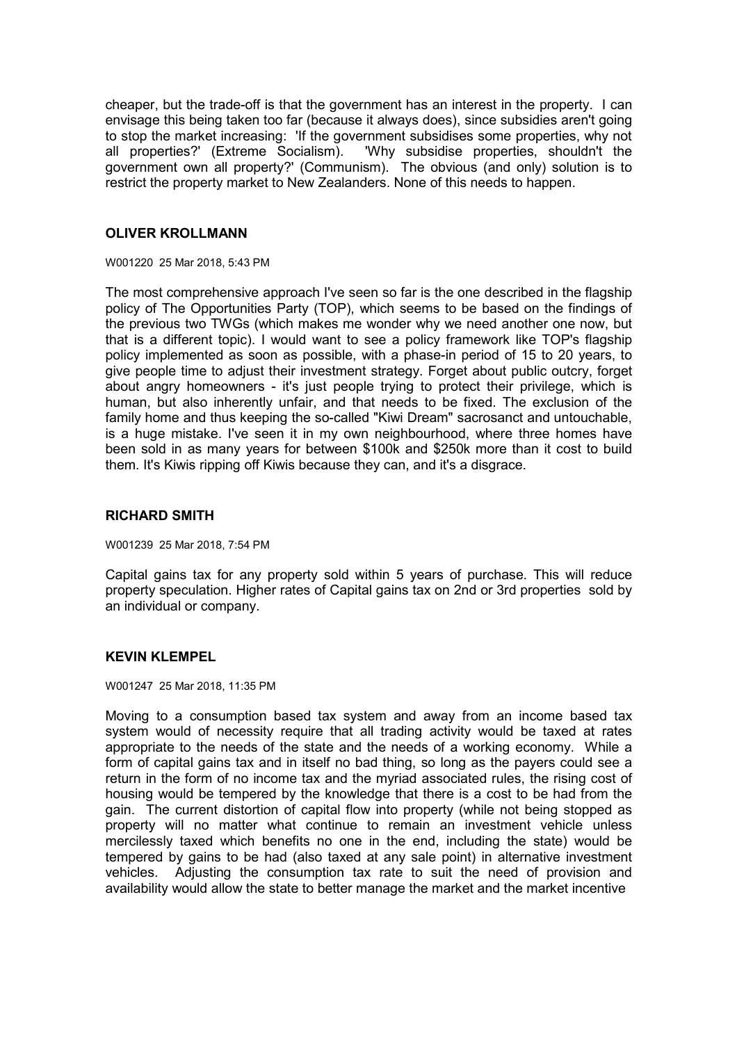cheaper, but the trade-off is that the government has an interest in the property. I can envisage this being taken too far (because it always does), since subsidies aren't going to stop the market increasing: 'If the government subsidises some properties, why not all properties?' (Extreme Socialism). 'Why subsidise properties, shouldn't the government own all property?' (Communism). The obvious (and only) solution is to restrict the property market to New Zealanders. None of this needs to happen.

## **OLIVER KROLLMANN**

W001220 25 Mar 2018, 5:43 PM

The most comprehensive approach I've seen so far is the one described in the flagship policy of The Opportunities Party (TOP), which seems to be based on the findings of the previous two TWGs (which makes me wonder why we need another one now, but that is a different topic). I would want to see a policy framework like TOP's flagship policy implemented as soon as possible, with a phase-in period of 15 to 20 years, to give people time to adjust their investment strategy. Forget about public outcry, forget about angry homeowners - it's just people trying to protect their privilege, which is human, but also inherently unfair, and that needs to be fixed. The exclusion of the family home and thus keeping the so-called "Kiwi Dream" sacrosanct and untouchable, is a huge mistake. I've seen it in my own neighbourhood, where three homes have been sold in as many years for between \$100k and \$250k more than it cost to build them. It's Kiwis ripping off Kiwis because they can, and it's a disgrace.

## **RICHARD SMITH**

W001239 25 Mar 2018, 7:54 PM

Capital gains tax for any property sold within 5 years of purchase. This will reduce property speculation. Higher rates of Capital gains tax on 2nd or 3rd properties sold by an individual or company.

# **KEVIN KLEMPEL**

W001247 25 Mar 2018, 11:35 PM

Moving to a consumption based tax system and away from an income based tax system would of necessity require that all trading activity would be taxed at rates appropriate to the needs of the state and the needs of a working economy. While a form of capital gains tax and in itself no bad thing, so long as the payers could see a return in the form of no income tax and the myriad associated rules, the rising cost of housing would be tempered by the knowledge that there is a cost to be had from the gain. The current distortion of capital flow into property (while not being stopped as property will no matter what continue to remain an investment vehicle unless mercilessly taxed which benefits no one in the end, including the state) would be tempered by gains to be had (also taxed at any sale point) in alternative investment vehicles. Adjusting the consumption tax rate to suit the need of provision and availability would allow the state to better manage the market and the market incentive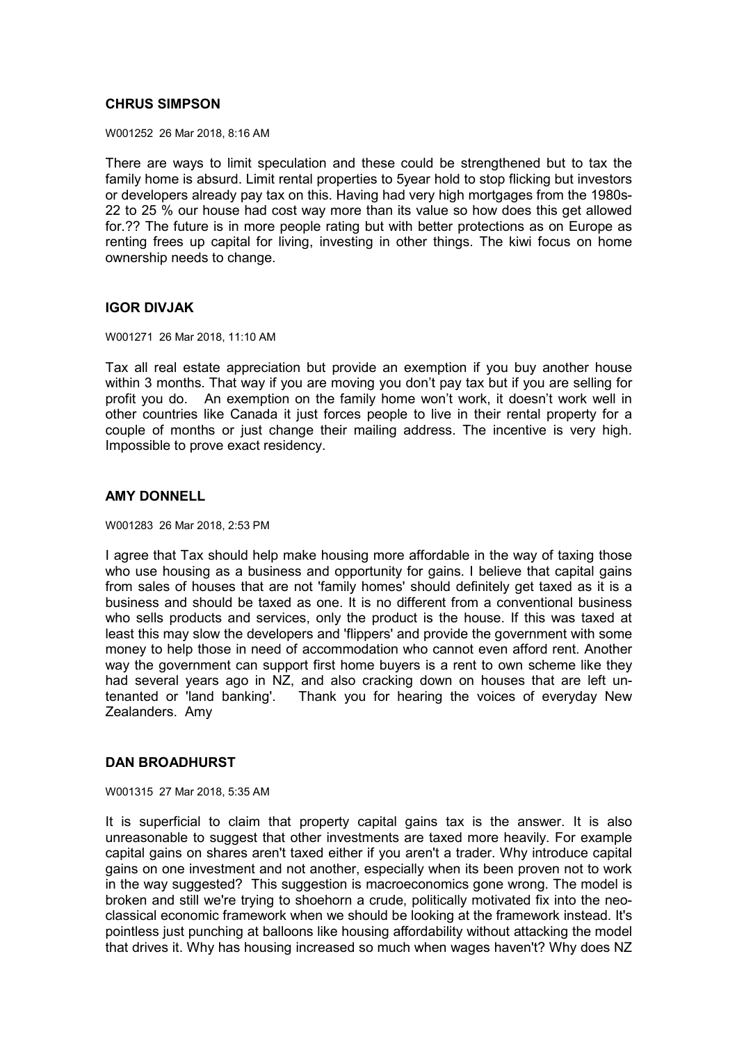## **CHRUS SIMPSON**

W001252 26 Mar 2018, 8:16 AM

There are ways to limit speculation and these could be strengthened but to tax the family home is absurd. Limit rental properties to 5year hold to stop flicking but investors or developers already pay tax on this. Having had very high mortgages from the 1980s-22 to 25 % our house had cost way more than its value so how does this get allowed for.?? The future is in more people rating but with better protections as on Europe as renting frees up capital for living, investing in other things. The kiwi focus on home ownership needs to change.

## **IGOR DIVJAK**

W001271 26 Mar 2018, 11:10 AM

Tax all real estate appreciation but provide an exemption if you buy another house within 3 months. That way if you are moving you don't pay tax but if you are selling for profit you do. An exemption on the family home won't work, it doesn't work well in other countries like Canada it just forces people to live in their rental property for a couple of months or just change their mailing address. The incentive is very high. Impossible to prove exact residency.

## **AMY DONNELL**

W001283 26 Mar 2018, 2:53 PM

I agree that Tax should help make housing more affordable in the way of taxing those who use housing as a business and opportunity for gains. I believe that capital gains from sales of houses that are not 'family homes' should definitely get taxed as it is a business and should be taxed as one. It is no different from a conventional business who sells products and services, only the product is the house. If this was taxed at least this may slow the developers and 'flippers' and provide the government with some money to help those in need of accommodation who cannot even afford rent. Another way the government can support first home buyers is a rent to own scheme like they had several years ago in NZ, and also cracking down on houses that are left untenanted or 'land banking'. Thank you for hearing the voices of everyday New Zealanders. Amy

## **DAN BROADHURST**

W001315 27 Mar 2018, 5:35 AM

It is superficial to claim that property capital gains tax is the answer. It is also unreasonable to suggest that other investments are taxed more heavily. For example capital gains on shares aren't taxed either if you aren't a trader. Why introduce capital gains on one investment and not another, especially when its been proven not to work in the way suggested? This suggestion is macroeconomics gone wrong. The model is broken and still we're trying to shoehorn a crude, politically motivated fix into the neoclassical economic framework when we should be looking at the framework instead. It's pointless just punching at balloons like housing affordability without attacking the model that drives it. Why has housing increased so much when wages haven't? Why does NZ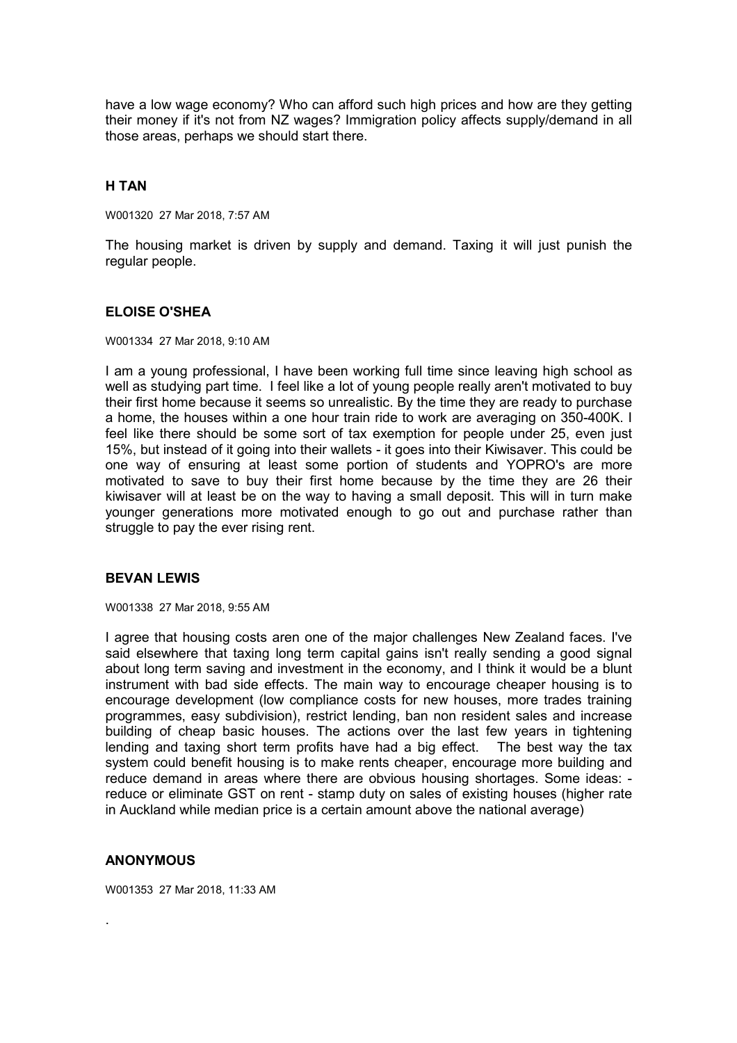have a low wage economy? Who can afford such high prices and how are they getting their money if it's not from NZ wages? Immigration policy affects supply/demand in all those areas, perhaps we should start there.

# **H TAN**

W001320 27 Mar 2018, 7:57 AM

The housing market is driven by supply and demand. Taxing it will just punish the regular people.

## **ELOISE O'SHEA**

W001334 27 Mar 2018, 9:10 AM

I am a young professional, I have been working full time since leaving high school as well as studying part time. I feel like a lot of young people really aren't motivated to buy their first home because it seems so unrealistic. By the time they are ready to purchase a home, the houses within a one hour train ride to work are averaging on 350-400K. I feel like there should be some sort of tax exemption for people under 25, even just 15%, but instead of it going into their wallets - it goes into their Kiwisaver. This could be one way of ensuring at least some portion of students and YOPRO's are more motivated to save to buy their first home because by the time they are 26 their kiwisaver will at least be on the way to having a small deposit. This will in turn make younger generations more motivated enough to go out and purchase rather than struggle to pay the ever rising rent.

# **BEVAN LEWIS**

W001338 27 Mar 2018, 9:55 AM

I agree that housing costs aren one of the major challenges New Zealand faces. I've said elsewhere that taxing long term capital gains isn't really sending a good signal about long term saving and investment in the economy, and I think it would be a blunt instrument with bad side effects. The main way to encourage cheaper housing is to encourage development (low compliance costs for new houses, more trades training programmes, easy subdivision), restrict lending, ban non resident sales and increase building of cheap basic houses. The actions over the last few years in tightening lending and taxing short term profits have had a big effect. The best way the tax system could benefit housing is to make rents cheaper, encourage more building and reduce demand in areas where there are obvious housing shortages. Some ideas: reduce or eliminate GST on rent - stamp duty on sales of existing houses (higher rate in Auckland while median price is a certain amount above the national average)

## **ANONYMOUS**

.

W001353 27 Mar 2018, 11:33 AM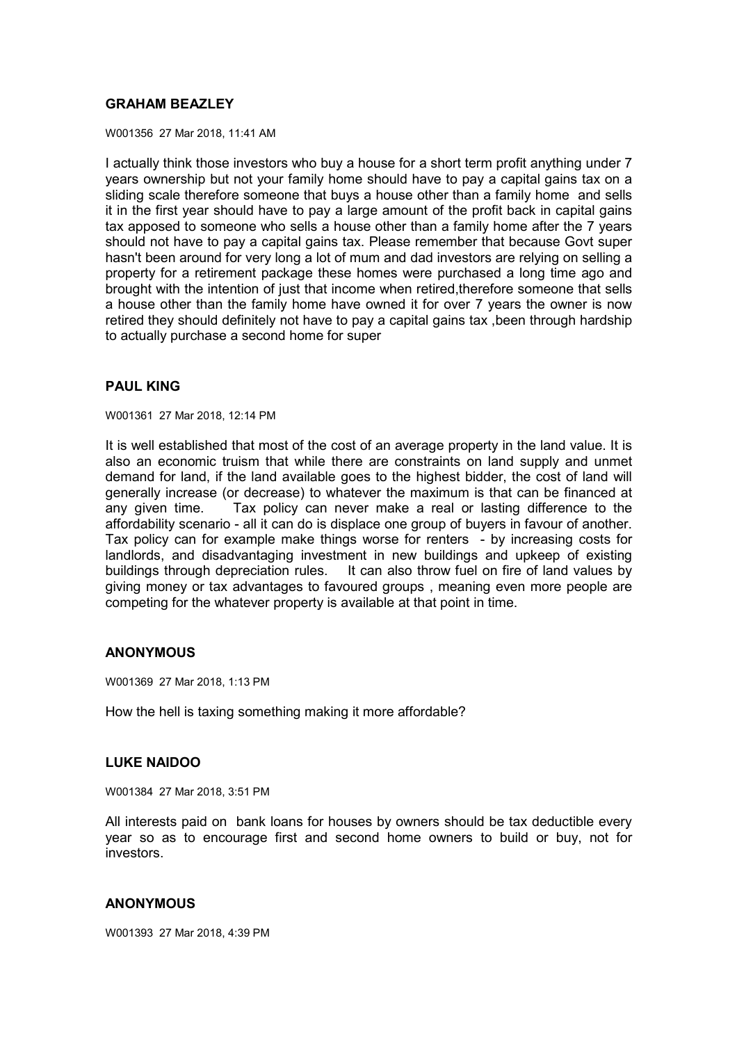# **GRAHAM BEAZLEY**

W001356 27 Mar 2018, 11:41 AM

I actually think those investors who buy a house for a short term profit anything under 7 years ownership but not your family home should have to pay a capital gains tax on a sliding scale therefore someone that buys a house other than a family home and sells it in the first year should have to pay a large amount of the profit back in capital gains tax apposed to someone who sells a house other than a family home after the 7 years should not have to pay a capital gains tax. Please remember that because Govt super hasn't been around for very long a lot of mum and dad investors are relying on selling a property for a retirement package these homes were purchased a long time ago and brought with the intention of just that income when retired,therefore someone that sells a house other than the family home have owned it for over 7 years the owner is now retired they should definitely not have to pay a capital gains tax ,been through hardship to actually purchase a second home for super

# **PAUL KING**

W001361 27 Mar 2018, 12:14 PM

It is well established that most of the cost of an average property in the land value. It is also an economic truism that while there are constraints on land supply and unmet demand for land, if the land available goes to the highest bidder, the cost of land will generally increase (or decrease) to whatever the maximum is that can be financed at any given time. Tax policy can never make a real or lasting difference to the affordability scenario - all it can do is displace one group of buyers in favour of another. Tax policy can for example make things worse for renters - by increasing costs for landlords, and disadvantaging investment in new buildings and upkeep of existing buildings through depreciation rules. It can also throw fuel on fire of land values by giving money or tax advantages to favoured groups , meaning even more people are competing for the whatever property is available at that point in time.

## **ANONYMOUS**

W001369 27 Mar 2018, 1:13 PM

How the hell is taxing something making it more affordable?

## **LUKE NAIDOO**

W001384 27 Mar 2018, 3:51 PM

All interests paid on bank loans for houses by owners should be tax deductible every year so as to encourage first and second home owners to build or buy, not for investors.

## **ANONYMOUS**

W001393 27 Mar 2018, 4:39 PM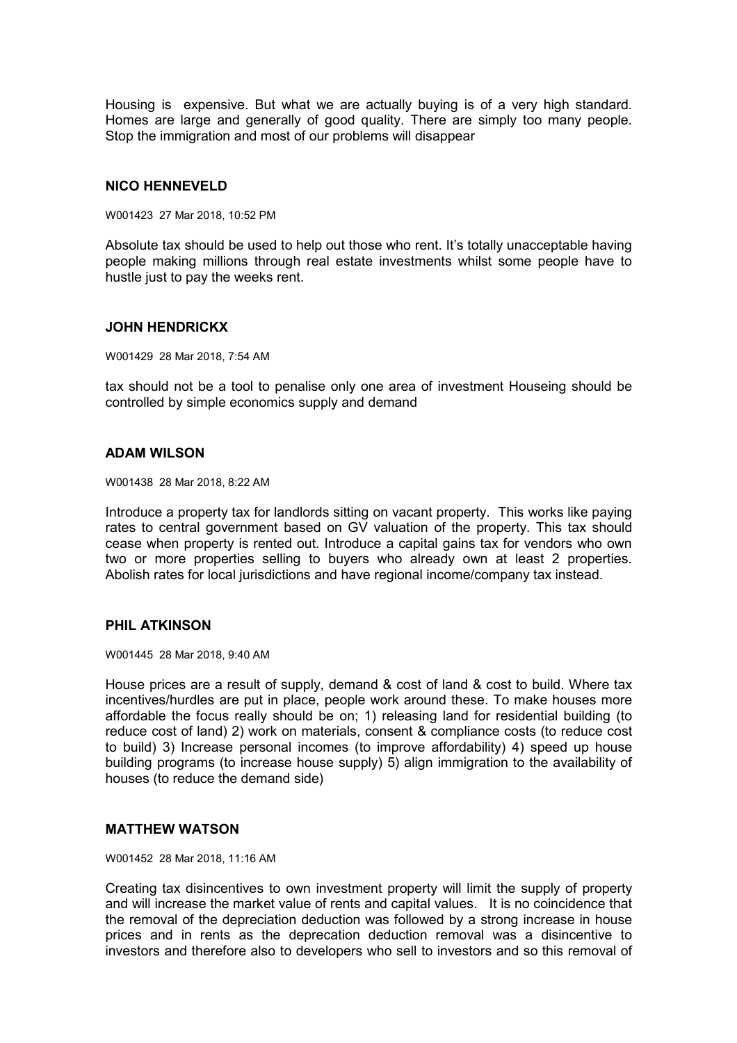Housing is expensive. But what we are actually buying is of a very high standard. Homes are large and generally of good quality. There are simply too many people. Stop the immigration and most of our problems will disappear

## **NICO HENNEVELD**

W001423 27 Mar 2018, 10:52 PM

Absolute tax should be used to help out those who rent. It's totally unacceptable having people making millions through real estate investments whilst some people have to hustle just to pay the weeks rent.

#### **JOHN HENDRICKX**

W001429 28 Mar 2018, 7:54 AM

tax should not be a tool to penalise only one area of investment Houseing should be controlled by simple economics supply and demand

#### **ADAM WILSON**

W001438 28 Mar 2018, 8:22 AM

Introduce a property tax for landlords sitting on vacant property. This works like paying rates to central government based on GV valuation of the property. This tax should cease when property is rented out. Introduce a capital gains tax for vendors who own two or more properties selling to buyers who already own at least 2 properties. Abolish rates for local jurisdictions and have regional income/company tax instead.

## **PHIL ATKINSON**

W001445 28 Mar 2018, 9:40 AM

House prices are a result of supply, demand & cost of land & cost to build. Where tax incentives/hurdles are put in place, people work around these. To make houses more affordable the focus really should be on; 1) releasing land for residential building (to reduce cost of land) 2) work on materials, consent & compliance costs (to reduce cost to build) 3) Increase personal incomes (to improve affordability) 4) speed up house building programs (to increase house supply) 5) align immigration to the availability of houses (to reduce the demand side)

#### **MATTHEW WATSON**

W001452 28 Mar 2018, 11:16 AM

Creating tax disincentives to own investment property will limit the supply of property and will increase the market value of rents and capital values. It is no coincidence that the removal of the depreciation deduction was followed by a strong increase in house prices and in rents as the deprecation deduction removal was a disincentive to investors and therefore also to developers who sell to investors and so this removal of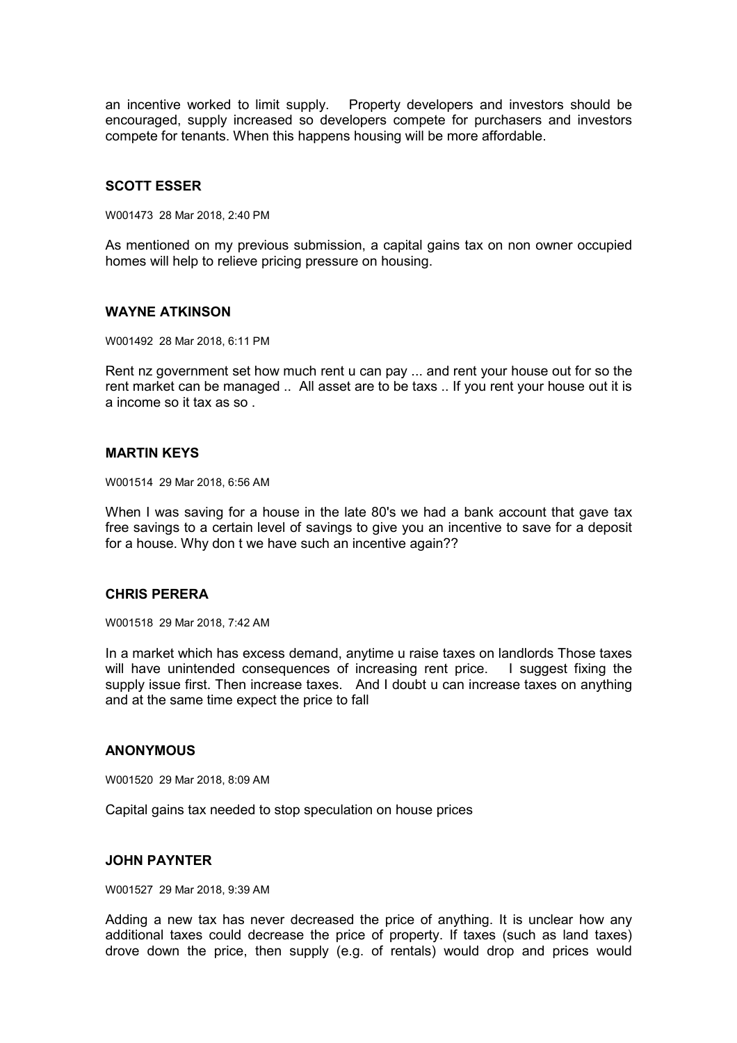an incentive worked to limit supply. Property developers and investors should be encouraged, supply increased so developers compete for purchasers and investors compete for tenants. When this happens housing will be more affordable.

## **SCOTT ESSER**

W001473 28 Mar 2018, 2:40 PM

As mentioned on my previous submission, a capital gains tax on non owner occupied homes will help to relieve pricing pressure on housing.

#### **WAYNE ATKINSON**

W001492 28 Mar 2018, 6:11 PM

Rent nz government set how much rent u can pay ... and rent your house out for so the rent market can be managed .. All asset are to be taxs .. If you rent your house out it is a income so it tax as so .

#### **MARTIN KEYS**

W001514 29 Mar 2018, 6:56 AM

When I was saving for a house in the late 80's we had a bank account that gave tax free savings to a certain level of savings to give you an incentive to save for a deposit for a house. Why don t we have such an incentive again??

#### **CHRIS PERERA**

W001518 29 Mar 2018, 7:42 AM

In a market which has excess demand, anytime u raise taxes on landlords Those taxes will have unintended consequences of increasing rent price. I suggest fixing the supply issue first. Then increase taxes. And I doubt u can increase taxes on anything and at the same time expect the price to fall

#### **ANONYMOUS**

W001520 29 Mar 2018, 8:09 AM

Capital gains tax needed to stop speculation on house prices

## **JOHN PAYNTER**

W001527 29 Mar 2018, 9:39 AM

Adding a new tax has never decreased the price of anything. It is unclear how any additional taxes could decrease the price of property. If taxes (such as land taxes) drove down the price, then supply (e.g. of rentals) would drop and prices would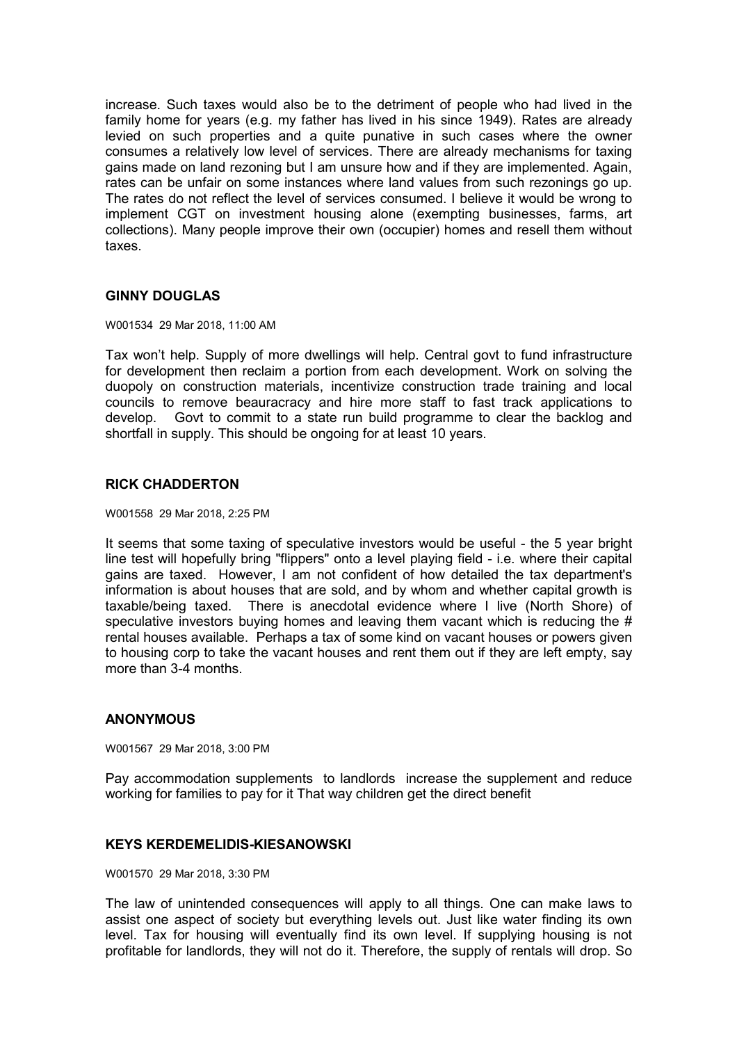increase. Such taxes would also be to the detriment of people who had lived in the family home for years (e.g. my father has lived in his since 1949). Rates are already levied on such properties and a quite punative in such cases where the owner consumes a relatively low level of services. There are already mechanisms for taxing gains made on land rezoning but I am unsure how and if they are implemented. Again, rates can be unfair on some instances where land values from such rezonings go up. The rates do not reflect the level of services consumed. I believe it would be wrong to implement CGT on investment housing alone (exempting businesses, farms, art collections). Many people improve their own (occupier) homes and resell them without taxes.

# **GINNY DOUGLAS**

#### W001534 29 Mar 2018, 11:00 AM

Tax won't help. Supply of more dwellings will help. Central govt to fund infrastructure for development then reclaim a portion from each development. Work on solving the duopoly on construction materials, incentivize construction trade training and local councils to remove beauracracy and hire more staff to fast track applications to develop. Govt to commit to a state run build programme to clear the backlog and shortfall in supply. This should be ongoing for at least 10 years.

## **RICK CHADDERTON**

#### W001558 29 Mar 2018, 2:25 PM

It seems that some taxing of speculative investors would be useful - the 5 year bright line test will hopefully bring "flippers" onto a level playing field - i.e. where their capital gains are taxed. However, I am not confident of how detailed the tax department's information is about houses that are sold, and by whom and whether capital growth is taxable/being taxed. There is anecdotal evidence where I live (North Shore) of speculative investors buying homes and leaving them vacant which is reducing the  $\#$ rental houses available. Perhaps a tax of some kind on vacant houses or powers given to housing corp to take the vacant houses and rent them out if they are left empty, say more than 3-4 months.

## **ANONYMOUS**

W001567 29 Mar 2018, 3:00 PM

Pay accommodation supplements to landlords increase the supplement and reduce working for families to pay for it That way children get the direct benefit

## **KEYS KERDEMELIDIS-KIESANOWSKI**

W001570 29 Mar 2018, 3:30 PM

The law of unintended consequences will apply to all things. One can make laws to assist one aspect of society but everything levels out. Just like water finding its own level. Tax for housing will eventually find its own level. If supplying housing is not profitable for landlords, they will not do it. Therefore, the supply of rentals will drop. So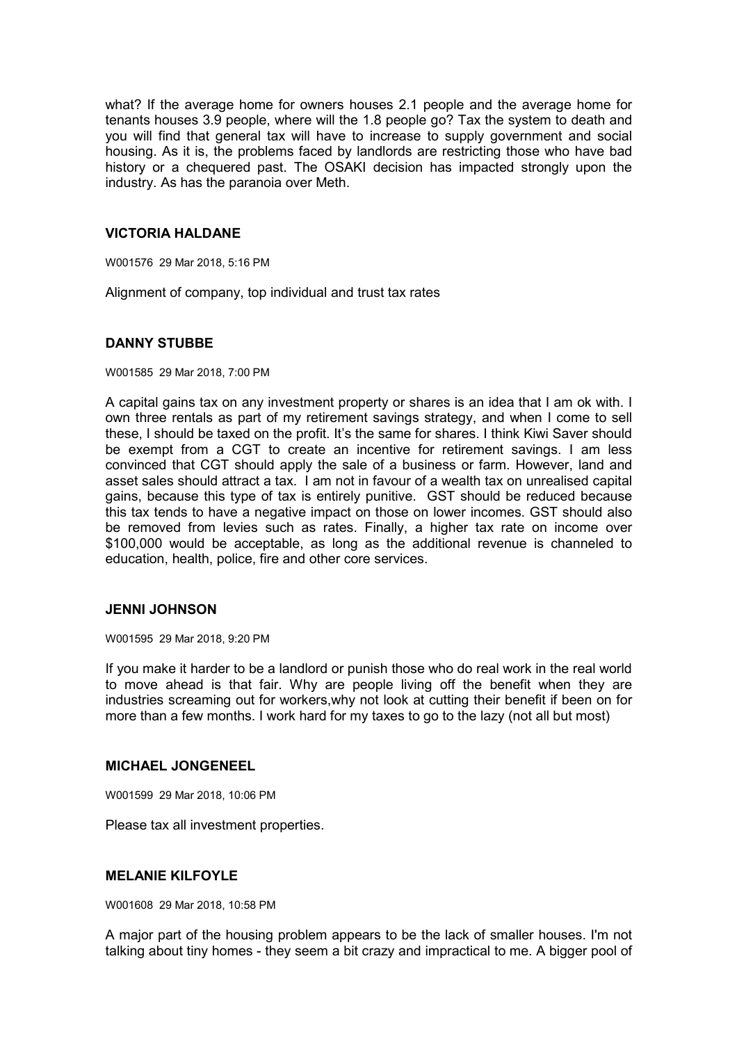what? If the average home for owners houses 2.1 people and the average home for tenants houses 3.9 people, where will the 1.8 people go? Tax the system to death and you will find that general tax will have to increase to supply government and social housing. As it is, the problems faced by landlords are restricting those who have bad history or a chequered past. The OSAKI decision has impacted strongly upon the industry. As has the paranoia over Meth.

#### **VICTORIA HALDANE**

W001576 29 Mar 2018, 5:16 PM

Alignment of company, top individual and trust tax rates

## **DANNY STUBBE**

W001585 29 Mar 2018, 7:00 PM

A capital gains tax on any investment property or shares is an idea that I am ok with. I own three rentals as part of my retirement savings strategy, and when I come to sell these, I should be taxed on the profit. It's the same for shares. I think Kiwi Saver should be exempt from a CGT to create an incentive for retirement savings. I am less convinced that CGT should apply the sale of a business or farm. However, land and asset sales should attract a tax. I am not in favour of a wealth tax on unrealised capital gains, because this type of tax is entirely punitive. GST should be reduced because this tax tends to have a negative impact on those on lower incomes. GST should also be removed from levies such as rates. Finally, a higher tax rate on income over \$100,000 would be acceptable, as long as the additional revenue is channeled to education, health, police, fire and other core services.

#### **JENNI JOHNSON**

W001595 29 Mar 2018, 9:20 PM

If you make it harder to be a landlord or punish those who do real work in the real world to move ahead is that fair. Why are people living off the benefit when they are industries screaming out for workers,why not look at cutting their benefit if been on for more than a few months. I work hard for my taxes to go to the lazy (not all but most)

#### **MICHAEL JONGENEEL**

W001599 29 Mar 2018, 10:06 PM

Please tax all investment properties.

#### **MELANIE KILFOYLE**

W001608 29 Mar 2018, 10:58 PM

A major part of the housing problem appears to be the lack of smaller houses. I'm not talking about tiny homes - they seem a bit crazy and impractical to me. A bigger pool of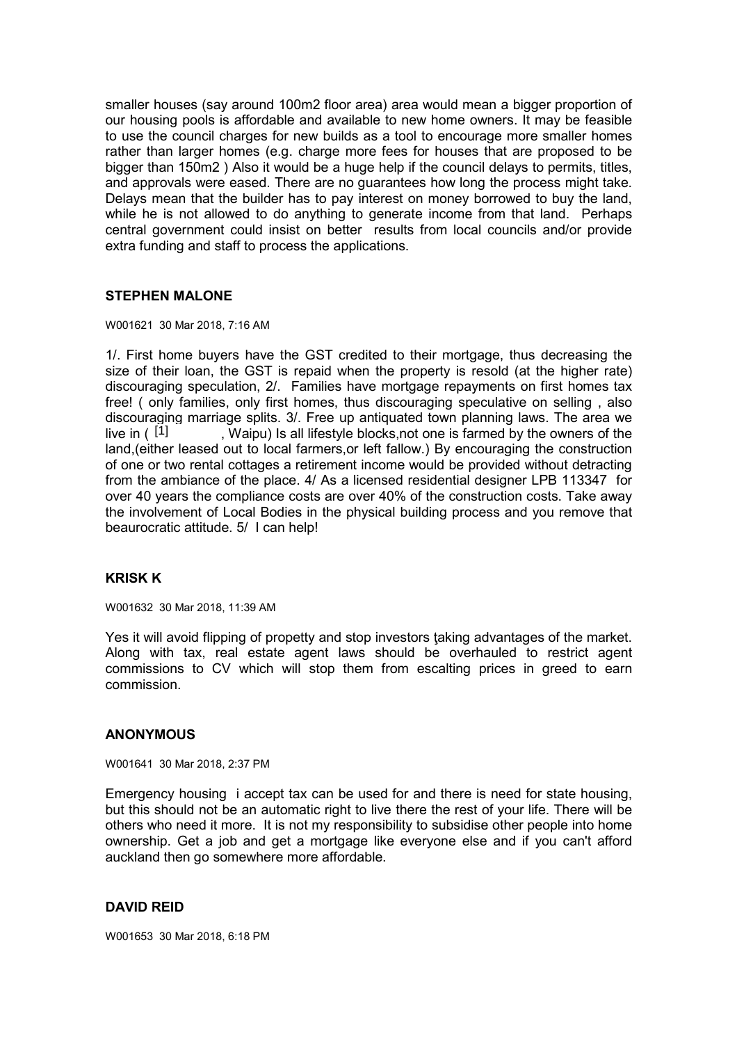smaller houses (say around 100m2 floor area) area would mean a bigger proportion of our housing pools is affordable and available to new home owners. It may be feasible to use the council charges for new builds as a tool to encourage more smaller homes rather than larger homes (e.g. charge more fees for houses that are proposed to be bigger than 150m2 ) Also it would be a huge help if the council delays to permits, titles, and approvals were eased. There are no guarantees how long the process might take. Delays mean that the builder has to pay interest on money borrowed to buy the land, while he is not allowed to do anything to generate income from that land. Perhaps central government could insist on better results from local councils and/or provide extra funding and staff to process the applications.

# **STEPHEN MALONE**

#### W001621 30 Mar 2018, 7:16 AM

1/. First home buyers have the GST credited to their mortgage, thus decreasing the size of their loan, the GST is repaid when the property is resold (at the higher rate) discouraging speculation, 2/. Families have mortgage repayments on first homes tax free! ( only families, only first homes, thus discouraging speculative on selling , also discouraging marriage splits. 3/. Free up antiquated town planning laws. The area we . Waipu) Is all lifestyle blocks,not one is farmed by the owners of the land,(either leased out to local farmers,or left fallow.) By encouraging the construction of one or two rental cottages a retirement income would be provided without detracting from the ambiance of the place. 4/ As a licensed residential designer LPB 113347 for over 40 years the compliance costs are over 40% of the construction costs. Take away the involvement of Local Bodies in the physical building process and you remove that beaurocratic attitude. 5/ I can help! live in  $(1]$ 

# **KRISK K**

W001632 30 Mar 2018, 11:39 AM

Yes it will avoid flipping of propetty and stop investors ţaking advantages of the market. Along with tax, real estate agent laws should be overhauled to restrict agent commissions to CV which will stop them from escalting prices in greed to earn commission.

## **ANONYMOUS**

W001641 30 Mar 2018, 2:37 PM

Emergency housing i accept tax can be used for and there is need for state housing, but this should not be an automatic right to live there the rest of your life. There will be others who need it more. It is not my responsibility to subsidise other people into home ownership. Get a job and get a mortgage like everyone else and if you can't afford auckland then go somewhere more affordable.

## **DAVID REID**

W001653 30 Mar 2018, 6:18 PM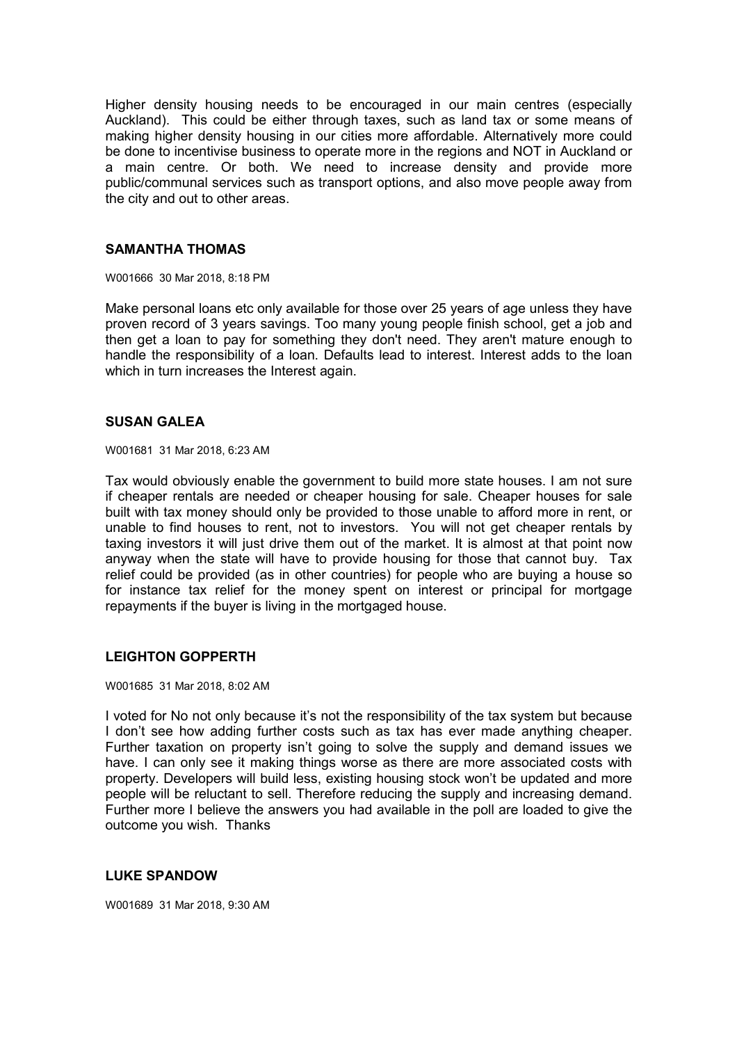Higher density housing needs to be encouraged in our main centres (especially Auckland). This could be either through taxes, such as land tax or some means of making higher density housing in our cities more affordable. Alternatively more could be done to incentivise business to operate more in the regions and NOT in Auckland or a main centre. Or both. We need to increase density and provide more public/communal services such as transport options, and also move people away from the city and out to other areas.

## **SAMANTHA THOMAS**

W001666 30 Mar 2018, 8:18 PM

Make personal loans etc only available for those over 25 years of age unless they have proven record of 3 years savings. Too many young people finish school, get a job and then get a loan to pay for something they don't need. They aren't mature enough to handle the responsibility of a loan. Defaults lead to interest. Interest adds to the loan which in turn increases the Interest again.

## **SUSAN GALEA**

W001681 31 Mar 2018, 6:23 AM

Tax would obviously enable the government to build more state houses. I am not sure if cheaper rentals are needed or cheaper housing for sale. Cheaper houses for sale built with tax money should only be provided to those unable to afford more in rent, or unable to find houses to rent, not to investors. You will not get cheaper rentals by taxing investors it will just drive them out of the market. It is almost at that point now anyway when the state will have to provide housing for those that cannot buy. Tax relief could be provided (as in other countries) for people who are buying a house so for instance tax relief for the money spent on interest or principal for mortgage repayments if the buyer is living in the mortgaged house.

## **LEIGHTON GOPPERTH**

W001685 31 Mar 2018, 8:02 AM

I voted for No not only because it's not the responsibility of the tax system but because I don't see how adding further costs such as tax has ever made anything cheaper. Further taxation on property isn't going to solve the supply and demand issues we have. I can only see it making things worse as there are more associated costs with property. Developers will build less, existing housing stock won't be updated and more people will be reluctant to sell. Therefore reducing the supply and increasing demand. Further more I believe the answers you had available in the poll are loaded to give the outcome you wish. Thanks

## **LUKE SPANDOW**

W001689 31 Mar 2018, 9:30 AM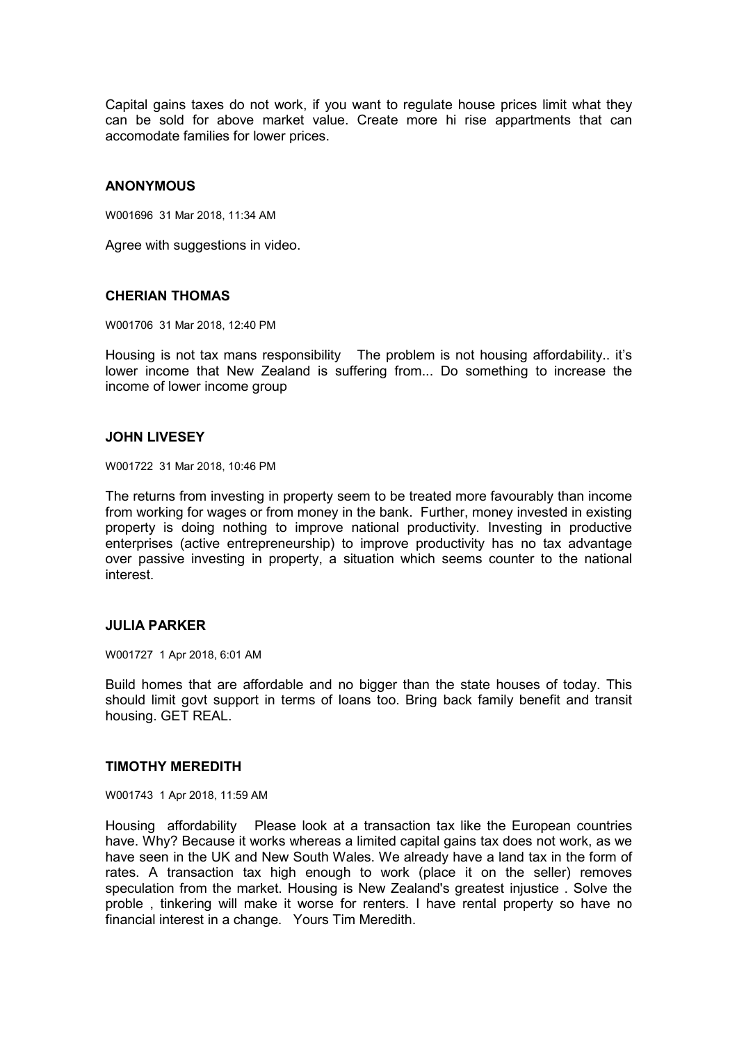Capital gains taxes do not work, if you want to regulate house prices limit what they can be sold for above market value. Create more hi rise appartments that can accomodate families for lower prices.

### **ANONYMOUS**

W001696 31 Mar 2018, 11:34 AM

Agree with suggestions in video.

### **CHERIAN THOMAS**

W001706 31 Mar 2018, 12:40 PM

Housing is not tax mans responsibility The problem is not housing affordability.. it's lower income that New Zealand is suffering from... Do something to increase the income of lower income group

### **JOHN LIVESEY**

W001722 31 Mar 2018, 10:46 PM

The returns from investing in property seem to be treated more favourably than income from working for wages or from money in the bank. Further, money invested in existing property is doing nothing to improve national productivity. Investing in productive enterprises (active entrepreneurship) to improve productivity has no tax advantage over passive investing in property, a situation which seems counter to the national interest.

### **JULIA PARKER**

W001727 1 Apr 2018, 6:01 AM

Build homes that are affordable and no bigger than the state houses of today. This should limit govt support in terms of loans too. Bring back family benefit and transit housing. GET REAL.

#### **TIMOTHY MEREDITH**

W001743 1 Apr 2018, 11:59 AM

Housing affordability Please look at a transaction tax like the European countries have. Why? Because it works whereas a limited capital gains tax does not work, as we have seen in the UK and New South Wales. We already have a land tax in the form of rates. A transaction tax high enough to work (place it on the seller) removes speculation from the market. Housing is New Zealand's greatest injustice . Solve the proble , tinkering will make it worse for renters. I have rental property so have no financial interest in a change. Yours Tim Meredith.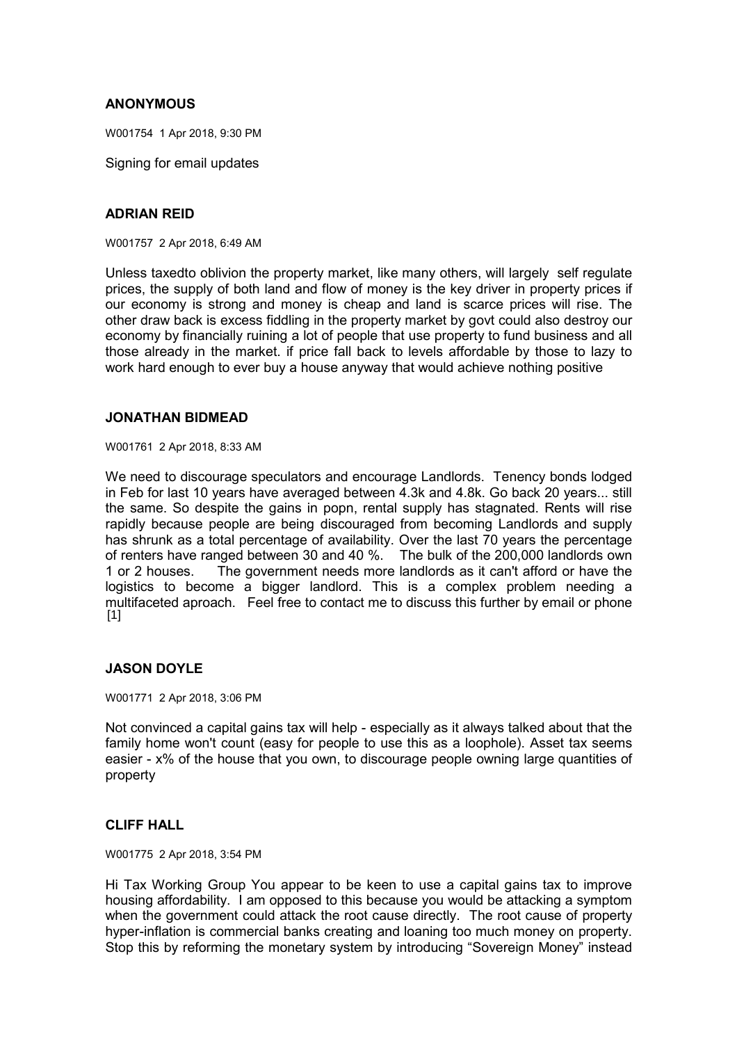## **ANONYMOUS**

W001754 1 Apr 2018, 9:30 PM

Signing for email updates

## **ADRIAN REID**

W001757 2 Apr 2018, 6:49 AM

Unless taxedto oblivion the property market, like many others, will largely self regulate prices, the supply of both land and flow of money is the key driver in property prices if our economy is strong and money is cheap and land is scarce prices will rise. The other draw back is excess fiddling in the property market by govt could also destroy our economy by financially ruining a lot of people that use property to fund business and all those already in the market. if price fall back to levels affordable by those to lazy to work hard enough to ever buy a house anyway that would achieve nothing positive

#### **JONATHAN BIDMEAD**

W001761 2 Apr 2018, 8:33 AM

We need to discourage speculators and encourage Landlords. Tenency bonds lodged in Feb for last 10 years have averaged between 4.3k and 4.8k. Go back 20 years... still the same. So despite the gains in popn, rental supply has stagnated. Rents will rise rapidly because people are being discouraged from becoming Landlords and supply has shrunk as a total percentage of availability. Over the last 70 years the percentage of renters have ranged between 30 and 40 %. The bulk of the 200,000 landlords own 1 or 2 houses. The government needs more landlords as it can't afford or have the logistics to become a bigger landlord. This is a complex problem needing a multifaceted aproach. Feel free to contact me to discuss this further by email or phone  $[1]$ 

### **JASON DOYLE**

W001771 2 Apr 2018, 3:06 PM

Not convinced a capital gains tax will help - especially as it always talked about that the family home won't count (easy for people to use this as a loophole). Asset tax seems easier - x% of the house that you own, to discourage people owning large quantities of property

# **CLIFF HALL**

W001775 2 Apr 2018, 3:54 PM

Hi Tax Working Group You appear to be keen to use a capital gains tax to improve housing affordability. I am opposed to this because you would be attacking a symptom when the government could attack the root cause directly. The root cause of property hyper-inflation is commercial banks creating and loaning too much money on property. Stop this by reforming the monetary system by introducing "Sovereign Money" instead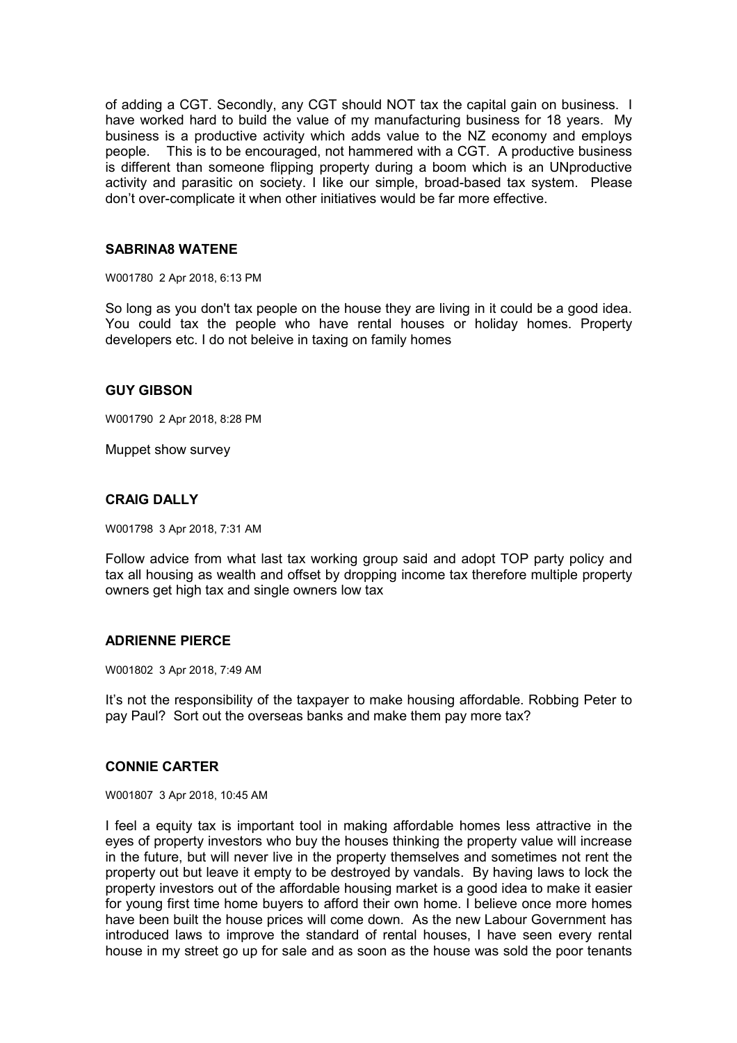of adding a CGT. Secondly, any CGT should NOT tax the capital gain on business. I have worked hard to build the value of my manufacturing business for 18 years. My business is a productive activity which adds value to the NZ economy and employs people. This is to be encouraged, not hammered with a CGT. A productive business is different than someone flipping property during a boom which is an UNproductive activity and parasitic on society. I Iike our simple, broad-based tax system. Please don't over-complicate it when other initiatives would be far more effective.

### **SABRINA8 WATENE**

W001780 2 Apr 2018, 6:13 PM

So long as you don't tax people on the house they are living in it could be a good idea. You could tax the people who have rental houses or holiday homes. Property developers etc. I do not beleive in taxing on family homes

### **GUY GIBSON**

W001790 2 Apr 2018, 8:28 PM

Muppet show survey

## **CRAIG DALLY**

W001798 3 Apr 2018, 7:31 AM

Follow advice from what last tax working group said and adopt TOP party policy and tax all housing as wealth and offset by dropping income tax therefore multiple property owners get high tax and single owners low tax

#### **ADRIENNE PIERCE**

W001802 3 Apr 2018, 7:49 AM

It's not the responsibility of the taxpayer to make housing affordable. Robbing Peter to pay Paul? Sort out the overseas banks and make them pay more tax?

### **CONNIE CARTER**

W001807 3 Apr 2018, 10:45 AM

I feel a equity tax is important tool in making affordable homes less attractive in the eyes of property investors who buy the houses thinking the property value will increase in the future, but will never live in the property themselves and sometimes not rent the property out but leave it empty to be destroyed by vandals. By having laws to lock the property investors out of the affordable housing market is a good idea to make it easier for young first time home buyers to afford their own home. I believe once more homes have been built the house prices will come down. As the new Labour Government has introduced laws to improve the standard of rental houses, I have seen every rental house in my street go up for sale and as soon as the house was sold the poor tenants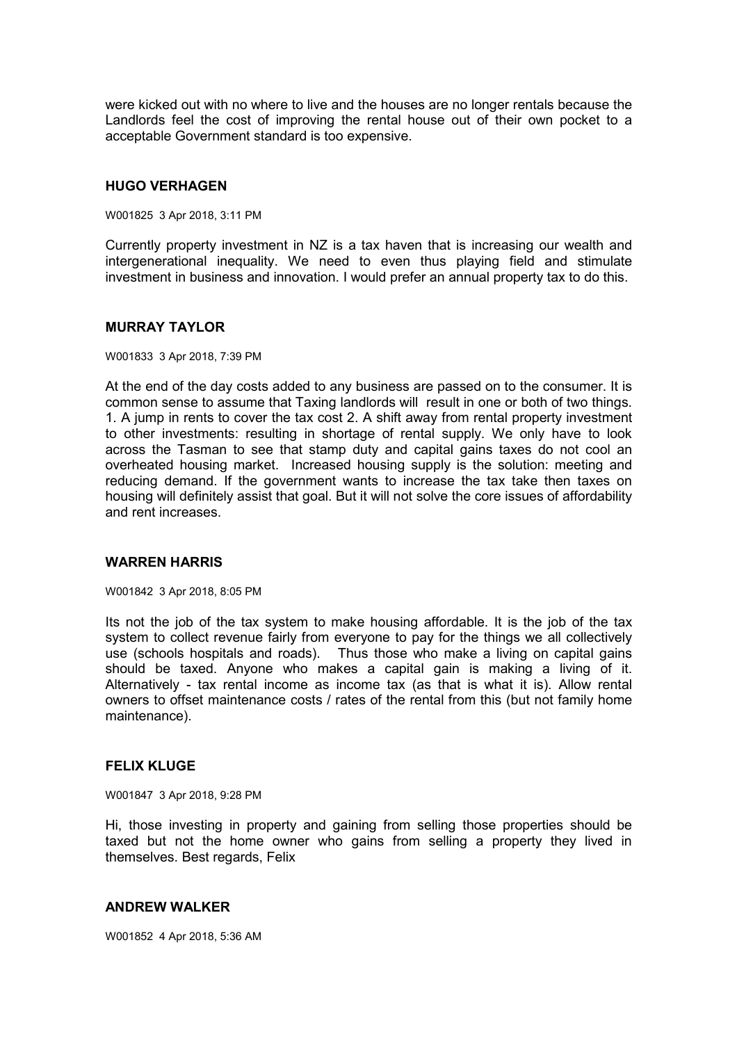were kicked out with no where to live and the houses are no longer rentals because the Landlords feel the cost of improving the rental house out of their own pocket to a acceptable Government standard is too expensive.

### **HUGO VERHAGEN**

W001825 3 Apr 2018, 3:11 PM

Currently property investment in NZ is a tax haven that is increasing our wealth and intergenerational inequality. We need to even thus playing field and stimulate investment in business and innovation. I would prefer an annual property tax to do this.

### **MURRAY TAYLOR**

W001833 3 Apr 2018, 7:39 PM

At the end of the day costs added to any business are passed on to the consumer. It is common sense to assume that Taxing landlords will result in one or both of two things. 1. A jump in rents to cover the tax cost 2. A shift away from rental property investment to other investments: resulting in shortage of rental supply. We only have to look across the Tasman to see that stamp duty and capital gains taxes do not cool an overheated housing market. Increased housing supply is the solution: meeting and reducing demand. If the government wants to increase the tax take then taxes on housing will definitely assist that goal. But it will not solve the core issues of affordability and rent increases.

# **WARREN HARRIS**

W001842 3 Apr 2018, 8:05 PM

Its not the job of the tax system to make housing affordable. It is the job of the tax system to collect revenue fairly from everyone to pay for the things we all collectively use (schools hospitals and roads). Thus those who make a living on capital gains should be taxed. Anyone who makes a capital gain is making a living of it. Alternatively - tax rental income as income tax (as that is what it is). Allow rental owners to offset maintenance costs / rates of the rental from this (but not family home maintenance).

### **FELIX KLUGE**

W001847 3 Apr 2018, 9:28 PM

Hi, those investing in property and gaining from selling those properties should be taxed but not the home owner who gains from selling a property they lived in themselves. Best regards, Felix

### **ANDREW WALKER**

W001852 4 Apr 2018, 5:36 AM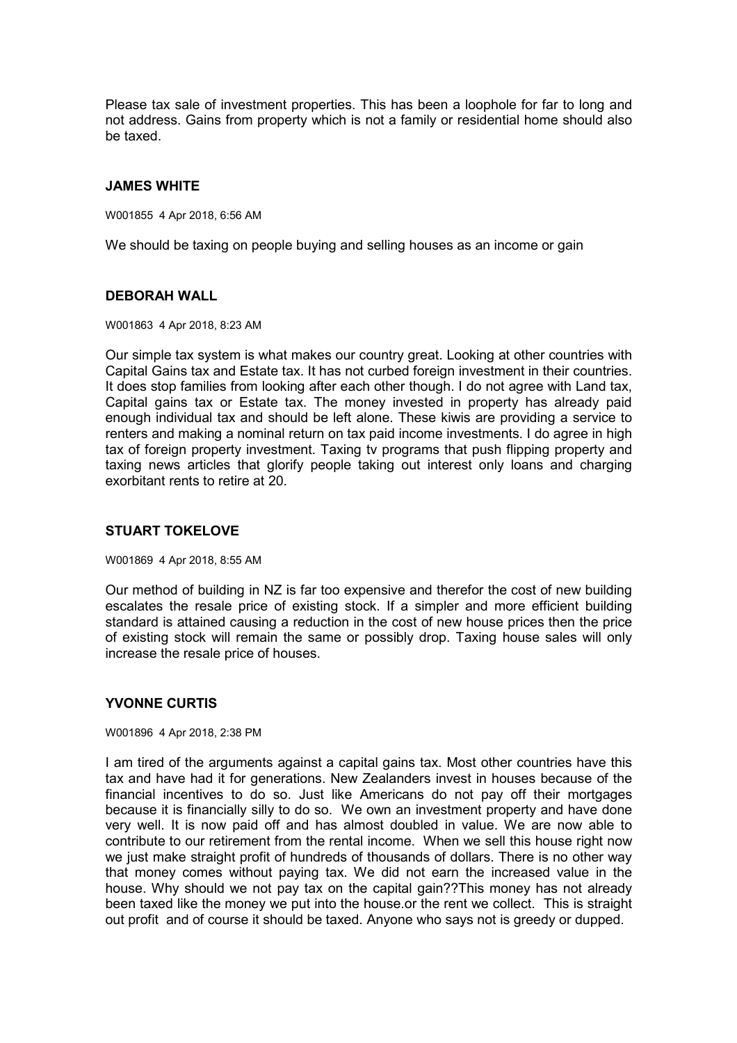Please tax sale of investment properties. This has been a loophole for far to long and not address. Gains from property which is not a family or residential home should also be taxed.

### **JAMES WHITE**

W001855 4 Apr 2018, 6:56 AM

We should be taxing on people buying and selling houses as an income or gain

## **DEBORAH WALL**

W001863 4 Apr 2018, 8:23 AM

Our simple tax system is what makes our country great. Looking at other countries with Capital Gains tax and Estate tax. It has not curbed foreign investment in their countries. It does stop families from looking after each other though. I do not agree with Land tax, Capital gains tax or Estate tax. The money invested in property has already paid enough individual tax and should be left alone. These kiwis are providing a service to renters and making a nominal return on tax paid income investments. I do agree in high tax of foreign property investment. Taxing tv programs that push flipping property and taxing news articles that glorify people taking out interest only loans and charging exorbitant rents to retire at 20.

# **STUART TOKELOVE**

W001869 4 Apr 2018, 8:55 AM

Our method of building in NZ is far too expensive and therefor the cost of new building escalates the resale price of existing stock. If a simpler and more efficient building standard is attained causing a reduction in the cost of new house prices then the price of existing stock will remain the same or possibly drop. Taxing house sales will only increase the resale price of houses.

# **YVONNE CURTIS**

W001896 4 Apr 2018, 2:38 PM

I am tired of the arguments against a capital gains tax. Most other countries have this tax and have had it for generations. New Zealanders invest in houses because of the financial incentives to do so. Just like Americans do not pay off their mortgages because it is financially silly to do so. We own an investment property and have done very well. It is now paid off and has almost doubled in value. We are now able to contribute to our retirement from the rental income. When we sell this house right now we just make straight profit of hundreds of thousands of dollars. There is no other way that money comes without paying tax. We did not earn the increased value in the house. Why should we not pay tax on the capital gain??This money has not already been taxed like the money we put into the house.or the rent we collect. This is straight out profit and of course it should be taxed. Anyone who says not is greedy or dupped.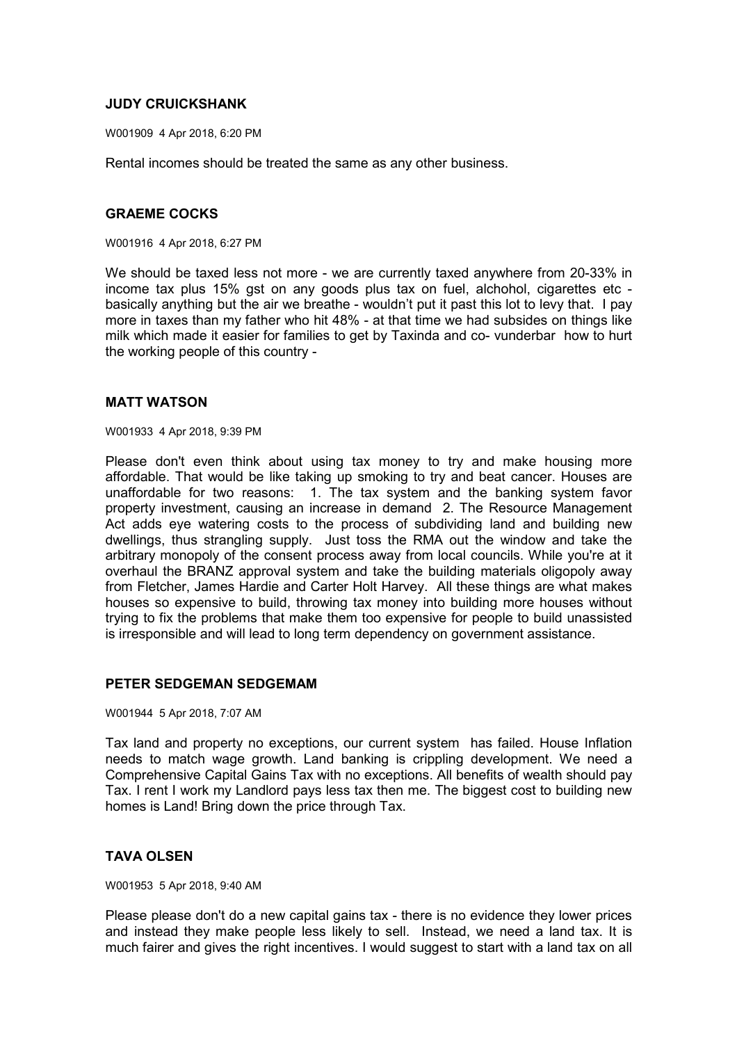## **JUDY CRUICKSHANK**

W001909 4 Apr 2018, 6:20 PM

Rental incomes should be treated the same as any other business.

## **GRAEME COCKS**

W001916 4 Apr 2018, 6:27 PM

We should be taxed less not more - we are currently taxed anywhere from 20-33% in income tax plus 15% gst on any goods plus tax on fuel, alchohol, cigarettes etc basically anything but the air we breathe - wouldn't put it past this lot to levy that. I pay more in taxes than my father who hit 48% - at that time we had subsides on things like milk which made it easier for families to get by Taxinda and co- vunderbar how to hurt the working people of this country -

#### **MATT WATSON**

W001933 4 Apr 2018, 9:39 PM

Please don't even think about using tax money to try and make housing more affordable. That would be like taking up smoking to try and beat cancer. Houses are unaffordable for two reasons: 1. The tax system and the banking system favor property investment, causing an increase in demand 2. The Resource Management Act adds eye watering costs to the process of subdividing land and building new dwellings, thus strangling supply. Just toss the RMA out the window and take the arbitrary monopoly of the consent process away from local councils. While you're at it overhaul the BRANZ approval system and take the building materials oligopoly away from Fletcher, James Hardie and Carter Holt Harvey. All these things are what makes houses so expensive to build, throwing tax money into building more houses without trying to fix the problems that make them too expensive for people to build unassisted is irresponsible and will lead to long term dependency on government assistance.

#### **PETER SEDGEMAN SEDGEMAM**

W001944 5 Apr 2018, 7:07 AM

Tax land and property no exceptions, our current system has failed. House Inflation needs to match wage growth. Land banking is crippling development. We need a Comprehensive Capital Gains Tax with no exceptions. All benefits of wealth should pay Tax. I rent I work my Landlord pays less tax then me. The biggest cost to building new homes is Land! Bring down the price through Tax.

### **TAVA OLSEN**

W001953 5 Apr 2018, 9:40 AM

Please please don't do a new capital gains tax - there is no evidence they lower prices and instead they make people less likely to sell. Instead, we need a land tax. It is much fairer and gives the right incentives. I would suggest to start with a land tax on all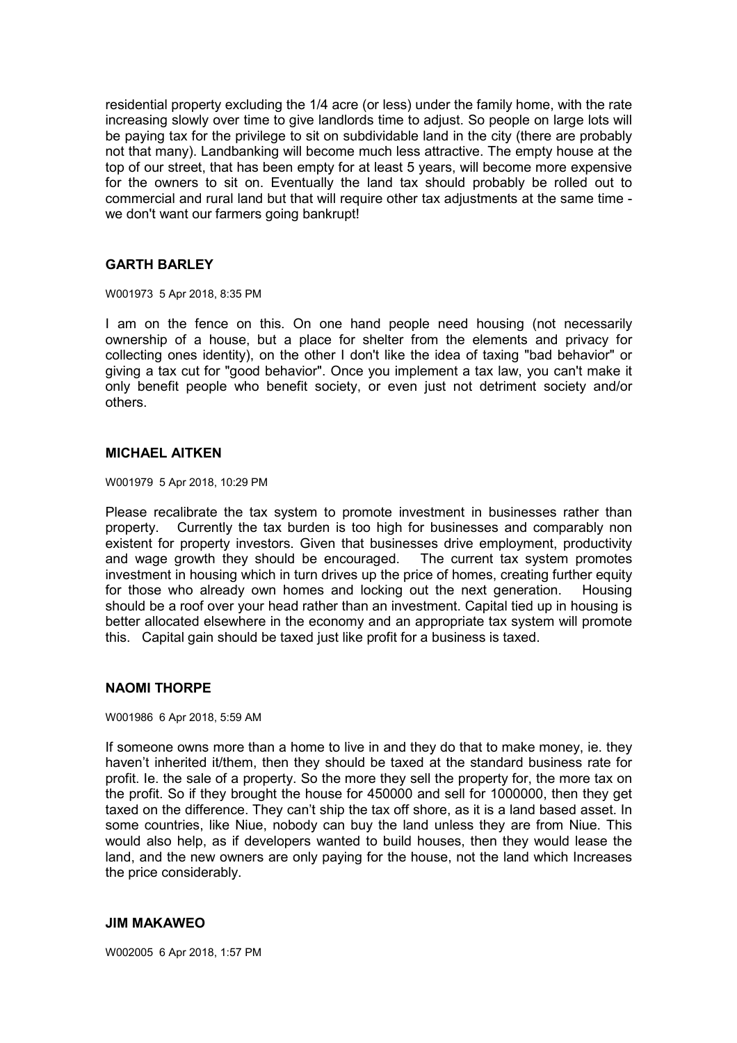residential property excluding the 1/4 acre (or less) under the family home, with the rate increasing slowly over time to give landlords time to adjust. So people on large lots will be paying tax for the privilege to sit on subdividable land in the city (there are probably not that many). Landbanking will become much less attractive. The empty house at the top of our street, that has been empty for at least 5 years, will become more expensive for the owners to sit on. Eventually the land tax should probably be rolled out to commercial and rural land but that will require other tax adjustments at the same time we don't want our farmers going bankrupt!

#### **GARTH BARLEY**

W001973 5 Apr 2018, 8:35 PM

I am on the fence on this. On one hand people need housing (not necessarily ownership of a house, but a place for shelter from the elements and privacy for collecting ones identity), on the other I don't like the idea of taxing "bad behavior" or giving a tax cut for "good behavior". Once you implement a tax law, you can't make it only benefit people who benefit society, or even just not detriment society and/or others.

#### **MICHAEL AITKEN**

W001979 5 Apr 2018, 10:29 PM

Please recalibrate the tax system to promote investment in businesses rather than property. Currently the tax burden is too high for businesses and comparably non existent for property investors. Given that businesses drive employment, productivity and wage growth they should be encouraged. The current tax system promotes investment in housing which in turn drives up the price of homes, creating further equity for those who already own homes and locking out the next generation. Housing should be a roof over your head rather than an investment. Capital tied up in housing is better allocated elsewhere in the economy and an appropriate tax system will promote this. Capital gain should be taxed just like profit for a business is taxed.

### **NAOMI THORPE**

W001986 6 Apr 2018, 5:59 AM

If someone owns more than a home to live in and they do that to make money, ie. they haven't inherited it/them, then they should be taxed at the standard business rate for profit. Ie. the sale of a property. So the more they sell the property for, the more tax on the profit. So if they brought the house for 450000 and sell for 1000000, then they get taxed on the difference. They can't ship the tax off shore, as it is a land based asset. In some countries, like Niue, nobody can buy the land unless they are from Niue. This would also help, as if developers wanted to build houses, then they would lease the land, and the new owners are only paying for the house, not the land which Increases the price considerably.

#### **JIM MAKAWEO**

W002005 6 Apr 2018, 1:57 PM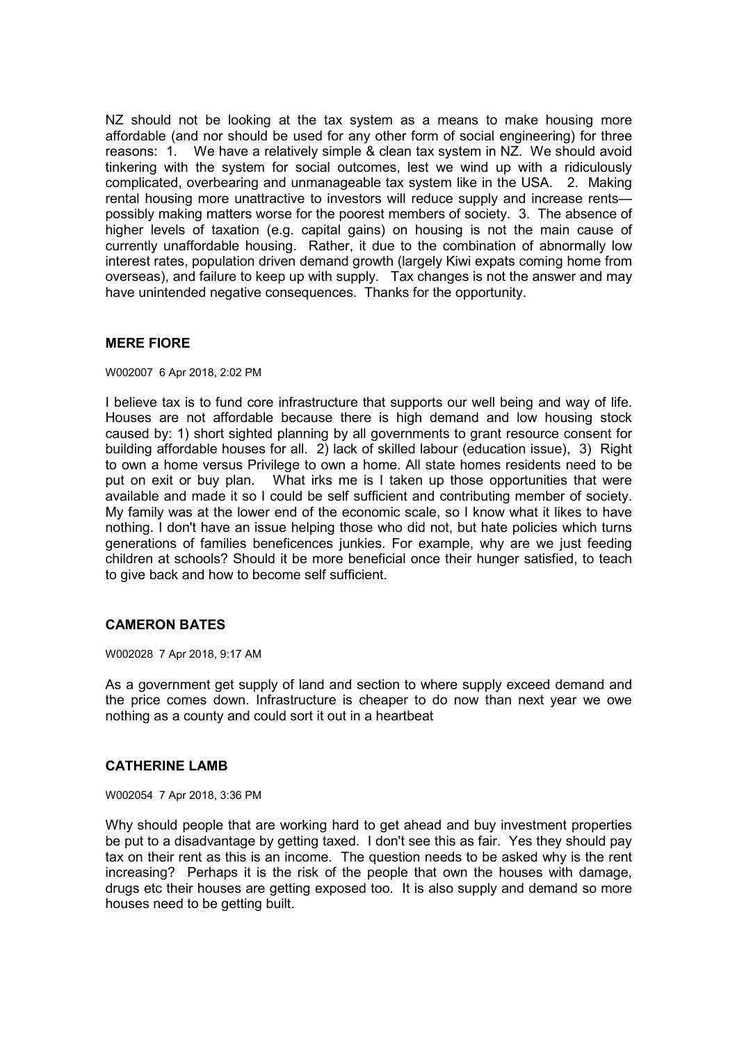NZ should not be looking at the tax system as a means to make housing more affordable (and nor should be used for any other form of social engineering) for three reasons: 1. We have a relatively simple & clean tax system in NZ. We should avoid tinkering with the system for social outcomes, lest we wind up with a ridiculously complicated, overbearing and unmanageable tax system like in the USA. 2. Making rental housing more unattractive to investors will reduce supply and increase rents possibly making matters worse for the poorest members of society. 3. The absence of higher levels of taxation (e.g. capital gains) on housing is not the main cause of currently unaffordable housing. Rather, it due to the combination of abnormally low interest rates, population driven demand growth (largely Kiwi expats coming home from overseas), and failure to keep up with supply. Tax changes is not the answer and may have unintended negative consequences. Thanks for the opportunity.

## **MERE FIORE**

W002007 6 Apr 2018, 2:02 PM

I believe tax is to fund core infrastructure that supports our well being and way of life. Houses are not affordable because there is high demand and low housing stock caused by: 1) short sighted planning by all governments to grant resource consent for building affordable houses for all. 2) lack of skilled labour (education issue), 3) Right to own a home versus Privilege to own a home. All state homes residents need to be put on exit or buy plan. What irks me is I taken up those opportunities that were available and made it so I could be self sufficient and contributing member of society. My family was at the lower end of the economic scale, so I know what it likes to have nothing. I don't have an issue helping those who did not, but hate policies which turns generations of families beneficences junkies. For example, why are we just feeding children at schools? Should it be more beneficial once their hunger satisfied, to teach to give back and how to become self sufficient.

# **CAMERON BATES**

W002028 7 Apr 2018, 9:17 AM

As a government get supply of land and section to where supply exceed demand and the price comes down. Infrastructure is cheaper to do now than next year we owe nothing as a county and could sort it out in a heartbeat

### **CATHERINE LAMB**

W002054 7 Apr 2018, 3:36 PM

Why should people that are working hard to get ahead and buy investment properties be put to a disadvantage by getting taxed. I don't see this as fair. Yes they should pay tax on their rent as this is an income. The question needs to be asked why is the rent increasing? Perhaps it is the risk of the people that own the houses with damage, drugs etc their houses are getting exposed too. It is also supply and demand so more houses need to be getting built.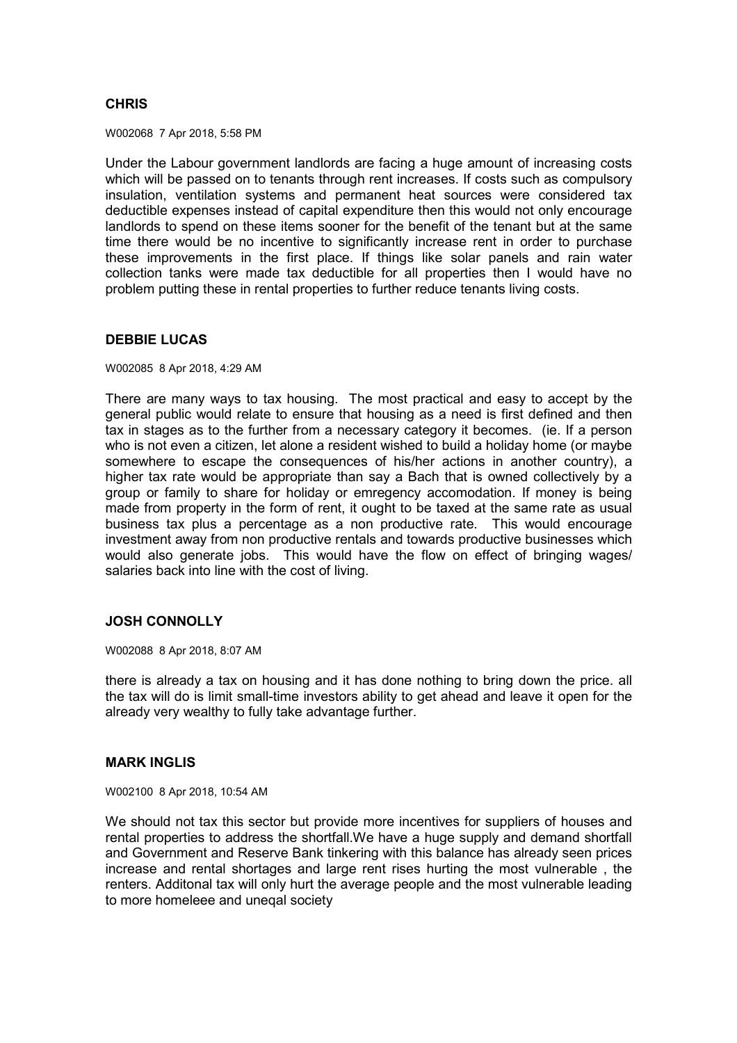# **CHRIS**

W002068 7 Apr 2018, 5:58 PM

Under the Labour government landlords are facing a huge amount of increasing costs which will be passed on to tenants through rent increases. If costs such as compulsory insulation, ventilation systems and permanent heat sources were considered tax deductible expenses instead of capital expenditure then this would not only encourage landlords to spend on these items sooner for the benefit of the tenant but at the same time there would be no incentive to significantly increase rent in order to purchase these improvements in the first place. If things like solar panels and rain water collection tanks were made tax deductible for all properties then I would have no problem putting these in rental properties to further reduce tenants living costs.

### **DEBBIE LUCAS**

W002085 8 Apr 2018, 4:29 AM

There are many ways to tax housing. The most practical and easy to accept by the general public would relate to ensure that housing as a need is first defined and then tax in stages as to the further from a necessary category it becomes. (ie. If a person who is not even a citizen, let alone a resident wished to build a holiday home (or maybe somewhere to escape the consequences of his/her actions in another country), a higher tax rate would be appropriate than say a Bach that is owned collectively by a group or family to share for holiday or emregency accomodation. If money is being made from property in the form of rent, it ought to be taxed at the same rate as usual business tax plus a percentage as a non productive rate. This would encourage investment away from non productive rentals and towards productive businesses which would also generate jobs. This would have the flow on effect of bringing wages/ salaries back into line with the cost of living.

### **JOSH CONNOLLY**

W002088 8 Apr 2018, 8:07 AM

there is already a tax on housing and it has done nothing to bring down the price. all the tax will do is limit small-time investors ability to get ahead and leave it open for the already very wealthy to fully take advantage further.

### **MARK INGLIS**

W002100 8 Apr 2018, 10:54 AM

We should not tax this sector but provide more incentives for suppliers of houses and rental properties to address the shortfall.We have a huge supply and demand shortfall and Government and Reserve Bank tinkering with this balance has already seen prices increase and rental shortages and large rent rises hurting the most vulnerable , the renters. Additonal tax will only hurt the average people and the most vulnerable leading to more homeleee and uneqal society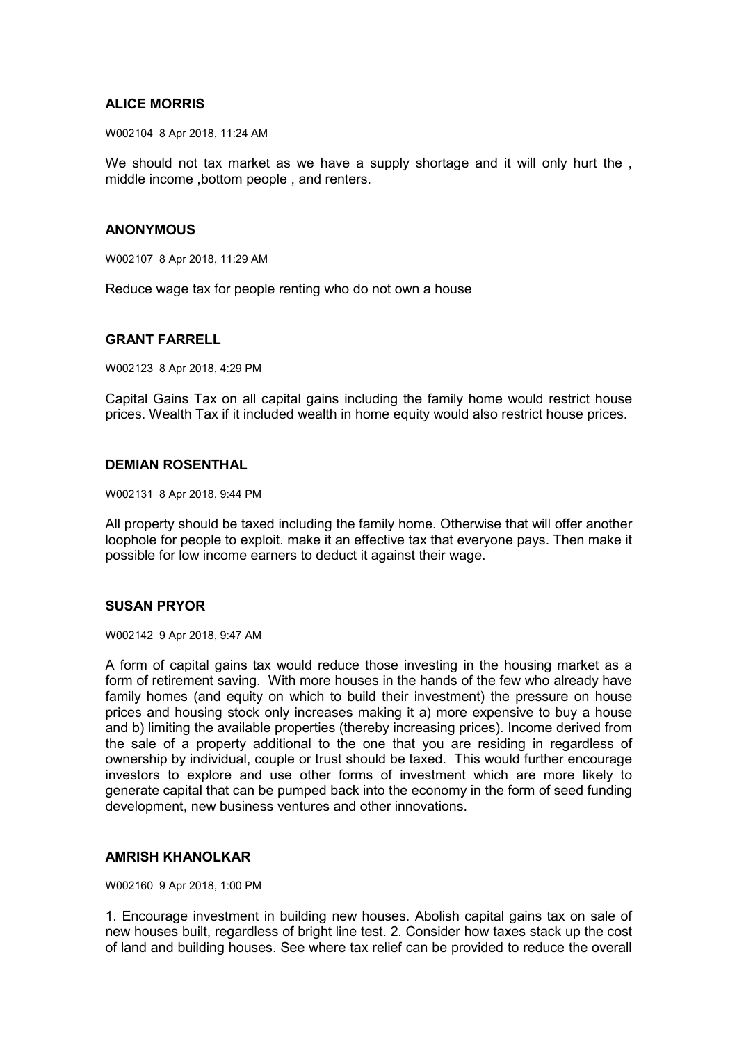## **ALICE MORRIS**

W002104 8 Apr 2018, 11:24 AM

We should not tax market as we have a supply shortage and it will only hurt the, middle income ,bottom people , and renters.

### **ANONYMOUS**

W002107 8 Apr 2018, 11:29 AM

Reduce wage tax for people renting who do not own a house

## **GRANT FARRELL**

W002123 8 Apr 2018, 4:29 PM

Capital Gains Tax on all capital gains including the family home would restrict house prices. Wealth Tax if it included wealth in home equity would also restrict house prices.

### **DEMIAN ROSENTHAL**

W002131 8 Apr 2018, 9:44 PM

All property should be taxed including the family home. Otherwise that will offer another loophole for people to exploit. make it an effective tax that everyone pays. Then make it possible for low income earners to deduct it against their wage.

# **SUSAN PRYOR**

W002142 9 Apr 2018, 9:47 AM

A form of capital gains tax would reduce those investing in the housing market as a form of retirement saving. With more houses in the hands of the few who already have family homes (and equity on which to build their investment) the pressure on house prices and housing stock only increases making it a) more expensive to buy a house and b) limiting the available properties (thereby increasing prices). Income derived from the sale of a property additional to the one that you are residing in regardless of ownership by individual, couple or trust should be taxed. This would further encourage investors to explore and use other forms of investment which are more likely to generate capital that can be pumped back into the economy in the form of seed funding development, new business ventures and other innovations.

## **AMRISH KHANOLKAR**

W002160 9 Apr 2018, 1:00 PM

1. Encourage investment in building new houses. Abolish capital gains tax on sale of new houses built, regardless of bright line test. 2. Consider how taxes stack up the cost of land and building houses. See where tax relief can be provided to reduce the overall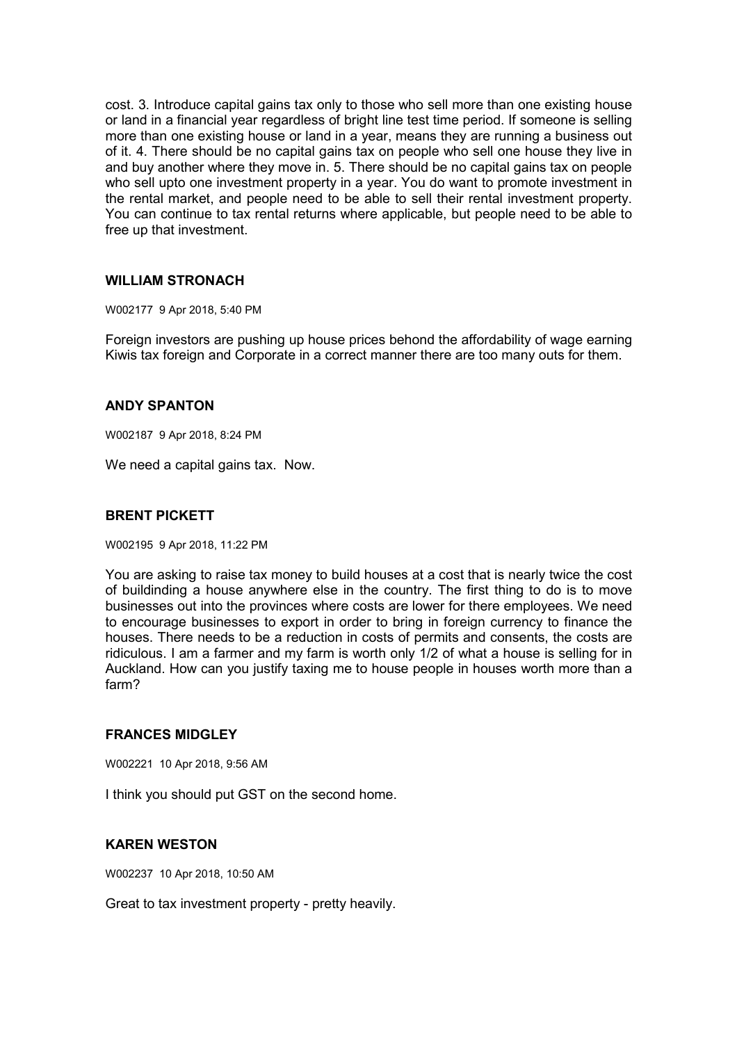cost. 3. Introduce capital gains tax only to those who sell more than one existing house or land in a financial year regardless of bright line test time period. If someone is selling more than one existing house or land in a year, means they are running a business out of it. 4. There should be no capital gains tax on people who sell one house they live in and buy another where they move in. 5. There should be no capital gains tax on people who sell upto one investment property in a year. You do want to promote investment in the rental market, and people need to be able to sell their rental investment property. You can continue to tax rental returns where applicable, but people need to be able to free up that investment.

## **WILLIAM STRONACH**

W002177 9 Apr 2018, 5:40 PM

Foreign investors are pushing up house prices behond the affordability of wage earning Kiwis tax foreign and Corporate in a correct manner there are too many outs for them.

## **ANDY SPANTON**

W002187 9 Apr 2018, 8:24 PM

We need a capital gains tax. Now.

# **BRENT PICKETT**

W002195 9 Apr 2018, 11:22 PM

You are asking to raise tax money to build houses at a cost that is nearly twice the cost of buildinding a house anywhere else in the country. The first thing to do is to move businesses out into the provinces where costs are lower for there employees. We need to encourage businesses to export in order to bring in foreign currency to finance the houses. There needs to be a reduction in costs of permits and consents, the costs are ridiculous. I am a farmer and my farm is worth only 1/2 of what a house is selling for in Auckland. How can you justify taxing me to house people in houses worth more than a farm?

### **FRANCES MIDGLEY**

W002221 10 Apr 2018, 9:56 AM

I think you should put GST on the second home.

# **KAREN WESTON**

W002237 10 Apr 2018, 10:50 AM

Great to tax investment property - pretty heavily.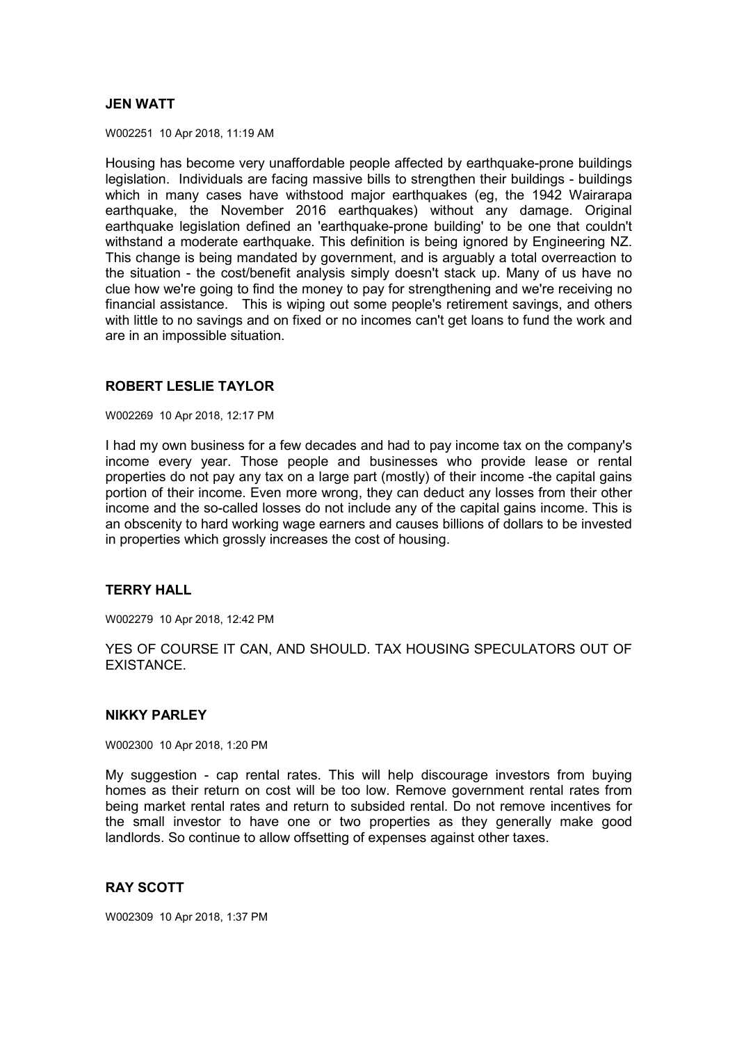## **JEN WATT**

W002251 10 Apr 2018, 11:19 AM

Housing has become very unaffordable people affected by earthquake-prone buildings legislation. Individuals are facing massive bills to strengthen their buildings - buildings which in many cases have withstood major earthquakes (eg, the 1942 Wairarapa earthquake, the November 2016 earthquakes) without any damage. Original earthquake legislation defined an 'earthquake-prone building' to be one that couldn't withstand a moderate earthquake. This definition is being ignored by Engineering NZ. This change is being mandated by government, and is arguably a total overreaction to the situation - the cost/benefit analysis simply doesn't stack up. Many of us have no clue how we're going to find the money to pay for strengthening and we're receiving no financial assistance. This is wiping out some people's retirement savings, and others with little to no savings and on fixed or no incomes can't get loans to fund the work and are in an impossible situation.

# **ROBERT LESLIE TAYLOR**

W002269 10 Apr 2018, 12:17 PM

I had my own business for a few decades and had to pay income tax on the company's income every year. Those people and businesses who provide lease or rental properties do not pay any tax on a large part (mostly) of their income -the capital gains portion of their income. Even more wrong, they can deduct any losses from their other income and the so-called losses do not include any of the capital gains income. This is an obscenity to hard working wage earners and causes billions of dollars to be invested in properties which grossly increases the cost of housing.

# **TERRY HALL**

W002279 10 Apr 2018, 12:42 PM

YES OF COURSE IT CAN, AND SHOULD. TAX HOUSING SPECULATORS OUT OF **EXISTANCE** 

### **NIKKY PARLEY**

W002300 10 Apr 2018, 1:20 PM

My suggestion - cap rental rates. This will help discourage investors from buying homes as their return on cost will be too low. Remove government rental rates from being market rental rates and return to subsided rental. Do not remove incentives for the small investor to have one or two properties as they generally make good landlords. So continue to allow offsetting of expenses against other taxes.

## **RAY SCOTT**

W002309 10 Apr 2018, 1:37 PM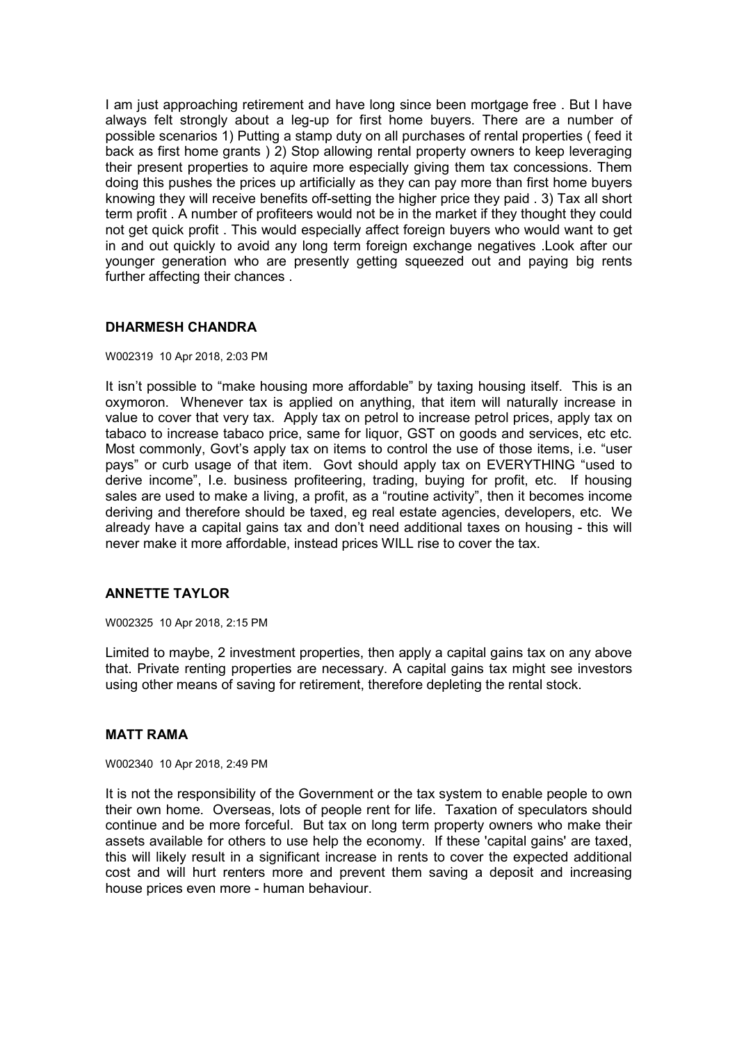I am just approaching retirement and have long since been mortgage free . But I have always felt strongly about a leg-up for first home buyers. There are a number of possible scenarios 1) Putting a stamp duty on all purchases of rental properties ( feed it back as first home grants ) 2) Stop allowing rental property owners to keep leveraging their present properties to aquire more especially giving them tax concessions. Them doing this pushes the prices up artificially as they can pay more than first home buyers knowing they will receive benefits off-setting the higher price they paid . 3) Tax all short term profit . A number of profiteers would not be in the market if they thought they could not get quick profit . This would especially affect foreign buyers who would want to get in and out quickly to avoid any long term foreign exchange negatives .Look after our younger generation who are presently getting squeezed out and paying big rents further affecting their chances .

## **DHARMESH CHANDRA**

#### W002319 10 Apr 2018, 2:03 PM

It isn't possible to "make housing more affordable" by taxing housing itself. This is an oxymoron. Whenever tax is applied on anything, that item will naturally increase in value to cover that very tax. Apply tax on petrol to increase petrol prices, apply tax on tabaco to increase tabaco price, same for liquor, GST on goods and services, etc etc. Most commonly, Govt's apply tax on items to control the use of those items, i.e. "user pays" or curb usage of that item. Govt should apply tax on EVERYTHING "used to derive income", I.e. business profiteering, trading, buying for profit, etc. If housing sales are used to make a living, a profit, as a "routine activity", then it becomes income deriving and therefore should be taxed, eg real estate agencies, developers, etc. We already have a capital gains tax and don't need additional taxes on housing - this will never make it more affordable, instead prices WILL rise to cover the tax.

### **ANNETTE TAYLOR**

W002325 10 Apr 2018, 2:15 PM

Limited to maybe, 2 investment properties, then apply a capital gains tax on any above that. Private renting properties are necessary. A capital gains tax might see investors using other means of saving for retirement, therefore depleting the rental stock.

### **MATT RAMA**

W002340 10 Apr 2018, 2:49 PM

It is not the responsibility of the Government or the tax system to enable people to own their own home. Overseas, lots of people rent for life. Taxation of speculators should continue and be more forceful. But tax on long term property owners who make their assets available for others to use help the economy. If these 'capital gains' are taxed, this will likely result in a significant increase in rents to cover the expected additional cost and will hurt renters more and prevent them saving a deposit and increasing house prices even more - human behaviour.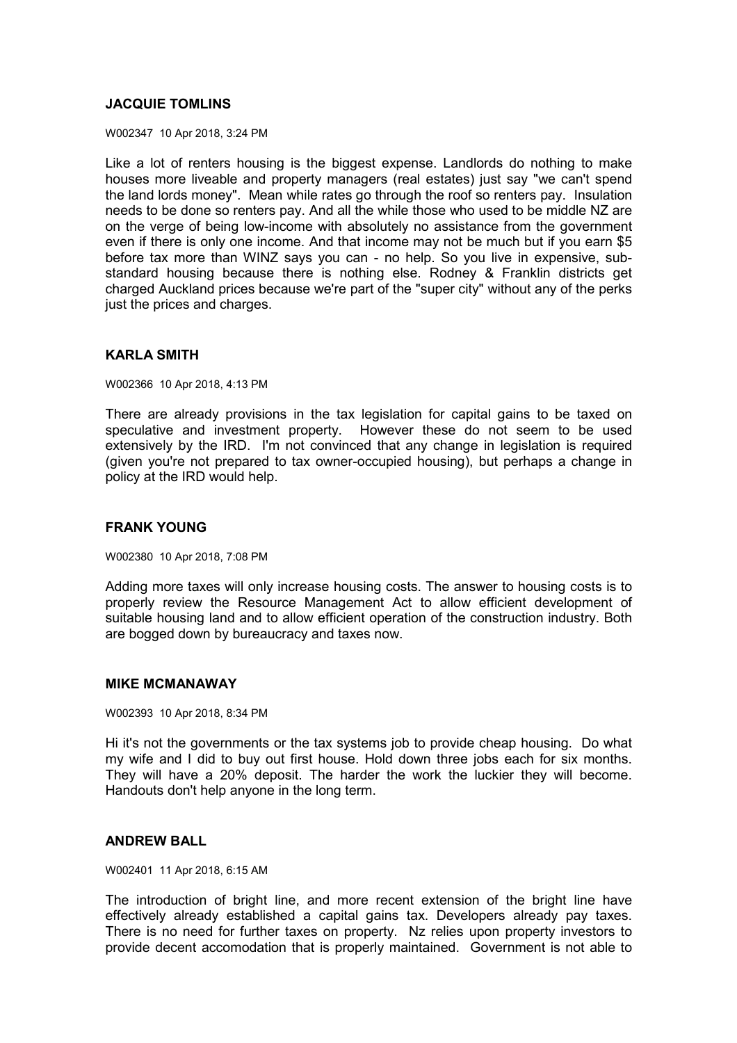## **JACQUIE TOMLINS**

W002347 10 Apr 2018, 3:24 PM

Like a lot of renters housing is the biggest expense. Landlords do nothing to make houses more liveable and property managers (real estates) just say "we can't spend the land lords money". Mean while rates go through the roof so renters pay. Insulation needs to be done so renters pay. And all the while those who used to be middle NZ are on the verge of being low-income with absolutely no assistance from the government even if there is only one income. And that income may not be much but if you earn \$5 before tax more than WINZ says you can - no help. So you live in expensive, substandard housing because there is nothing else. Rodney & Franklin districts get charged Auckland prices because we're part of the "super city" without any of the perks just the prices and charges.

### **KARLA SMITH**

W002366 10 Apr 2018, 4:13 PM

There are already provisions in the tax legislation for capital gains to be taxed on speculative and investment property. However these do not seem to be used extensively by the IRD. I'm not convinced that any change in legislation is required (given you're not prepared to tax owner-occupied housing), but perhaps a change in policy at the IRD would help.

## **FRANK YOUNG**

W002380 10 Apr 2018, 7:08 PM

Adding more taxes will only increase housing costs. The answer to housing costs is to properly review the Resource Management Act to allow efficient development of suitable housing land and to allow efficient operation of the construction industry. Both are bogged down by bureaucracy and taxes now.

#### **MIKE MCMANAWAY**

W002393 10 Apr 2018, 8:34 PM

Hi it's not the governments or the tax systems job to provide cheap housing. Do what my wife and I did to buy out first house. Hold down three jobs each for six months. They will have a 20% deposit. The harder the work the luckier they will become. Handouts don't help anyone in the long term.

### **ANDREW BALL**

W002401 11 Apr 2018, 6:15 AM

The introduction of bright line, and more recent extension of the bright line have effectively already established a capital gains tax. Developers already pay taxes. There is no need for further taxes on property. Nz relies upon property investors to provide decent accomodation that is properly maintained. Government is not able to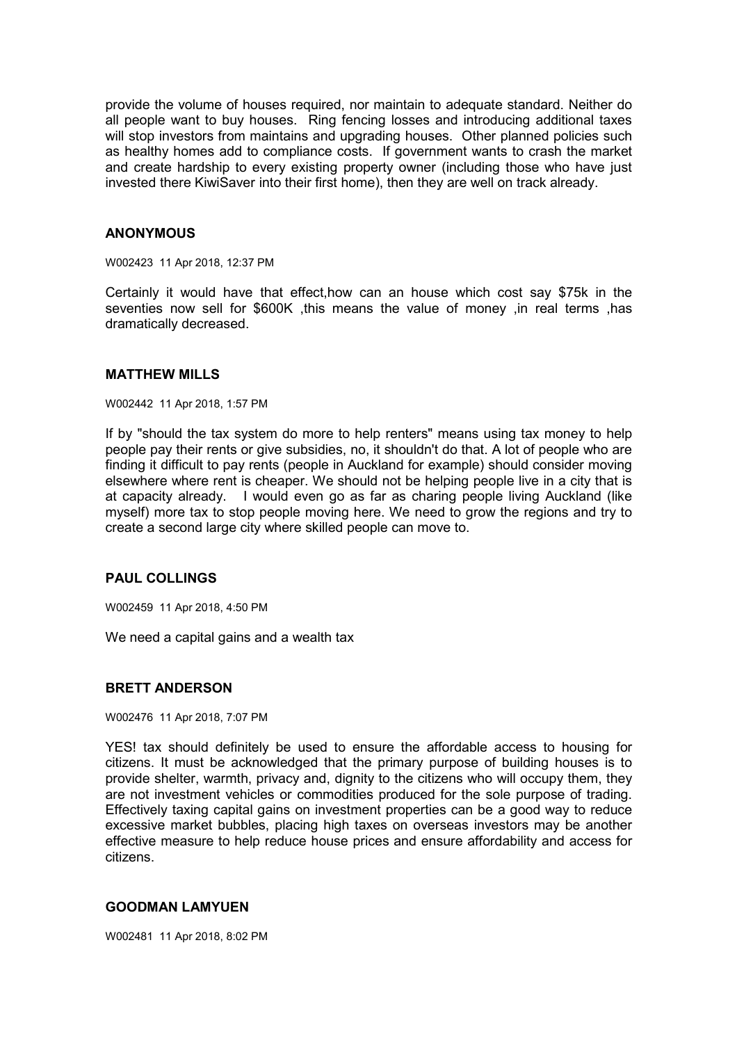provide the volume of houses required, nor maintain to adequate standard. Neither do all people want to buy houses. Ring fencing losses and introducing additional taxes will stop investors from maintains and upgrading houses. Other planned policies such as healthy homes add to compliance costs. If government wants to crash the market and create hardship to every existing property owner (including those who have just invested there KiwiSaver into their first home), then they are well on track already.

#### **ANONYMOUS**

W002423 11 Apr 2018, 12:37 PM

Certainly it would have that effect,how can an house which cost say \$75k in the seventies now sell for \$600K ,this means the value of money ,in real terms ,has dramatically decreased.

#### **MATTHEW MILLS**

W002442 11 Apr 2018, 1:57 PM

If by "should the tax system do more to help renters" means using tax money to help people pay their rents or give subsidies, no, it shouldn't do that. A lot of people who are finding it difficult to pay rents (people in Auckland for example) should consider moving elsewhere where rent is cheaper. We should not be helping people live in a city that is at capacity already. I would even go as far as charing people living Auckland (like myself) more tax to stop people moving here. We need to grow the regions and try to create a second large city where skilled people can move to.

## **PAUL COLLINGS**

W002459 11 Apr 2018, 4:50 PM

We need a capital gains and a wealth tax

#### **BRETT ANDERSON**

W002476 11 Apr 2018, 7:07 PM

YES! tax should definitely be used to ensure the affordable access to housing for citizens. It must be acknowledged that the primary purpose of building houses is to provide shelter, warmth, privacy and, dignity to the citizens who will occupy them, they are not investment vehicles or commodities produced for the sole purpose of trading. Effectively taxing capital gains on investment properties can be a good way to reduce excessive market bubbles, placing high taxes on overseas investors may be another effective measure to help reduce house prices and ensure affordability and access for citizens.

### **GOODMAN LAMYUEN**

W002481 11 Apr 2018, 8:02 PM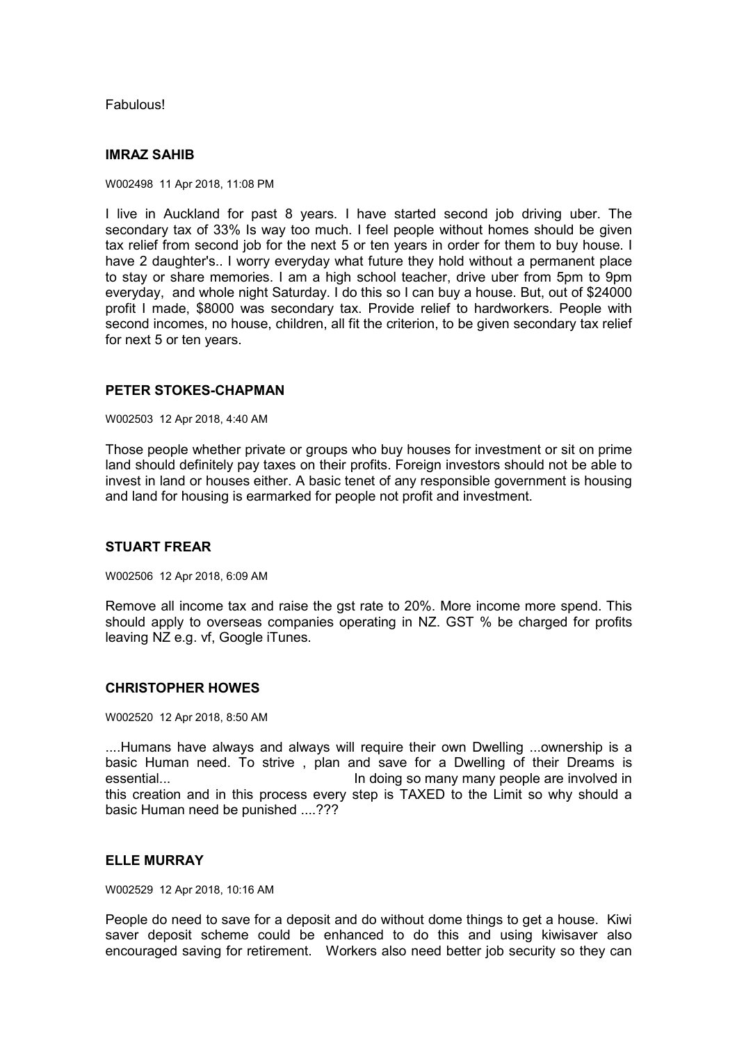Fabulous!

## **IMRAZ SAHIB**

W002498 11 Apr 2018, 11:08 PM

I live in Auckland for past 8 years. I have started second job driving uber. The secondary tax of 33% Is way too much. I feel people without homes should be given tax relief from second job for the next 5 or ten years in order for them to buy house. I have 2 daughter's.. I worry everyday what future they hold without a permanent place to stay or share memories. I am a high school teacher, drive uber from 5pm to 9pm everyday, and whole night Saturday. I do this so I can buy a house. But, out of \$24000 profit I made, \$8000 was secondary tax. Provide relief to hardworkers. People with second incomes, no house, children, all fit the criterion, to be given secondary tax relief for next 5 or ten years.

### **PETER STOKES-CHAPMAN**

W002503 12 Apr 2018, 4:40 AM

Those people whether private or groups who buy houses for investment or sit on prime land should definitely pay taxes on their profits. Foreign investors should not be able to invest in land or houses either. A basic tenet of any responsible government is housing and land for housing is earmarked for people not profit and investment.

#### **STUART FREAR**

W002506 12 Apr 2018, 6:09 AM

Remove all income tax and raise the gst rate to 20%. More income more spend. This should apply to overseas companies operating in NZ. GST % be charged for profits leaving NZ e.g. vf, Google iTunes.

### **CHRISTOPHER HOWES**

W002520 12 Apr 2018, 8:50 AM

....Humans have always and always will require their own Dwelling ...ownership is a basic Human need. To strive , plan and save for a Dwelling of their Dreams is essential... In doing so many many people are involved in this creation and in this process every step is TAXED to the Limit so why should a basic Human need be punished ....???

## **ELLE MURRAY**

W002529 12 Apr 2018, 10:16 AM

People do need to save for a deposit and do without dome things to get a house. Kiwi saver deposit scheme could be enhanced to do this and using kiwisaver also encouraged saving for retirement. Workers also need better job security so they can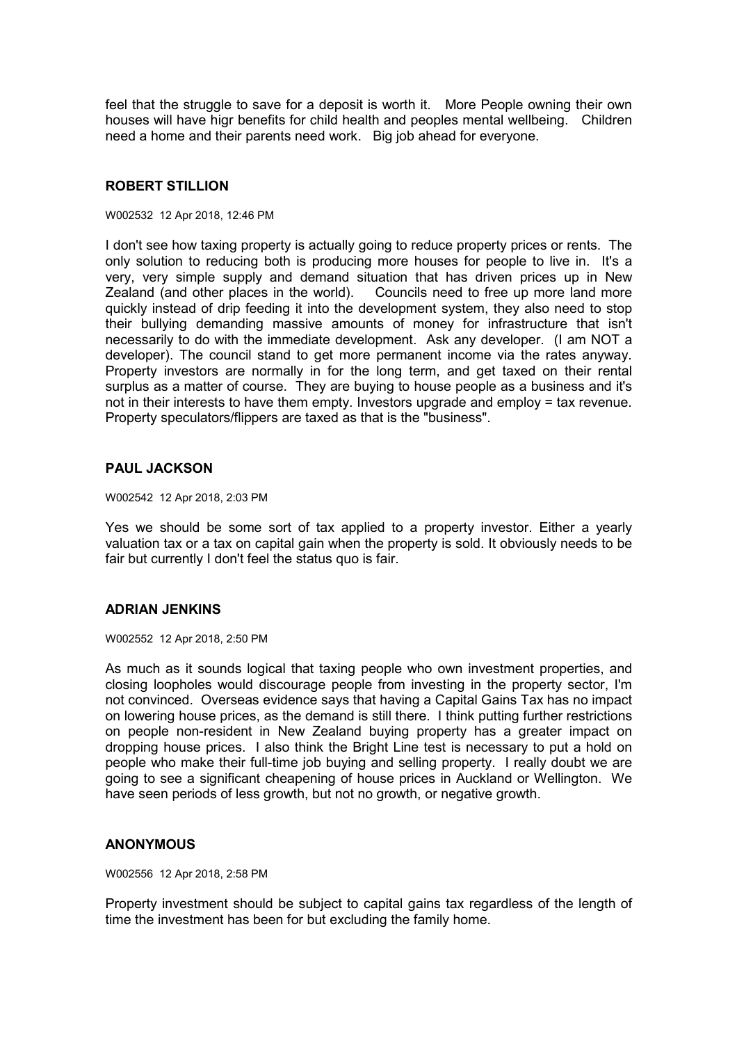feel that the struggle to save for a deposit is worth it. More People owning their own houses will have higr benefits for child health and peoples mental wellbeing. Children need a home and their parents need work. Big job ahead for everyone.

## **ROBERT STILLION**

#### W002532 12 Apr 2018, 12:46 PM

I don't see how taxing property is actually going to reduce property prices or rents. The only solution to reducing both is producing more houses for people to live in. It's a very, very simple supply and demand situation that has driven prices up in New Zealand (and other places in the world). Councils need to free up more land more quickly instead of drip feeding it into the development system, they also need to stop their bullying demanding massive amounts of money for infrastructure that isn't necessarily to do with the immediate development. Ask any developer. (I am NOT a developer). The council stand to get more permanent income via the rates anyway. Property investors are normally in for the long term, and get taxed on their rental surplus as a matter of course. They are buying to house people as a business and it's not in their interests to have them empty. Investors upgrade and employ = tax revenue. Property speculators/flippers are taxed as that is the "business".

## **PAUL JACKSON**

W002542 12 Apr 2018, 2:03 PM

Yes we should be some sort of tax applied to a property investor. Either a yearly valuation tax or a tax on capital gain when the property is sold. It obviously needs to be fair but currently I don't feel the status quo is fair.

### **ADRIAN JENKINS**

W002552 12 Apr 2018, 2:50 PM

As much as it sounds logical that taxing people who own investment properties, and closing loopholes would discourage people from investing in the property sector, I'm not convinced. Overseas evidence says that having a Capital Gains Tax has no impact on lowering house prices, as the demand is still there. I think putting further restrictions on people non-resident in New Zealand buying property has a greater impact on dropping house prices. I also think the Bright Line test is necessary to put a hold on people who make their full-time job buying and selling property. I really doubt we are going to see a significant cheapening of house prices in Auckland or Wellington. We have seen periods of less growth, but not no growth, or negative growth.

### **ANONYMOUS**

W002556 12 Apr 2018, 2:58 PM

Property investment should be subject to capital gains tax regardless of the length of time the investment has been for but excluding the family home.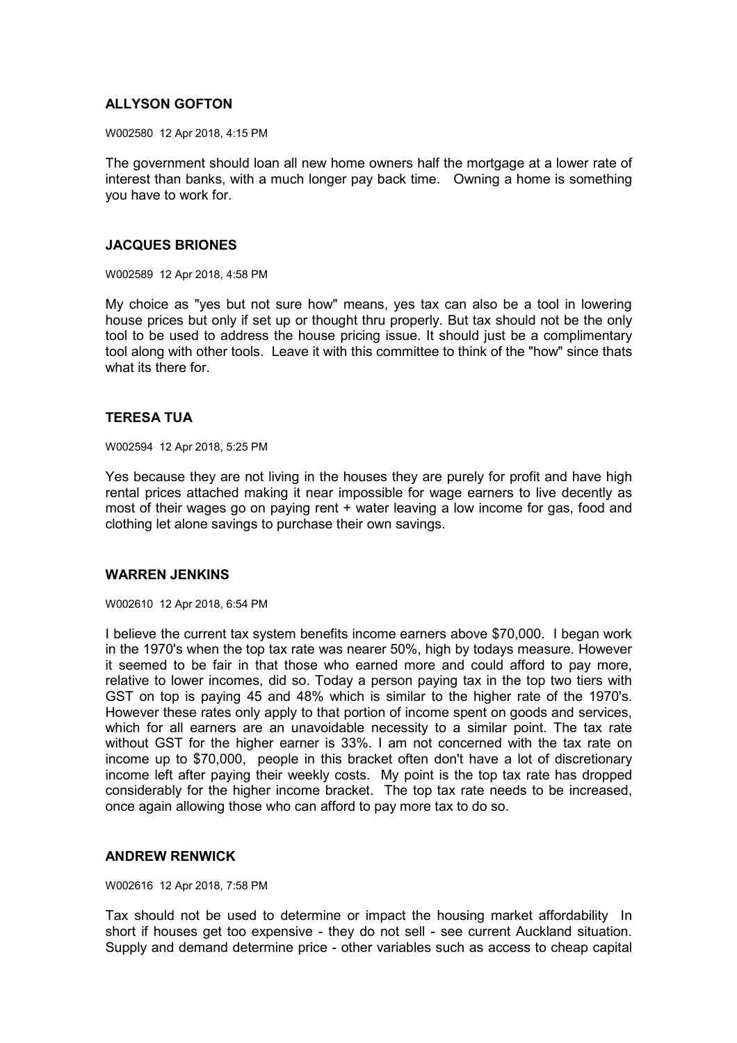## **ALLYSON GOFTON**

W002580 12 Apr 2018, 4:15 PM

The government should loan all new home owners half the mortgage at a lower rate of interest than banks, with a much longer pay back time. Owning a home is something you have to work for.

### **JACQUES BRIONES**

W002589 12 Apr 2018, 4:58 PM

My choice as "yes but not sure how" means, yes tax can also be a tool in lowering house prices but only if set up or thought thru properly. But tax should not be the only tool to be used to address the house pricing issue. It should just be a complimentary tool along with other tools. Leave it with this committee to think of the "how" since thats what its there for.

#### **TERESA TUA**

W002594 12 Apr 2018, 5:25 PM

Yes because they are not living in the houses they are purely for profit and have high rental prices attached making it near impossible for wage earners to live decently as most of their wages go on paying rent + water leaving a low income for gas, food and clothing let alone savings to purchase their own savings.

#### **WARREN JENKINS**

W002610 12 Apr 2018, 6:54 PM

I believe the current tax system benefits income earners above \$70,000. I began work in the 1970's when the top tax rate was nearer 50%, high by todays measure. However it seemed to be fair in that those who earned more and could afford to pay more, relative to lower incomes, did so. Today a person paying tax in the top two tiers with GST on top is paying 45 and 48% which is similar to the higher rate of the 1970's. However these rates only apply to that portion of income spent on goods and services, which for all earners are an unavoidable necessity to a similar point. The tax rate without GST for the higher earner is 33%. I am not concerned with the tax rate on income up to \$70,000, people in this bracket often don't have a lot of discretionary income left after paying their weekly costs. My point is the top tax rate has dropped considerably for the higher income bracket. The top tax rate needs to be increased, once again allowing those who can afford to pay more tax to do so.

### **ANDREW RENWICK**

W002616 12 Apr 2018, 7:58 PM

Tax should not be used to determine or impact the housing market affordability In short if houses get too expensive - they do not sell - see current Auckland situation. Supply and demand determine price - other variables such as access to cheap capital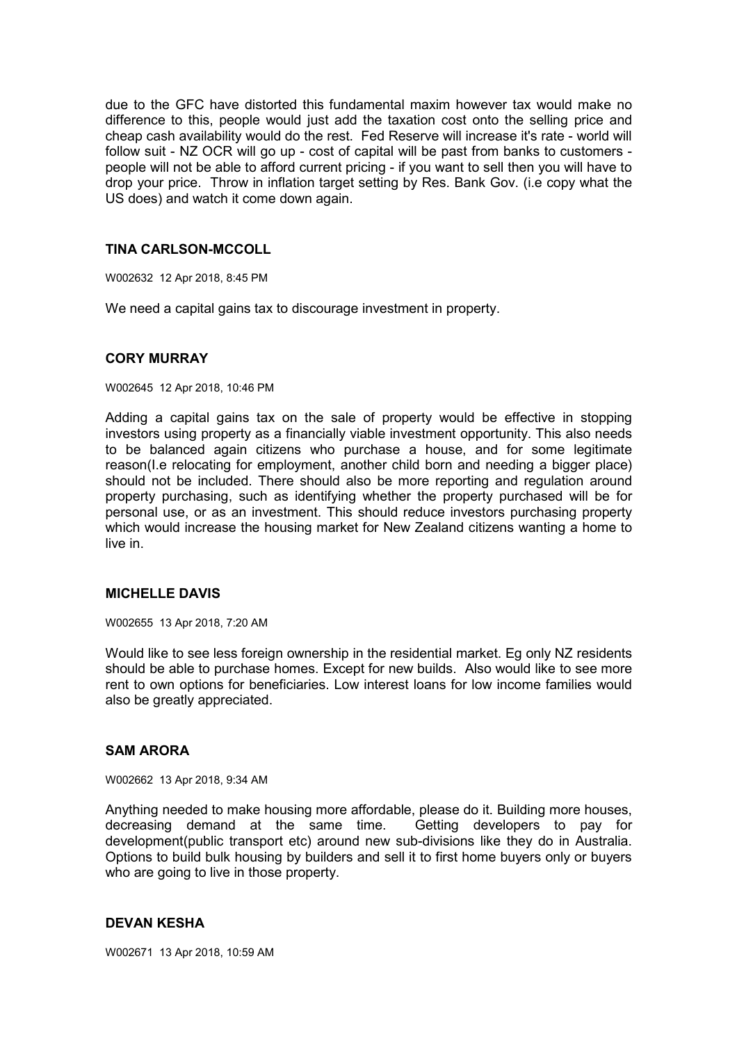due to the GFC have distorted this fundamental maxim however tax would make no difference to this, people would just add the taxation cost onto the selling price and cheap cash availability would do the rest. Fed Reserve will increase it's rate - world will follow suit - NZ OCR will go up - cost of capital will be past from banks to customers people will not be able to afford current pricing - if you want to sell then you will have to drop your price. Throw in inflation target setting by Res. Bank Gov. (i.e copy what the US does) and watch it come down again.

## **TINA CARLSON-MCCOLL**

W002632 12 Apr 2018, 8:45 PM

We need a capital gains tax to discourage investment in property.

### **CORY MURRAY**

#### W002645 12 Apr 2018, 10:46 PM

Adding a capital gains tax on the sale of property would be effective in stopping investors using property as a financially viable investment opportunity. This also needs to be balanced again citizens who purchase a house, and for some legitimate reason(I.e relocating for employment, another child born and needing a bigger place) should not be included. There should also be more reporting and regulation around property purchasing, such as identifying whether the property purchased will be for personal use, or as an investment. This should reduce investors purchasing property which would increase the housing market for New Zealand citizens wanting a home to live in.

### **MICHELLE DAVIS**

W002655 13 Apr 2018, 7:20 AM

Would like to see less foreign ownership in the residential market. Eg only NZ residents should be able to purchase homes. Except for new builds. Also would like to see more rent to own options for beneficiaries. Low interest loans for low income families would also be greatly appreciated.

### **SAM ARORA**

W002662 13 Apr 2018, 9:34 AM

Anything needed to make housing more affordable, please do it. Building more houses, decreasing demand at the same time. Getting developers to pay for development(public transport etc) around new sub-divisions like they do in Australia. Options to build bulk housing by builders and sell it to first home buyers only or buyers who are going to live in those property.

#### **DEVAN KESHA**

W002671 13 Apr 2018, 10:59 AM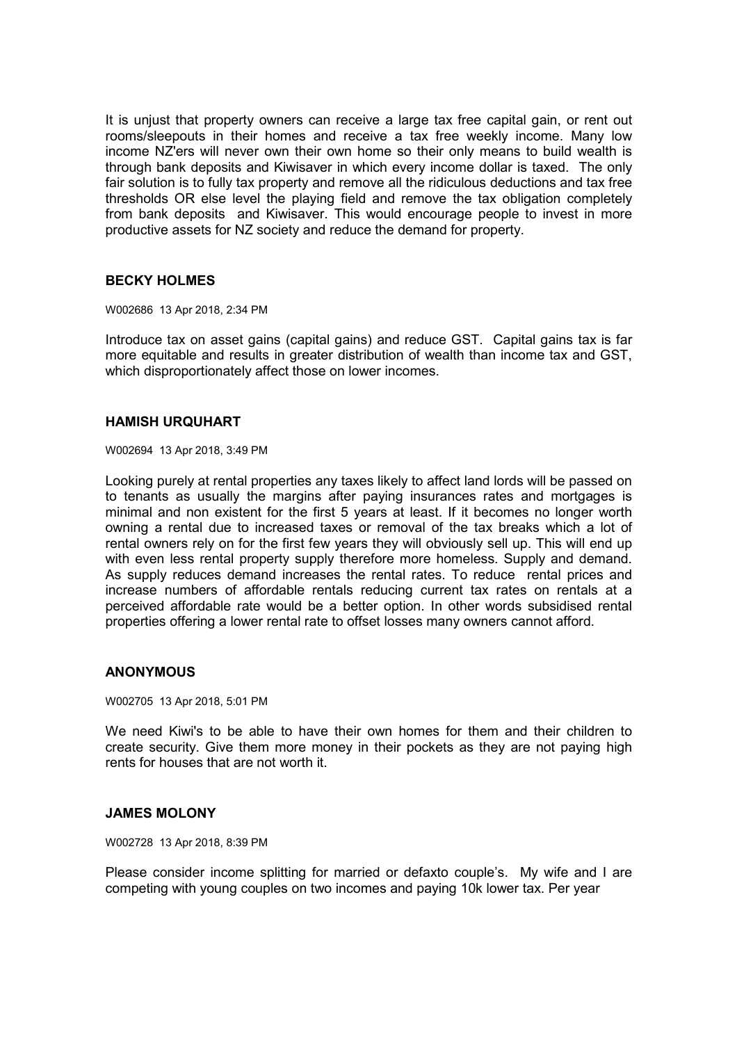It is unjust that property owners can receive a large tax free capital gain, or rent out rooms/sleepouts in their homes and receive a tax free weekly income. Many low income NZ'ers will never own their own home so their only means to build wealth is through bank deposits and Kiwisaver in which every income dollar is taxed. The only fair solution is to fully tax property and remove all the ridiculous deductions and tax free thresholds OR else level the playing field and remove the tax obligation completely from bank deposits and Kiwisaver. This would encourage people to invest in more productive assets for NZ society and reduce the demand for property.

## **BECKY HOLMES**

W002686 13 Apr 2018, 2:34 PM

Introduce tax on asset gains (capital gains) and reduce GST. Capital gains tax is far more equitable and results in greater distribution of wealth than income tax and GST, which disproportionately affect those on lower incomes.

### **HAMISH URQUHART**

W002694 13 Apr 2018, 3:49 PM

Looking purely at rental properties any taxes likely to affect land lords will be passed on to tenants as usually the margins after paying insurances rates and mortgages is minimal and non existent for the first 5 years at least. If it becomes no longer worth owning a rental due to increased taxes or removal of the tax breaks which a lot of rental owners rely on for the first few years they will obviously sell up. This will end up with even less rental property supply therefore more homeless. Supply and demand. As supply reduces demand increases the rental rates. To reduce rental prices and increase numbers of affordable rentals reducing current tax rates on rentals at a perceived affordable rate would be a better option. In other words subsidised rental properties offering a lower rental rate to offset losses many owners cannot afford.

## **ANONYMOUS**

W002705 13 Apr 2018, 5:01 PM

We need Kiwi's to be able to have their own homes for them and their children to create security. Give them more money in their pockets as they are not paying high rents for houses that are not worth it.

### **JAMES MOLONY**

W002728 13 Apr 2018, 8:39 PM

Please consider income splitting for married or defaxto couple's. My wife and I are competing with young couples on two incomes and paying 10k lower tax. Per year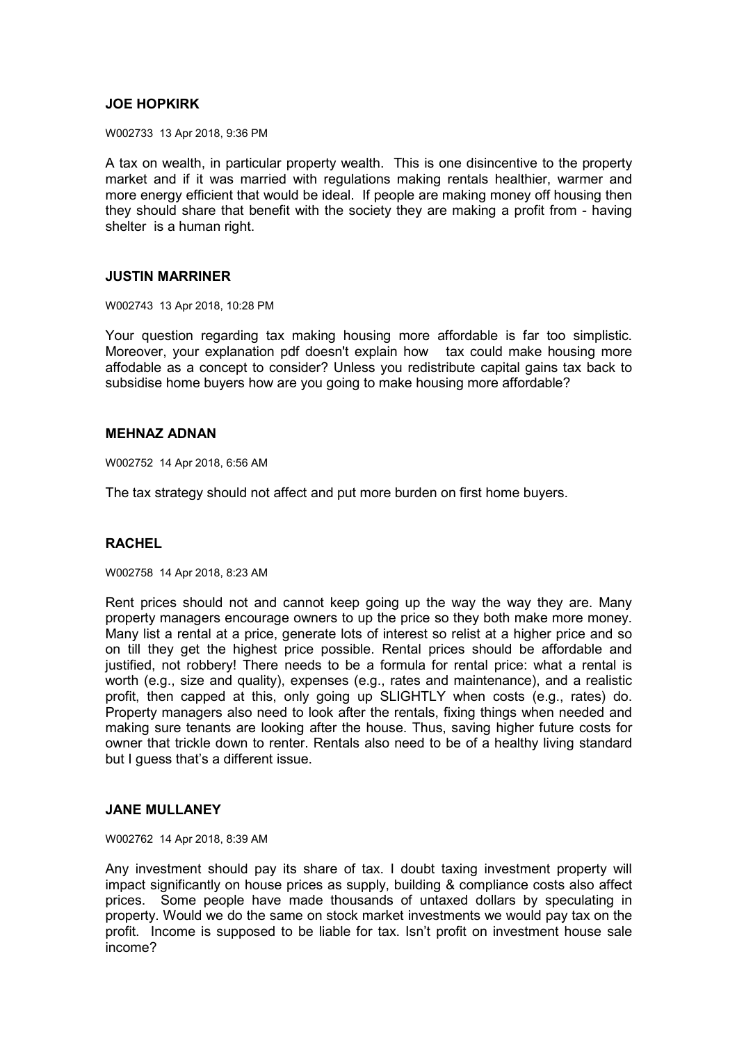## **JOE HOPKIRK**

W002733 13 Apr 2018, 9:36 PM

A tax on wealth, in particular property wealth. This is one disincentive to the property market and if it was married with regulations making rentals healthier, warmer and more energy efficient that would be ideal. If people are making money off housing then they should share that benefit with the society they are making a profit from - having shelter is a human right.

#### **JUSTIN MARRINER**

W002743 13 Apr 2018, 10:28 PM

Your question regarding tax making housing more affordable is far too simplistic. Moreover, your explanation pdf doesn't explain how tax could make housing more affodable as a concept to consider? Unless you redistribute capital gains tax back to subsidise home buyers how are you going to make housing more affordable?

#### **MEHNAZ ADNAN**

W002752 14 Apr 2018, 6:56 AM

The tax strategy should not affect and put more burden on first home buyers.

### **RACHEL**

W002758 14 Apr 2018, 8:23 AM

Rent prices should not and cannot keep going up the way the way they are. Many property managers encourage owners to up the price so they both make more money. Many list a rental at a price, generate lots of interest so relist at a higher price and so on till they get the highest price possible. Rental prices should be affordable and justified, not robbery! There needs to be a formula for rental price: what a rental is worth (e.g., size and quality), expenses (e.g., rates and maintenance), and a realistic profit, then capped at this, only going up SLIGHTLY when costs (e.g., rates) do. Property managers also need to look after the rentals, fixing things when needed and making sure tenants are looking after the house. Thus, saving higher future costs for owner that trickle down to renter. Rentals also need to be of a healthy living standard but I guess that's a different issue.

## **JANE MULLANEY**

W002762 14 Apr 2018, 8:39 AM

Any investment should pay its share of tax. I doubt taxing investment property will impact significantly on house prices as supply, building & compliance costs also affect prices. Some people have made thousands of untaxed dollars by speculating in property. Would we do the same on stock market investments we would pay tax on the profit. Income is supposed to be liable for tax. Isn't profit on investment house sale income?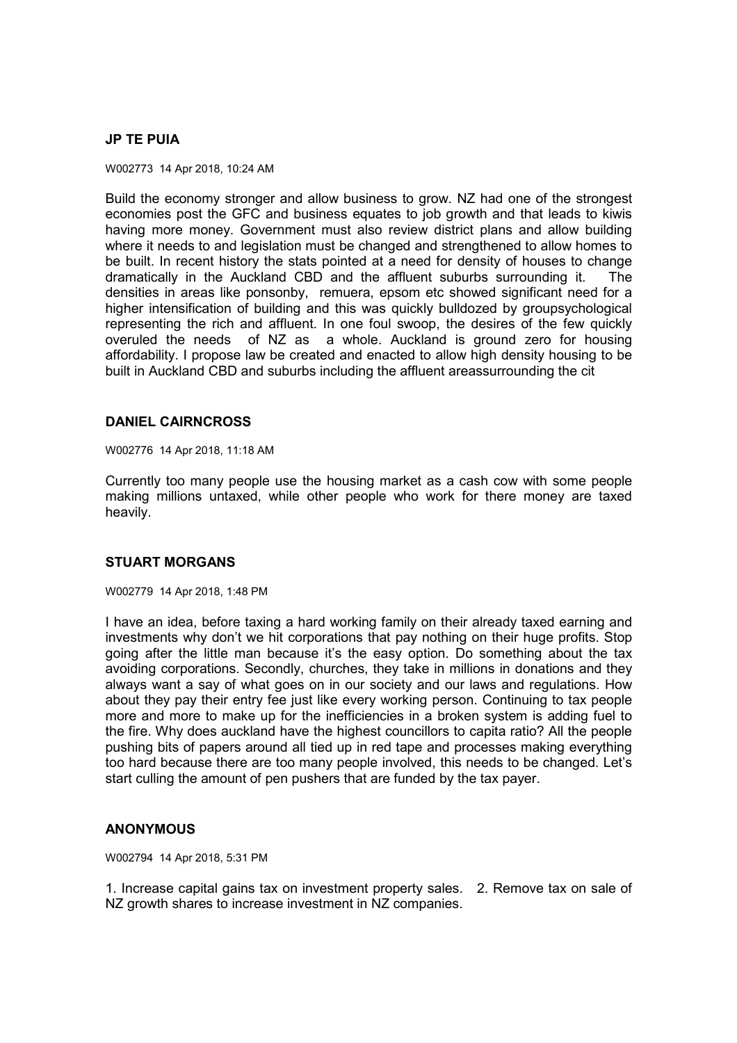## **JP TE PUIA**

W002773 14 Apr 2018, 10:24 AM

Build the economy stronger and allow business to grow. NZ had one of the strongest economies post the GFC and business equates to job growth and that leads to kiwis having more money. Government must also review district plans and allow building where it needs to and legislation must be changed and strengthened to allow homes to be built. In recent history the stats pointed at a need for density of houses to change dramatically in the Auckland CBD and the affluent suburbs surrounding it. The densities in areas like ponsonby, remuera, epsom etc showed significant need for a higher intensification of building and this was quickly bulldozed by groupsychological representing the rich and affluent. In one foul swoop, the desires of the few quickly overuled the needs of NZ as a whole. Auckland is ground zero for housing affordability. I propose law be created and enacted to allow high density housing to be built in Auckland CBD and suburbs including the affluent areassurrounding the cit

### **DANIEL CAIRNCROSS**

W002776 14 Apr 2018, 11:18 AM

Currently too many people use the housing market as a cash cow with some people making millions untaxed, while other people who work for there money are taxed heavily.

# **STUART MORGANS**

W002779 14 Apr 2018, 1:48 PM

I have an idea, before taxing a hard working family on their already taxed earning and investments why don't we hit corporations that pay nothing on their huge profits. Stop going after the little man because it's the easy option. Do something about the tax avoiding corporations. Secondly, churches, they take in millions in donations and they always want a say of what goes on in our society and our laws and regulations. How about they pay their entry fee just like every working person. Continuing to tax people more and more to make up for the inefficiencies in a broken system is adding fuel to the fire. Why does auckland have the highest councillors to capita ratio? All the people pushing bits of papers around all tied up in red tape and processes making everything too hard because there are too many people involved, this needs to be changed. Let's start culling the amount of pen pushers that are funded by the tax payer.

### **ANONYMOUS**

W002794 14 Apr 2018, 5:31 PM

1. Increase capital gains tax on investment property sales. 2. Remove tax on sale of NZ growth shares to increase investment in NZ companies.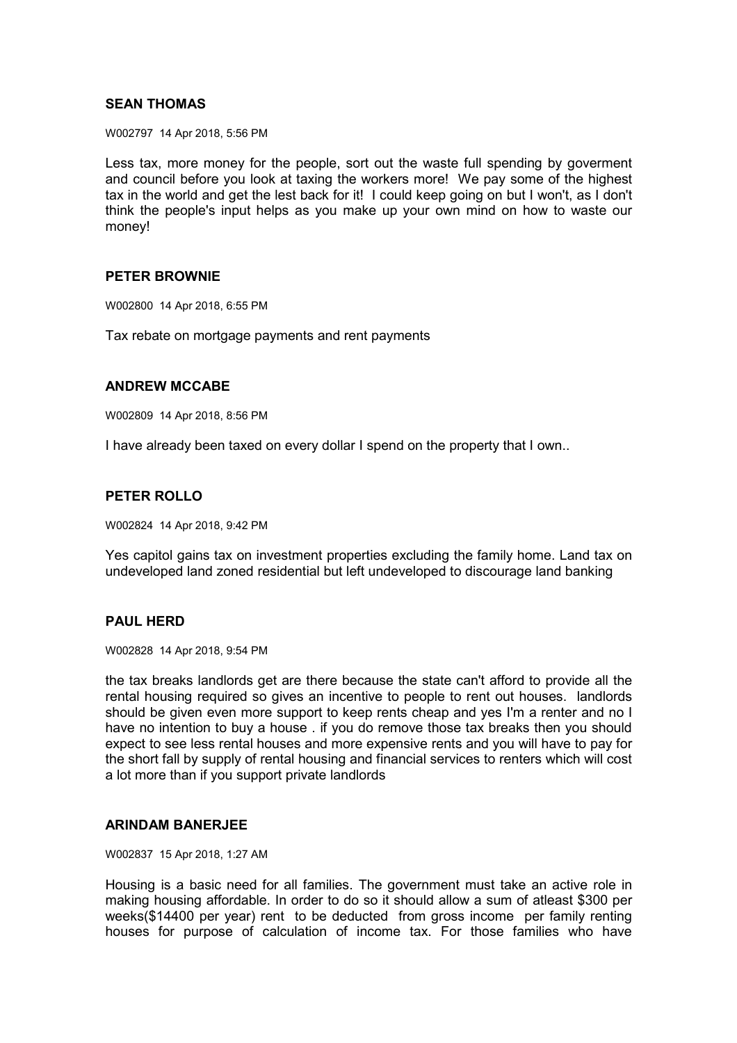## **SEAN THOMAS**

W002797 14 Apr 2018, 5:56 PM

Less tax, more money for the people, sort out the waste full spending by goverment and council before you look at taxing the workers more! We pay some of the highest tax in the world and get the lest back for it! I could keep going on but I won't, as I don't think the people's input helps as you make up your own mind on how to waste our money!

### **PETER BROWNIE**

W002800 14 Apr 2018, 6:55 PM

Tax rebate on mortgage payments and rent payments

#### **ANDREW MCCABE**

W002809 14 Apr 2018, 8:56 PM

I have already been taxed on every dollar I spend on the property that I own..

## **PETER ROLLO**

W002824 14 Apr 2018, 9:42 PM

Yes capitol gains tax on investment properties excluding the family home. Land tax on undeveloped land zoned residential but left undeveloped to discourage land banking

## **PAUL HERD**

W002828 14 Apr 2018, 9:54 PM

the tax breaks landlords get are there because the state can't afford to provide all the rental housing required so gives an incentive to people to rent out houses. landlords should be given even more support to keep rents cheap and yes I'm a renter and no I have no intention to buy a house . if you do remove those tax breaks then you should expect to see less rental houses and more expensive rents and you will have to pay for the short fall by supply of rental housing and financial services to renters which will cost a lot more than if you support private landlords

#### **ARINDAM BANERJEE**

W002837 15 Apr 2018, 1:27 AM

Housing is a basic need for all families. The government must take an active role in making housing affordable. In order to do so it should allow a sum of atleast \$300 per weeks(\$14400 per year) rent to be deducted from gross income per family renting houses for purpose of calculation of income tax. For those families who have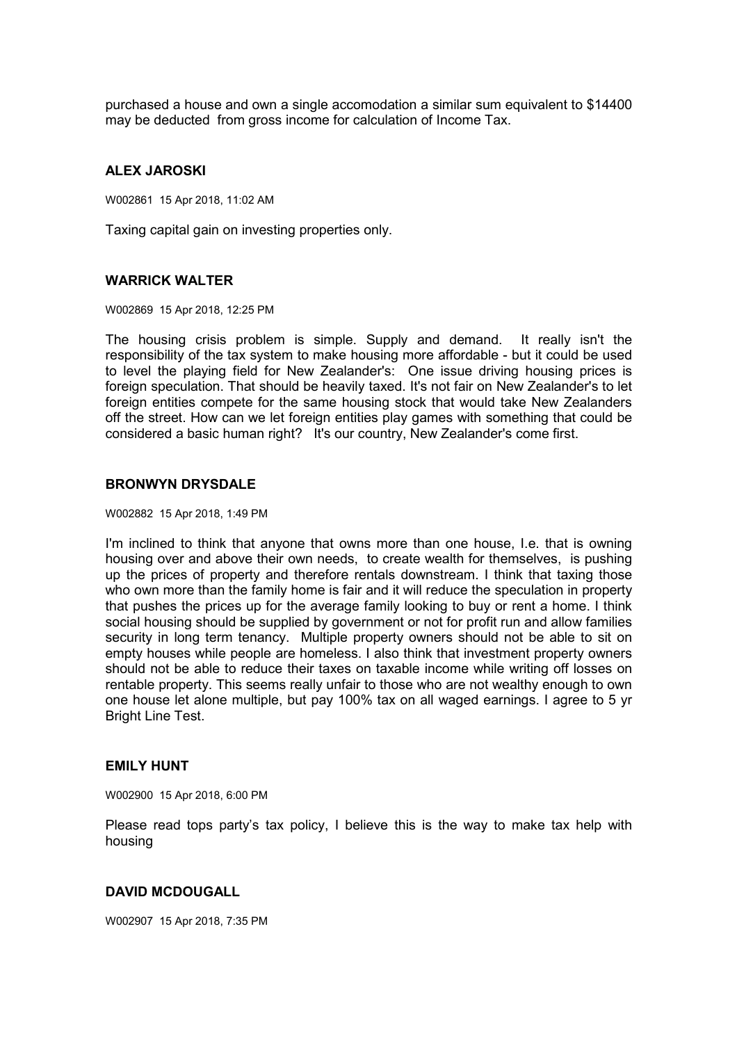purchased a house and own a single accomodation a similar sum equivalent to \$14400 may be deducted from gross income for calculation of Income Tax.

#### **ALEX JAROSKI**

W002861 15 Apr 2018, 11:02 AM

Taxing capital gain on investing properties only.

#### **WARRICK WALTER**

W002869 15 Apr 2018, 12:25 PM

The housing crisis problem is simple. Supply and demand. It really isn't the responsibility of the tax system to make housing more affordable - but it could be used to level the playing field for New Zealander's: One issue driving housing prices is foreign speculation. That should be heavily taxed. It's not fair on New Zealander's to let foreign entities compete for the same housing stock that would take New Zealanders off the street. How can we let foreign entities play games with something that could be considered a basic human right? It's our country, New Zealander's come first.

#### **BRONWYN DRYSDALE**

W002882 15 Apr 2018, 1:49 PM

I'm inclined to think that anyone that owns more than one house, I.e. that is owning housing over and above their own needs, to create wealth for themselves, is pushing up the prices of property and therefore rentals downstream. I think that taxing those who own more than the family home is fair and it will reduce the speculation in property that pushes the prices up for the average family looking to buy or rent a home. I think social housing should be supplied by government or not for profit run and allow families security in long term tenancy. Multiple property owners should not be able to sit on empty houses while people are homeless. I also think that investment property owners should not be able to reduce their taxes on taxable income while writing off losses on rentable property. This seems really unfair to those who are not wealthy enough to own one house let alone multiple, but pay 100% tax on all waged earnings. I agree to 5 yr Bright Line Test.

#### **EMILY HUNT**

W002900 15 Apr 2018, 6:00 PM

Please read tops party's tax policy, I believe this is the way to make tax help with housing

# **DAVID MCDOUGALL**

W002907 15 Apr 2018, 7:35 PM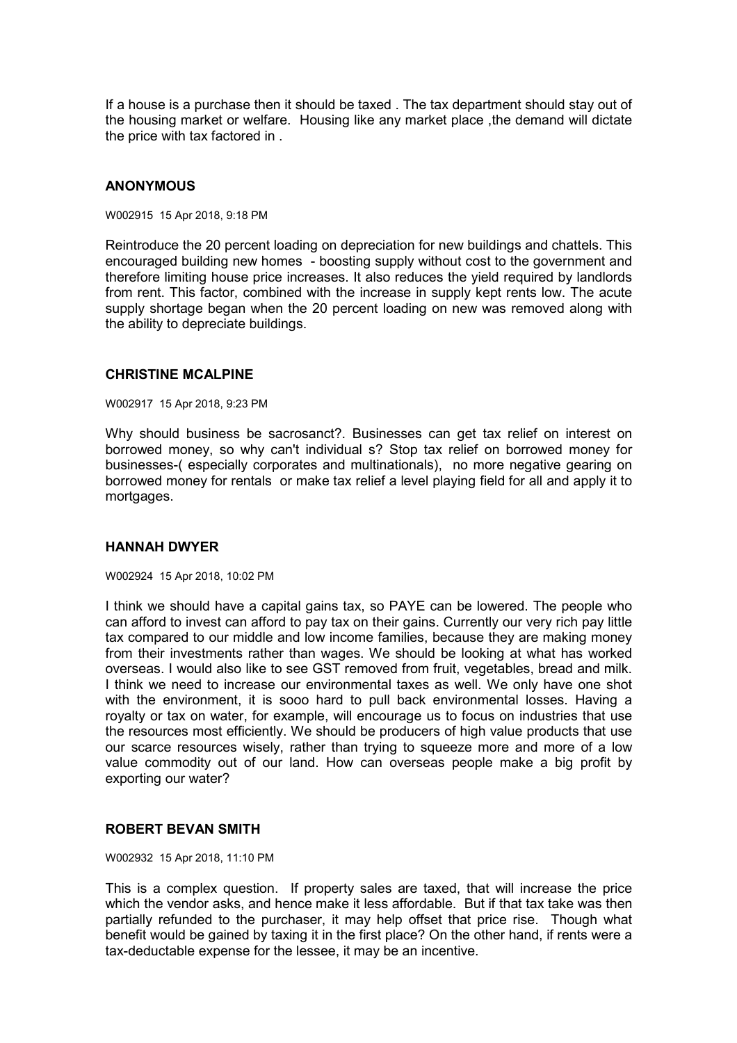If a house is a purchase then it should be taxed . The tax department should stay out of the housing market or welfare. Housing like any market place ,the demand will dictate the price with tax factored in .

## **ANONYMOUS**

W002915 15 Apr 2018, 9:18 PM

Reintroduce the 20 percent loading on depreciation for new buildings and chattels. This encouraged building new homes - boosting supply without cost to the government and therefore limiting house price increases. It also reduces the yield required by landlords from rent. This factor, combined with the increase in supply kept rents low. The acute supply shortage began when the 20 percent loading on new was removed along with the ability to depreciate buildings.

#### **CHRISTINE MCALPINE**

W002917 15 Apr 2018, 9:23 PM

Why should business be sacrosanct?. Businesses can get tax relief on interest on borrowed money, so why can't individual s? Stop tax relief on borrowed money for businesses-( especially corporates and multinationals), no more negative gearing on borrowed money for rentals or make tax relief a level playing field for all and apply it to mortgages.

### **HANNAH DWYER**

#### W002924 15 Apr 2018, 10:02 PM

I think we should have a capital gains tax, so PAYE can be lowered. The people who can afford to invest can afford to pay tax on their gains. Currently our very rich pay little tax compared to our middle and low income families, because they are making money from their investments rather than wages. We should be looking at what has worked overseas. I would also like to see GST removed from fruit, vegetables, bread and milk. I think we need to increase our environmental taxes as well. We only have one shot with the environment, it is sooo hard to pull back environmental losses. Having a royalty or tax on water, for example, will encourage us to focus on industries that use the resources most efficiently. We should be producers of high value products that use our scarce resources wisely, rather than trying to squeeze more and more of a low value commodity out of our land. How can overseas people make a big profit by exporting our water?

### **ROBERT BEVAN SMITH**

W002932 15 Apr 2018, 11:10 PM

This is a complex question. If property sales are taxed, that will increase the price which the vendor asks, and hence make it less affordable. But if that tax take was then partially refunded to the purchaser, it may help offset that price rise. Though what benefit would be gained by taxing it in the first place? On the other hand, if rents were a tax-deductable expense for the lessee, it may be an incentive.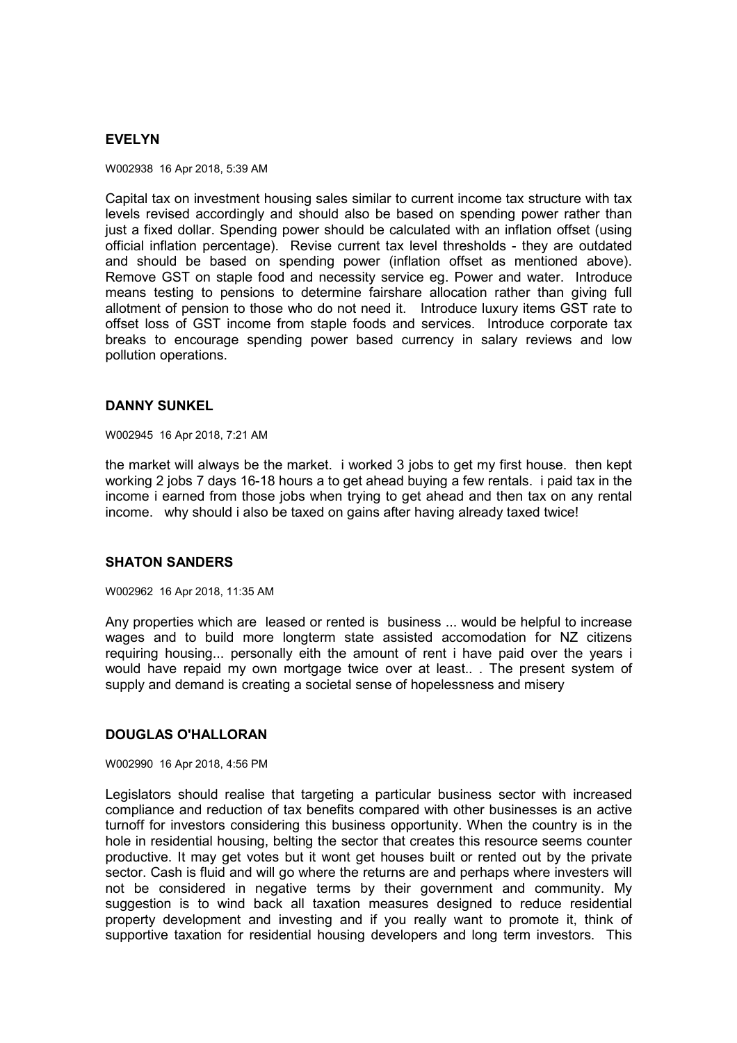## **EVELYN**

W002938 16 Apr 2018, 5:39 AM

Capital tax on investment housing sales similar to current income tax structure with tax levels revised accordingly and should also be based on spending power rather than just a fixed dollar. Spending power should be calculated with an inflation offset (using official inflation percentage). Revise current tax level thresholds - they are outdated and should be based on spending power (inflation offset as mentioned above). Remove GST on staple food and necessity service eg. Power and water. Introduce means testing to pensions to determine fairshare allocation rather than giving full allotment of pension to those who do not need it. Introduce luxury items GST rate to offset loss of GST income from staple foods and services. Introduce corporate tax breaks to encourage spending power based currency in salary reviews and low pollution operations.

### **DANNY SUNKEL**

W002945 16 Apr 2018, 7:21 AM

the market will always be the market. i worked 3 jobs to get my first house. then kept working 2 jobs 7 days 16-18 hours a to get ahead buying a few rentals. i paid tax in the income i earned from those jobs when trying to get ahead and then tax on any rental income. why should i also be taxed on gains after having already taxed twice!

# **SHATON SANDERS**

W002962 16 Apr 2018, 11:35 AM

Any properties which are leased or rented is business ... would be helpful to increase wages and to build more longterm state assisted accomodation for NZ citizens requiring housing... personally eith the amount of rent i have paid over the years i would have repaid my own mortgage twice over at least.. . The present system of supply and demand is creating a societal sense of hopelessness and misery

### **DOUGLAS O'HALLORAN**

W002990 16 Apr 2018, 4:56 PM

Legislators should realise that targeting a particular business sector with increased compliance and reduction of tax benefits compared with other businesses is an active turnoff for investors considering this business opportunity. When the country is in the hole in residential housing, belting the sector that creates this resource seems counter productive. It may get votes but it wont get houses built or rented out by the private sector. Cash is fluid and will go where the returns are and perhaps where investers will not be considered in negative terms by their government and community. My suggestion is to wind back all taxation measures designed to reduce residential property development and investing and if you really want to promote it, think of supportive taxation for residential housing developers and long term investors. This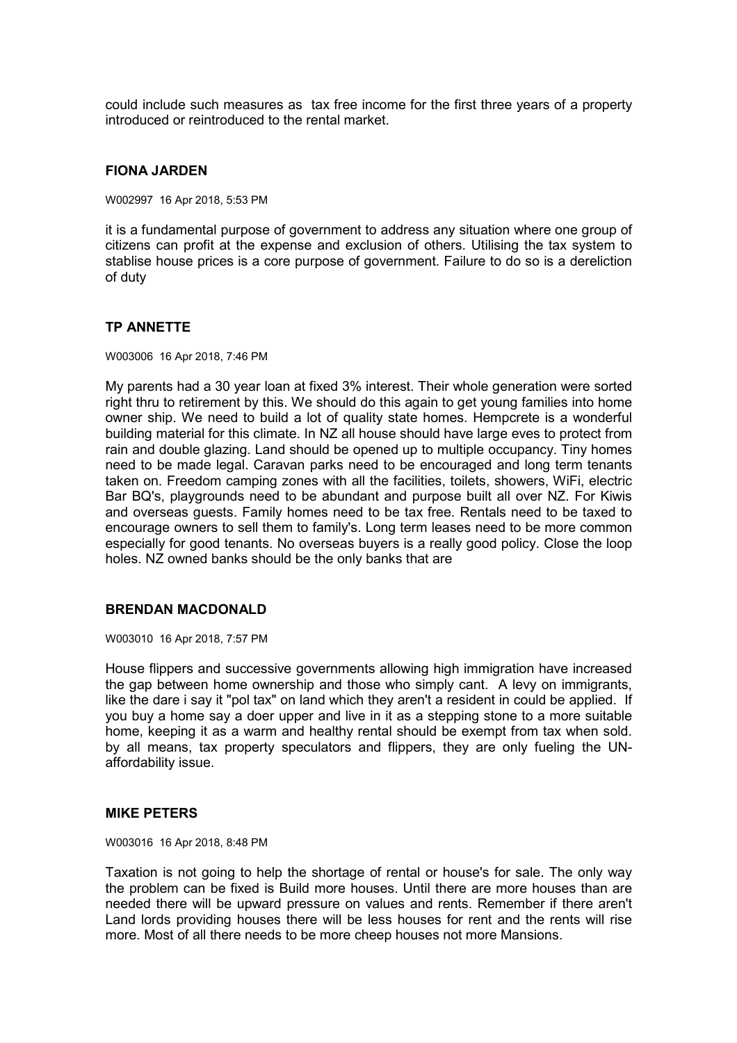could include such measures as tax free income for the first three years of a property introduced or reintroduced to the rental market.

#### **FIONA JARDEN**

W002997 16 Apr 2018, 5:53 PM

it is a fundamental purpose of government to address any situation where one group of citizens can profit at the expense and exclusion of others. Utilising the tax system to stablise house prices is a core purpose of government. Failure to do so is a dereliction of duty

### **TP ANNETTE**

W003006 16 Apr 2018, 7:46 PM

My parents had a 30 year loan at fixed 3% interest. Their whole generation were sorted right thru to retirement by this. We should do this again to get young families into home owner ship. We need to build a lot of quality state homes. Hempcrete is a wonderful building material for this climate. In NZ all house should have large eves to protect from rain and double glazing. Land should be opened up to multiple occupancy. Tiny homes need to be made legal. Caravan parks need to be encouraged and long term tenants taken on. Freedom camping zones with all the facilities, toilets, showers, WiFi, electric Bar BQ's, playgrounds need to be abundant and purpose built all over NZ. For Kiwis and overseas guests. Family homes need to be tax free. Rentals need to be taxed to encourage owners to sell them to family's. Long term leases need to be more common especially for good tenants. No overseas buyers is a really good policy. Close the loop holes. NZ owned banks should be the only banks that are

## **BRENDAN MACDONALD**

W003010 16 Apr 2018, 7:57 PM

House flippers and successive governments allowing high immigration have increased the gap between home ownership and those who simply cant. A levy on immigrants, like the dare i say it "pol tax" on land which they aren't a resident in could be applied. If you buy a home say a doer upper and live in it as a stepping stone to a more suitable home, keeping it as a warm and healthy rental should be exempt from tax when sold. by all means, tax property speculators and flippers, they are only fueling the UNaffordability issue.

### **MIKE PETERS**

W003016 16 Apr 2018, 8:48 PM

Taxation is not going to help the shortage of rental or house's for sale. The only way the problem can be fixed is Build more houses. Until there are more houses than are needed there will be upward pressure on values and rents. Remember if there aren't Land lords providing houses there will be less houses for rent and the rents will rise more. Most of all there needs to be more cheep houses not more Mansions.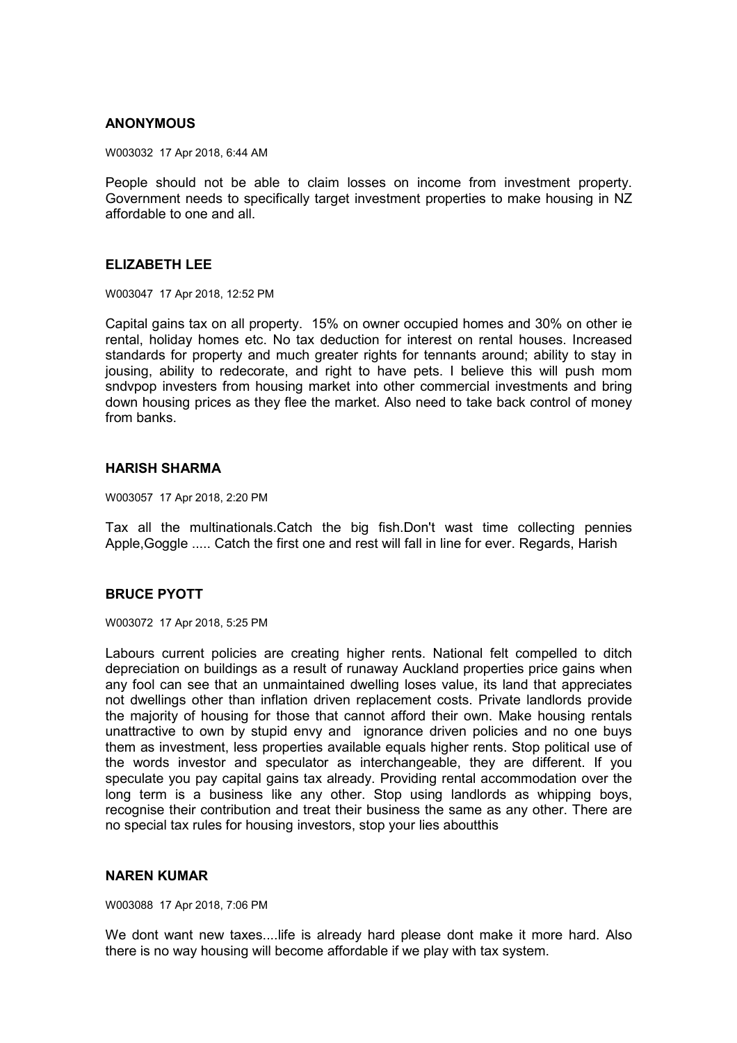### **ANONYMOUS**

W003032 17 Apr 2018, 6:44 AM

People should not be able to claim losses on income from investment property. Government needs to specifically target investment properties to make housing in NZ affordable to one and all.

### **ELIZABETH LEE**

W003047 17 Apr 2018, 12:52 PM

Capital gains tax on all property. 15% on owner occupied homes and 30% on other ie rental, holiday homes etc. No tax deduction for interest on rental houses. Increased standards for property and much greater rights for tennants around; ability to stay in jousing, ability to redecorate, and right to have pets. I believe this will push mom sndvpop investers from housing market into other commercial investments and bring down housing prices as they flee the market. Also need to take back control of money from banks.

## **HARISH SHARMA**

W003057 17 Apr 2018, 2:20 PM

Tax all the multinationals.Catch the big fish.Don't wast time collecting pennies Apple,Goggle ..... Catch the first one and rest will fall in line for ever. Regards, Harish

## **BRUCE PYOTT**

W003072 17 Apr 2018, 5:25 PM

Labours current policies are creating higher rents. National felt compelled to ditch depreciation on buildings as a result of runaway Auckland properties price gains when any fool can see that an unmaintained dwelling loses value, its land that appreciates not dwellings other than inflation driven replacement costs. Private landlords provide the majority of housing for those that cannot afford their own. Make housing rentals unattractive to own by stupid envy and ignorance driven policies and no one buys them as investment, less properties available equals higher rents. Stop political use of the words investor and speculator as interchangeable, they are different. If you speculate you pay capital gains tax already. Providing rental accommodation over the long term is a business like any other. Stop using landlords as whipping boys, recognise their contribution and treat their business the same as any other. There are no special tax rules for housing investors, stop your lies aboutthis

### **NAREN KUMAR**

W003088 17 Apr 2018, 7:06 PM

We dont want new taxes....life is already hard please dont make it more hard. Also there is no way housing will become affordable if we play with tax system.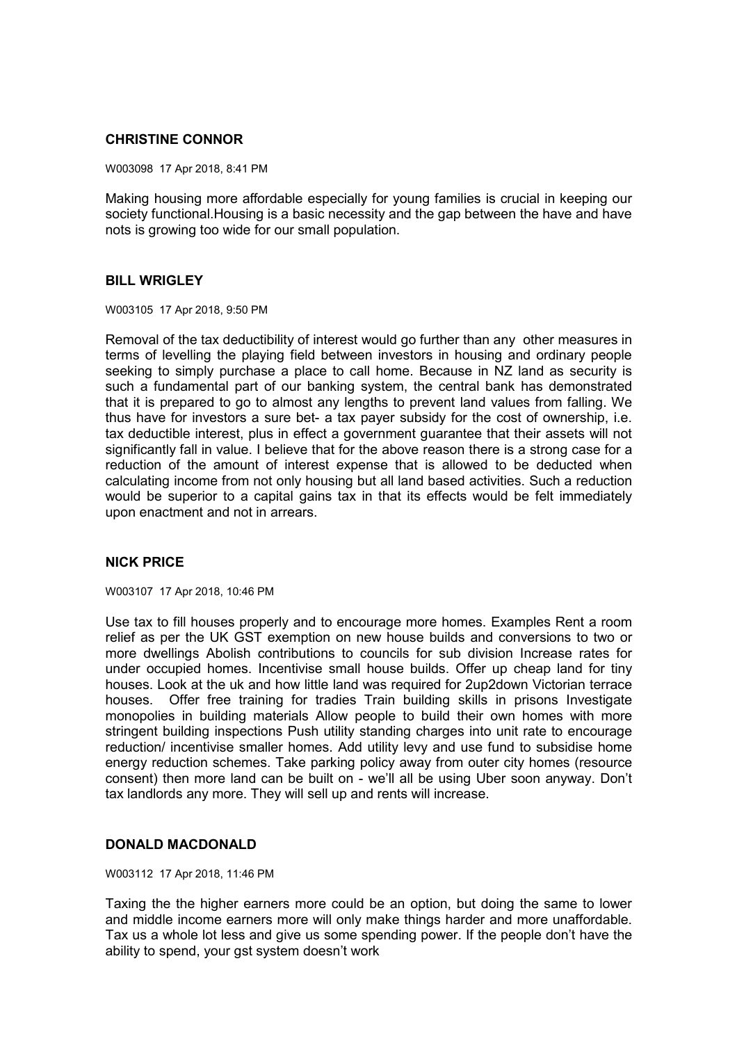# **CHRISTINE CONNOR**

W003098 17 Apr 2018, 8:41 PM

Making housing more affordable especially for young families is crucial in keeping our society functional.Housing is a basic necessity and the gap between the have and have nots is growing too wide for our small population.

## **BILL WRIGLEY**

W003105 17 Apr 2018, 9:50 PM

Removal of the tax deductibility of interest would go further than any other measures in terms of levelling the playing field between investors in housing and ordinary people seeking to simply purchase a place to call home. Because in NZ land as security is such a fundamental part of our banking system, the central bank has demonstrated that it is prepared to go to almost any lengths to prevent land values from falling. We thus have for investors a sure bet- a tax payer subsidy for the cost of ownership, i.e. tax deductible interest, plus in effect a government guarantee that their assets will not significantly fall in value. I believe that for the above reason there is a strong case for a reduction of the amount of interest expense that is allowed to be deducted when calculating income from not only housing but all land based activities. Such a reduction would be superior to a capital gains tax in that its effects would be felt immediately upon enactment and not in arrears.

## **NICK PRICE**

W003107 17 Apr 2018, 10:46 PM

Use tax to fill houses properly and to encourage more homes. Examples Rent a room relief as per the UK GST exemption on new house builds and conversions to two or more dwellings Abolish contributions to councils for sub division Increase rates for under occupied homes. Incentivise small house builds. Offer up cheap land for tiny houses. Look at the uk and how little land was required for 2up2down Victorian terrace houses. Offer free training for tradies Train building skills in prisons Investigate monopolies in building materials Allow people to build their own homes with more stringent building inspections Push utility standing charges into unit rate to encourage reduction/ incentivise smaller homes. Add utility levy and use fund to subsidise home energy reduction schemes. Take parking policy away from outer city homes (resource consent) then more land can be built on - we'll all be using Uber soon anyway. Don't tax landlords any more. They will sell up and rents will increase.

### **DONALD MACDONALD**

W003112 17 Apr 2018, 11:46 PM

Taxing the the higher earners more could be an option, but doing the same to lower and middle income earners more will only make things harder and more unaffordable. Tax us a whole lot less and give us some spending power. If the people don't have the ability to spend, your gst system doesn't work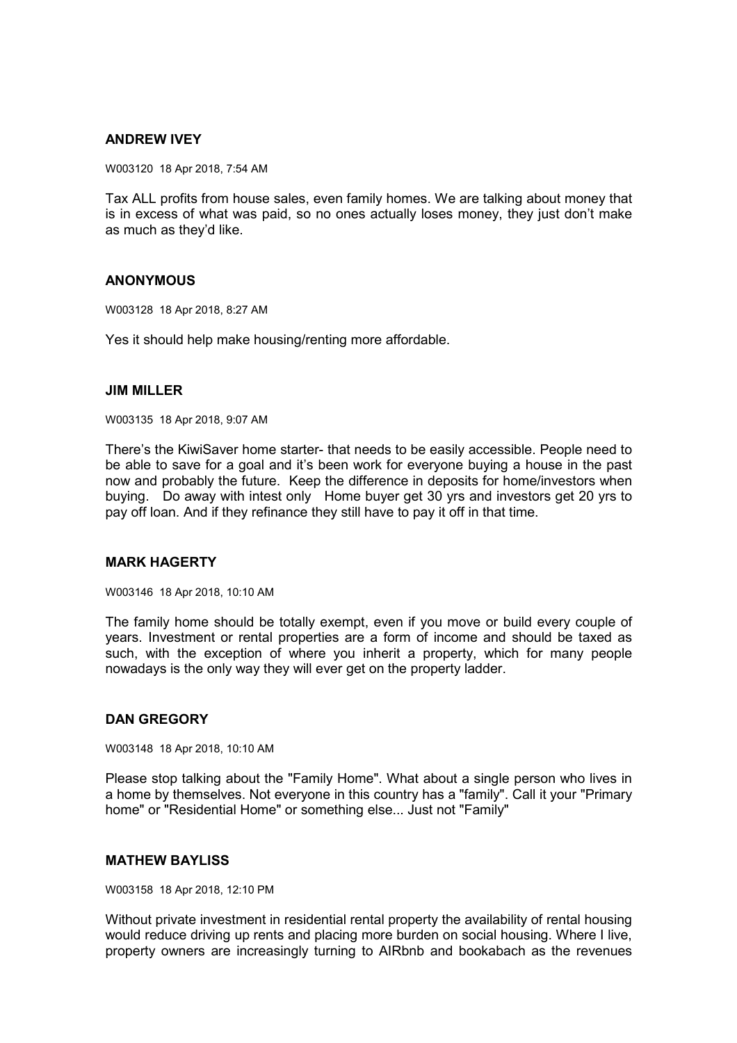## **ANDREW IVEY**

W003120 18 Apr 2018, 7:54 AM

Tax ALL profits from house sales, even family homes. We are talking about money that is in excess of what was paid, so no ones actually loses money, they just don't make as much as they'd like.

### **ANONYMOUS**

W003128 18 Apr 2018, 8:27 AM

Yes it should help make housing/renting more affordable.

#### **JIM MILLER**

W003135 18 Apr 2018, 9:07 AM

There's the KiwiSaver home starter- that needs to be easily accessible. People need to be able to save for a goal and it's been work for everyone buying a house in the past now and probably the future. Keep the difference in deposits for home/investors when buying. Do away with intest only Home buyer get 30 yrs and investors get 20 yrs to pay off loan. And if they refinance they still have to pay it off in that time.

## **MARK HAGERTY**

W003146 18 Apr 2018, 10:10 AM

The family home should be totally exempt, even if you move or build every couple of years. Investment or rental properties are a form of income and should be taxed as such, with the exception of where you inherit a property, which for many people nowadays is the only way they will ever get on the property ladder.

### **DAN GREGORY**

W003148 18 Apr 2018, 10:10 AM

Please stop talking about the "Family Home". What about a single person who lives in a home by themselves. Not everyone in this country has a "family". Call it your "Primary home" or "Residential Home" or something else... Just not "Family"

### **MATHEW BAYLISS**

W003158 18 Apr 2018, 12:10 PM

Without private investment in residential rental property the availability of rental housing would reduce driving up rents and placing more burden on social housing. Where I live, property owners are increasingly turning to AIRbnb and bookabach as the revenues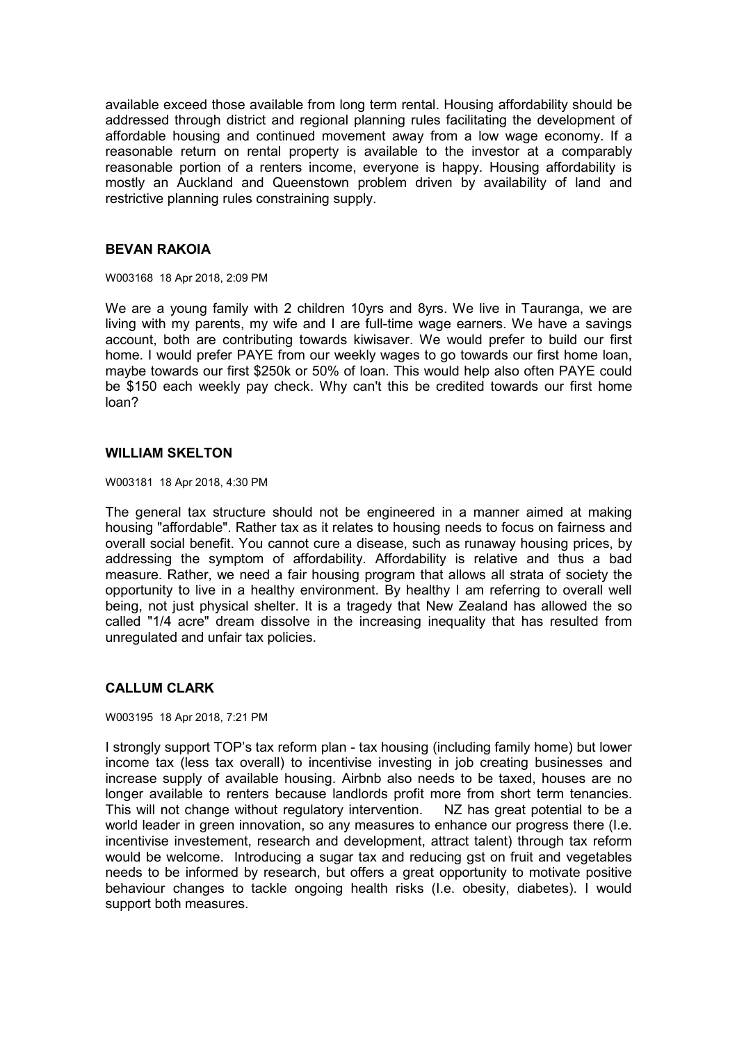available exceed those available from long term rental. Housing affordability should be addressed through district and regional planning rules facilitating the development of affordable housing and continued movement away from a low wage economy. If a reasonable return on rental property is available to the investor at a comparably reasonable portion of a renters income, everyone is happy. Housing affordability is mostly an Auckland and Queenstown problem driven by availability of land and restrictive planning rules constraining supply.

## **BEVAN RAKOIA**

W003168 18 Apr 2018, 2:09 PM

We are a young family with 2 children 10yrs and 8yrs. We live in Tauranga, we are living with my parents, my wife and I are full-time wage earners. We have a savings account, both are contributing towards kiwisaver. We would prefer to build our first home. I would prefer PAYE from our weekly wages to go towards our first home loan, maybe towards our first \$250k or 50% of loan. This would help also often PAYE could be \$150 each weekly pay check. Why can't this be credited towards our first home loan?

#### **WILLIAM SKELTON**

W003181 18 Apr 2018, 4:30 PM

The general tax structure should not be engineered in a manner aimed at making housing "affordable". Rather tax as it relates to housing needs to focus on fairness and overall social benefit. You cannot cure a disease, such as runaway housing prices, by addressing the symptom of affordability. Affordability is relative and thus a bad measure. Rather, we need a fair housing program that allows all strata of society the opportunity to live in a healthy environment. By healthy I am referring to overall well being, not just physical shelter. It is a tragedy that New Zealand has allowed the so called "1/4 acre" dream dissolve in the increasing inequality that has resulted from unregulated and unfair tax policies.

### **CALLUM CLARK**

W003195 18 Apr 2018, 7:21 PM

I strongly support TOP's tax reform plan - tax housing (including family home) but lower income tax (less tax overall) to incentivise investing in job creating businesses and increase supply of available housing. Airbnb also needs to be taxed, houses are no longer available to renters because landlords profit more from short term tenancies. This will not change without regulatory intervention. NZ has great potential to be a world leader in green innovation, so any measures to enhance our progress there (I.e. incentivise investement, research and development, attract talent) through tax reform would be welcome. Introducing a sugar tax and reducing gst on fruit and vegetables needs to be informed by research, but offers a great opportunity to motivate positive behaviour changes to tackle ongoing health risks (I.e. obesity, diabetes). I would support both measures.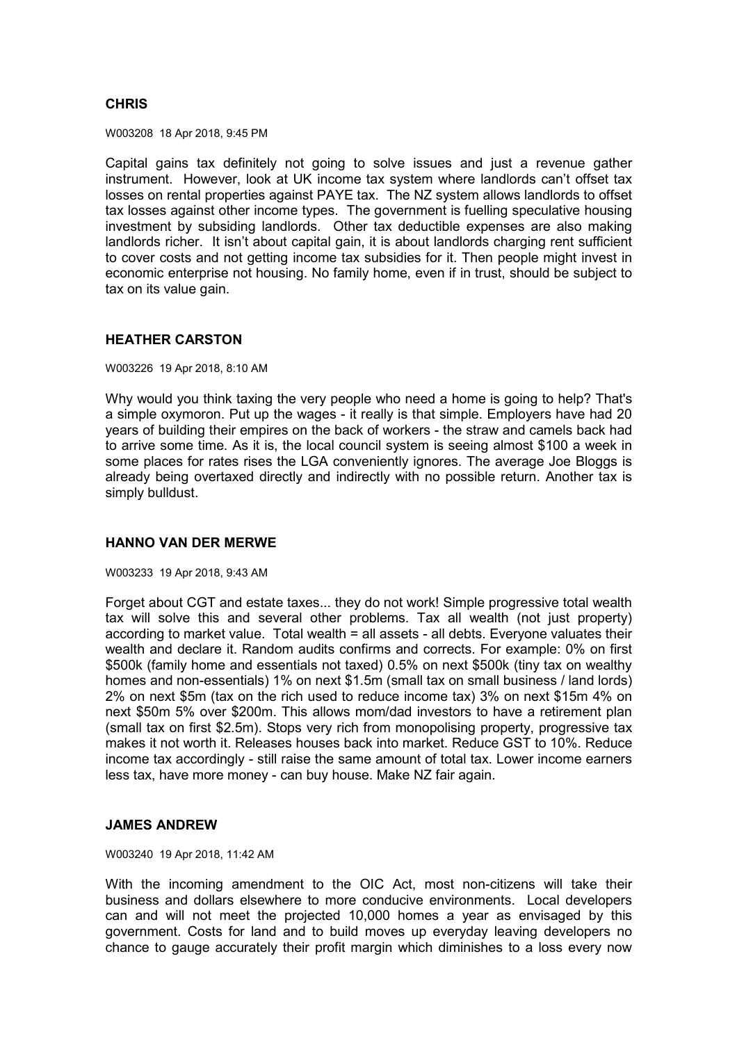# **CHRIS**

W003208 18 Apr 2018, 9:45 PM

Capital gains tax definitely not going to solve issues and just a revenue gather instrument. However, look at UK income tax system where landlords can't offset tax losses on rental properties against PAYE tax. The NZ system allows landlords to offset tax losses against other income types. The government is fuelling speculative housing investment by subsiding landlords. Other tax deductible expenses are also making landlords richer. It isn't about capital gain, it is about landlords charging rent sufficient to cover costs and not getting income tax subsidies for it. Then people might invest in economic enterprise not housing. No family home, even if in trust, should be subject to tax on its value gain.

## **HEATHER CARSTON**

#### W003226 19 Apr 2018, 8:10 AM

Why would you think taxing the very people who need a home is going to help? That's a simple oxymoron. Put up the wages - it really is that simple. Employers have had 20 years of building their empires on the back of workers - the straw and camels back had to arrive some time. As it is, the local council system is seeing almost \$100 a week in some places for rates rises the LGA conveniently ignores. The average Joe Bloggs is already being overtaxed directly and indirectly with no possible return. Another tax is simply bulldust.

### **HANNO VAN DER MERWE**

#### W003233 19 Apr 2018, 9:43 AM

Forget about CGT and estate taxes... they do not work! Simple progressive total wealth tax will solve this and several other problems. Tax all wealth (not just property) according to market value. Total wealth = all assets - all debts. Everyone valuates their wealth and declare it. Random audits confirms and corrects. For example: 0% on first \$500k (family home and essentials not taxed) 0.5% on next \$500k (tiny tax on wealthy homes and non-essentials) 1% on next \$1.5m (small tax on small business / land lords) 2% on next \$5m (tax on the rich used to reduce income tax) 3% on next \$15m 4% on next \$50m 5% over \$200m. This allows mom/dad investors to have a retirement plan (small tax on first \$2.5m). Stops very rich from monopolising property, progressive tax makes it not worth it. Releases houses back into market. Reduce GST to 10%. Reduce income tax accordingly - still raise the same amount of total tax. Lower income earners less tax, have more money - can buy house. Make NZ fair again.

## **JAMES ANDREW**

#### W003240 19 Apr 2018, 11:42 AM

With the incoming amendment to the OIC Act, most non-citizens will take their business and dollars elsewhere to more conducive environments. Local developers can and will not meet the projected 10,000 homes a year as envisaged by this government. Costs for land and to build moves up everyday leaving developers no chance to gauge accurately their profit margin which diminishes to a loss every now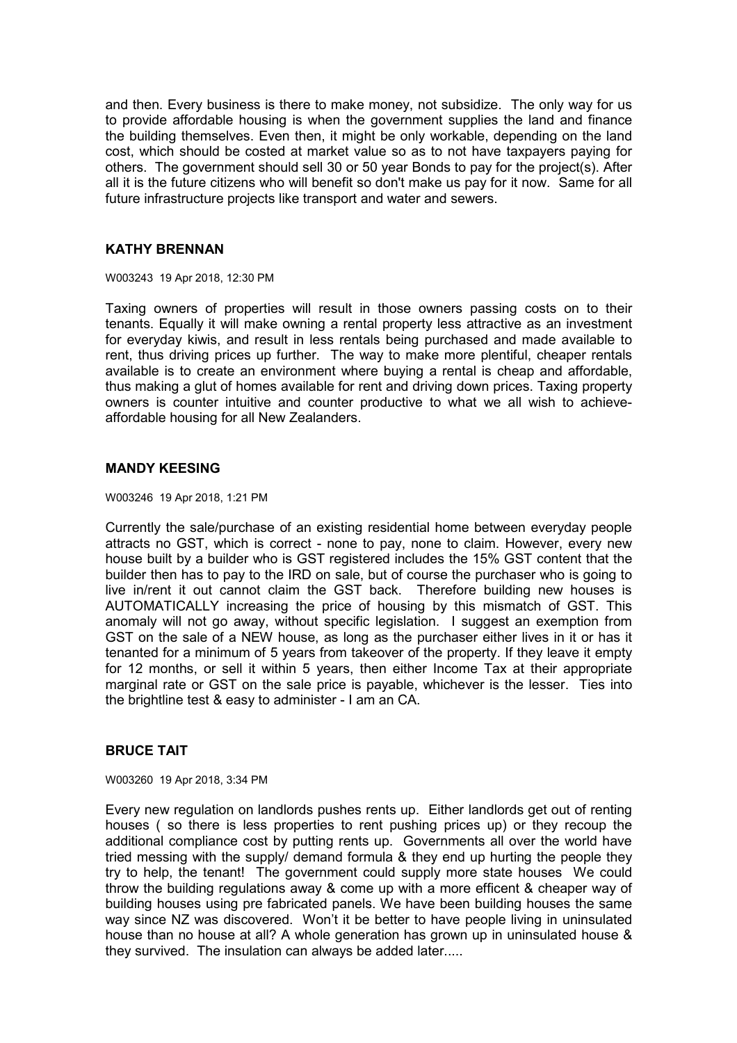and then. Every business is there to make money, not subsidize. The only way for us to provide affordable housing is when the government supplies the land and finance the building themselves. Even then, it might be only workable, depending on the land cost, which should be costed at market value so as to not have taxpayers paying for others. The government should sell 30 or 50 year Bonds to pay for the project(s). After all it is the future citizens who will benefit so don't make us pay for it now. Same for all future infrastructure projects like transport and water and sewers.

## **KATHY BRENNAN**

W003243 19 Apr 2018, 12:30 PM

Taxing owners of properties will result in those owners passing costs on to their tenants. Equally it will make owning a rental property less attractive as an investment for everyday kiwis, and result in less rentals being purchased and made available to rent, thus driving prices up further. The way to make more plentiful, cheaper rentals available is to create an environment where buying a rental is cheap and affordable, thus making a glut of homes available for rent and driving down prices. Taxing property owners is counter intuitive and counter productive to what we all wish to achieveaffordable housing for all New Zealanders.

## **MANDY KEESING**

W003246 19 Apr 2018, 1:21 PM

Currently the sale/purchase of an existing residential home between everyday people attracts no GST, which is correct - none to pay, none to claim. However, every new house built by a builder who is GST registered includes the 15% GST content that the builder then has to pay to the IRD on sale, but of course the purchaser who is going to live in/rent it out cannot claim the GST back. Therefore building new houses is AUTOMATICALLY increasing the price of housing by this mismatch of GST. This anomaly will not go away, without specific legislation. I suggest an exemption from GST on the sale of a NEW house, as long as the purchaser either lives in it or has it tenanted for a minimum of 5 years from takeover of the property. If they leave it empty for 12 months, or sell it within 5 years, then either Income Tax at their appropriate marginal rate or GST on the sale price is payable, whichever is the lesser. Ties into the brightline test & easy to administer - I am an CA.

### **BRUCE TAIT**

W003260 19 Apr 2018, 3:34 PM

Every new regulation on landlords pushes rents up. Either landlords get out of renting houses ( so there is less properties to rent pushing prices up) or they recoup the additional compliance cost by putting rents up. Governments all over the world have tried messing with the supply/ demand formula & they end up hurting the people they try to help, the tenant! The government could supply more state houses We could throw the building regulations away & come up with a more efficent & cheaper way of building houses using pre fabricated panels. We have been building houses the same way since NZ was discovered. Won't it be better to have people living in uninsulated house than no house at all? A whole generation has grown up in uninsulated house & they survived. The insulation can always be added later.....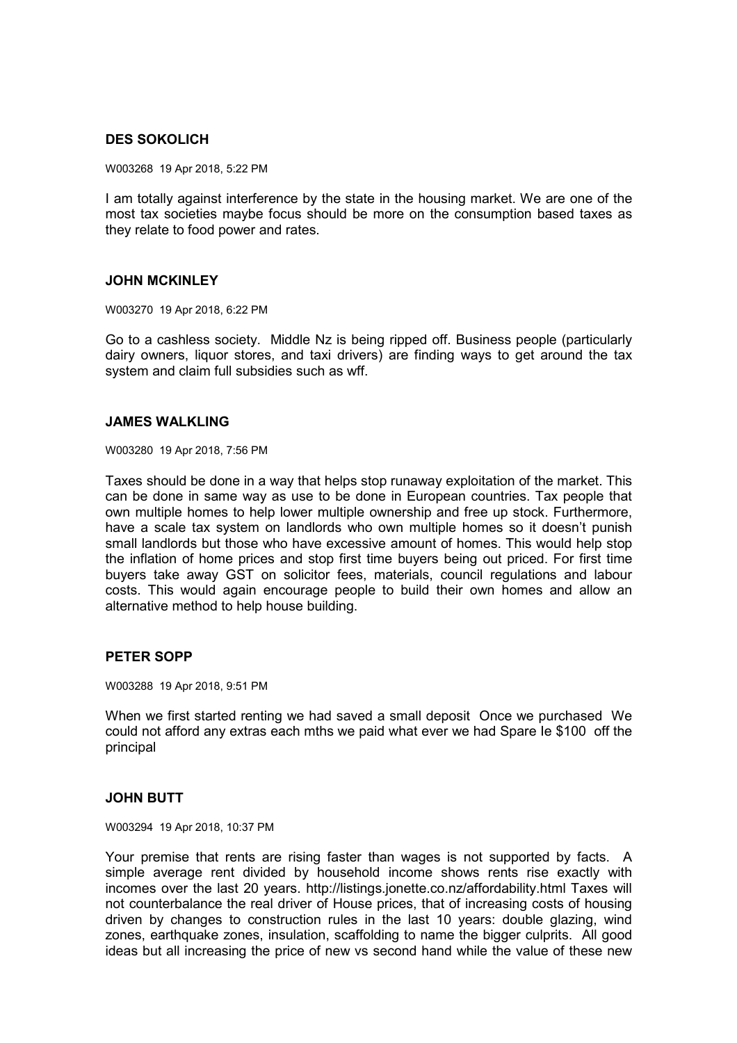# **DES SOKOLICH**

W003268 19 Apr 2018, 5:22 PM

I am totally against interference by the state in the housing market. We are one of the most tax societies maybe focus should be more on the consumption based taxes as they relate to food power and rates.

## **JOHN MCKINLEY**

W003270 19 Apr 2018, 6:22 PM

Go to a cashless society. Middle Nz is being ripped off. Business people (particularly dairy owners, liquor stores, and taxi drivers) are finding ways to get around the tax system and claim full subsidies such as wff.

#### **JAMES WALKLING**

W003280 19 Apr 2018, 7:56 PM

Taxes should be done in a way that helps stop runaway exploitation of the market. This can be done in same way as use to be done in European countries. Tax people that own multiple homes to help lower multiple ownership and free up stock. Furthermore, have a scale tax system on landlords who own multiple homes so it doesn't punish small landlords but those who have excessive amount of homes. This would help stop the inflation of home prices and stop first time buyers being out priced. For first time buyers take away GST on solicitor fees, materials, council regulations and labour costs. This would again encourage people to build their own homes and allow an alternative method to help house building.

### **PETER SOPP**

W003288 19 Apr 2018, 9:51 PM

When we first started renting we had saved a small deposit Once we purchased We could not afford any extras each mths we paid what ever we had Spare Ie \$100 off the principal

### **JOHN BUTT**

W003294 19 Apr 2018, 10:37 PM

Your premise that rents are rising faster than wages is not supported by facts. A simple average rent divided by household income shows rents rise exactly with incomes over the last 20 years. http://listings.jonette.co.nz/affordability.html Taxes will not counterbalance the real driver of House prices, that of increasing costs of housing driven by changes to construction rules in the last 10 years: double glazing, wind zones, earthquake zones, insulation, scaffolding to name the bigger culprits. All good ideas but all increasing the price of new vs second hand while the value of these new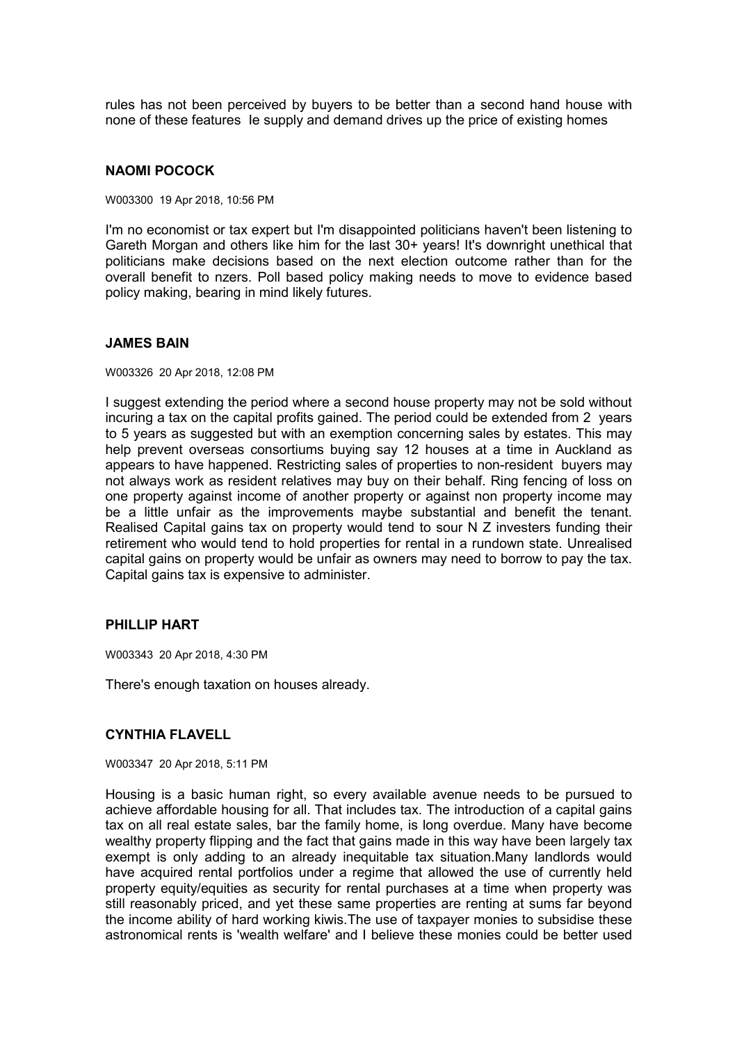rules has not been perceived by buyers to be better than a second hand house with none of these features Ie supply and demand drives up the price of existing homes

#### **NAOMI POCOCK**

W003300 19 Apr 2018, 10:56 PM

I'm no economist or tax expert but I'm disappointed politicians haven't been listening to Gareth Morgan and others like him for the last 30+ years! It's downright unethical that politicians make decisions based on the next election outcome rather than for the overall benefit to nzers. Poll based policy making needs to move to evidence based policy making, bearing in mind likely futures.

#### **JAMES BAIN**

W003326 20 Apr 2018, 12:08 PM

I suggest extending the period where a second house property may not be sold without incuring a tax on the capital profits gained. The period could be extended from 2 years to 5 years as suggested but with an exemption concerning sales by estates. This may help prevent overseas consortiums buying say 12 houses at a time in Auckland as appears to have happened. Restricting sales of properties to non-resident buyers may not always work as resident relatives may buy on their behalf. Ring fencing of loss on one property against income of another property or against non property income may be a little unfair as the improvements maybe substantial and benefit the tenant. Realised Capital gains tax on property would tend to sour N Z investers funding their retirement who would tend to hold properties for rental in a rundown state. Unrealised capital gains on property would be unfair as owners may need to borrow to pay the tax. Capital gains tax is expensive to administer.

### **PHILLIP HART**

W003343 20 Apr 2018, 4:30 PM

There's enough taxation on houses already.

### **CYNTHIA FLAVELL**

W003347 20 Apr 2018, 5:11 PM

Housing is a basic human right, so every available avenue needs to be pursued to achieve affordable housing for all. That includes tax. The introduction of a capital gains tax on all real estate sales, bar the family home, is long overdue. Many have become wealthy property flipping and the fact that gains made in this way have been largely tax exempt is only adding to an already inequitable tax situation.Many landlords would have acquired rental portfolios under a regime that allowed the use of currently held property equity/equities as security for rental purchases at a time when property was still reasonably priced, and yet these same properties are renting at sums far beyond the income ability of hard working kiwis.The use of taxpayer monies to subsidise these astronomical rents is 'wealth welfare' and I believe these monies could be better used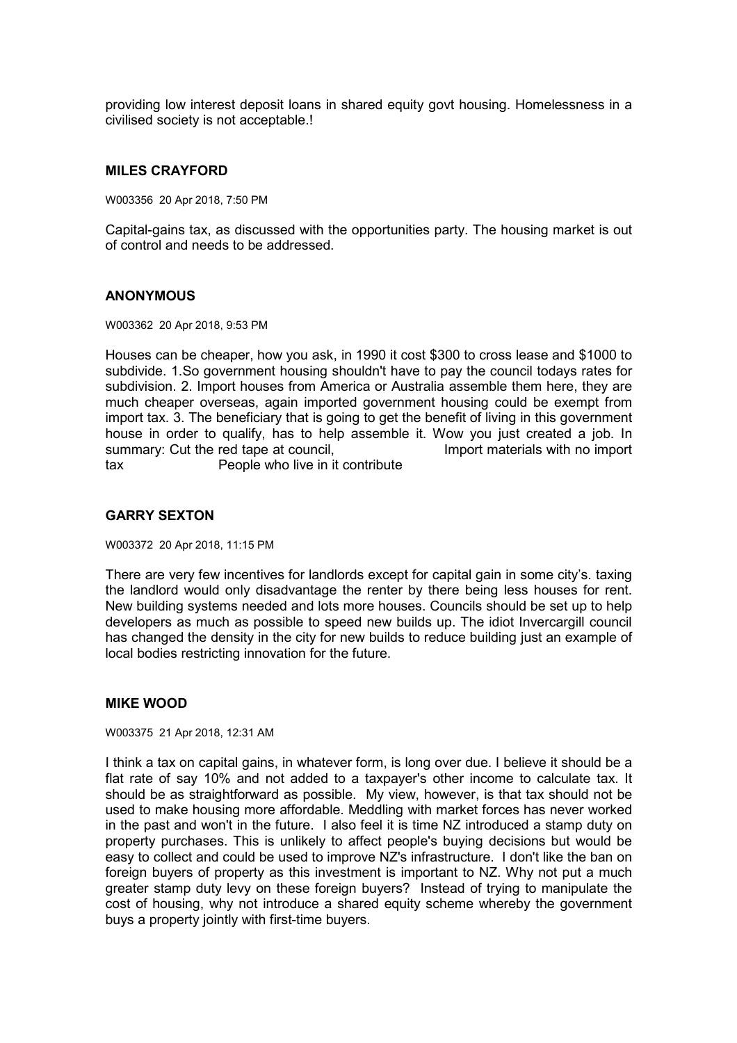providing low interest deposit loans in shared equity govt housing. Homelessness in a civilised society is not acceptable.!

#### **MILES CRAYFORD**

W003356 20 Apr 2018, 7:50 PM

Capital-gains tax, as discussed with the opportunities party. The housing market is out of control and needs to be addressed.

### **ANONYMOUS**

W003362 20 Apr 2018, 9:53 PM

Houses can be cheaper, how you ask, in 1990 it cost \$300 to cross lease and \$1000 to subdivide. 1.So government housing shouldn't have to pay the council todays rates for subdivision. 2. Import houses from America or Australia assemble them here, they are much cheaper overseas, again imported government housing could be exempt from import tax. 3. The beneficiary that is going to get the benefit of living in this government house in order to qualify, has to help assemble it. Wow you just created a job. In summary: Cut the red tape at council, The Summary: Cut the red tape at council,  $\blacksquare$ tax People who live in it contribute

#### **GARRY SEXTON**

W003372 20 Apr 2018, 11:15 PM

There are very few incentives for landlords except for capital gain in some city's. taxing the landlord would only disadvantage the renter by there being less houses for rent. New building systems needed and lots more houses. Councils should be set up to help developers as much as possible to speed new builds up. The idiot Invercargill council has changed the density in the city for new builds to reduce building just an example of local bodies restricting innovation for the future.

### **MIKE WOOD**

W003375 21 Apr 2018, 12:31 AM

I think a tax on capital gains, in whatever form, is long over due. I believe it should be a flat rate of say 10% and not added to a taxpayer's other income to calculate tax. It should be as straightforward as possible. My view, however, is that tax should not be used to make housing more affordable. Meddling with market forces has never worked in the past and won't in the future. I also feel it is time NZ introduced a stamp duty on property purchases. This is unlikely to affect people's buying decisions but would be easy to collect and could be used to improve NZ's infrastructure. I don't like the ban on foreign buyers of property as this investment is important to NZ. Why not put a much greater stamp duty levy on these foreign buyers? Instead of trying to manipulate the cost of housing, why not introduce a shared equity scheme whereby the government buys a property jointly with first-time buyers.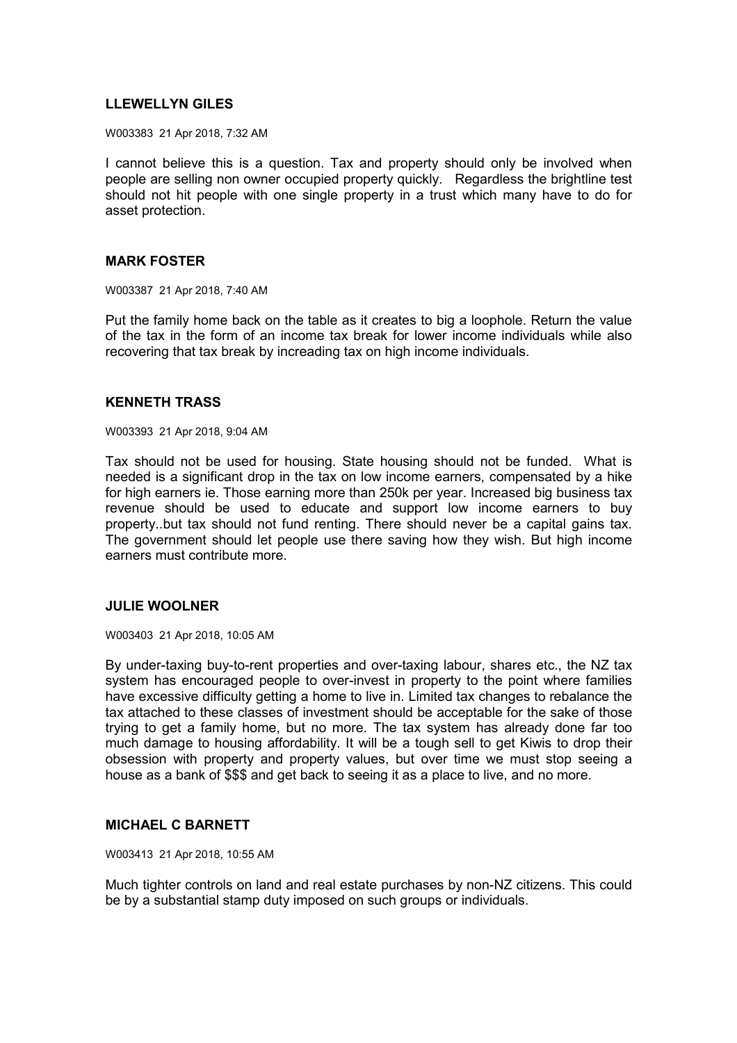# **LLEWELLYN GILES**

W003383 21 Apr 2018, 7:32 AM

I cannot believe this is a question. Tax and property should only be involved when people are selling non owner occupied property quickly. Regardless the brightline test should not hit people with one single property in a trust which many have to do for asset protection.

### **MARK FOSTER**

W003387 21 Apr 2018, 7:40 AM

Put the family home back on the table as it creates to big a loophole. Return the value of the tax in the form of an income tax break for lower income individuals while also recovering that tax break by increading tax on high income individuals.

# **KENNETH TRASS**

W003393 21 Apr 2018, 9:04 AM

Tax should not be used for housing. State housing should not be funded. What is needed is a significant drop in the tax on low income earners, compensated by a hike for high earners ie. Those earning more than 250k per year. Increased big business tax revenue should be used to educate and support low income earners to buy property..but tax should not fund renting. There should never be a capital gains tax. The government should let people use there saving how they wish. But high income earners must contribute more.

#### **JULIE WOOLNER**

W003403 21 Apr 2018, 10:05 AM

By under-taxing buy-to-rent properties and over-taxing labour, shares etc., the NZ tax system has encouraged people to over-invest in property to the point where families have excessive difficulty getting a home to live in. Limited tax changes to rebalance the tax attached to these classes of investment should be acceptable for the sake of those trying to get a family home, but no more. The tax system has already done far too much damage to housing affordability. It will be a tough sell to get Kiwis to drop their obsession with property and property values, but over time we must stop seeing a house as a bank of \$\$\$ and get back to seeing it as a place to live, and no more.

## **MICHAEL C BARNETT**

W003413 21 Apr 2018, 10:55 AM

Much tighter controls on land and real estate purchases by non-NZ citizens. This could be by a substantial stamp duty imposed on such groups or individuals.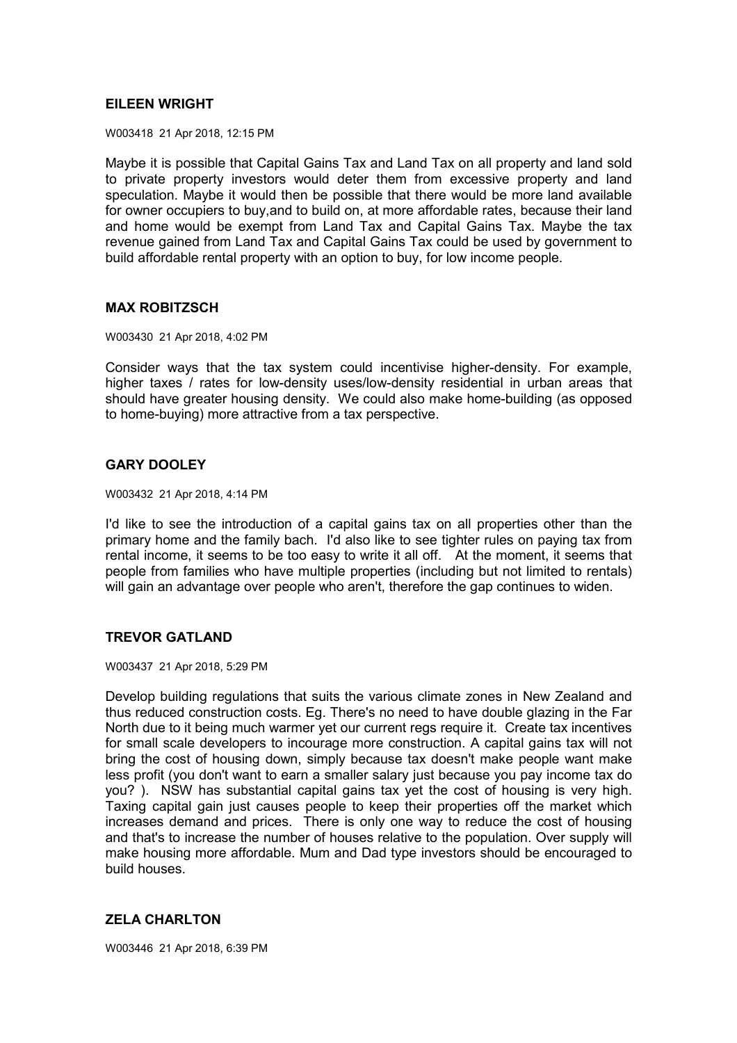### **EILEEN WRIGHT**

W003418 21 Apr 2018, 12:15 PM

Maybe it is possible that Capital Gains Tax and Land Tax on all property and land sold to private property investors would deter them from excessive property and land speculation. Maybe it would then be possible that there would be more land available for owner occupiers to buy,and to build on, at more affordable rates, because their land and home would be exempt from Land Tax and Capital Gains Tax. Maybe the tax revenue gained from Land Tax and Capital Gains Tax could be used by government to build affordable rental property with an option to buy, for low income people.

### **MAX ROBITZSCH**

W003430 21 Apr 2018, 4:02 PM

Consider ways that the tax system could incentivise higher-density. For example, higher taxes / rates for low-density uses/low-density residential in urban areas that should have greater housing density. We could also make home-building (as opposed to home-buying) more attractive from a tax perspective.

## **GARY DOOLEY**

W003432 21 Apr 2018, 4:14 PM

I'd like to see the introduction of a capital gains tax on all properties other than the primary home and the family bach. I'd also like to see tighter rules on paying tax from rental income, it seems to be too easy to write it all off. At the moment, it seems that people from families who have multiple properties (including but not limited to rentals) will gain an advantage over people who aren't, therefore the gap continues to widen.

## **TREVOR GATLAND**

W003437 21 Apr 2018, 5:29 PM

Develop building regulations that suits the various climate zones in New Zealand and thus reduced construction costs. Eg. There's no need to have double glazing in the Far North due to it being much warmer yet our current regs require it. Create tax incentives for small scale developers to incourage more construction. A capital gains tax will not bring the cost of housing down, simply because tax doesn't make people want make less profit (you don't want to earn a smaller salary just because you pay income tax do you? ). NSW has substantial capital gains tax yet the cost of housing is very high. Taxing capital gain just causes people to keep their properties off the market which increases demand and prices. There is only one way to reduce the cost of housing and that's to increase the number of houses relative to the population. Over supply will make housing more affordable. Mum and Dad type investors should be encouraged to build houses.

## **ZELA CHARLTON**

W003446 21 Apr 2018, 6:39 PM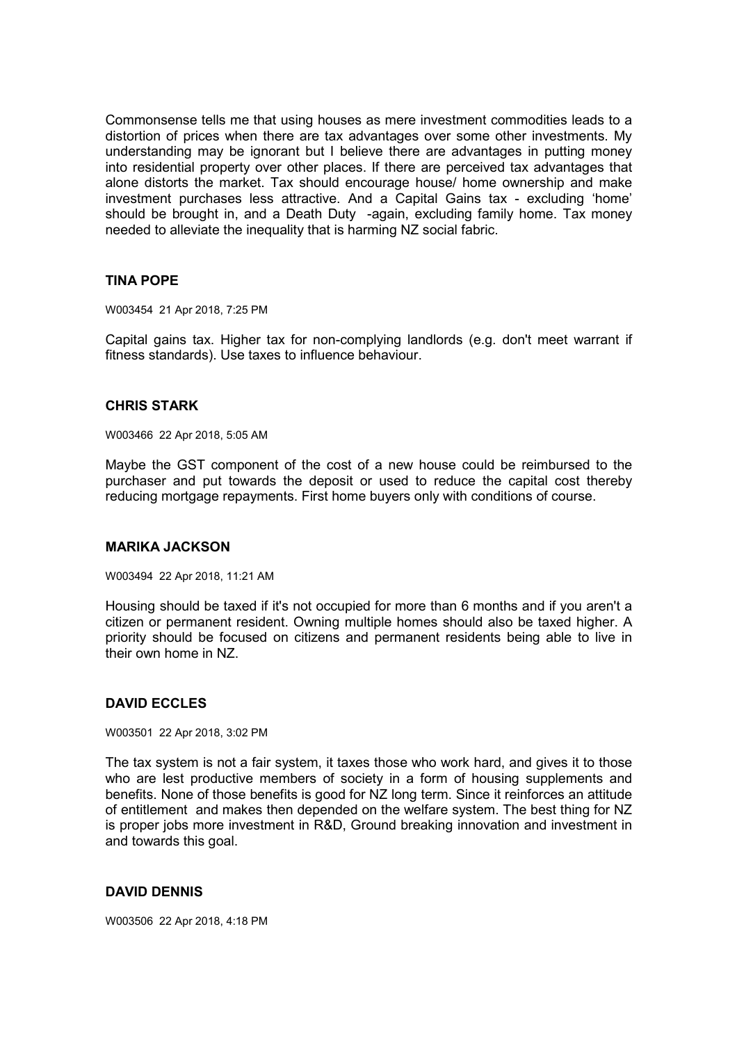Commonsense tells me that using houses as mere investment commodities leads to a distortion of prices when there are tax advantages over some other investments. My understanding may be ignorant but I believe there are advantages in putting money into residential property over other places. If there are perceived tax advantages that alone distorts the market. Tax should encourage house/ home ownership and make investment purchases less attractive. And a Capital Gains tax - excluding 'home' should be brought in, and a Death Duty -again, excluding family home. Tax money needed to alleviate the inequality that is harming NZ social fabric.

## **TINA POPE**

W003454 21 Apr 2018, 7:25 PM

Capital gains tax. Higher tax for non-complying landlords (e.g. don't meet warrant if fitness standards). Use taxes to influence behaviour.

## **CHRIS STARK**

W003466 22 Apr 2018, 5:05 AM

Maybe the GST component of the cost of a new house could be reimbursed to the purchaser and put towards the deposit or used to reduce the capital cost thereby reducing mortgage repayments. First home buyers only with conditions of course.

#### **MARIKA JACKSON**

W003494 22 Apr 2018, 11:21 AM

Housing should be taxed if it's not occupied for more than 6 months and if you aren't a citizen or permanent resident. Owning multiple homes should also be taxed higher. A priority should be focused on citizens and permanent residents being able to live in their own home in NZ.

## **DAVID ECCLES**

W003501 22 Apr 2018, 3:02 PM

The tax system is not a fair system, it taxes those who work hard, and gives it to those who are lest productive members of society in a form of housing supplements and benefits. None of those benefits is good for NZ long term. Since it reinforces an attitude of entitlement and makes then depended on the welfare system. The best thing for NZ is proper jobs more investment in R&D, Ground breaking innovation and investment in and towards this goal.

## **DAVID DENNIS**

W003506 22 Apr 2018, 4:18 PM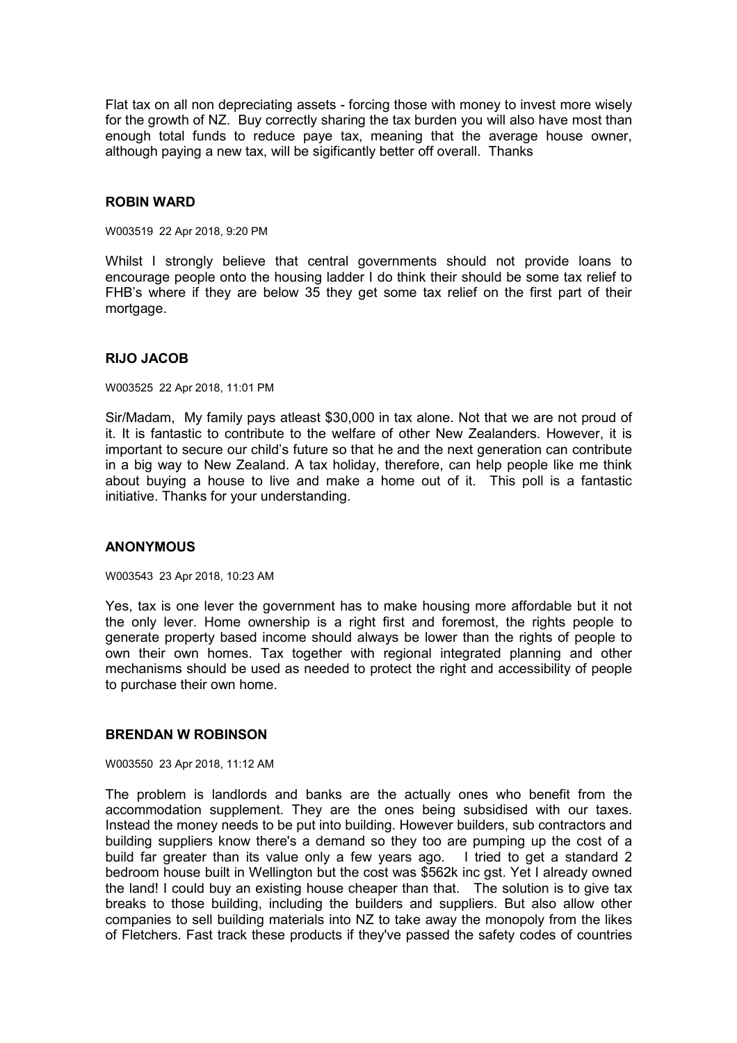Flat tax on all non depreciating assets - forcing those with money to invest more wisely for the growth of NZ. Buy correctly sharing the tax burden you will also have most than enough total funds to reduce paye tax, meaning that the average house owner, although paying a new tax, will be sigificantly better off overall. Thanks

### **ROBIN WARD**

W003519 22 Apr 2018, 9:20 PM

Whilst I strongly believe that central governments should not provide loans to encourage people onto the housing ladder I do think their should be some tax relief to FHB's where if they are below 35 they get some tax relief on the first part of their mortgage.

### **RIJO JACOB**

W003525 22 Apr 2018, 11:01 PM

Sir/Madam, My family pays atleast \$30,000 in tax alone. Not that we are not proud of it. It is fantastic to contribute to the welfare of other New Zealanders. However, it is important to secure our child's future so that he and the next generation can contribute in a big way to New Zealand. A tax holiday, therefore, can help people like me think about buying a house to live and make a home out of it. This poll is a fantastic initiative. Thanks for your understanding.

## **ANONYMOUS**

W003543 23 Apr 2018, 10:23 AM

Yes, tax is one lever the government has to make housing more affordable but it not the only lever. Home ownership is a right first and foremost, the rights people to generate property based income should always be lower than the rights of people to own their own homes. Tax together with regional integrated planning and other mechanisms should be used as needed to protect the right and accessibility of people to purchase their own home.

## **BRENDAN W ROBINSON**

W003550 23 Apr 2018, 11:12 AM

The problem is landlords and banks are the actually ones who benefit from the accommodation supplement. They are the ones being subsidised with our taxes. Instead the money needs to be put into building. However builders, sub contractors and building suppliers know there's a demand so they too are pumping up the cost of a build far greater than its value only a few years ago. I tried to get a standard 2 bedroom house built in Wellington but the cost was \$562k inc gst. Yet I already owned the land! I could buy an existing house cheaper than that. The solution is to give tax breaks to those building, including the builders and suppliers. But also allow other companies to sell building materials into NZ to take away the monopoly from the likes of Fletchers. Fast track these products if they've passed the safety codes of countries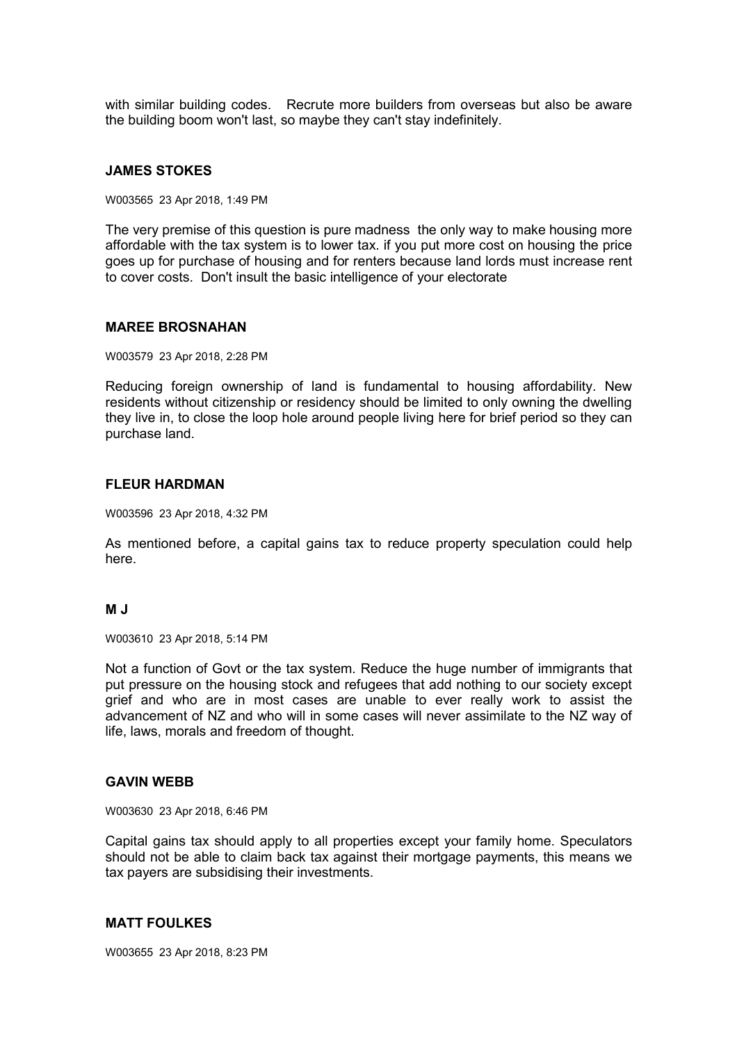with similar building codes. Recrute more builders from overseas but also be aware the building boom won't last, so maybe they can't stay indefinitely.

### **JAMES STOKES**

W003565 23 Apr 2018, 1:49 PM

The very premise of this question is pure madness the only way to make housing more affordable with the tax system is to lower tax. if you put more cost on housing the price goes up for purchase of housing and for renters because land lords must increase rent to cover costs. Don't insult the basic intelligence of your electorate

### **MAREE BROSNAHAN**

W003579 23 Apr 2018, 2:28 PM

Reducing foreign ownership of land is fundamental to housing affordability. New residents without citizenship or residency should be limited to only owning the dwelling they live in, to close the loop hole around people living here for brief period so they can purchase land.

### **FLEUR HARDMAN**

W003596 23 Apr 2018, 4:32 PM

As mentioned before, a capital gains tax to reduce property speculation could help here.

## **M J**

W003610 23 Apr 2018, 5:14 PM

Not a function of Govt or the tax system. Reduce the huge number of immigrants that put pressure on the housing stock and refugees that add nothing to our society except grief and who are in most cases are unable to ever really work to assist the advancement of NZ and who will in some cases will never assimilate to the NZ way of life, laws, morals and freedom of thought.

## **GAVIN WEBB**

W003630 23 Apr 2018, 6:46 PM

Capital gains tax should apply to all properties except your family home. Speculators should not be able to claim back tax against their mortgage payments, this means we tax payers are subsidising their investments.

## **MATT FOULKES**

W003655 23 Apr 2018, 8:23 PM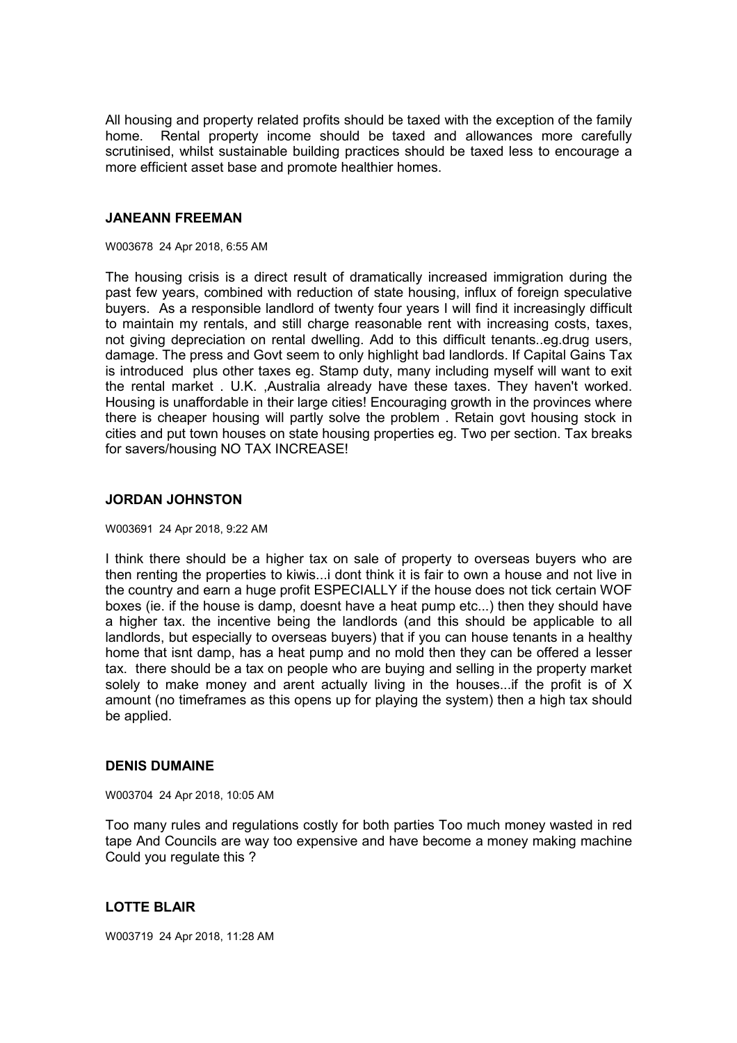All housing and property related profits should be taxed with the exception of the family home. Rental property income should be taxed and allowances more carefully scrutinised, whilst sustainable building practices should be taxed less to encourage a more efficient asset base and promote healthier homes.

# **JANEANN FREEMAN**

### W003678 24 Apr 2018, 6:55 AM

The housing crisis is a direct result of dramatically increased immigration during the past few years, combined with reduction of state housing, influx of foreign speculative buyers. As a responsible landlord of twenty four years I will find it increasingly difficult to maintain my rentals, and still charge reasonable rent with increasing costs, taxes, not giving depreciation on rental dwelling. Add to this difficult tenants..eg.drug users, damage. The press and Govt seem to only highlight bad landlords. If Capital Gains Tax is introduced plus other taxes eg. Stamp duty, many including myself will want to exit the rental market . U.K. ,Australia already have these taxes. They haven't worked. Housing is unaffordable in their large cities! Encouraging growth in the provinces where there is cheaper housing will partly solve the problem . Retain govt housing stock in cities and put town houses on state housing properties eg. Two per section. Tax breaks for savers/housing NO TAX INCREASE!

# **JORDAN JOHNSTON**

### W003691 24 Apr 2018, 9:22 AM

I think there should be a higher tax on sale of property to overseas buyers who are then renting the properties to kiwis...i dont think it is fair to own a house and not live in the country and earn a huge profit ESPECIALLY if the house does not tick certain WOF boxes (ie. if the house is damp, doesnt have a heat pump etc...) then they should have a higher tax. the incentive being the landlords (and this should be applicable to all landlords, but especially to overseas buyers) that if you can house tenants in a healthy home that isnt damp, has a heat pump and no mold then they can be offered a lesser tax. there should be a tax on people who are buying and selling in the property market solely to make money and arent actually living in the houses...if the profit is of X amount (no timeframes as this opens up for playing the system) then a high tax should be applied.

## **DENIS DUMAINE**

#### W003704 24 Apr 2018, 10:05 AM

Too many rules and regulations costly for both parties Too much money wasted in red tape And Councils are way too expensive and have become a money making machine Could you regulate this ?

# **LOTTE BLAIR**

W003719 24 Apr 2018, 11:28 AM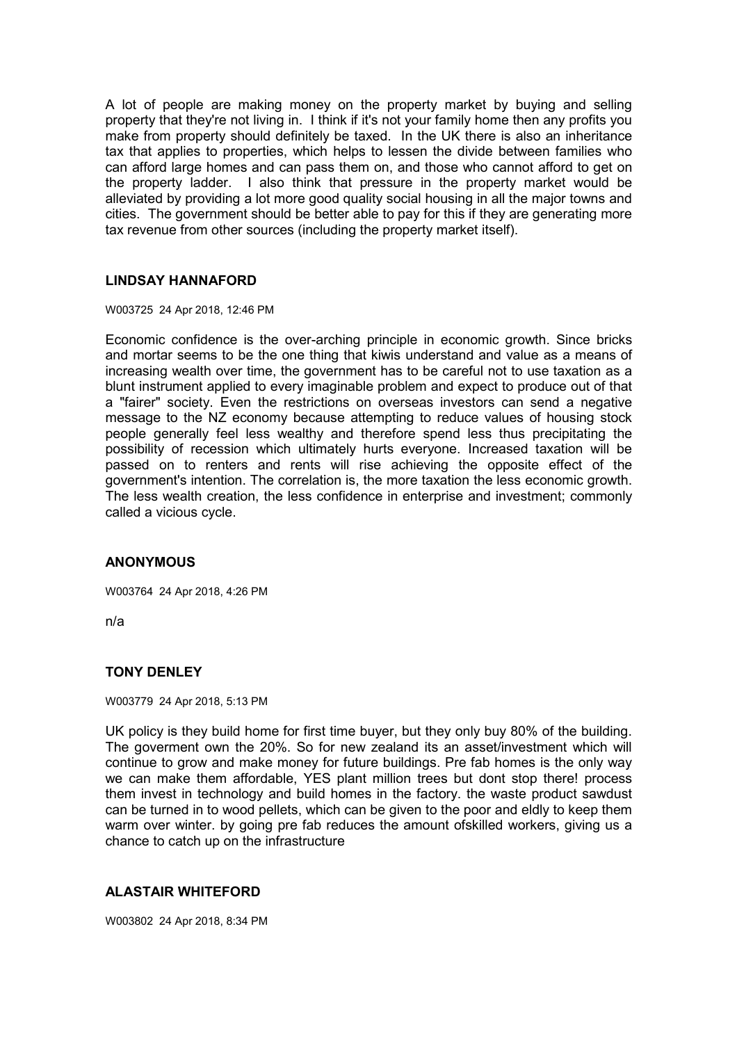A lot of people are making money on the property market by buying and selling property that they're not living in. I think if it's not your family home then any profits you make from property should definitely be taxed. In the UK there is also an inheritance tax that applies to properties, which helps to lessen the divide between families who can afford large homes and can pass them on, and those who cannot afford to get on the property ladder. I also think that pressure in the property market would be alleviated by providing a lot more good quality social housing in all the major towns and cities. The government should be better able to pay for this if they are generating more tax revenue from other sources (including the property market itself).

## **LINDSAY HANNAFORD**

W003725 24 Apr 2018, 12:46 PM

Economic confidence is the over-arching principle in economic growth. Since bricks and mortar seems to be the one thing that kiwis understand and value as a means of increasing wealth over time, the government has to be careful not to use taxation as a blunt instrument applied to every imaginable problem and expect to produce out of that a "fairer" society. Even the restrictions on overseas investors can send a negative message to the NZ economy because attempting to reduce values of housing stock people generally feel less wealthy and therefore spend less thus precipitating the possibility of recession which ultimately hurts everyone. Increased taxation will be passed on to renters and rents will rise achieving the opposite effect of the government's intention. The correlation is, the more taxation the less economic growth. The less wealth creation, the less confidence in enterprise and investment; commonly called a vicious cycle.

# **ANONYMOUS**

W003764 24 Apr 2018, 4:26 PM

n/a

## **TONY DENLEY**

W003779 24 Apr 2018, 5:13 PM

UK policy is they build home for first time buyer, but they only buy 80% of the building. The goverment own the 20%. So for new zealand its an asset/investment which will continue to grow and make money for future buildings. Pre fab homes is the only way we can make them affordable, YES plant million trees but dont stop there! process them invest in technology and build homes in the factory. the waste product sawdust can be turned in to wood pellets, which can be given to the poor and eldly to keep them warm over winter. by going pre fab reduces the amount ofskilled workers, giving us a chance to catch up on the infrastructure

## **ALASTAIR WHITEFORD**

W003802 24 Apr 2018, 8:34 PM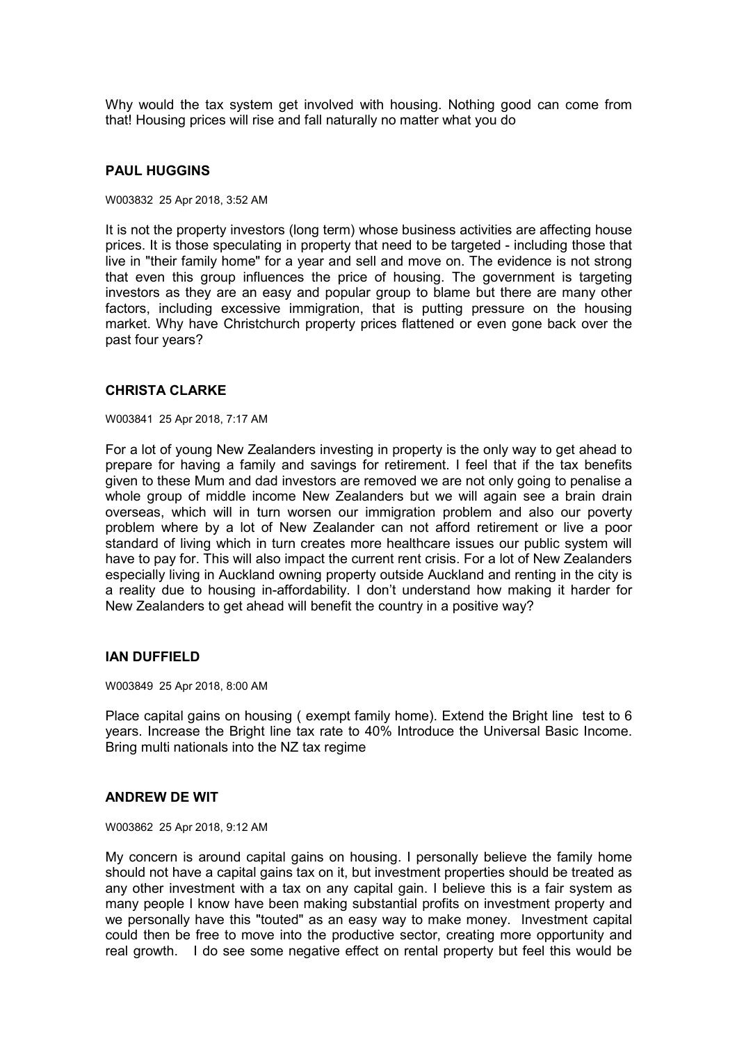Why would the tax system get involved with housing. Nothing good can come from that! Housing prices will rise and fall naturally no matter what you do

### **PAUL HUGGINS**

W003832 25 Apr 2018, 3:52 AM

It is not the property investors (long term) whose business activities are affecting house prices. It is those speculating in property that need to be targeted - including those that live in "their family home" for a year and sell and move on. The evidence is not strong that even this group influences the price of housing. The government is targeting investors as they are an easy and popular group to blame but there are many other factors, including excessive immigration, that is putting pressure on the housing market. Why have Christchurch property prices flattened or even gone back over the past four years?

## **CHRISTA CLARKE**

W003841 25 Apr 2018, 7:17 AM

For a lot of young New Zealanders investing in property is the only way to get ahead to prepare for having a family and savings for retirement. I feel that if the tax benefits given to these Mum and dad investors are removed we are not only going to penalise a whole group of middle income New Zealanders but we will again see a brain drain overseas, which will in turn worsen our immigration problem and also our poverty problem where by a lot of New Zealander can not afford retirement or live a poor standard of living which in turn creates more healthcare issues our public system will have to pay for. This will also impact the current rent crisis. For a lot of New Zealanders especially living in Auckland owning property outside Auckland and renting in the city is a reality due to housing in-affordability. I don't understand how making it harder for New Zealanders to get ahead will benefit the country in a positive way?

### **IAN DUFFIELD**

W003849 25 Apr 2018, 8:00 AM

Place capital gains on housing ( exempt family home). Extend the Bright line test to 6 years. Increase the Bright line tax rate to 40% Introduce the Universal Basic Income. Bring multi nationals into the NZ tax regime

#### **ANDREW DE WIT**

#### W003862 25 Apr 2018, 9:12 AM

My concern is around capital gains on housing. I personally believe the family home should not have a capital gains tax on it, but investment properties should be treated as any other investment with a tax on any capital gain. I believe this is a fair system as many people I know have been making substantial profits on investment property and we personally have this "touted" as an easy way to make money. Investment capital could then be free to move into the productive sector, creating more opportunity and real growth. I do see some negative effect on rental property but feel this would be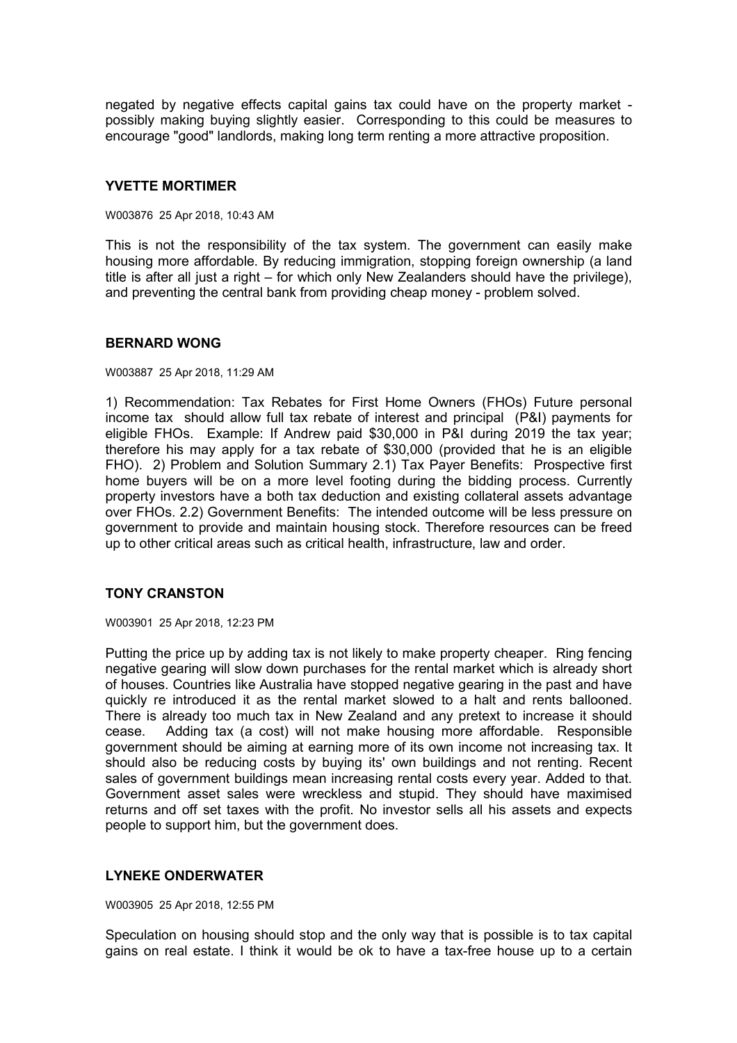negated by negative effects capital gains tax could have on the property market possibly making buying slightly easier. Corresponding to this could be measures to encourage "good" landlords, making long term renting a more attractive proposition.

## **YVETTE MORTIMER**

#### W003876 25 Apr 2018, 10:43 AM

This is not the responsibility of the tax system. The government can easily make housing more affordable. By reducing immigration, stopping foreign ownership (a land title is after all just a right – for which only New Zealanders should have the privilege), and preventing the central bank from providing cheap money - problem solved.

### **BERNARD WONG**

#### W003887 25 Apr 2018, 11:29 AM

1) Recommendation: Tax Rebates for First Home Owners (FHOs) Future personal income tax should allow full tax rebate of interest and principal (P&I) payments for eligible FHOs. Example: If Andrew paid \$30,000 in P&I during 2019 the tax year; therefore his may apply for a tax rebate of \$30,000 (provided that he is an eligible FHO). 2) Problem and Solution Summary 2.1) Tax Payer Benefits: Prospective first home buyers will be on a more level footing during the bidding process. Currently property investors have a both tax deduction and existing collateral assets advantage over FHOs. 2.2) Government Benefits: The intended outcome will be less pressure on government to provide and maintain housing stock. Therefore resources can be freed up to other critical areas such as critical health, infrastructure, law and order.

## **TONY CRANSTON**

W003901 25 Apr 2018, 12:23 PM

Putting the price up by adding tax is not likely to make property cheaper. Ring fencing negative gearing will slow down purchases for the rental market which is already short of houses. Countries like Australia have stopped negative gearing in the past and have quickly re introduced it as the rental market slowed to a halt and rents ballooned. There is already too much tax in New Zealand and any pretext to increase it should cease. Adding tax (a cost) will not make housing more affordable. Responsible government should be aiming at earning more of its own income not increasing tax. It should also be reducing costs by buying its' own buildings and not renting. Recent sales of government buildings mean increasing rental costs every year. Added to that. Government asset sales were wreckless and stupid. They should have maximised returns and off set taxes with the profit. No investor sells all his assets and expects people to support him, but the government does.

## **LYNEKE ONDERWATER**

W003905 25 Apr 2018, 12:55 PM

Speculation on housing should stop and the only way that is possible is to tax capital gains on real estate. I think it would be ok to have a tax-free house up to a certain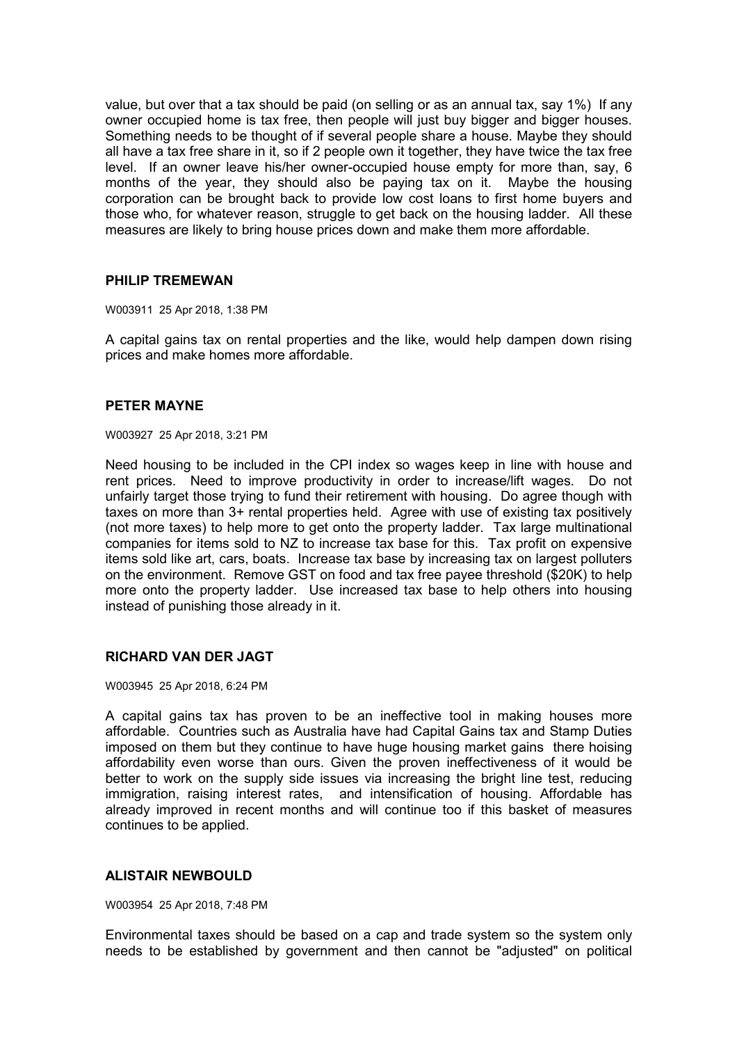value, but over that a tax should be paid (on selling or as an annual tax, say 1%) If any owner occupied home is tax free, then people will just buy bigger and bigger houses. Something needs to be thought of if several people share a house. Maybe they should all have a tax free share in it, so if 2 people own it together, they have twice the tax free level. If an owner leave his/her owner-occupied house empty for more than, say, 6 months of the year, they should also be paying tax on it. Maybe the housing corporation can be brought back to provide low cost loans to first home buyers and those who, for whatever reason, struggle to get back on the housing ladder. All these measures are likely to bring house prices down and make them more affordable.

## **PHILIP TREMEWAN**

W003911 25 Apr 2018, 1:38 PM

A capital gains tax on rental properties and the like, would help dampen down rising prices and make homes more affordable.

### **PETER MAYNE**

W003927 25 Apr 2018, 3:21 PM

Need housing to be included in the CPI index so wages keep in line with house and rent prices. Need to improve productivity in order to increase/lift wages. Do not unfairly target those trying to fund their retirement with housing. Do agree though with taxes on more than 3+ rental properties held. Agree with use of existing tax positively (not more taxes) to help more to get onto the property ladder. Tax large multinational companies for items sold to NZ to increase tax base for this. Tax profit on expensive items sold like art, cars, boats. Increase tax base by increasing tax on largest polluters on the environment. Remove GST on food and tax free payee threshold (\$20K) to help more onto the property ladder. Use increased tax base to help others into housing instead of punishing those already in it.

## **RICHARD VAN DER JAGT**

W003945 25 Apr 2018, 6:24 PM

A capital gains tax has proven to be an ineffective tool in making houses more affordable. Countries such as Australia have had Capital Gains tax and Stamp Duties imposed on them but they continue to have huge housing market gains there hoising affordability even worse than ours. Given the proven ineffectiveness of it would be better to work on the supply side issues via increasing the bright line test, reducing immigration, raising interest rates, and intensification of housing. Affordable has already improved in recent months and will continue too if this basket of measures continues to be applied.

## **ALISTAIR NEWBOULD**

W003954 25 Apr 2018, 7:48 PM

Environmental taxes should be based on a cap and trade system so the system only needs to be established by government and then cannot be "adjusted" on political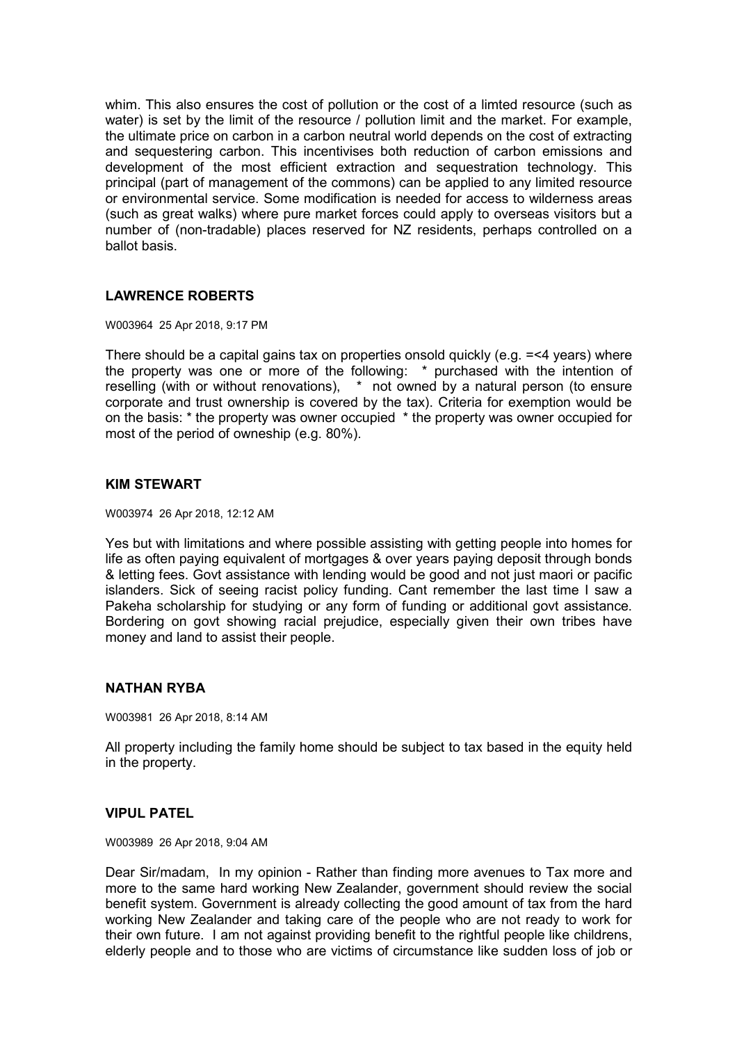whim. This also ensures the cost of pollution or the cost of a limted resource (such as water) is set by the limit of the resource / pollution limit and the market. For example, the ultimate price on carbon in a carbon neutral world depends on the cost of extracting and sequestering carbon. This incentivises both reduction of carbon emissions and development of the most efficient extraction and sequestration technology. This principal (part of management of the commons) can be applied to any limited resource or environmental service. Some modification is needed for access to wilderness areas (such as great walks) where pure market forces could apply to overseas visitors but a number of (non-tradable) places reserved for NZ residents, perhaps controlled on a ballot basis.

# **LAWRENCE ROBERTS**

W003964 25 Apr 2018, 9:17 PM

There should be a capital gains tax on properties onsold quickly (e.g. =<4 years) where the property was one or more of the following: \* purchased with the intention of reselling (with or without renovations), \* not owned by a natural person (to ensure corporate and trust ownership is covered by the tax). Criteria for exemption would be on the basis: \* the property was owner occupied \* the property was owner occupied for most of the period of owneship (e.g. 80%).

# **KIM STEWART**

W003974 26 Apr 2018, 12:12 AM

Yes but with limitations and where possible assisting with getting people into homes for life as often paying equivalent of mortgages & over years paying deposit through bonds & letting fees. Govt assistance with lending would be good and not just maori or pacific islanders. Sick of seeing racist policy funding. Cant remember the last time I saw a Pakeha scholarship for studying or any form of funding or additional govt assistance. Bordering on govt showing racial prejudice, especially given their own tribes have money and land to assist their people.

## **NATHAN RYBA**

W003981 26 Apr 2018, 8:14 AM

All property including the family home should be subject to tax based in the equity held in the property.

## **VIPUL PATEL**

W003989 26 Apr 2018, 9:04 AM

Dear Sir/madam, In my opinion - Rather than finding more avenues to Tax more and more to the same hard working New Zealander, government should review the social benefit system. Government is already collecting the good amount of tax from the hard working New Zealander and taking care of the people who are not ready to work for their own future. I am not against providing benefit to the rightful people like childrens, elderly people and to those who are victims of circumstance like sudden loss of job or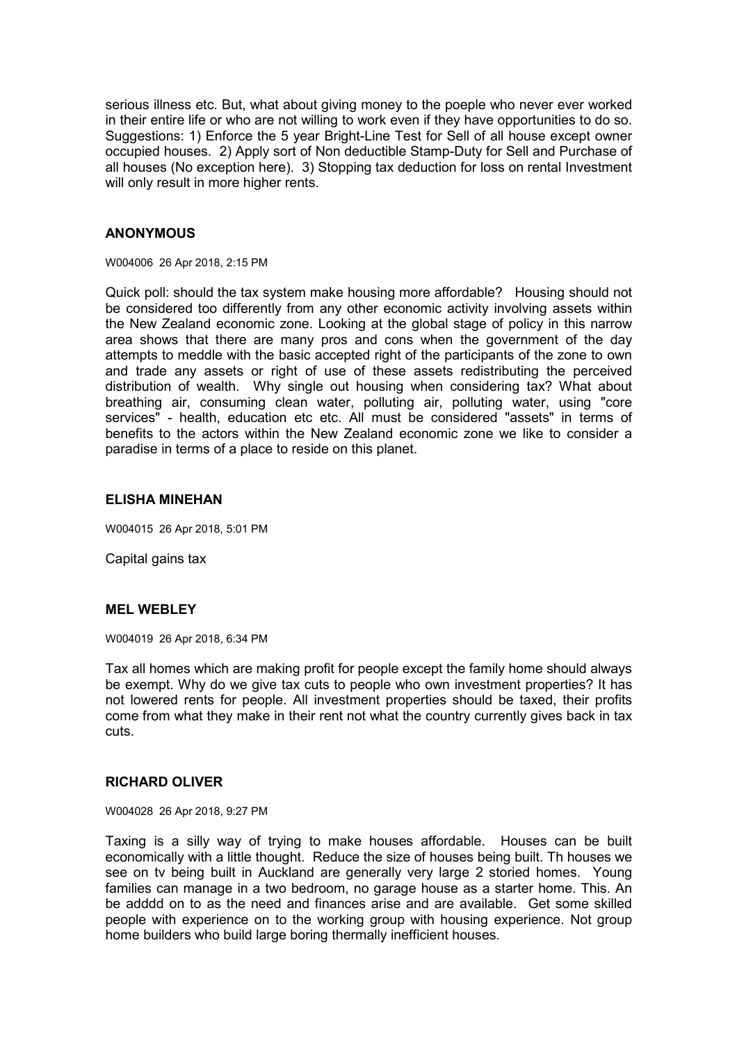serious illness etc. But, what about giving money to the poeple who never ever worked in their entire life or who are not willing to work even if they have opportunities to do so. Suggestions: 1) Enforce the 5 year Bright-Line Test for Sell of all house except owner occupied houses. 2) Apply sort of Non deductible Stamp-Duty for Sell and Purchase of all houses (No exception here). 3) Stopping tax deduction for loss on rental Investment will only result in more higher rents.

# **ANONYMOUS**

W004006 26 Apr 2018, 2:15 PM

Quick poll: should the tax system make housing more affordable? Housing should not be considered too differently from any other economic activity involving assets within the New Zealand economic zone. Looking at the global stage of policy in this narrow area shows that there are many pros and cons when the government of the day attempts to meddle with the basic accepted right of the participants of the zone to own and trade any assets or right of use of these assets redistributing the perceived distribution of wealth. Why single out housing when considering tax? What about breathing air, consuming clean water, polluting air, polluting water, using "core services" - health, education etc etc. All must be considered "assets" in terms of benefits to the actors within the New Zealand economic zone we like to consider a paradise in terms of a place to reside on this planet.

### **ELISHA MINEHAN**

W004015 26 Apr 2018, 5:01 PM

Capital gains tax

# **MEL WEBLEY**

W004019 26 Apr 2018, 6:34 PM

Tax all homes which are making profit for people except the family home should always be exempt. Why do we give tax cuts to people who own investment properties? It has not lowered rents for people. All investment properties should be taxed, their profits come from what they make in their rent not what the country currently gives back in tax cuts.

### **RICHARD OLIVER**

W004028 26 Apr 2018, 9:27 PM

Taxing is a silly way of trying to make houses affordable. Houses can be built economically with a little thought. Reduce the size of houses being built. Th houses we see on tv being built in Auckland are generally very large 2 storied homes. Young families can manage in a two bedroom, no garage house as a starter home. This. An be adddd on to as the need and finances arise and are available. Get some skilled people with experience on to the working group with housing experience. Not group home builders who build large boring thermally inefficient houses.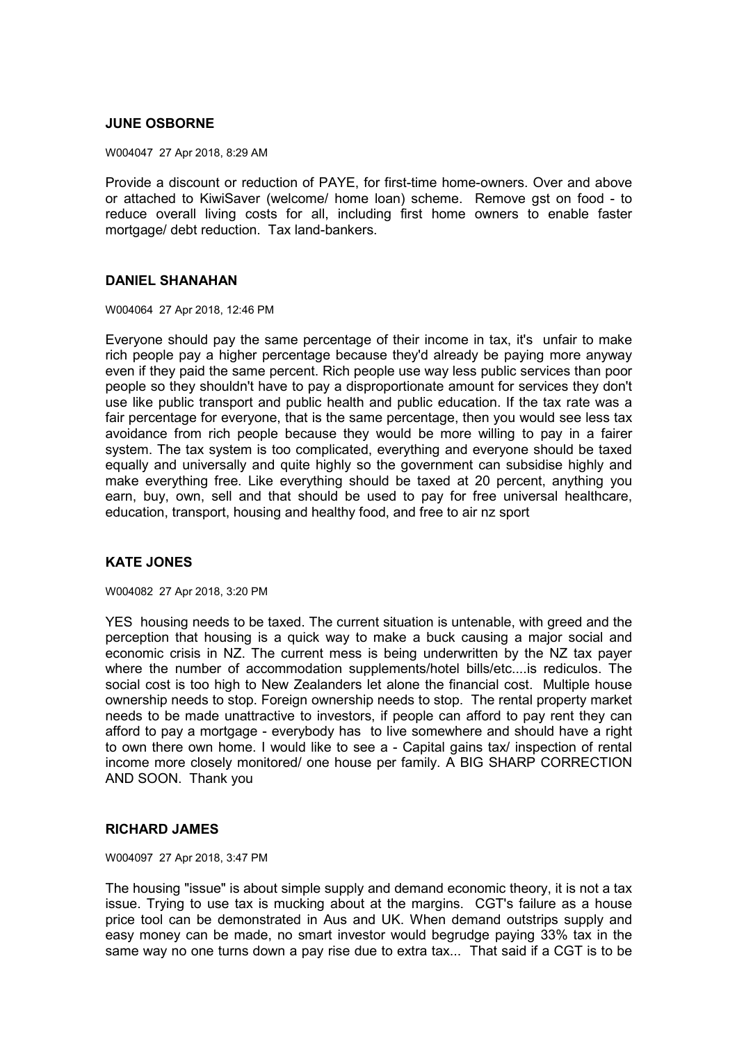# **JUNE OSBORNE**

W004047 27 Apr 2018, 8:29 AM

Provide a discount or reduction of PAYE, for first-time home-owners. Over and above or attached to KiwiSaver (welcome/ home loan) scheme. Remove gst on food - to reduce overall living costs for all, including first home owners to enable faster mortgage/ debt reduction. Tax land-bankers.

## **DANIEL SHANAHAN**

W004064 27 Apr 2018, 12:46 PM

Everyone should pay the same percentage of their income in tax, it's unfair to make rich people pay a higher percentage because they'd already be paying more anyway even if they paid the same percent. Rich people use way less public services than poor people so they shouldn't have to pay a disproportionate amount for services they don't use like public transport and public health and public education. If the tax rate was a fair percentage for everyone, that is the same percentage, then you would see less tax avoidance from rich people because they would be more willing to pay in a fairer system. The tax system is too complicated, everything and everyone should be taxed equally and universally and quite highly so the government can subsidise highly and make everything free. Like everything should be taxed at 20 percent, anything you earn, buy, own, sell and that should be used to pay for free universal healthcare, education, transport, housing and healthy food, and free to air nz sport

# **KATE JONES**

W004082 27 Apr 2018, 3:20 PM

YES housing needs to be taxed. The current situation is untenable, with greed and the perception that housing is a quick way to make a buck causing a major social and economic crisis in NZ. The current mess is being underwritten by the NZ tax payer where the number of accommodation supplements/hotel bills/etc....is rediculos. The social cost is too high to New Zealanders let alone the financial cost. Multiple house ownership needs to stop. Foreign ownership needs to stop. The rental property market needs to be made unattractive to investors, if people can afford to pay rent they can afford to pay a mortgage - everybody has to live somewhere and should have a right to own there own home. I would like to see a - Capital gains tax/ inspection of rental income more closely monitored/ one house per family. A BIG SHARP CORRECTION AND SOON. Thank you

### **RICHARD JAMES**

W004097 27 Apr 2018, 3:47 PM

The housing "issue" is about simple supply and demand economic theory, it is not a tax issue. Trying to use tax is mucking about at the margins. CGT's failure as a house price tool can be demonstrated in Aus and UK. When demand outstrips supply and easy money can be made, no smart investor would begrudge paying 33% tax in the same way no one turns down a pay rise due to extra tax... That said if a CGT is to be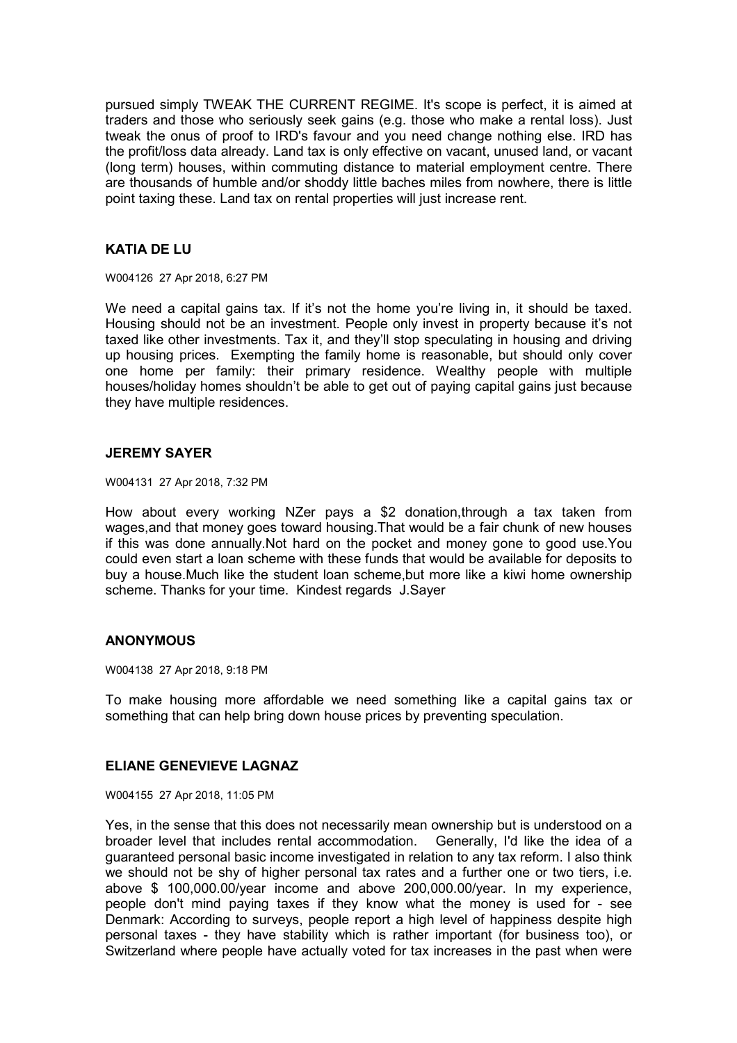pursued simply TWEAK THE CURRENT REGIME. It's scope is perfect, it is aimed at traders and those who seriously seek gains (e.g. those who make a rental loss). Just tweak the onus of proof to IRD's favour and you need change nothing else. IRD has the profit/loss data already. Land tax is only effective on vacant, unused land, or vacant (long term) houses, within commuting distance to material employment centre. There are thousands of humble and/or shoddy little baches miles from nowhere, there is little point taxing these. Land tax on rental properties will just increase rent.

# **KATIA DE LU**

W004126 27 Apr 2018, 6:27 PM

We need a capital gains tax. If it's not the home you're living in, it should be taxed. Housing should not be an investment. People only invest in property because it's not taxed like other investments. Tax it, and they'll stop speculating in housing and driving up housing prices. Exempting the family home is reasonable, but should only cover one home per family: their primary residence. Wealthy people with multiple houses/holiday homes shouldn't be able to get out of paying capital gains just because they have multiple residences.

### **JEREMY SAYER**

W004131 27 Apr 2018, 7:32 PM

How about every working NZer pays a \$2 donation,through a tax taken from wages, and that money goes toward housing. That would be a fair chunk of new houses if this was done annually.Not hard on the pocket and money gone to good use.You could even start a loan scheme with these funds that would be available for deposits to buy a house.Much like the student loan scheme,but more like a kiwi home ownership scheme. Thanks for your time. Kindest regards J.Sayer

## **ANONYMOUS**

W004138 27 Apr 2018, 9:18 PM

To make housing more affordable we need something like a capital gains tax or something that can help bring down house prices by preventing speculation.

# **ELIANE GENEVIEVE LAGNAZ**

W004155 27 Apr 2018, 11:05 PM

Yes, in the sense that this does not necessarily mean ownership but is understood on a broader level that includes rental accommodation. Generally, I'd like the idea of a guaranteed personal basic income investigated in relation to any tax reform. I also think we should not be shy of higher personal tax rates and a further one or two tiers, i.e. above \$ 100,000.00/year income and above 200,000.00/year. In my experience, people don't mind paying taxes if they know what the money is used for - see Denmark: According to surveys, people report a high level of happiness despite high personal taxes - they have stability which is rather important (for business too), or Switzerland where people have actually voted for tax increases in the past when were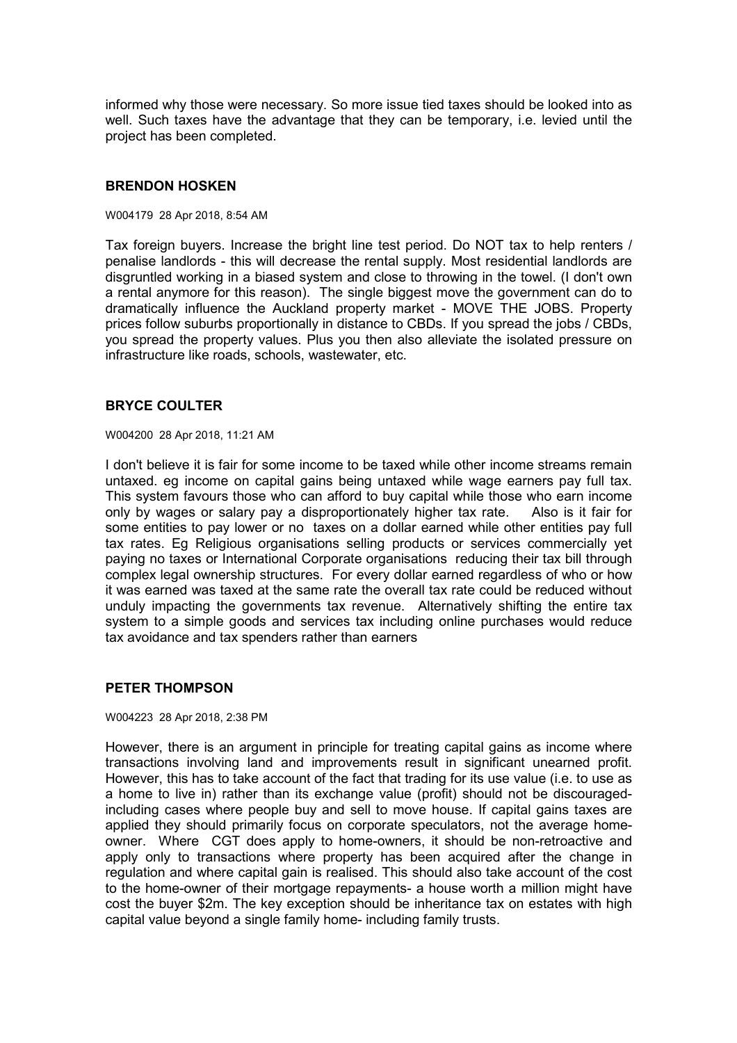informed why those were necessary. So more issue tied taxes should be looked into as well. Such taxes have the advantage that they can be temporary, i.e. levied until the project has been completed.

# **BRENDON HOSKEN**

#### W004179 28 Apr 2018, 8:54 AM

Tax foreign buyers. Increase the bright line test period. Do NOT tax to help renters / penalise landlords - this will decrease the rental supply. Most residential landlords are disgruntled working in a biased system and close to throwing in the towel. (I don't own a rental anymore for this reason). The single biggest move the government can do to dramatically influence the Auckland property market - MOVE THE JOBS. Property prices follow suburbs proportionally in distance to CBDs. If you spread the jobs / CBDs, you spread the property values. Plus you then also alleviate the isolated pressure on infrastructure like roads, schools, wastewater, etc.

## **BRYCE COULTER**

W004200 28 Apr 2018, 11:21 AM

I don't believe it is fair for some income to be taxed while other income streams remain untaxed. eg income on capital gains being untaxed while wage earners pay full tax. This system favours those who can afford to buy capital while those who earn income only by wages or salary pay a disproportionately higher tax rate. Also is it fair for some entities to pay lower or no taxes on a dollar earned while other entities pay full tax rates. Eg Religious organisations selling products or services commercially yet paying no taxes or International Corporate organisations reducing their tax bill through complex legal ownership structures. For every dollar earned regardless of who or how it was earned was taxed at the same rate the overall tax rate could be reduced without unduly impacting the governments tax revenue. Alternatively shifting the entire tax system to a simple goods and services tax including online purchases would reduce tax avoidance and tax spenders rather than earners

## **PETER THOMPSON**

W004223 28 Apr 2018, 2:38 PM

However, there is an argument in principle for treating capital gains as income where transactions involving land and improvements result in significant unearned profit. However, this has to take account of the fact that trading for its use value (i.e. to use as a home to live in) rather than its exchange value (profit) should not be discouragedincluding cases where people buy and sell to move house. If capital gains taxes are applied they should primarily focus on corporate speculators, not the average homeowner. Where CGT does apply to home-owners, it should be non-retroactive and apply only to transactions where property has been acquired after the change in regulation and where capital gain is realised. This should also take account of the cost to the home-owner of their mortgage repayments- a house worth a million might have cost the buyer \$2m. The key exception should be inheritance tax on estates with high capital value beyond a single family home- including family trusts.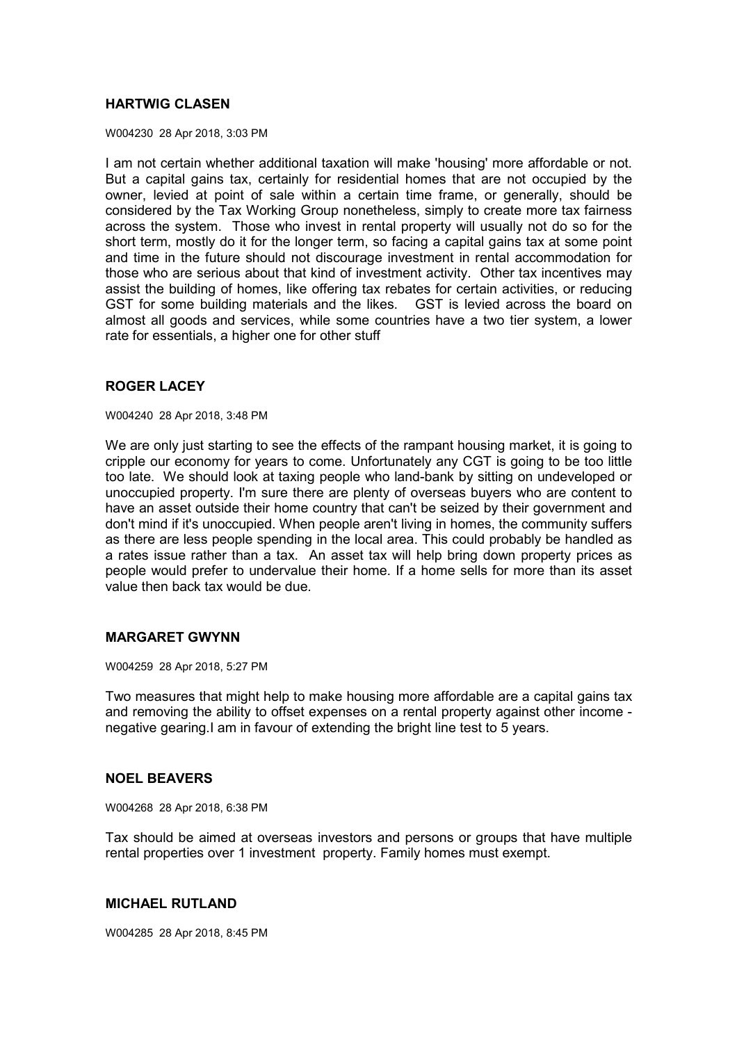# **HARTWIG CLASEN**

W004230 28 Apr 2018, 3:03 PM

I am not certain whether additional taxation will make 'housing' more affordable or not. But a capital gains tax, certainly for residential homes that are not occupied by the owner, levied at point of sale within a certain time frame, or generally, should be considered by the Tax Working Group nonetheless, simply to create more tax fairness across the system. Those who invest in rental property will usually not do so for the short term, mostly do it for the longer term, so facing a capital gains tax at some point and time in the future should not discourage investment in rental accommodation for those who are serious about that kind of investment activity. Other tax incentives may assist the building of homes, like offering tax rebates for certain activities, or reducing GST for some building materials and the likes. GST is levied across the board on almost all goods and services, while some countries have a two tier system, a lower rate for essentials, a higher one for other stuff

# **ROGER LACEY**

W004240 28 Apr 2018, 3:48 PM

We are only just starting to see the effects of the rampant housing market, it is going to cripple our economy for years to come. Unfortunately any CGT is going to be too little too late. We should look at taxing people who land-bank by sitting on undeveloped or unoccupied property. I'm sure there are plenty of overseas buyers who are content to have an asset outside their home country that can't be seized by their government and don't mind if it's unoccupied. When people aren't living in homes, the community suffers as there are less people spending in the local area. This could probably be handled as a rates issue rather than a tax. An asset tax will help bring down property prices as people would prefer to undervalue their home. If a home sells for more than its asset value then back tax would be due.

## **MARGARET GWYNN**

W004259 28 Apr 2018, 5:27 PM

Two measures that might help to make housing more affordable are a capital gains tax and removing the ability to offset expenses on a rental property against other income negative gearing.I am in favour of extending the bright line test to 5 years.

## **NOEL BEAVERS**

W004268 28 Apr 2018, 6:38 PM

Tax should be aimed at overseas investors and persons or groups that have multiple rental properties over 1 investment property. Family homes must exempt.

## **MICHAEL RUTLAND**

W004285 28 Apr 2018, 8:45 PM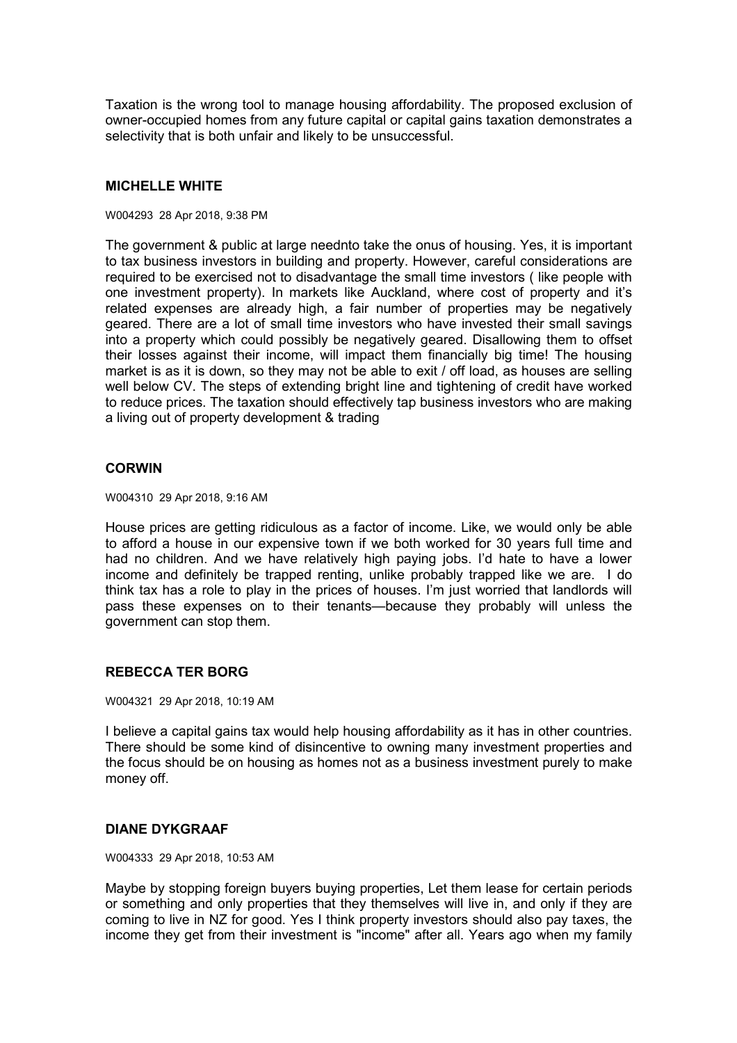Taxation is the wrong tool to manage housing affordability. The proposed exclusion of owner-occupied homes from any future capital or capital gains taxation demonstrates a selectivity that is both unfair and likely to be unsuccessful.

# **MICHELLE WHITE**

#### W004293 28 Apr 2018, 9:38 PM

The government & public at large neednto take the onus of housing. Yes, it is important to tax business investors in building and property. However, careful considerations are required to be exercised not to disadvantage the small time investors ( like people with one investment property). In markets like Auckland, where cost of property and it's related expenses are already high, a fair number of properties may be negatively geared. There are a lot of small time investors who have invested their small savings into a property which could possibly be negatively geared. Disallowing them to offset their losses against their income, will impact them financially big time! The housing market is as it is down, so they may not be able to exit / off load, as houses are selling well below CV. The steps of extending bright line and tightening of credit have worked to reduce prices. The taxation should effectively tap business investors who are making a living out of property development & trading

## **CORWIN**

W004310 29 Apr 2018, 9:16 AM

House prices are getting ridiculous as a factor of income. Like, we would only be able to afford a house in our expensive town if we both worked for 30 years full time and had no children. And we have relatively high paying jobs. I'd hate to have a lower income and definitely be trapped renting, unlike probably trapped like we are. I do think tax has a role to play in the prices of houses. I'm just worried that landlords will pass these expenses on to their tenants—because they probably will unless the government can stop them.

# **REBECCA TER BORG**

W004321 29 Apr 2018, 10:19 AM

I believe a capital gains tax would help housing affordability as it has in other countries. There should be some kind of disincentive to owning many investment properties and the focus should be on housing as homes not as a business investment purely to make money off.

# **DIANE DYKGRAAF**

W004333 29 Apr 2018, 10:53 AM

Maybe by stopping foreign buyers buying properties, Let them lease for certain periods or something and only properties that they themselves will live in, and only if they are coming to live in NZ for good. Yes I think property investors should also pay taxes, the income they get from their investment is "income" after all. Years ago when my family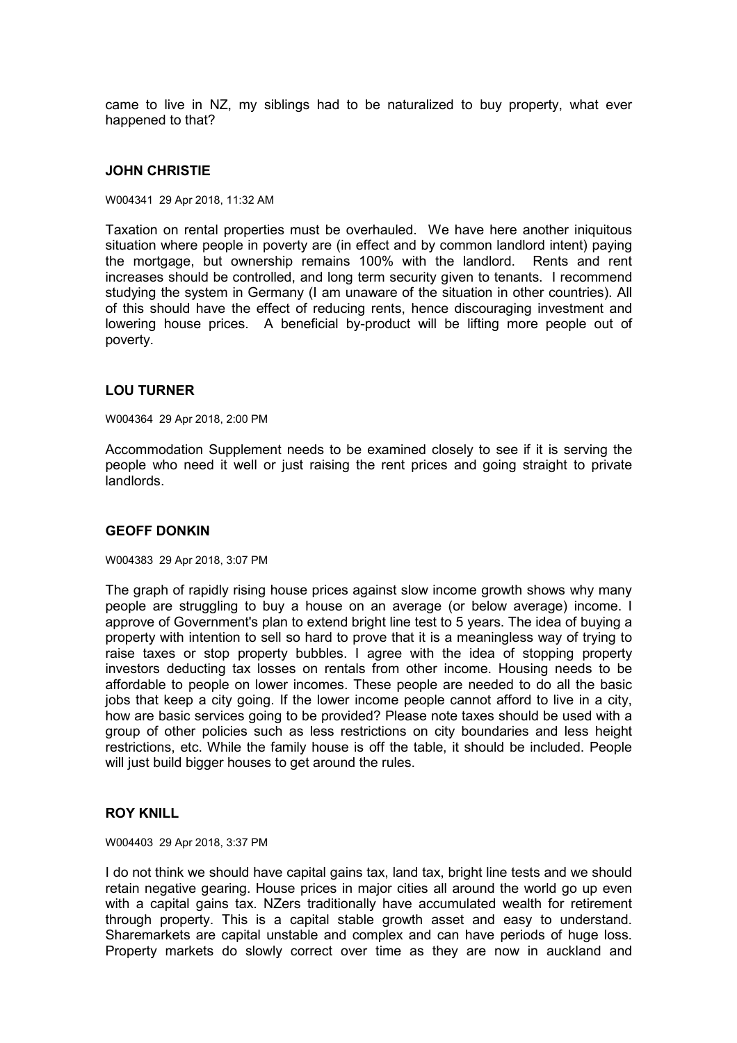came to live in NZ, my siblings had to be naturalized to buy property, what ever happened to that?

### **JOHN CHRISTIE**

W004341 29 Apr 2018, 11:32 AM

Taxation on rental properties must be overhauled. We have here another iniquitous situation where people in poverty are (in effect and by common landlord intent) paying the mortgage, but ownership remains 100% with the landlord. Rents and rent increases should be controlled, and long term security given to tenants. I recommend studying the system in Germany (I am unaware of the situation in other countries). All of this should have the effect of reducing rents, hence discouraging investment and lowering house prices. A beneficial by-product will be lifting more people out of poverty.

## **LOU TURNER**

W004364 29 Apr 2018, 2:00 PM

Accommodation Supplement needs to be examined closely to see if it is serving the people who need it well or just raising the rent prices and going straight to private landlords.

#### **GEOFF DONKIN**

W004383 29 Apr 2018, 3:07 PM

The graph of rapidly rising house prices against slow income growth shows why many people are struggling to buy a house on an average (or below average) income. I approve of Government's plan to extend bright line test to 5 years. The idea of buying a property with intention to sell so hard to prove that it is a meaningless way of trying to raise taxes or stop property bubbles. I agree with the idea of stopping property investors deducting tax losses on rentals from other income. Housing needs to be affordable to people on lower incomes. These people are needed to do all the basic jobs that keep a city going. If the lower income people cannot afford to live in a city, how are basic services going to be provided? Please note taxes should be used with a group of other policies such as less restrictions on city boundaries and less height restrictions, etc. While the family house is off the table, it should be included. People will just build bigger houses to get around the rules.

### **ROY KNILL**

W004403 29 Apr 2018, 3:37 PM

I do not think we should have capital gains tax, land tax, bright line tests and we should retain negative gearing. House prices in major cities all around the world go up even with a capital gains tax. NZers traditionally have accumulated wealth for retirement through property. This is a capital stable growth asset and easy to understand. Sharemarkets are capital unstable and complex and can have periods of huge loss. Property markets do slowly correct over time as they are now in auckland and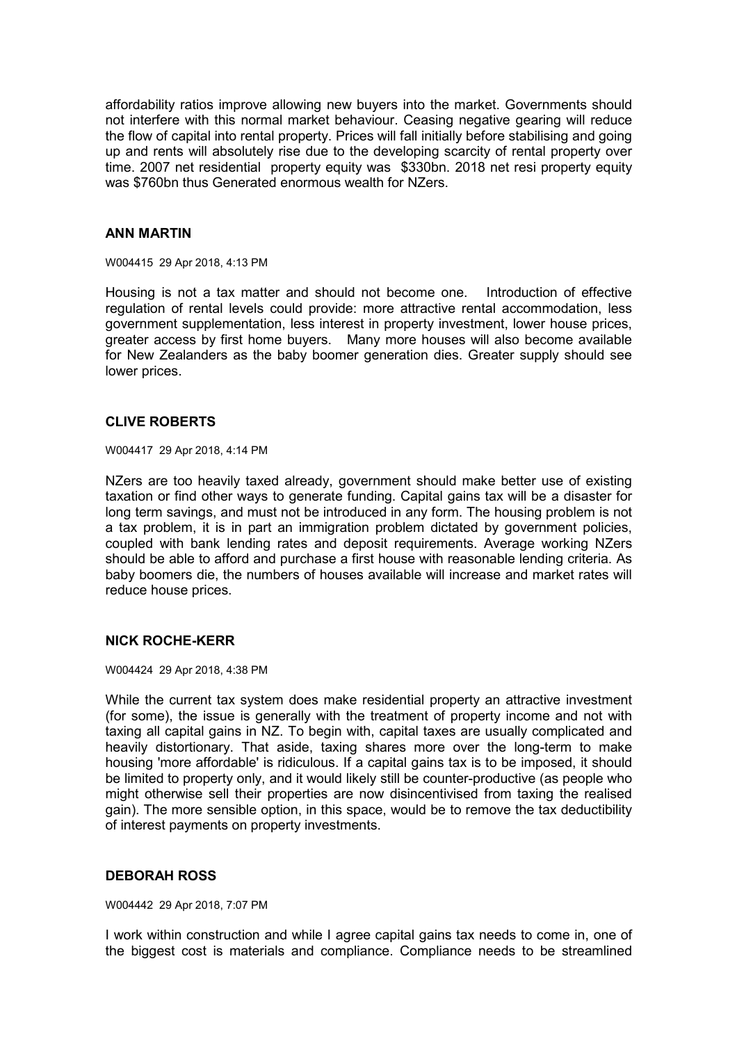affordability ratios improve allowing new buyers into the market. Governments should not interfere with this normal market behaviour. Ceasing negative gearing will reduce the flow of capital into rental property. Prices will fall initially before stabilising and going up and rents will absolutely rise due to the developing scarcity of rental property over time. 2007 net residential property equity was \$330bn. 2018 net resi property equity was \$760bn thus Generated enormous wealth for NZers.

### **ANN MARTIN**

W004415 29 Apr 2018, 4:13 PM

Housing is not a tax matter and should not become one. Introduction of effective regulation of rental levels could provide: more attractive rental accommodation, less government supplementation, less interest in property investment, lower house prices, greater access by first home buyers. Many more houses will also become available for New Zealanders as the baby boomer generation dies. Greater supply should see lower prices.

# **CLIVE ROBERTS**

W004417 29 Apr 2018, 4:14 PM

NZers are too heavily taxed already, government should make better use of existing taxation or find other ways to generate funding. Capital gains tax will be a disaster for long term savings, and must not be introduced in any form. The housing problem is not a tax problem, it is in part an immigration problem dictated by government policies, coupled with bank lending rates and deposit requirements. Average working NZers should be able to afford and purchase a first house with reasonable lending criteria. As baby boomers die, the numbers of houses available will increase and market rates will reduce house prices.

## **NICK ROCHE-KERR**

W004424 29 Apr 2018, 4:38 PM

While the current tax system does make residential property an attractive investment (for some), the issue is generally with the treatment of property income and not with taxing all capital gains in NZ. To begin with, capital taxes are usually complicated and heavily distortionary. That aside, taxing shares more over the long-term to make housing 'more affordable' is ridiculous. If a capital gains tax is to be imposed, it should be limited to property only, and it would likely still be counter-productive (as people who might otherwise sell their properties are now disincentivised from taxing the realised gain). The more sensible option, in this space, would be to remove the tax deductibility of interest payments on property investments.

## **DEBORAH ROSS**

W004442 29 Apr 2018, 7:07 PM

I work within construction and while I agree capital gains tax needs to come in, one of the biggest cost is materials and compliance. Compliance needs to be streamlined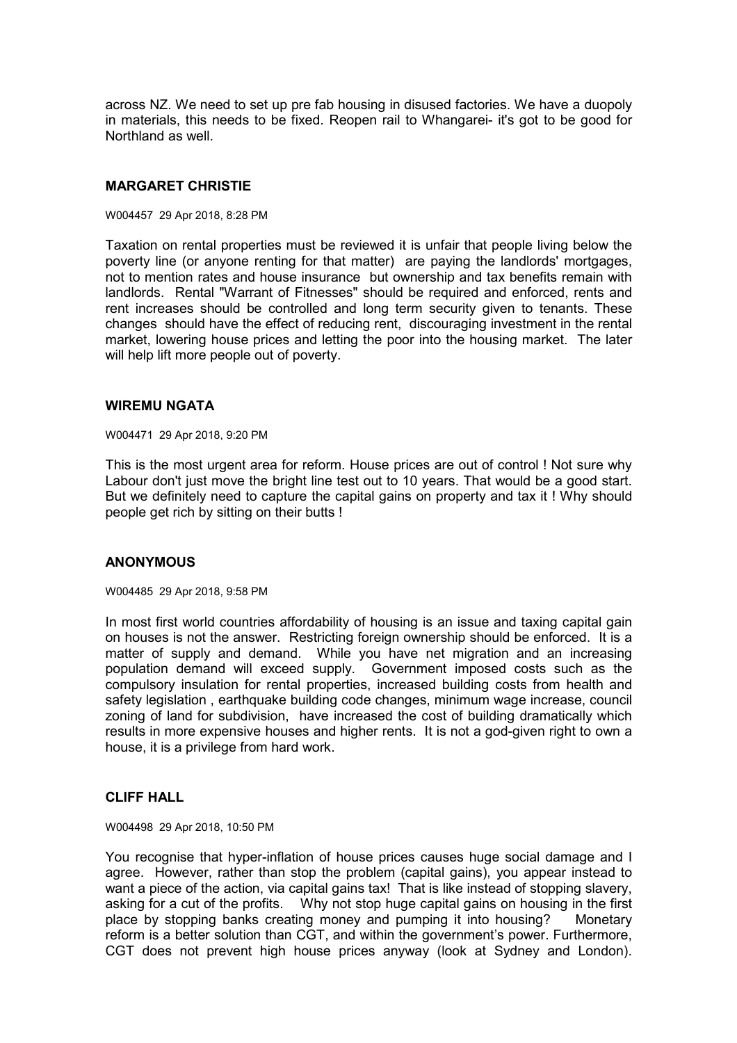across NZ. We need to set up pre fab housing in disused factories. We have a duopoly in materials, this needs to be fixed. Reopen rail to Whangarei- it's got to be good for Northland as well.

# **MARGARET CHRISTIE**

#### W004457 29 Apr 2018, 8:28 PM

Taxation on rental properties must be reviewed it is unfair that people living below the poverty line (or anyone renting for that matter) are paying the landlords' mortgages, not to mention rates and house insurance but ownership and tax benefits remain with landlords. Rental "Warrant of Fitnesses" should be required and enforced, rents and rent increases should be controlled and long term security given to tenants. These changes should have the effect of reducing rent, discouraging investment in the rental market, lowering house prices and letting the poor into the housing market. The later will help lift more people out of poverty.

### **WIREMU NGATA**

#### W004471 29 Apr 2018, 9:20 PM

This is the most urgent area for reform. House prices are out of control ! Not sure why Labour don't just move the bright line test out to 10 years. That would be a good start. But we definitely need to capture the capital gains on property and tax it ! Why should people get rich by sitting on their butts !

## **ANONYMOUS**

W004485 29 Apr 2018, 9:58 PM

In most first world countries affordability of housing is an issue and taxing capital gain on houses is not the answer. Restricting foreign ownership should be enforced. It is a matter of supply and demand. While you have net migration and an increasing population demand will exceed supply. Government imposed costs such as the compulsory insulation for rental properties, increased building costs from health and safety legislation , earthquake building code changes, minimum wage increase, council zoning of land for subdivision, have increased the cost of building dramatically which results in more expensive houses and higher rents. It is not a god-given right to own a house, it is a privilege from hard work.

# **CLIFF HALL**

#### W004498 29 Apr 2018, 10:50 PM

You recognise that hyper-inflation of house prices causes huge social damage and I agree. However, rather than stop the problem (capital gains), you appear instead to want a piece of the action, via capital gains tax! That is like instead of stopping slavery, asking for a cut of the profits. Why not stop huge capital gains on housing in the first place by stopping banks creating money and pumping it into housing? Monetary reform is a better solution than CGT, and within the government's power. Furthermore, CGT does not prevent high house prices anyway (look at Sydney and London).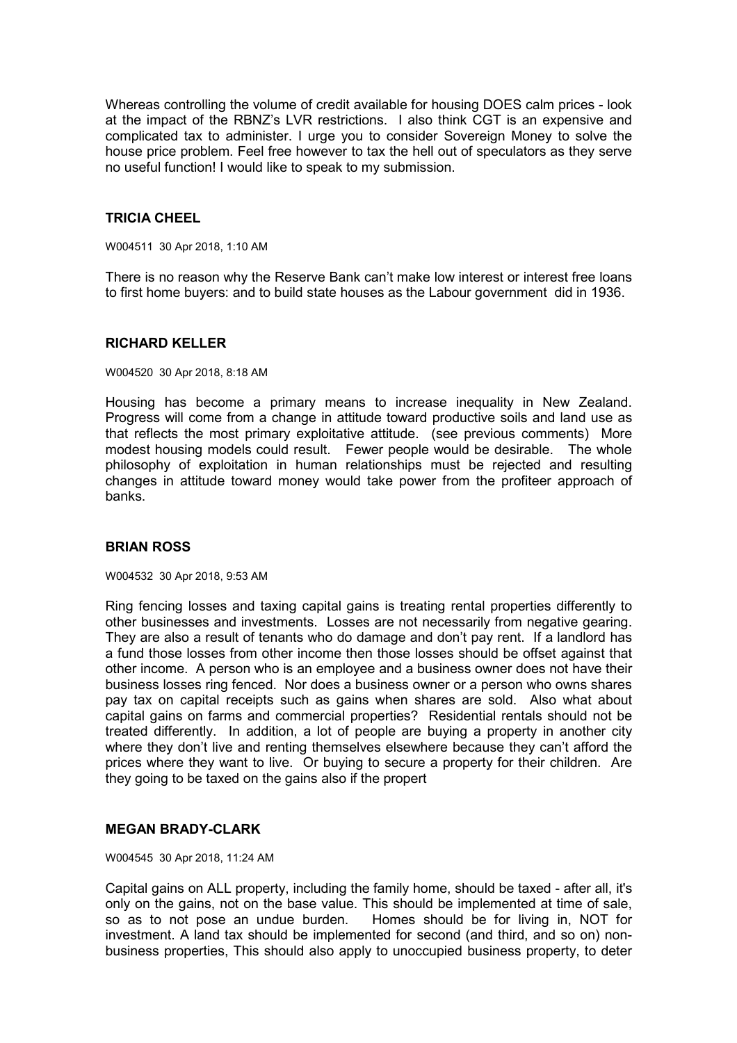Whereas controlling the volume of credit available for housing DOES calm prices - look at the impact of the RBNZ's LVR restrictions. I also think CGT is an expensive and complicated tax to administer. I urge you to consider Sovereign Money to solve the house price problem. Feel free however to tax the hell out of speculators as they serve no useful function! I would like to speak to my submission.

# **TRICIA CHEEL**

W004511 30 Apr 2018, 1:10 AM

There is no reason why the Reserve Bank can't make low interest or interest free loans to first home buyers: and to build state houses as the Labour government did in 1936.

### **RICHARD KELLER**

W004520 30 Apr 2018, 8:18 AM

Housing has become a primary means to increase inequality in New Zealand. Progress will come from a change in attitude toward productive soils and land use as that reflects the most primary exploitative attitude. (see previous comments) More modest housing models could result. Fewer people would be desirable. The whole philosophy of exploitation in human relationships must be rejected and resulting changes in attitude toward money would take power from the profiteer approach of banks.

## **BRIAN ROSS**

W004532 30 Apr 2018, 9:53 AM

Ring fencing losses and taxing capital gains is treating rental properties differently to other businesses and investments. Losses are not necessarily from negative gearing. They are also a result of tenants who do damage and don't pay rent. If a landlord has a fund those losses from other income then those losses should be offset against that other income. A person who is an employee and a business owner does not have their business losses ring fenced. Nor does a business owner or a person who owns shares pay tax on capital receipts such as gains when shares are sold. Also what about capital gains on farms and commercial properties? Residential rentals should not be treated differently. In addition, a lot of people are buying a property in another city where they don't live and renting themselves elsewhere because they can't afford the prices where they want to live. Or buying to secure a property for their children. Are they going to be taxed on the gains also if the propert

## **MEGAN BRADY-CLARK**

W004545 30 Apr 2018, 11:24 AM

Capital gains on ALL property, including the family home, should be taxed - after all, it's only on the gains, not on the base value. This should be implemented at time of sale, so as to not pose an undue burden. Homes should be for living in, NOT for investment. A land tax should be implemented for second (and third, and so on) nonbusiness properties, This should also apply to unoccupied business property, to deter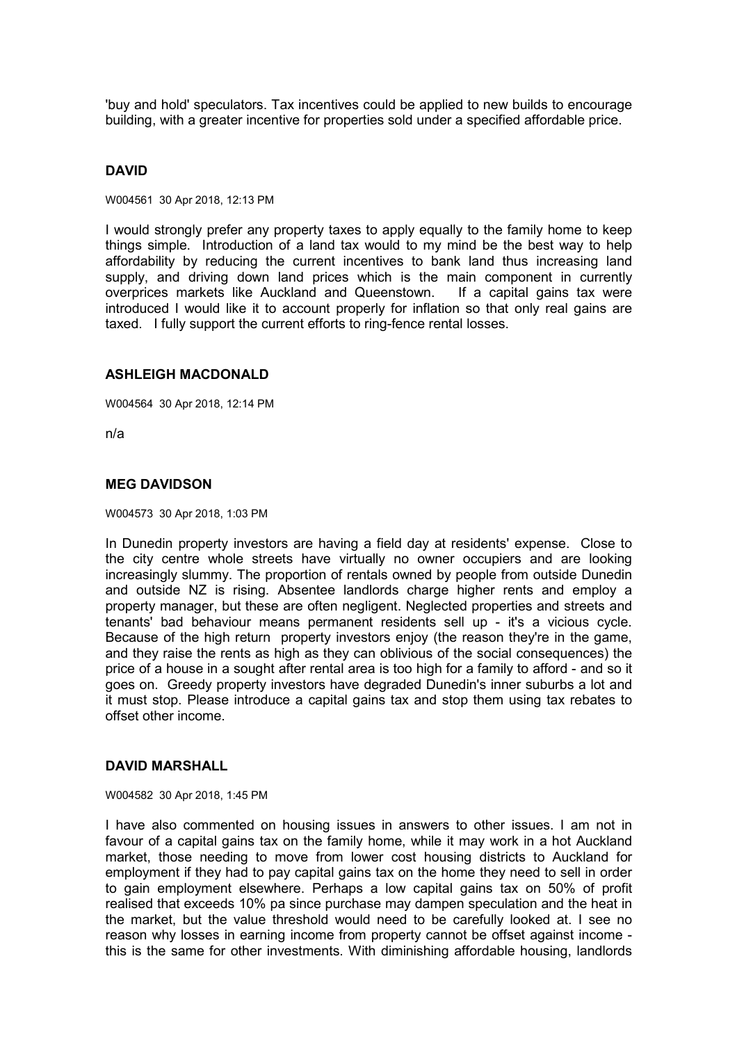'buy and hold' speculators. Tax incentives could be applied to new builds to encourage building, with a greater incentive for properties sold under a specified affordable price.

# **DAVID**

W004561 30 Apr 2018, 12:13 PM

I would strongly prefer any property taxes to apply equally to the family home to keep things simple. Introduction of a land tax would to my mind be the best way to help affordability by reducing the current incentives to bank land thus increasing land supply, and driving down land prices which is the main component in currently overprices markets like Auckland and Queenstown. If a capital gains tax were introduced I would like it to account properly for inflation so that only real gains are taxed. I fully support the current efforts to ring-fence rental losses.

### **ASHLEIGH MACDONALD**

W004564 30 Apr 2018, 12:14 PM

n/a

### **MEG DAVIDSON**

W004573 30 Apr 2018, 1:03 PM

In Dunedin property investors are having a field day at residents' expense. Close to the city centre whole streets have virtually no owner occupiers and are looking increasingly slummy. The proportion of rentals owned by people from outside Dunedin and outside NZ is rising. Absentee landlords charge higher rents and employ a property manager, but these are often negligent. Neglected properties and streets and tenants' bad behaviour means permanent residents sell up - it's a vicious cycle. Because of the high return property investors enjoy (the reason they're in the game, and they raise the rents as high as they can oblivious of the social consequences) the price of a house in a sought after rental area is too high for a family to afford - and so it goes on. Greedy property investors have degraded Dunedin's inner suburbs a lot and it must stop. Please introduce a capital gains tax and stop them using tax rebates to offset other income.

## **DAVID MARSHALL**

W004582 30 Apr 2018, 1:45 PM

I have also commented on housing issues in answers to other issues. I am not in favour of a capital gains tax on the family home, while it may work in a hot Auckland market, those needing to move from lower cost housing districts to Auckland for employment if they had to pay capital gains tax on the home they need to sell in order to gain employment elsewhere. Perhaps a low capital gains tax on 50% of profit realised that exceeds 10% pa since purchase may dampen speculation and the heat in the market, but the value threshold would need to be carefully looked at. I see no reason why losses in earning income from property cannot be offset against income this is the same for other investments. With diminishing affordable housing, landlords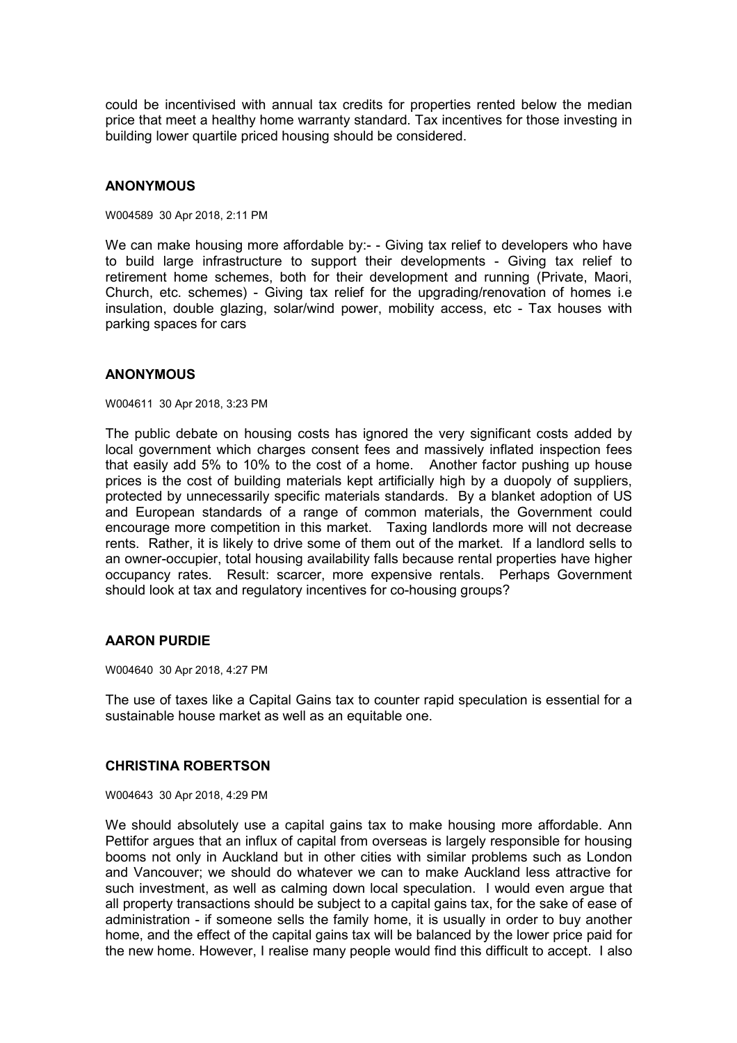could be incentivised with annual tax credits for properties rented below the median price that meet a healthy home warranty standard. Tax incentives for those investing in building lower quartile priced housing should be considered.

# **ANONYMOUS**

W004589 30 Apr 2018, 2:11 PM

We can make housing more affordable by:- - Giving tax relief to developers who have to build large infrastructure to support their developments - Giving tax relief to retirement home schemes, both for their development and running (Private, Maori, Church, etc. schemes) - Giving tax relief for the upgrading/renovation of homes i.e insulation, double glazing, solar/wind power, mobility access, etc - Tax houses with parking spaces for cars

### **ANONYMOUS**

W004611 30 Apr 2018, 3:23 PM

The public debate on housing costs has ignored the very significant costs added by local government which charges consent fees and massively inflated inspection fees that easily add 5% to 10% to the cost of a home. Another factor pushing up house prices is the cost of building materials kept artificially high by a duopoly of suppliers, protected by unnecessarily specific materials standards. By a blanket adoption of US and European standards of a range of common materials, the Government could encourage more competition in this market. Taxing landlords more will not decrease rents. Rather, it is likely to drive some of them out of the market. If a landlord sells to an owner-occupier, total housing availability falls because rental properties have higher occupancy rates. Result: scarcer, more expensive rentals. Perhaps Government should look at tax and regulatory incentives for co-housing groups?

## **AARON PURDIE**

W004640 30 Apr 2018, 4:27 PM

The use of taxes like a Capital Gains tax to counter rapid speculation is essential for a sustainable house market as well as an equitable one.

## **CHRISTINA ROBERTSON**

W004643 30 Apr 2018, 4:29 PM

We should absolutely use a capital gains tax to make housing more affordable. Ann Pettifor argues that an influx of capital from overseas is largely responsible for housing booms not only in Auckland but in other cities with similar problems such as London and Vancouver; we should do whatever we can to make Auckland less attractive for such investment, as well as calming down local speculation. I would even argue that all property transactions should be subject to a capital gains tax, for the sake of ease of administration - if someone sells the family home, it is usually in order to buy another home, and the effect of the capital gains tax will be balanced by the lower price paid for the new home. However, I realise many people would find this difficult to accept. I also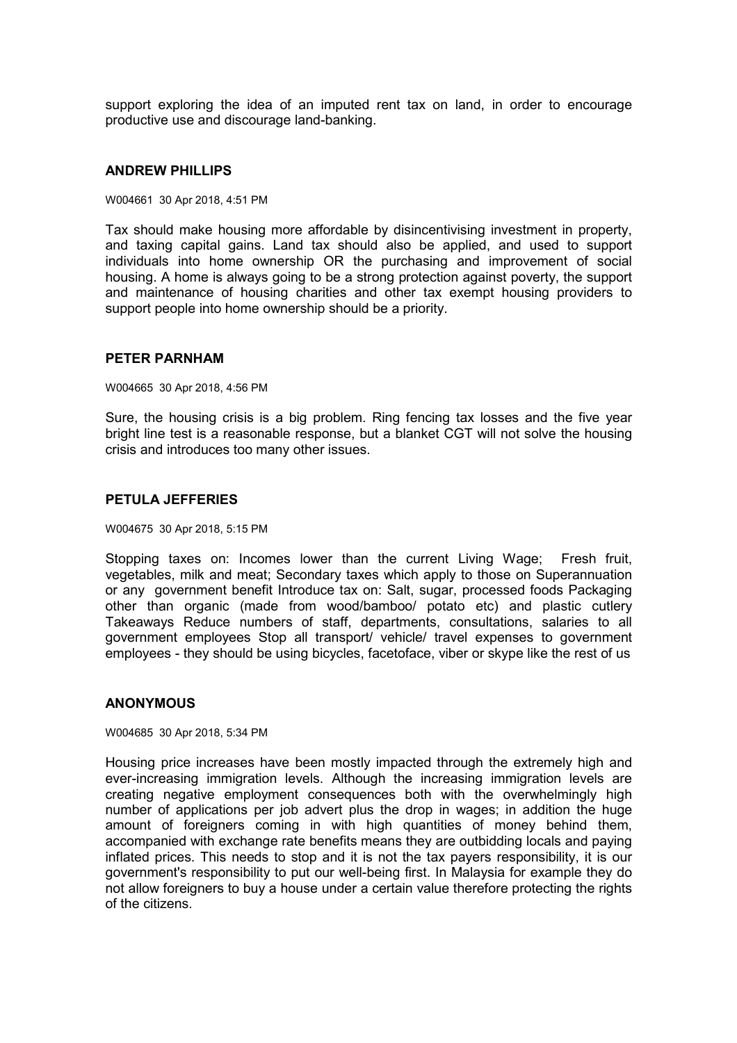support exploring the idea of an imputed rent tax on land, in order to encourage productive use and discourage land-banking.

#### **ANDREW PHILLIPS**

W004661 30 Apr 2018, 4:51 PM

Tax should make housing more affordable by disincentivising investment in property, and taxing capital gains. Land tax should also be applied, and used to support individuals into home ownership OR the purchasing and improvement of social housing. A home is always going to be a strong protection against poverty, the support and maintenance of housing charities and other tax exempt housing providers to support people into home ownership should be a priority.

#### **PETER PARNHAM**

W004665 30 Apr 2018, 4:56 PM

Sure, the housing crisis is a big problem. Ring fencing tax losses and the five year bright line test is a reasonable response, but a blanket CGT will not solve the housing crisis and introduces too many other issues.

#### **PETULA JEFFERIES**

W004675 30 Apr 2018, 5:15 PM

Stopping taxes on: Incomes lower than the current Living Wage; Fresh fruit, vegetables, milk and meat; Secondary taxes which apply to those on Superannuation or any government benefit Introduce tax on: Salt, sugar, processed foods Packaging other than organic (made from wood/bamboo/ potato etc) and plastic cutlery Takeaways Reduce numbers of staff, departments, consultations, salaries to all government employees Stop all transport/ vehicle/ travel expenses to government employees - they should be using bicycles, facetoface, viber or skype like the rest of us

### **ANONYMOUS**

W004685 30 Apr 2018, 5:34 PM

Housing price increases have been mostly impacted through the extremely high and ever-increasing immigration levels. Although the increasing immigration levels are creating negative employment consequences both with the overwhelmingly high number of applications per job advert plus the drop in wages; in addition the huge amount of foreigners coming in with high quantities of money behind them, accompanied with exchange rate benefits means they are outbidding locals and paying inflated prices. This needs to stop and it is not the tax payers responsibility, it is our government's responsibility to put our well-being first. In Malaysia for example they do not allow foreigners to buy a house under a certain value therefore protecting the rights of the citizens.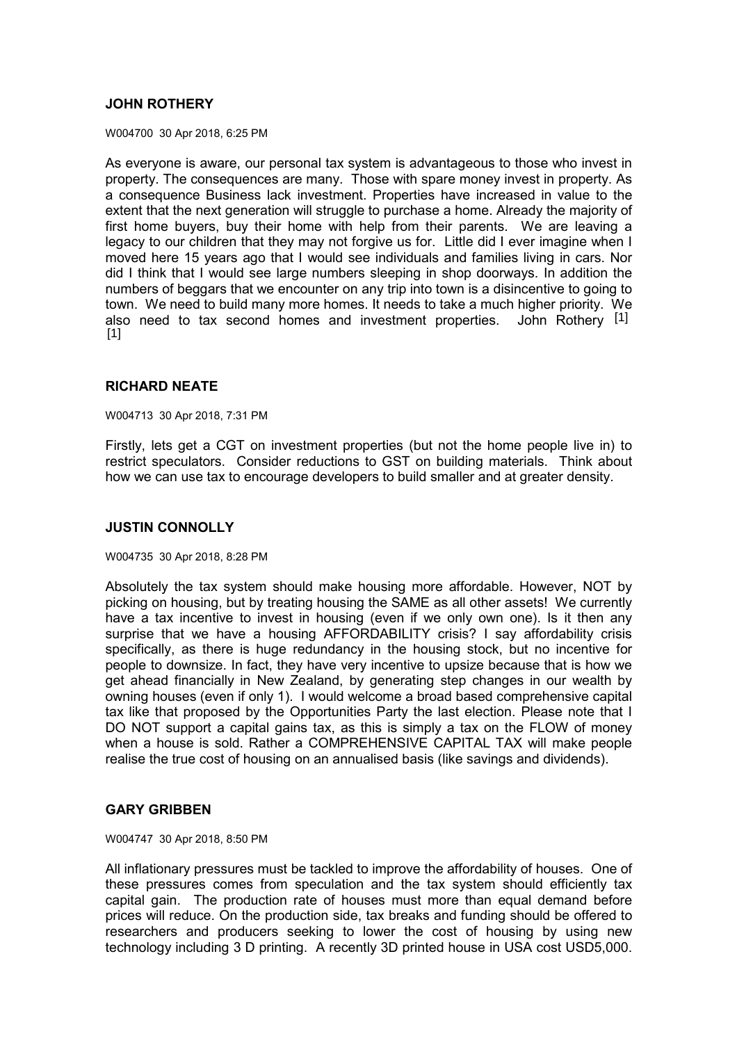# **JOHN ROTHERY**

W004700 30 Apr 2018, 6:25 PM

As everyone is aware, our personal tax system is advantageous to those who invest in property. The consequences are many. Those with spare money invest in property. As a consequence Business lack investment. Properties have increased in value to the extent that the next generation will struggle to purchase a home. Already the majority of first home buyers, buy their home with help from their parents. We are leaving a legacy to our children that they may not forgive us for. Little did I ever imagine when I moved here 15 years ago that I would see individuals and families living in cars. Nor did I think that I would see large numbers sleeping in shop doorways. In addition the numbers of beggars that we encounter on any trip into town is a disincentive to going to town. We need to build many more homes. It needs to take a much higher priority. We also need to tax second homes and investment properties. John Rothery [1]  $[1]$ 

# **RICHARD NEATE**

W004713 30 Apr 2018, 7:31 PM

Firstly, lets get a CGT on investment properties (but not the home people live in) to restrict speculators. Consider reductions to GST on building materials. Think about how we can use tax to encourage developers to build smaller and at greater density.

## **JUSTIN CONNOLLY**

#### W004735 30 Apr 2018, 8:28 PM

Absolutely the tax system should make housing more affordable. However, NOT by picking on housing, but by treating housing the SAME as all other assets! We currently have a tax incentive to invest in housing (even if we only own one). Is it then any surprise that we have a housing AFFORDABILITY crisis? I say affordability crisis specifically, as there is huge redundancy in the housing stock, but no incentive for people to downsize. In fact, they have very incentive to upsize because that is how we get ahead financially in New Zealand, by generating step changes in our wealth by owning houses (even if only 1). I would welcome a broad based comprehensive capital tax like that proposed by the Opportunities Party the last election. Please note that I DO NOT support a capital gains tax, as this is simply a tax on the FLOW of money when a house is sold. Rather a COMPREHENSIVE CAPITAL TAX will make people realise the true cost of housing on an annualised basis (like savings and dividends).

## **GARY GRIBBEN**

W004747 30 Apr 2018, 8:50 PM

All inflationary pressures must be tackled to improve the affordability of houses. One of these pressures comes from speculation and the tax system should efficiently tax capital gain. The production rate of houses must more than equal demand before prices will reduce. On the production side, tax breaks and funding should be offered to researchers and producers seeking to lower the cost of housing by using new technology including 3 D printing. A recently 3D printed house in USA cost USD5,000.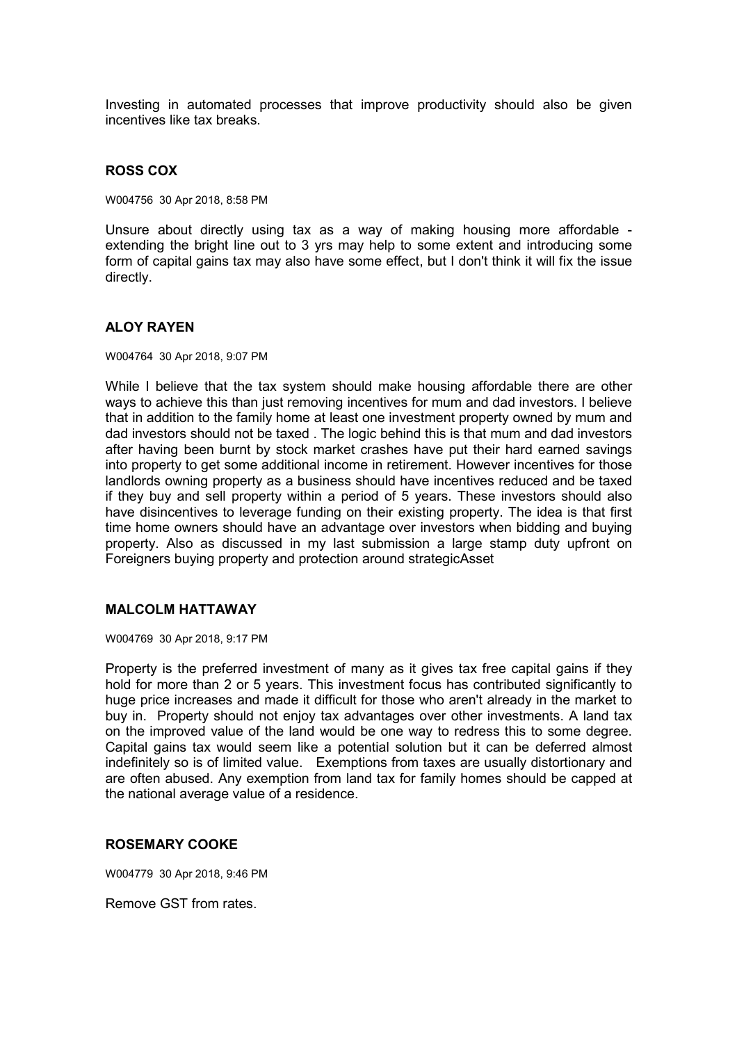Investing in automated processes that improve productivity should also be given incentives like tax breaks.

### **ROSS COX**

W004756 30 Apr 2018, 8:58 PM

Unsure about directly using tax as a way of making housing more affordable extending the bright line out to 3 yrs may help to some extent and introducing some form of capital gains tax may also have some effect, but I don't think it will fix the issue directly.

### **ALOY RAYEN**

W004764 30 Apr 2018, 9:07 PM

While I believe that the tax system should make housing affordable there are other ways to achieve this than just removing incentives for mum and dad investors. I believe that in addition to the family home at least one investment property owned by mum and dad investors should not be taxed . The logic behind this is that mum and dad investors after having been burnt by stock market crashes have put their hard earned savings into property to get some additional income in retirement. However incentives for those landlords owning property as a business should have incentives reduced and be taxed if they buy and sell property within a period of 5 years. These investors should also have disincentives to leverage funding on their existing property. The idea is that first time home owners should have an advantage over investors when bidding and buying property. Also as discussed in my last submission a large stamp duty upfront on Foreigners buying property and protection around strategicAsset

### **MALCOLM HATTAWAY**

W004769 30 Apr 2018, 9:17 PM

Property is the preferred investment of many as it gives tax free capital gains if they hold for more than 2 or 5 years. This investment focus has contributed significantly to huge price increases and made it difficult for those who aren't already in the market to buy in. Property should not enjoy tax advantages over other investments. A land tax on the improved value of the land would be one way to redress this to some degree. Capital gains tax would seem like a potential solution but it can be deferred almost indefinitely so is of limited value. Exemptions from taxes are usually distortionary and are often abused. Any exemption from land tax for family homes should be capped at the national average value of a residence.

#### **ROSEMARY COOKE**

W004779 30 Apr 2018, 9:46 PM

Remove GST from rates.